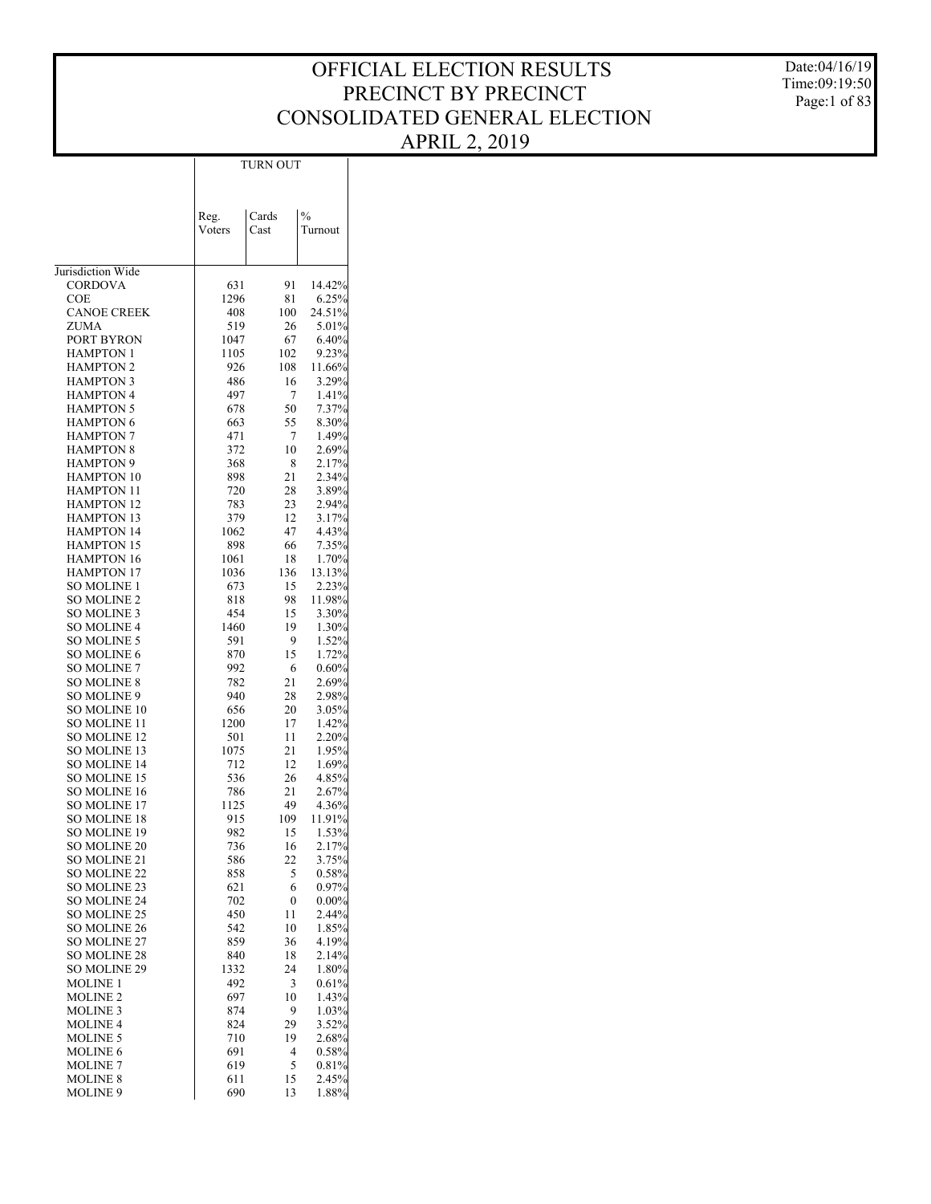Date:04/16/19 Time:09:19:50 Page:1 of 83

|                                            | TURN OUT       |          |                |  |  |  |  |
|--------------------------------------------|----------------|----------|----------------|--|--|--|--|
|                                            |                |          |                |  |  |  |  |
|                                            |                |          |                |  |  |  |  |
|                                            |                | Cards    | $\frac{0}{0}$  |  |  |  |  |
|                                            | Reg.<br>Voters | Cast     | Turnout        |  |  |  |  |
|                                            |                |          |                |  |  |  |  |
|                                            |                |          |                |  |  |  |  |
| Jurisdiction Wide                          |                |          |                |  |  |  |  |
| CORDOVA                                    | 631            | 91       | 14.42%         |  |  |  |  |
| COE                                        | 1296           | 81       | 6.25%          |  |  |  |  |
| <b>CANOE CREEK</b>                         | 408            | 100      | 24.51%         |  |  |  |  |
| ZUMA                                       | 519            | 26       | 5.01%          |  |  |  |  |
| PORT BYRON                                 | 1047           | 67       | 6.40%          |  |  |  |  |
| HAMPTON 1                                  | 1105           | 102      | 9.23%          |  |  |  |  |
| <b>HAMPTON 2</b>                           | 926            | 108      | 11.66%         |  |  |  |  |
| <b>HAMPTON 3</b>                           | 486            | 16       | 3.29%          |  |  |  |  |
| <b>HAMPTON 4</b><br><b>HAMPTON 5</b>       | 497<br>678     | 7<br>50  | 1.41%<br>7.37% |  |  |  |  |
| <b>HAMPTON 6</b>                           | 663            | 55       | 8.30%          |  |  |  |  |
| <b>HAMPTON 7</b>                           | 471            | 7        | 1.49%          |  |  |  |  |
| <b>HAMPTON 8</b>                           | 372            | 10       | 2.69%          |  |  |  |  |
| <b>HAMPTON 9</b>                           | 368            | 8        | 2.17%          |  |  |  |  |
| <b>HAMPTON 10</b>                          | 898            | 21       | 2.34%          |  |  |  |  |
| <b>HAMPTON 11</b>                          | 720            | 28       | 3.89%          |  |  |  |  |
| <b>HAMPTON 12</b>                          | 783            | 23       | 2.94%          |  |  |  |  |
| <b>HAMPTON 13</b>                          | 379            | 12       | 3.17%          |  |  |  |  |
| <b>HAMPTON 14</b>                          | 1062           | 47       | 4.43%          |  |  |  |  |
| <b>HAMPTON 15</b>                          | 898            | 66       | 7.35%          |  |  |  |  |
| <b>HAMPTON 16</b>                          | 1061           | 18       | 1.70%          |  |  |  |  |
| <b>HAMPTON 17</b>                          | 1036           | 136      | 13.13%         |  |  |  |  |
| SO MOLINE 1                                | 673            | 15       | 2.23%          |  |  |  |  |
| <b>SO MOLINE 2</b>                         | 818            | 98       | 11.98%         |  |  |  |  |
| SO MOLINE 3<br><b>SO MOLINE 4</b>          | 454<br>1460    | 15<br>19 | 3.30%<br>1.30% |  |  |  |  |
| <b>SO MOLINE 5</b>                         | 591            | 9        | 1.52%          |  |  |  |  |
| <b>SO MOLINE 6</b>                         | 870            | 15       | 1.72%          |  |  |  |  |
| <b>SO MOLINE 7</b>                         | 992            | 6        | $0.60\%$       |  |  |  |  |
| <b>SO MOLINE 8</b>                         | 782            | 21       | 2.69%          |  |  |  |  |
| SO MOLINE 9                                | 940            | 28       | 2.98%          |  |  |  |  |
| SO MOLINE 10                               | 656            | 20       | 3.05%          |  |  |  |  |
| SO MOLINE 11                               | 1200           | 17       | 1.42%          |  |  |  |  |
| SO MOLINE 12                               | 501            | 11       | 2.20%          |  |  |  |  |
| <b>SO MOLINE 13</b>                        | 1075           | 21       | 1.95%          |  |  |  |  |
| <b>SO MOLINE 14</b>                        | 712            | 12       | 1.69%          |  |  |  |  |
| SO MOLINE 15                               | 536            | 26       | 4.85%          |  |  |  |  |
| <b>SO MOLINE 16</b><br><b>SO MOLINE 17</b> | 786<br>1125    | 21<br>49 | 2.67%<br>4.36% |  |  |  |  |
| <b>SO MOLINE 18</b>                        | 915            | 109      | 11.91%         |  |  |  |  |
| SO MOLINE 19                               | 982            | 15       | 1.53%          |  |  |  |  |
| <b>SO MOLINE 20</b>                        | 736            | 16       | 2.17%          |  |  |  |  |
| SO MOLINE 21                               | 586            | 22       | 3.75%          |  |  |  |  |
| <b>SO MOLINE 22</b>                        | 858            | 5        | 0.58%          |  |  |  |  |
| <b>SO MOLINE 23</b>                        | 621            | 6        | $0.97\%$       |  |  |  |  |
| <b>SO MOLINE 24</b>                        | 702            | 0        | $0.00\%$       |  |  |  |  |
| <b>SO MOLINE 25</b>                        | 450            | 11       | 2.44%          |  |  |  |  |
| <b>SO MOLINE 26</b>                        | 542            | 10       | 1.85%          |  |  |  |  |
| <b>SO MOLINE 27</b>                        | 859            | 36       | 4.19%          |  |  |  |  |
| <b>SO MOLINE 28</b>                        | 840            | 18       | 2.14%          |  |  |  |  |
| SO MOLINE 29                               | 1332           | 24       | 1.80%          |  |  |  |  |
| <b>MOLINE 1</b><br><b>MOLINE 2</b>         | 492<br>697     | 3<br>10  | 0.61%<br>1.43% |  |  |  |  |
| <b>MOLINE 3</b>                            | 874            | 9        | 1.03%          |  |  |  |  |
| <b>MOLINE 4</b>                            | 824            | 29       | 3.52%          |  |  |  |  |
| <b>MOLINE 5</b>                            | 710            | 19       | 2.68%          |  |  |  |  |
| <b>MOLINE 6</b>                            | 691            | 4        | 0.58%          |  |  |  |  |
| <b>MOLINE 7</b>                            | 619            | 5        | 0.81%          |  |  |  |  |
| <b>MOLINE 8</b>                            | 611            | 15       | 2.45%          |  |  |  |  |
| MOLINE 9                                   | 690            | 13       | 1.88%          |  |  |  |  |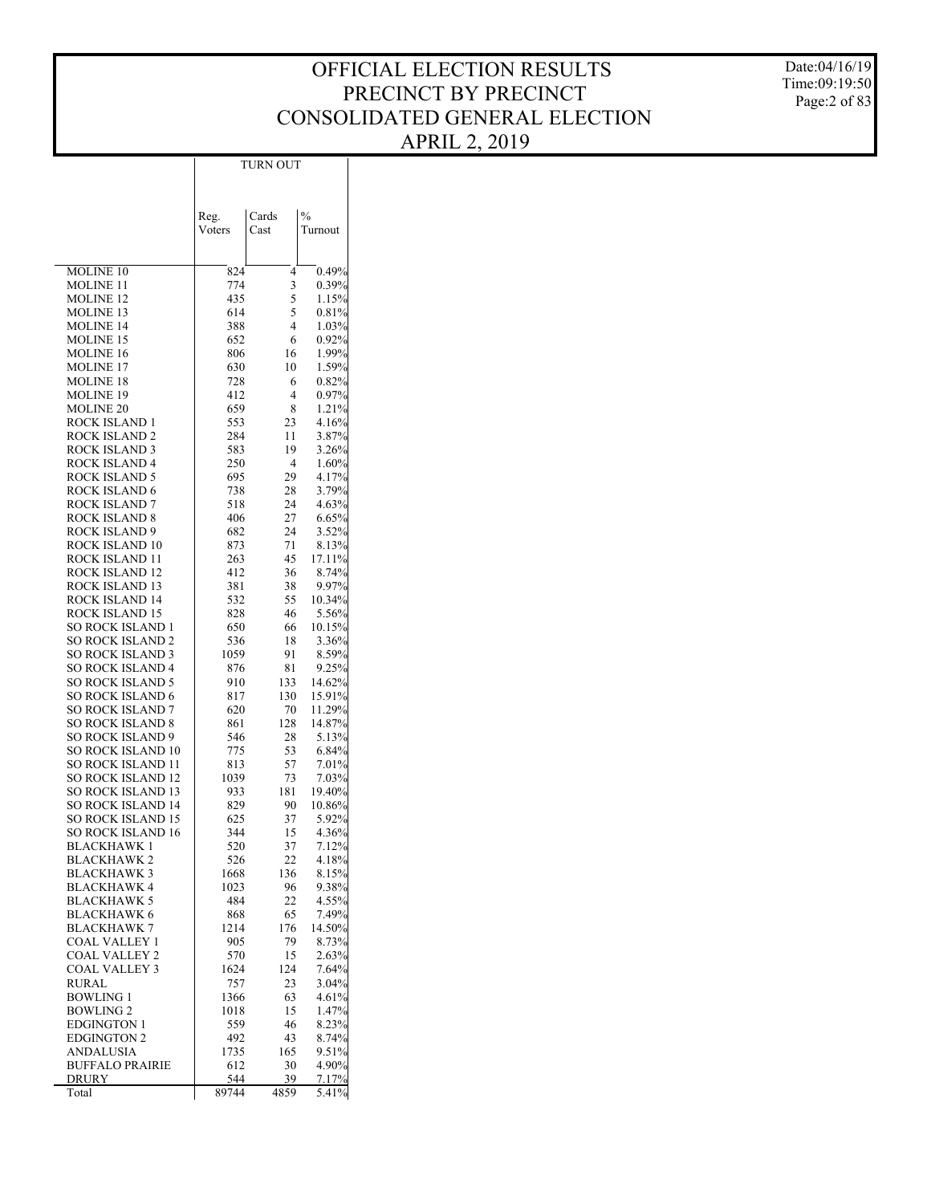Date:04/16/19 Time:09:19:50 Page:2 of 83

|                                                      | Reg.        | Cards     | $\frac{0}{0}$     |
|------------------------------------------------------|-------------|-----------|-------------------|
|                                                      | Voters      | Cast      | Turnout           |
|                                                      |             |           |                   |
| MOLINE 10                                            | 824         | 4         | 0.49%             |
| MOLINE 11                                            | 774         | 3         | 0.39%             |
| <b>MOLINE 12</b><br><b>MOLINE 13</b>                 | 435<br>614  | 5<br>5    | 1.15%<br>$0.81\%$ |
| <b>MOLINE 14</b>                                     | 388         | 4         | $1.03\%$          |
| <b>MOLINE 15</b>                                     | 652         | 6         | 0.92%             |
| MOLINE 16                                            | 806         | 16        | 1.99%             |
| <b>MOLINE 17</b>                                     | 630         | 10        | 1.59%             |
| <b>MOLINE 18</b>                                     | 728         | 6         | 0.82%             |
| <b>MOLINE 19</b><br><b>MOLINE 20</b>                 | 412<br>659  | 4<br>8    | $0.97\%$<br>1.21% |
| ROCK ISLAND 1                                        | 553         | 23        | 4.16%             |
| ROCK ISLAND 2                                        | 284         | 11        | 3.87%             |
| ROCK ISLAND 3                                        | 583         | 19        | 3.26%             |
| ROCK ISLAND 4                                        | 250         | 4         | 1.60%             |
| ROCK ISLAND 5                                        | 695         | 29        | 4.17%             |
| ROCK ISLAND 6<br><b>ROCK ISLAND 7</b>                | 738<br>518  | 28<br>24  | 3.79%<br>4.63%    |
| ROCK ISLAND 8                                        | 406         | 27        | 6.65%             |
| ROCK ISLAND 9                                        | 682         | 24        | 3.52%             |
| ROCK ISLAND 10                                       | 873         | 71        | 8.13%             |
| ROCK ISLAND 11                                       | 263         | 45        | 17.11%            |
| ROCK ISLAND 12                                       | 412         | 36        | 8.74%             |
| ROCK ISLAND 13                                       | 381         | 38        | 9.97%             |
| ROCK ISLAND 14<br>ROCK ISLAND 15                     | 532<br>828  | 55<br>46  | 10.34%            |
| SO ROCK ISLAND 1                                     | 650         | 66        | 5.56%<br>10.15%   |
| <b>SO ROCK ISLAND 2</b>                              | 536         | 18        | 3.36%             |
| <b>SO ROCK ISLAND 3</b>                              | 1059        | 91        | 8.59%             |
| SO ROCK ISLAND 4                                     | 876         | 81        | 9.25%             |
| <b>SO ROCK ISLAND 5</b>                              | 910         | 133       | 14.62%            |
| <b>SO ROCK ISLAND 6</b>                              | 817         | 130       | 15.91%            |
| <b>SO ROCK ISLAND 7</b><br><b>SO ROCK ISLAND 8</b>   | 620<br>861  | 70<br>128 | 11.29%<br>14.87%  |
| SO ROCK ISLAND 9                                     | 546         | 28        | 5.13%             |
| <b>SO ROCK ISLAND 10</b>                             | 775         | 53        | $6.84\%$          |
| <b>SO ROCK ISLAND 11</b>                             | 813         | 57        | 7.01%             |
| <b>SO ROCK ISLAND 12</b>                             | 1039        | 73        | 7.03%             |
| <b>SO ROCK ISLAND 13</b>                             | 933         | 181       | 19.40%            |
| <b>SO ROCK ISLAND 14</b><br><b>SO ROCK ISLAND 15</b> | 829<br>625  | 90<br>37  | 10.86%<br>5.92%   |
| <b>SO ROCK ISLAND 16</b>                             | 344         | 15        | 4.36%             |
| <b>BLACKHAWK1</b>                                    | 520         | 37        | 7.12%             |
| BLACKHAWK 2                                          | 526         | 22        | 4.18%             |
| <b>BLACKHAWK 3</b>                                   | 1668        | 136       | 8.15%             |
| <b>BLACKHAWK 4</b>                                   | 1023        | 96        | $9.38\%$          |
| <b>BLACKHAWK 5</b>                                   | 484         | 22        | 4.55%             |
| BLACKHAWK 6<br>BLACKHAWK 7                           | 868<br>1214 | 65<br>176 | 7.49%<br>14.50%   |
| COAL VALLEY 1                                        | 905         | 79        | 8.73%             |
| COAL VALLEY 2                                        | 570         | 15        | 2.63%             |
| COAL VALLEY 3                                        | 1624        | 124       | 7.64%             |
| RURAL                                                | 757         | 23        | 3.04%             |
| <b>BOWLING 1</b>                                     | 1366        | 63        | 4.61%             |
| <b>BOWLING 2</b><br><b>EDGINGTON 1</b>               | 1018<br>559 | 15<br>46  | 1.47%<br>8.23%    |
| EDGINGTON 2                                          | 492         | 43        | 8.74%             |
| ANDALUSIA                                            | 1735        | 165       | 9.51%             |
| <b>BUFFALO PRAIRIE</b>                               | 612         | 30        | 4.90%             |
| DRURY                                                | 544         | 39        | 7.17%             |
| Total                                                | 89744       | 4859      | 5.41%             |

TURN OUT

 $\overline{1}$ 

 $\overline{\phantom{a}}$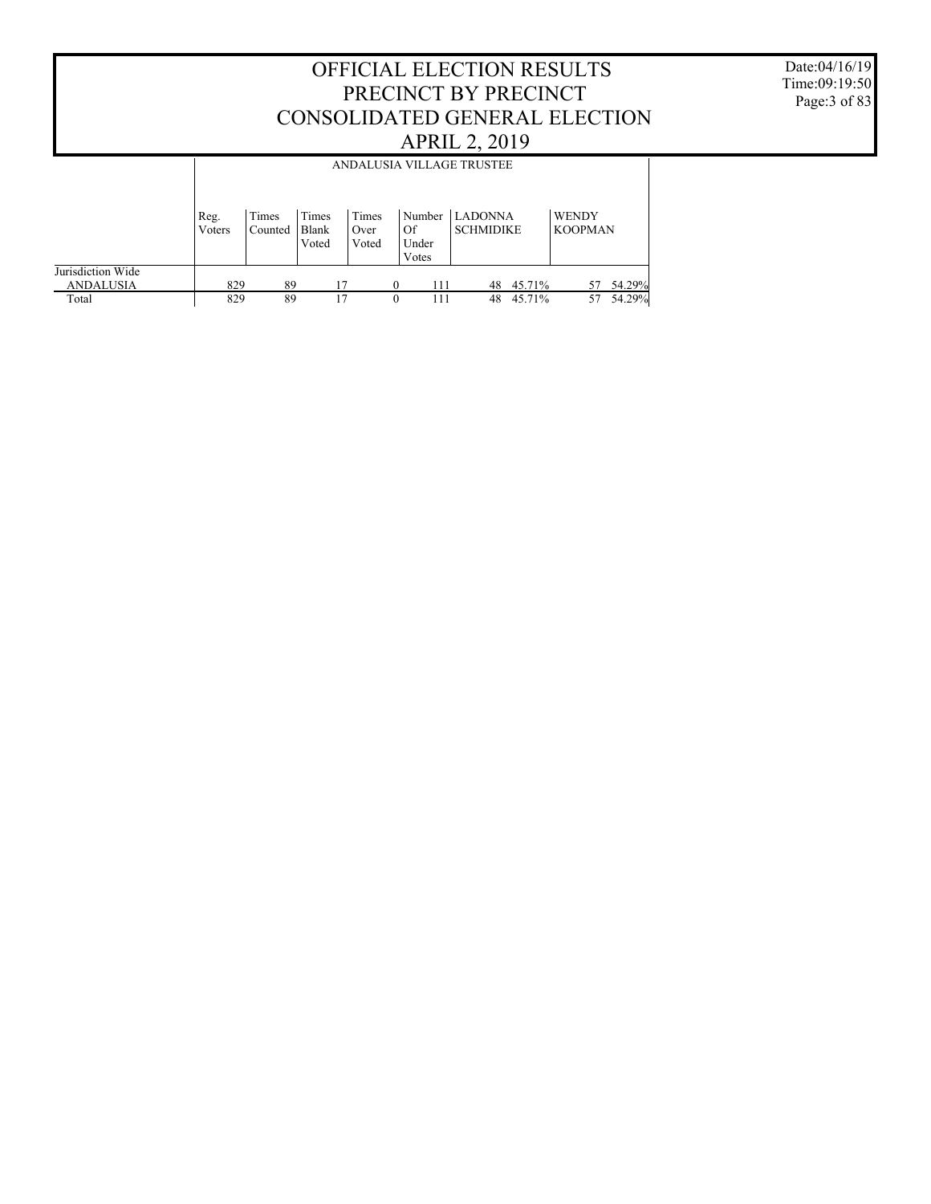Date:04/16/19 Time:09:19:50 Page:3 of 83

|                                       |                                                                                                                                                                                                   |    |    |  |          | ANDALUSIA VILLAGE TRUSTEE |        |    |        |  |  |
|---------------------------------------|---------------------------------------------------------------------------------------------------------------------------------------------------------------------------------------------------|----|----|--|----------|---------------------------|--------|----|--------|--|--|
|                                       | Times<br>Times<br><b>LADONNA</b><br><b>WENDY</b><br>Times<br>Number<br>Reg.<br><b>SCHMIDIKE</b><br><b>KOOPMAN</b><br>Of<br>Blank<br>Voters<br>Counted<br>Over<br>Under<br>Voted<br>Voted<br>Votes |    |    |  |          |                           |        |    |        |  |  |
| Jurisdiction Wide<br><b>ANDALUSIA</b> | 829                                                                                                                                                                                               | 89 | 17 |  | 111      | 48                        | 45.71% | 57 | 54.29% |  |  |
| Total                                 | 829                                                                                                                                                                                               | 89 | 17 |  | 111<br>0 | 48                        | 45.71% | 57 | 54.29% |  |  |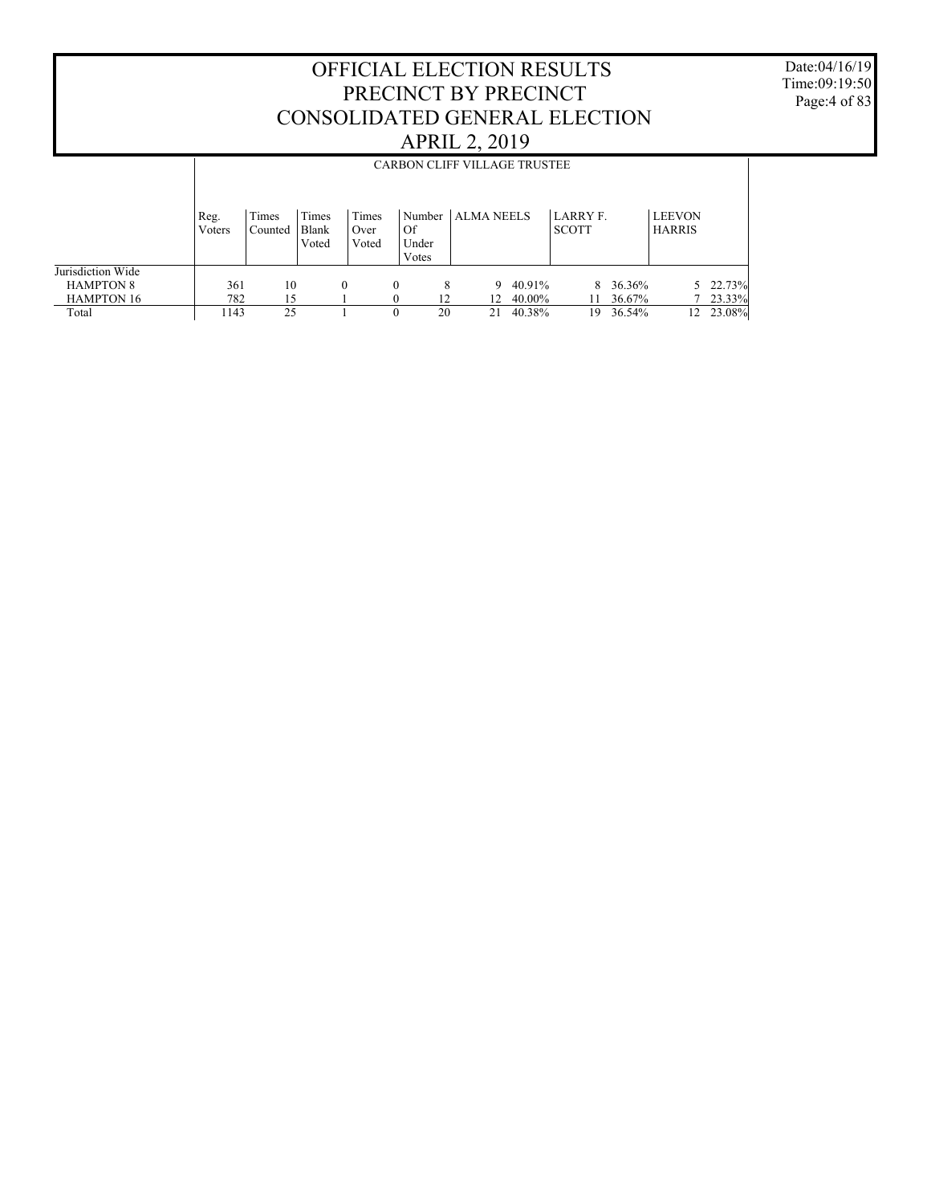Date:04/16/19 Time:09:19:50 Page:4 of 83

|                                                            |                | <b>CARBON CLIFF VILLAGE TRUSTEE</b> |                         |                        |          |                          |            |                  |                          |                    |                                |                    |  |
|------------------------------------------------------------|----------------|-------------------------------------|-------------------------|------------------------|----------|--------------------------|------------|------------------|--------------------------|--------------------|--------------------------------|--------------------|--|
|                                                            | Reg.<br>Voters | Times<br>Counted                    | Times<br>Blank<br>Voted | Times<br>Over<br>Voted | Of       | Number<br>Under<br>Votes | ALMA NEELS |                  | LARRY F.<br><b>SCOTT</b> |                    | <b>LEEVON</b><br><b>HARRIS</b> |                    |  |
| Jurisdiction Wide<br><b>HAMPTON 8</b><br><b>HAMPTON 16</b> | 361<br>782     | 10<br>15                            |                         | $\theta$               | $\theta$ | 8<br>12                  | 9<br>12    | 40.91%<br>40.00% |                          | 8 36.36%<br>36.67% |                                | 5 22.73%<br>23.33% |  |
| Total                                                      | 1143           | 25                                  |                         |                        |          | 20                       | 21         | 40.38%           | 19                       | 36.54%             | 12                             | 23.08%             |  |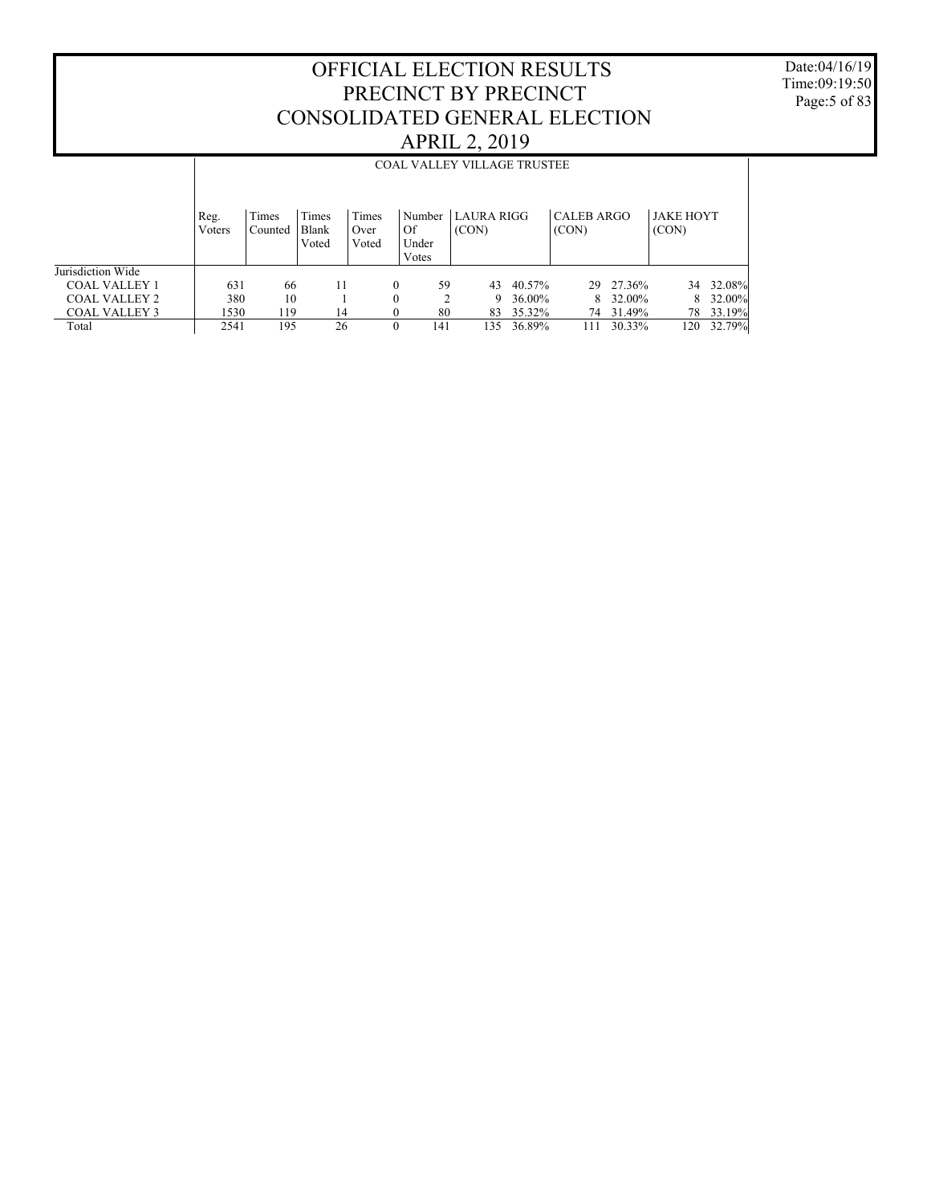Date:04/16/19 Time:09:19:50 Page:5 of 83

|                      |                | <b>COAL VALLEY VILLAGE TRUSTEE</b> |                         |                        |                                |                     |        |                     |           |                           |        |  |  |  |
|----------------------|----------------|------------------------------------|-------------------------|------------------------|--------------------------------|---------------------|--------|---------------------|-----------|---------------------------|--------|--|--|--|
|                      | Reg.<br>Voters | Times<br>Counted                   | Times<br>Blank<br>Voted | Times<br>Over<br>Voted | Number<br>Of<br>Under<br>Votes | LAURA RIGG<br>(CON) |        | CALEB ARGO<br>(CON) |           | <b>JAKE HOYT</b><br>(CON) |        |  |  |  |
| Jurisdiction Wide    |                |                                    |                         |                        |                                |                     |        |                     |           |                           |        |  |  |  |
| <b>COAL VALLEY 1</b> | 631            | 66                                 |                         | $\Omega$               | 59                             | 43                  | 40.57% |                     | 29 27.36% | 34                        | 32.08% |  |  |  |
| <b>COAL VALLEY 2</b> | 380            | 10                                 |                         | $\Omega$               | 2                              | 9                   | 36.00% |                     | 8 32.00%  | 8                         | 32.00% |  |  |  |
| <b>COAL VALLEY 3</b> | 1530           | 119                                | 14                      | $\Omega$               | 80                             | 83                  | 35.32% | 74                  | 31.49%    | 78                        | 33.19% |  |  |  |
| Total                | 2541           | 195                                | 26                      | $\theta$               | 141                            | 135                 | 36.89% | 111                 | 30.33%    | 120                       | 32.79% |  |  |  |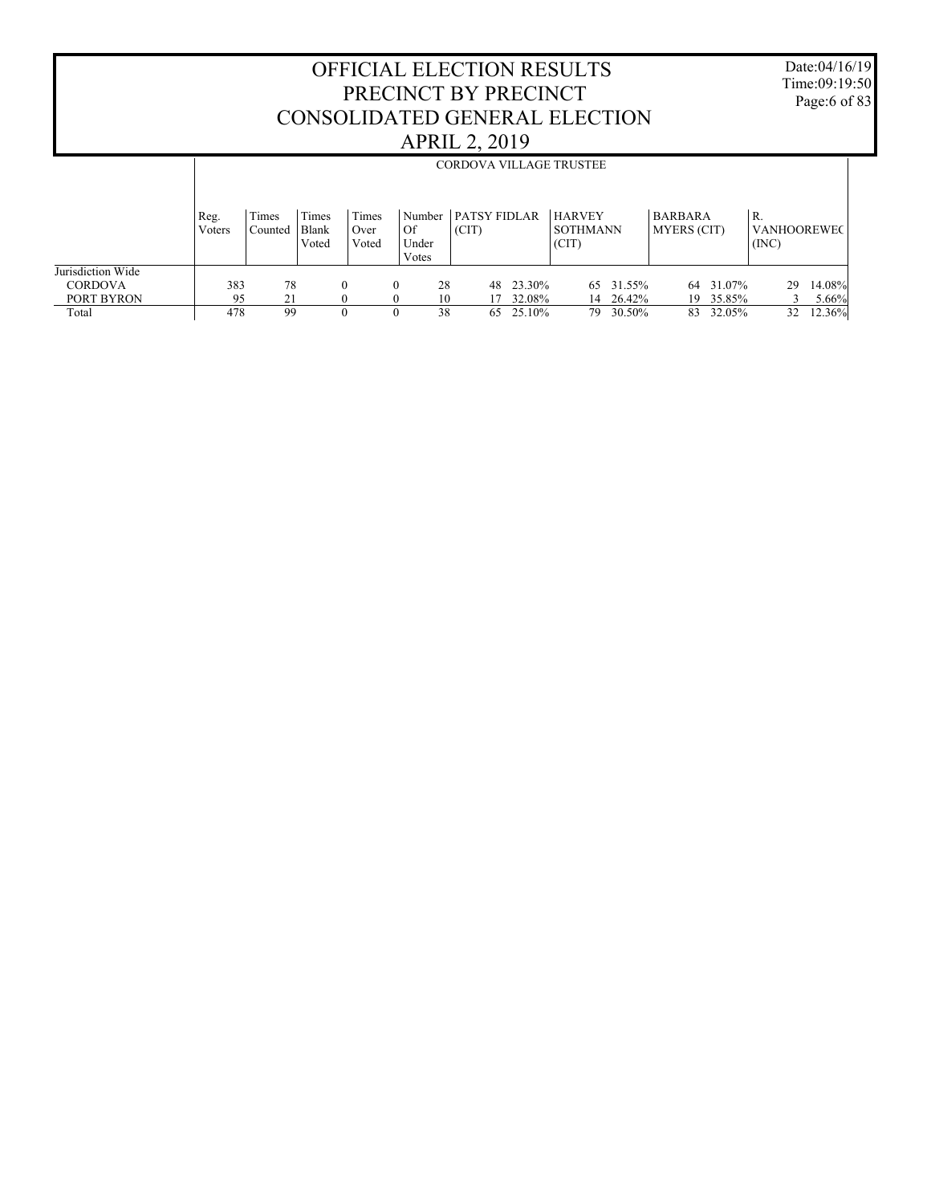Date:04/16/19 Time:09:19:50 Page:6 of 83

|                                     |                |                  |                         |                        |                                |    |                              |        | <b>CORDOVA VILLAGE TRUSTEE</b>     |           |                                      |        |                                   |        |
|-------------------------------------|----------------|------------------|-------------------------|------------------------|--------------------------------|----|------------------------------|--------|------------------------------------|-----------|--------------------------------------|--------|-----------------------------------|--------|
|                                     | Reg.<br>Voters | Times<br>Counted | Times<br>Blank<br>Voted | Times<br>Over<br>Voted | Number<br>Of<br>Under<br>Votes |    | <b>PATSY FIDLAR</b><br>(CIT) |        | <b>HARVEY</b><br>SOTHMANN<br>(CIT) |           | <b>BARBARA</b><br><b>MYERS</b> (CIT) |        | R.<br><b>VANHOOREWEC</b><br>(INC) |        |
| Jurisdiction Wide<br><b>CORDOVA</b> | 383            | 78               |                         |                        |                                | 28 | 48                           | 23.30% |                                    | 65 31.55% | 64                                   | 31.07% | 29                                | 14.08% |
| PORT BYRON                          | 95             | 21               |                         |                        |                                | 10 | 17                           | 32.08% | 14                                 | 26.42%    | 19                                   | 35.85% |                                   | 5.66%  |
| Total                               | 478            | 99               |                         |                        |                                | 38 | 65                           | 25.10% | 79.                                | 30.50%    | 83                                   | 32.05% | 32                                | 12.36% |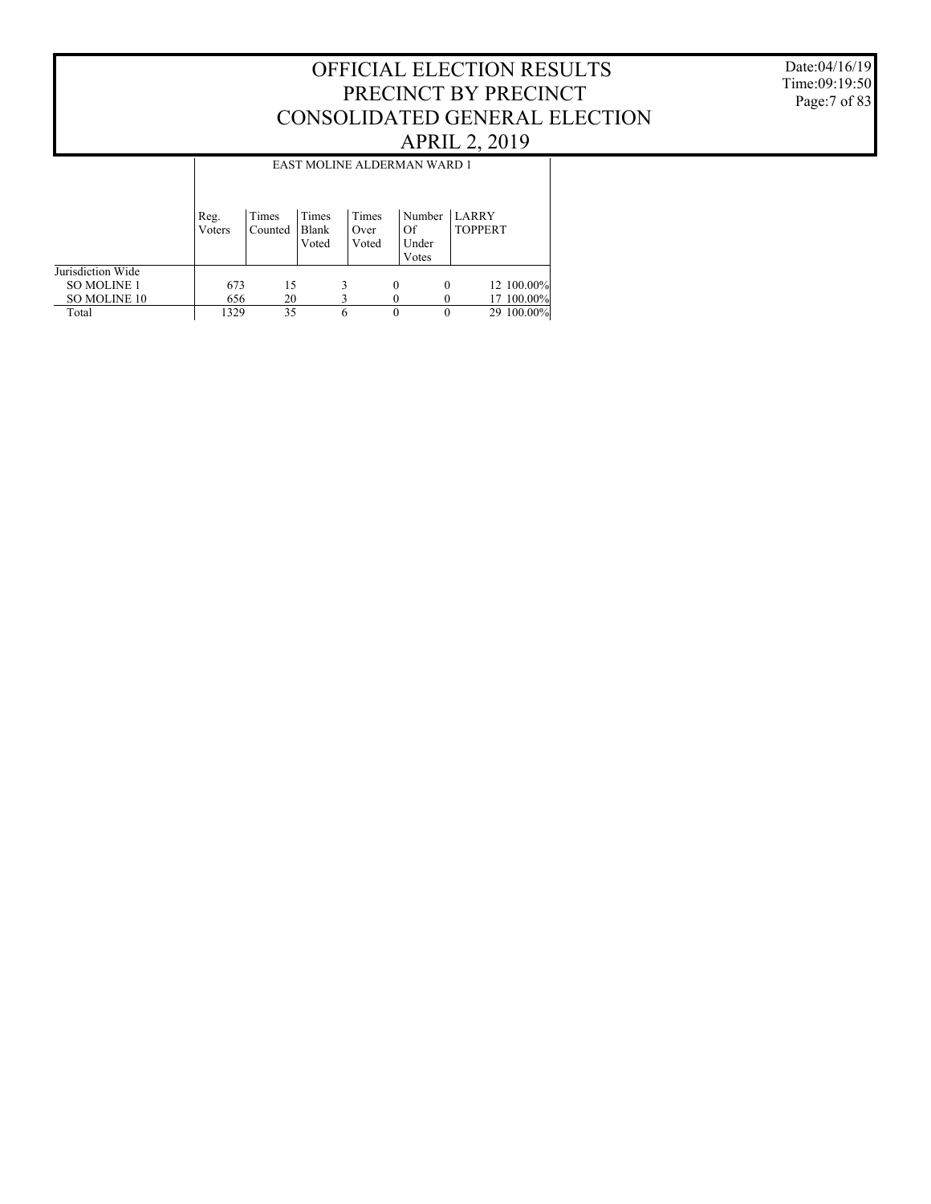Date:04/16/19 Time:09:19:50 Page:7 of 83

|                    |                | EAST MOLINE ALDERMAN WARD 1 |                         |                        |          |                                |                                |            |  |  |  |  |  |
|--------------------|----------------|-----------------------------|-------------------------|------------------------|----------|--------------------------------|--------------------------------|------------|--|--|--|--|--|
|                    | Reg.<br>Voters | Times<br>Counted            | Times<br>Blank<br>Voted | Times<br>Over<br>Voted |          | Number<br>Of<br>Under<br>Votes | <b>LARRY</b><br><b>TOPPERT</b> |            |  |  |  |  |  |
| Jurisdiction Wide  |                |                             |                         |                        |          |                                |                                |            |  |  |  |  |  |
| <b>SO MOLINE 1</b> | 673            | 15                          |                         |                        | $\theta$ | 0                              |                                | 12 100.00% |  |  |  |  |  |
| SO MOLINE 10       | 656            | 20                          |                         |                        |          |                                |                                | 17 100.00% |  |  |  |  |  |
| Total              | 1329           | 35                          |                         | 6                      | $\theta$ |                                |                                | 29 100.00% |  |  |  |  |  |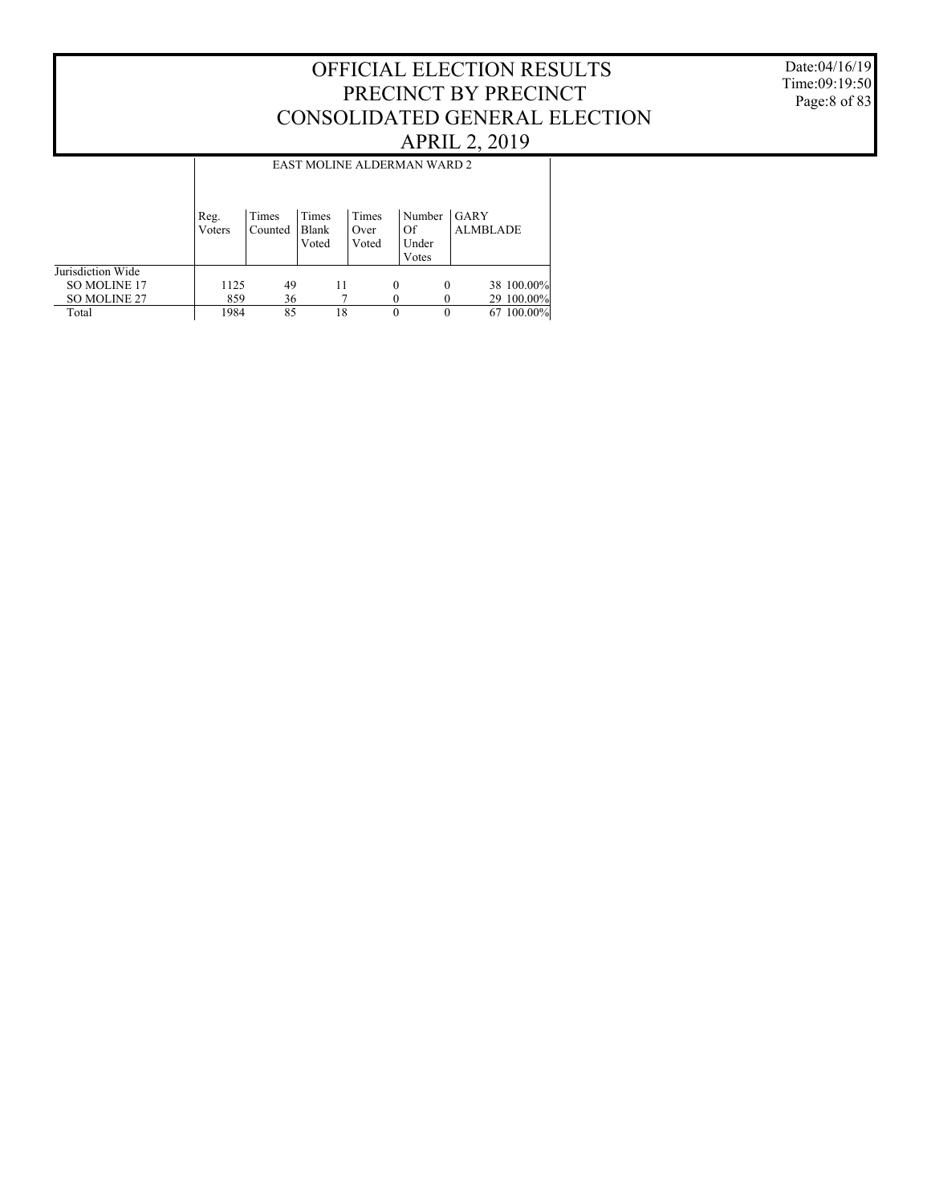Date:04/16/19 Time:09:19:50 Page:8 of 83

|                     |                |                  |                         |                        | EAST MOLINE ALDERMAN WARD 2    |                         |
|---------------------|----------------|------------------|-------------------------|------------------------|--------------------------------|-------------------------|
|                     | Reg.<br>Voters | Times<br>Counted | Times<br>Blank<br>Voted | Times<br>Over<br>Voted | Number<br>Of<br>Under<br>Votes | GARY<br><b>ALMBLADE</b> |
| Jurisdiction Wide   |                |                  |                         |                        |                                |                         |
| <b>SO MOLINE 17</b> | 1125           | 49               | 11                      |                        | 0                              | 38 100.00%<br>0         |
| <b>SO MOLINE 27</b> | 859            | 36               |                         |                        |                                | 29 100.00%              |
| Total               | 1984           | 85               | 18                      |                        | 0                              | 67 100.00%<br>0         |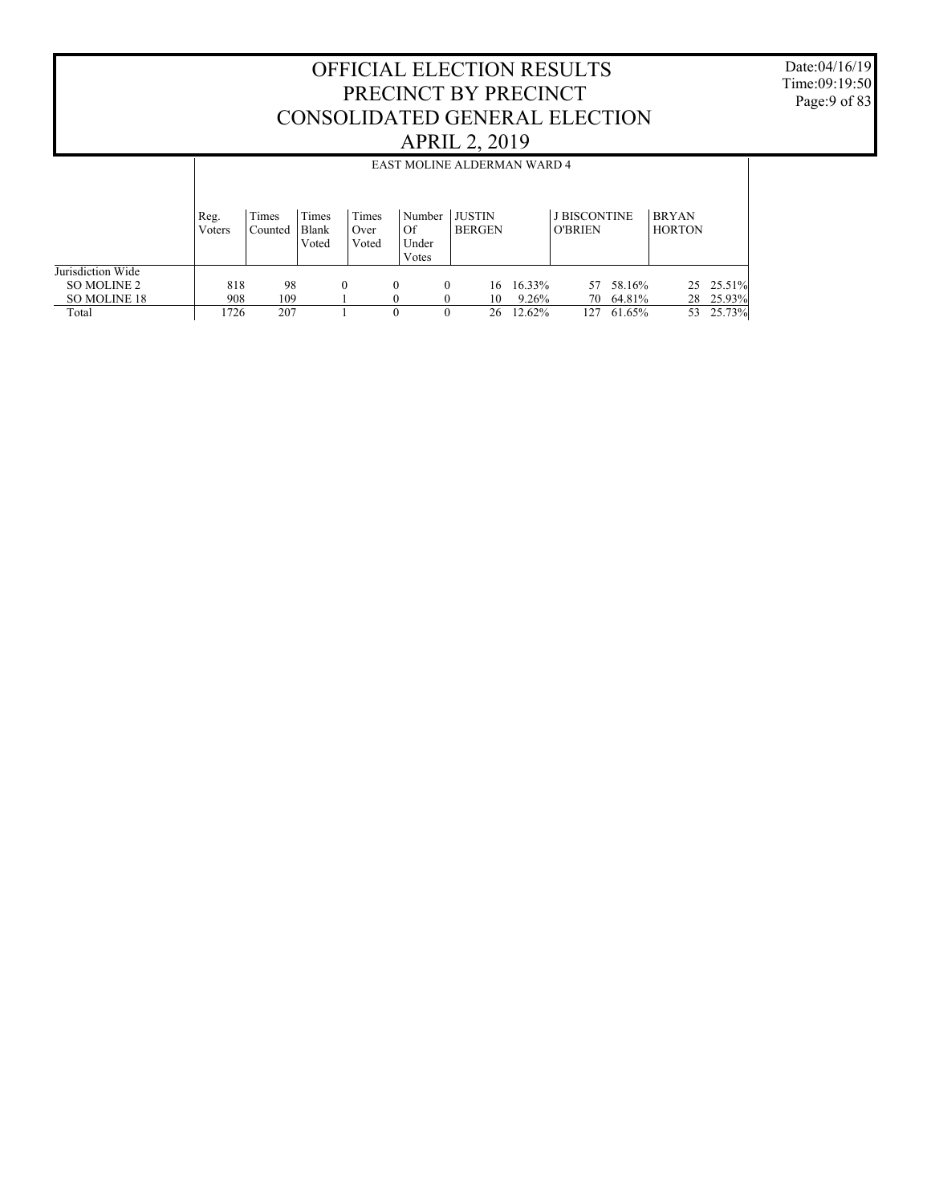Date:04/16/19 Time:09:19:50 Page:9 of 83

|                                                           | <b>APRIL 2, 2019</b> |                                                                                                                                                                                                                     |  |          |  |                      |                      |                |  |                           |                 |                            |    |                                  |
|-----------------------------------------------------------|----------------------|---------------------------------------------------------------------------------------------------------------------------------------------------------------------------------------------------------------------|--|----------|--|----------------------|----------------------|----------------|--|---------------------------|-----------------|----------------------------|----|----------------------------------|
|                                                           |                      | EAST MOLINE ALDERMAN WARD 4                                                                                                                                                                                         |  |          |  |                      |                      |                |  |                           |                 |                            |    |                                  |
|                                                           | Reg.<br>Voters       | <b>J BISCONTINE</b><br>Times<br>Times<br><b>JUSTIN</b><br>Times<br><b>BRYAN</b><br>Number<br>Blank<br>Of<br><b>BERGEN</b><br><b>HORTON</b><br><b>O'BRIEN</b><br>Counted<br>Over<br>Under<br>Voted<br>Voted<br>Votes |  |          |  |                      |                      |                |  |                           |                 |                            |    |                                  |
| Jurisdiction Wide<br>SO MOLINE 2<br>SO MOLINE 18<br>Total | 818<br>908<br>1726   | 98<br>109<br>207                                                                                                                                                                                                    |  | $\Omega$ |  | $\theta$<br>$\Omega$ | $\Omega$<br>$\Omega$ | 16<br>10<br>26 |  | 16.33%<br>9.26%<br>12.62% | 57<br>70<br>127 | 58.16%<br>64.81%<br>61.65% | 53 | 25 25.51%<br>28 25.93%<br>25.73% |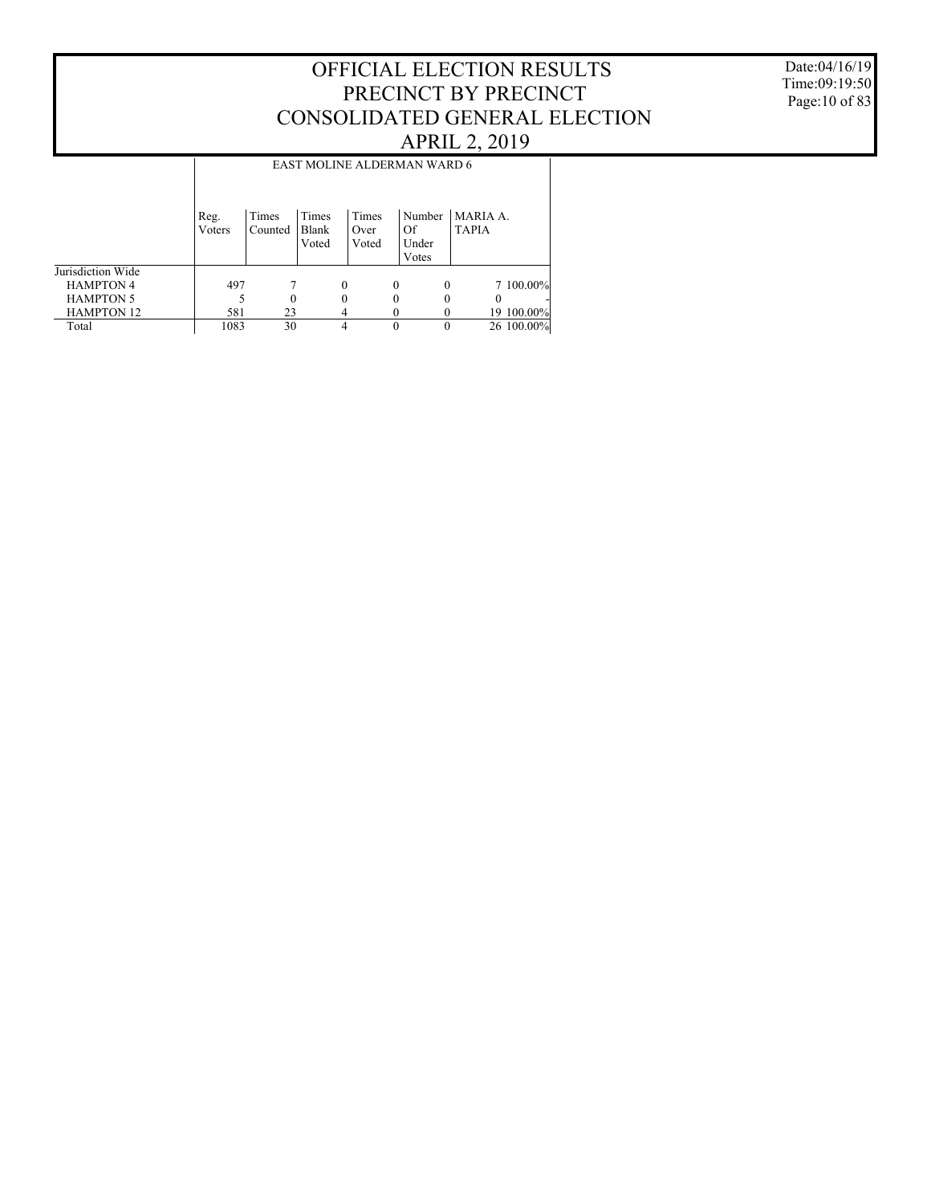Date:04/16/19 Time:09:19:50 Page:10 of 83

|                   |                |                  |                         |                        | EAST MOLINE ALDERMAN WARD 6    |                          |
|-------------------|----------------|------------------|-------------------------|------------------------|--------------------------------|--------------------------|
|                   | Reg.<br>Voters | Times<br>Counted | Times<br>Blank<br>Voted | Times<br>Over<br>Voted | Number<br>Of<br>Under<br>Votes | MARIA A.<br><b>TAPIA</b> |
| Jurisdiction Wide |                |                  |                         |                        |                                |                          |
| <b>HAMPTON 4</b>  | 497            |                  | 0                       |                        | 0<br>$\Omega$                  | 7 100.00%                |
| <b>HAMPTON 5</b>  |                | $\Omega$         | 0                       |                        | $_{0}$                         | $\Omega$                 |
| <b>HAMPTON 12</b> | 581            | 23               |                         |                        |                                | 19 100.00%               |
| Total             | 1083           | 30               |                         |                        |                                | 26 100.00%               |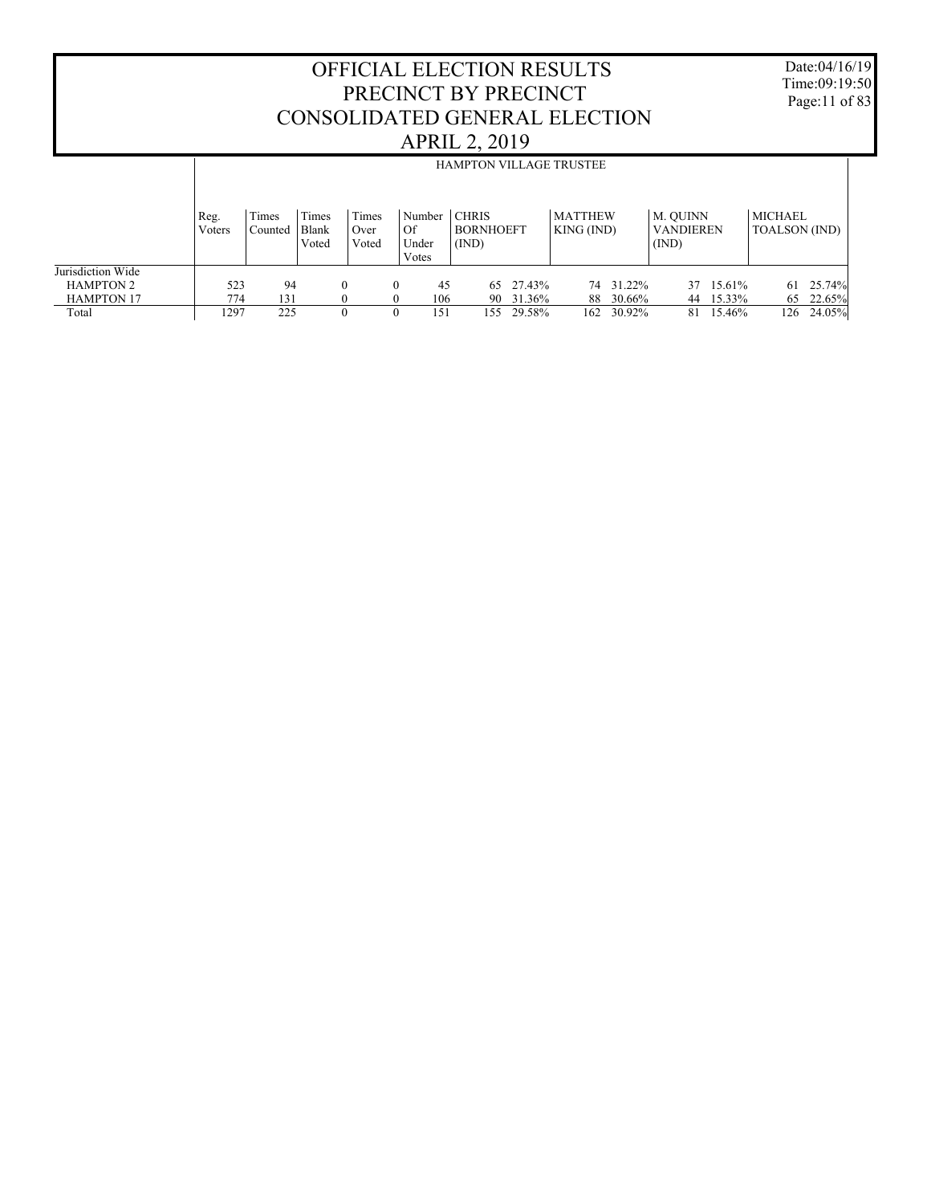Date:04/16/19 Time:09:19:50 Page:11 of 83

|                                                            |                |                  |                         |                        |                                   |                                    |                     | <b>HAMPTON VILLAGE TRUSTEE</b> |                                       |                                 |
|------------------------------------------------------------|----------------|------------------|-------------------------|------------------------|-----------------------------------|------------------------------------|---------------------|--------------------------------|---------------------------------------|---------------------------------|
|                                                            | Reg.<br>Voters | Times<br>Counted | Times<br>Blank<br>Voted | Times<br>Over<br>Voted | Number<br>Of<br>Under<br>Votes    | CHRIS<br><b>BORNHOEFT</b><br>(IND) |                     | <b>MATTHEW</b><br>KING (IND)   | M. OUINN<br><b>VANDIEREN</b><br>(IND) | MICHAEL<br><b>TOALSON</b> (IND) |
| Jurisdiction Wide<br><b>HAMPTON 2</b><br><b>HAMPTON 17</b> | 523<br>774     | 94<br>131        | 0                       |                        | 45<br>$\Omega$<br>106<br>$\Omega$ | 90                                 | 65 27.43%<br>31.36% | 74 31.22%<br>30.66%<br>88      | 15.61%<br>37<br>15.33%<br>44          | $61 \quad 25.74\%$<br>65 22.65% |
| Total                                                      | 1297           | 225              | 0                       |                        | 151<br>$\theta$                   | 155.                               | 29.58%              | 30.92%<br>162                  | 15.46%<br>81                          | 24.05%<br>126.                  |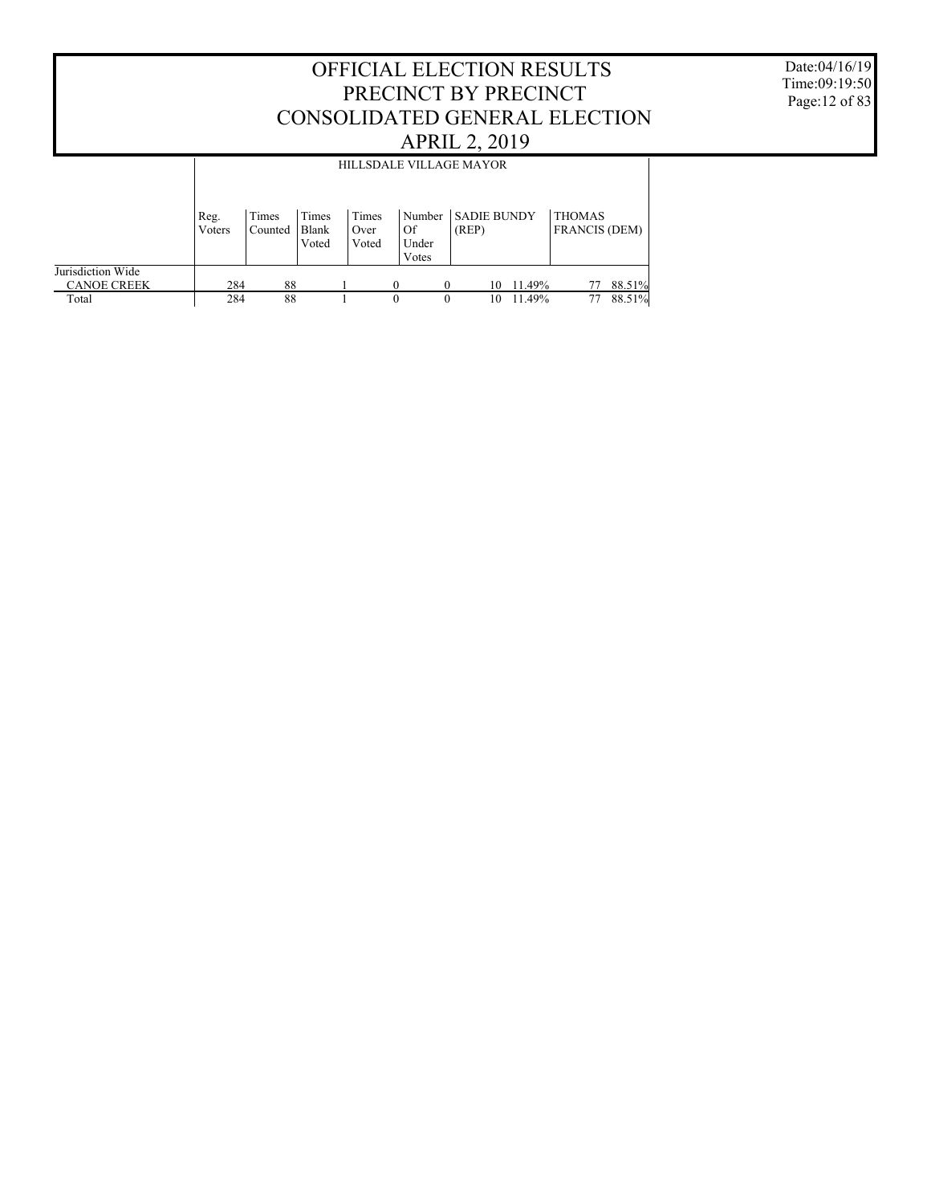Date:04/16/19 Time:09:19:50 Page:12 of 83

|                                         |                |                  |                         |                        | HILLSDALE VILLAGE MAYOR        |                             |        |                                       |        |
|-----------------------------------------|----------------|------------------|-------------------------|------------------------|--------------------------------|-----------------------------|--------|---------------------------------------|--------|
|                                         | Reg.<br>Voters | Times<br>Counted | Times<br>Blank<br>Voted | Times<br>Over<br>Voted | Number<br>Of<br>Under<br>Votes | <b>SADIE BUNDY</b><br>(REP) |        | <b>THOMAS</b><br><b>FRANCIS (DEM)</b> |        |
| Jurisdiction Wide<br><b>CANOE CREEK</b> | 284            | 88               |                         |                        | 0<br>$\Omega$                  | 10                          | 11.49% |                                       | 88.51% |
| Total                                   | 284            | 88               |                         |                        | 0<br>$\theta$                  | 10                          | 11.49% | 77                                    | 88.51% |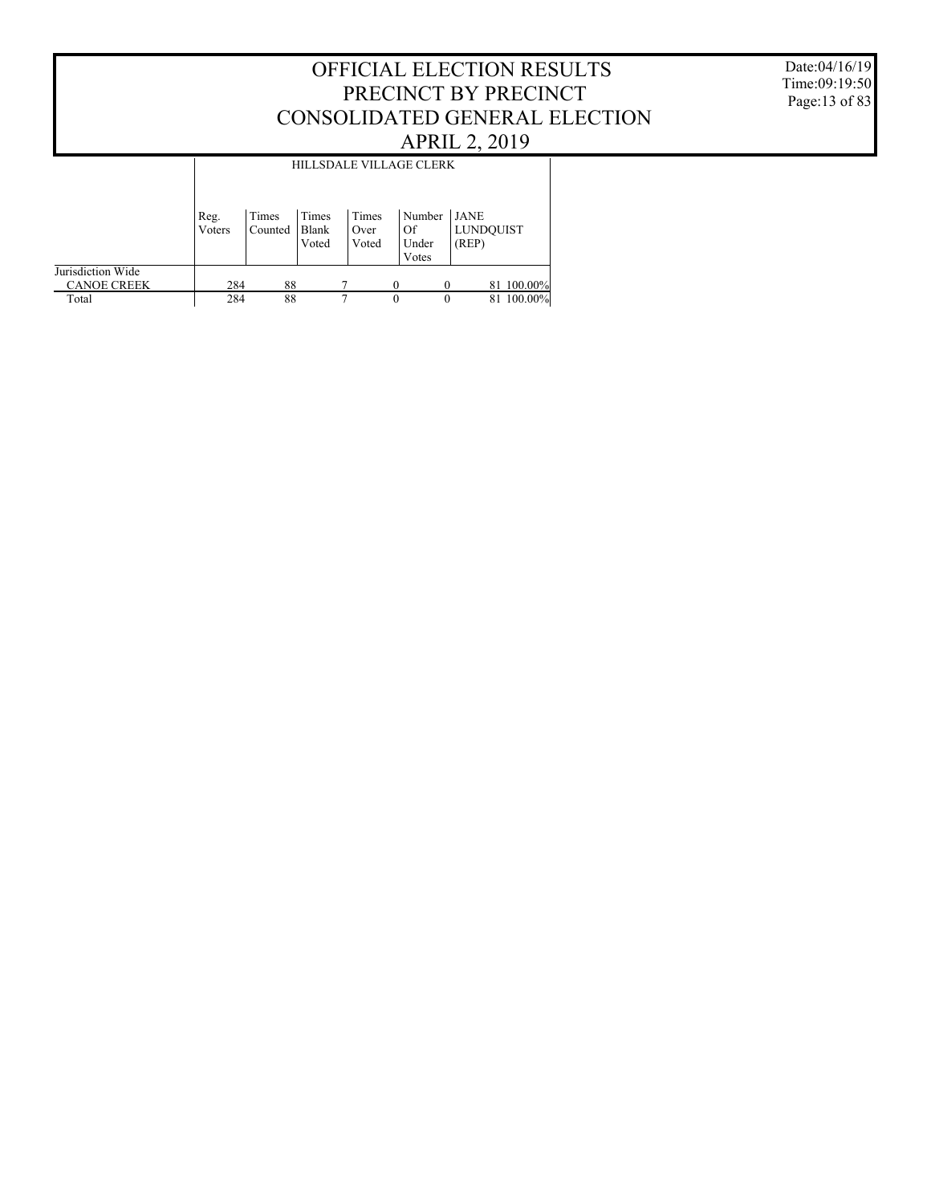#### Date:04/16/19 Time:09:19:50 Page:13 of 83

|                                         |                |                  |                         |                        | HILLSDALE VILLAGE CLERK        |                                           |
|-----------------------------------------|----------------|------------------|-------------------------|------------------------|--------------------------------|-------------------------------------------|
|                                         | Reg.<br>Voters | Times<br>Counted | Times<br>Blank<br>Voted | Times<br>Over<br>Voted | Number<br>Of<br>Under<br>Votes | <b>LJANE</b><br><b>LUNDOUIST</b><br>(REP) |
| Jurisdiction Wide<br><b>CANOE CREEK</b> | 284            | 88               |                         |                        | 0                              | 81 100.00%                                |
| Total                                   | 284            | 88               |                         | 7                      | $\theta$                       | 100.00%<br>0<br>81                        |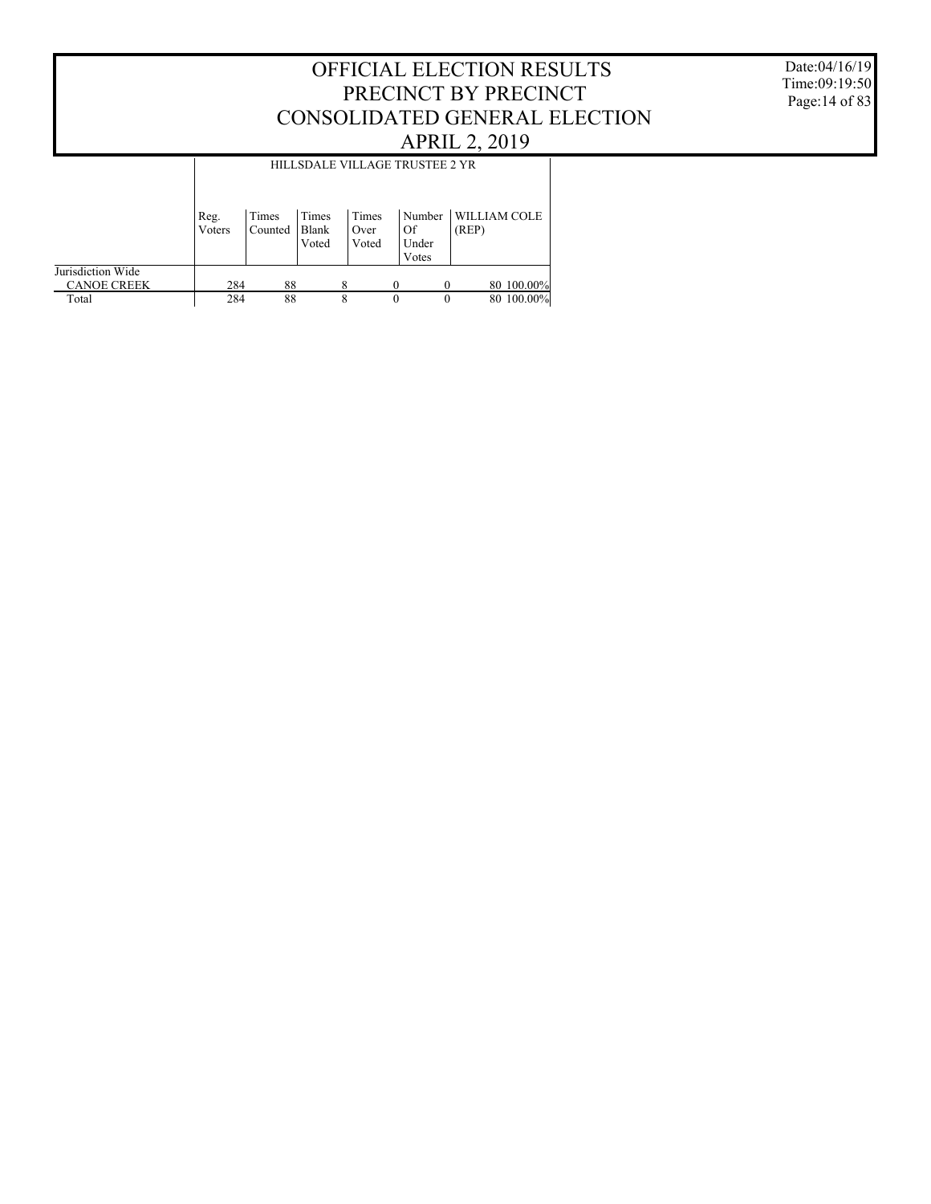Date:04/16/19 Time:09:19:50 Page:14 of 83

|                                         |                |                  |                         | HILLSDALE VILLAGE TRUSTEE 2 YR |          |                          |                              |
|-----------------------------------------|----------------|------------------|-------------------------|--------------------------------|----------|--------------------------|------------------------------|
|                                         | Reg.<br>Voters | Times<br>Counted | Times<br>Blank<br>Voted | Times<br>Over<br>Voted         | Of       | Number<br>Under<br>Votes | <b>WILLIAM COLE</b><br>(REP) |
| Jurisdiction Wide<br><b>CANOE CREEK</b> | 284            | 88               |                         | 8                              |          |                          | 80 100.00%                   |
| Total                                   | 284            | 88               |                         | 8                              | $\theta$ | $\theta$                 | 80 100,00%                   |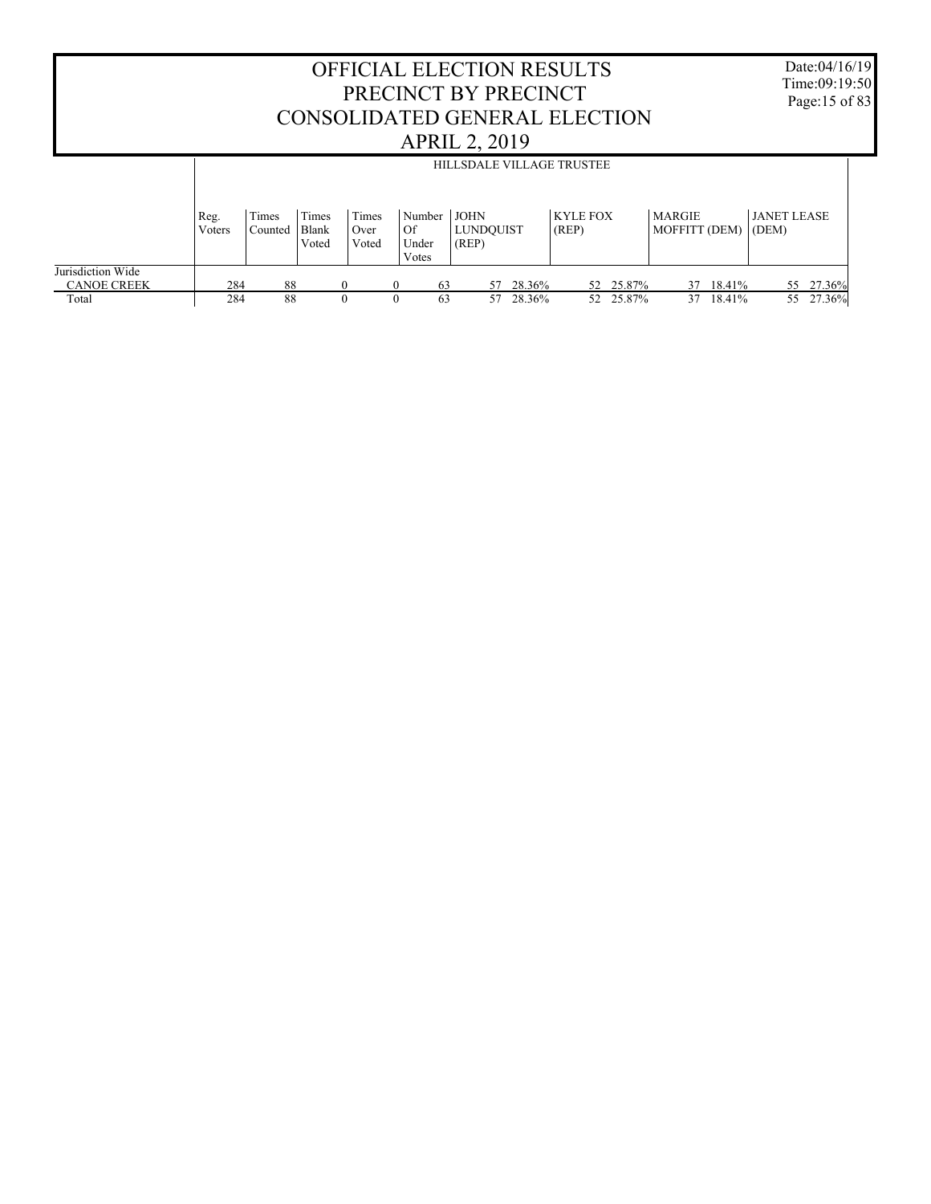|                                         |                |                  |                         |                        |                                | <b>OFFICIAL ELECTION RESULTS</b><br>PRECINCT BY PRECINCT<br><b>APRIL 2, 2019</b> |        | CONSOLIDATED GENERAL ELECTION |                                |           | Date:04/16/19<br>Time: $09:19:50$<br>Page:15 of 83 |  |
|-----------------------------------------|----------------|------------------|-------------------------|------------------------|--------------------------------|----------------------------------------------------------------------------------|--------|-------------------------------|--------------------------------|-----------|----------------------------------------------------|--|
|                                         |                |                  |                         |                        |                                | HILLSDALE VILLAGE TRUSTEE                                                        |        |                               |                                |           |                                                    |  |
|                                         | Reg.<br>Voters | Times<br>Counted | Times<br>Blank<br>Voted | Times<br>Over<br>Voted | Number<br>Of<br>Under<br>Votes | <b>JOHN</b><br><b>LUNDOUIST</b><br>(REP)                                         |        | <b>KYLE FOX</b><br>(REP)      | <b>MARGIE</b><br>MOFFITT (DEM) |           | <b>JANET LEASE</b><br>(DEM)                        |  |
| Jurisdiction Wide<br><b>CANOE CREEK</b> | 284            | 88               |                         | $\Omega$               | $\theta$                       | 63<br>57                                                                         | 28.36% | 52 25.87%                     | 37                             | 18.41%    | 55 27.36%                                          |  |
| Total                                   | 284            | 88               |                         | $\Omega$               |                                | 63<br>57                                                                         | 28.36% | 52 25.87%                     |                                | 37 18.41% | 55 27.36%                                          |  |

 $\Gamma$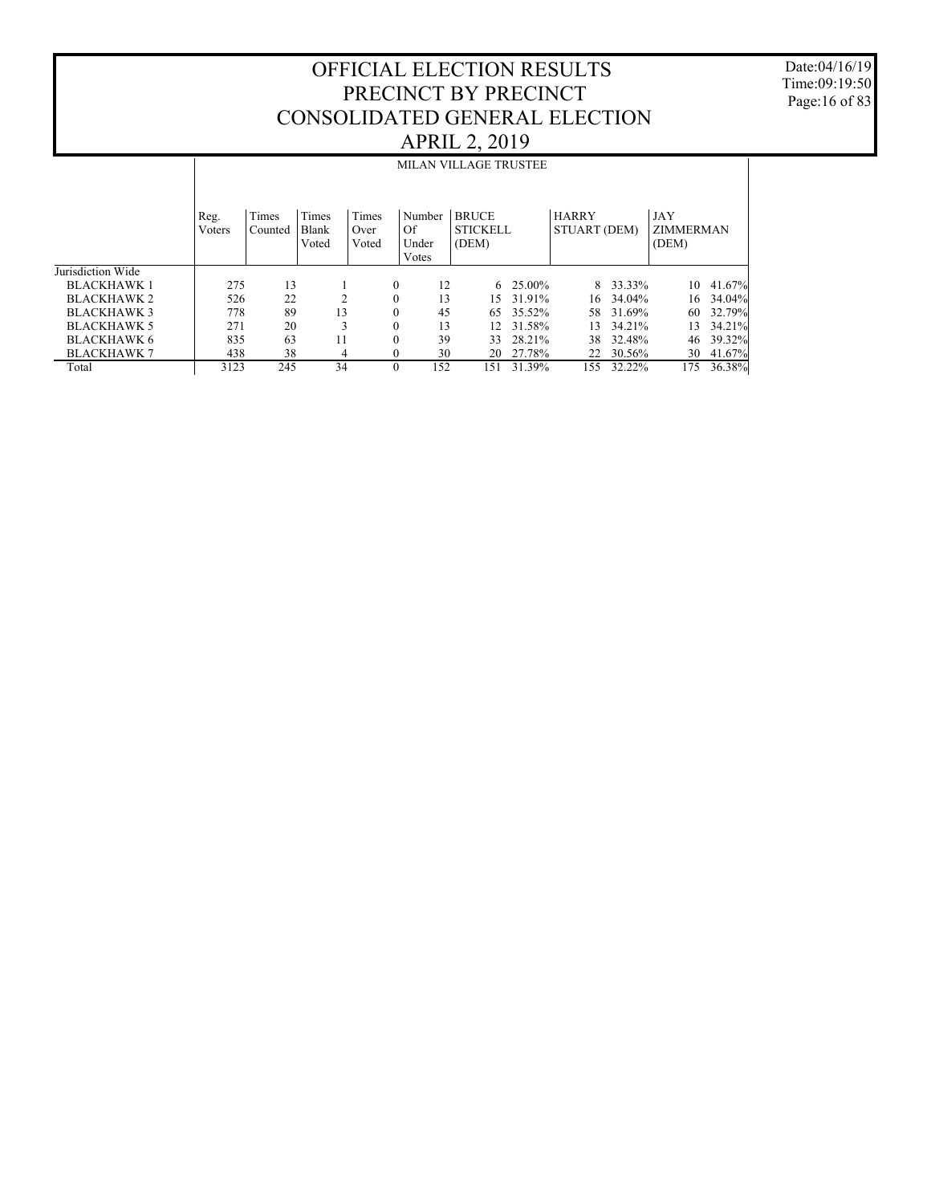Date:04/16/19 Time:09:19:50 Page:16 of 83

|                    | <b>MILAN VILLAGE TRUSTEE</b> |                  |                         |                        |              |                                |                                          |        |                              |          |                                  |        |
|--------------------|------------------------------|------------------|-------------------------|------------------------|--------------|--------------------------------|------------------------------------------|--------|------------------------------|----------|----------------------------------|--------|
|                    | Reg.<br>Voters               | Times<br>Counted | Times<br>Blank<br>Voted | Times<br>Over<br>Voted |              | Number<br>Of<br>Under<br>Votes | <b>BRUCE</b><br><b>STICKELL</b><br>(DEM) |        | <b>HARRY</b><br>STUART (DEM) |          | JAY<br><b>ZIMMERMAN</b><br>(DEM) |        |
| Jurisdiction Wide  |                              |                  |                         |                        |              |                                |                                          |        |                              |          |                                  |        |
| <b>BLACKHAWK1</b>  | 275                          | 13               |                         |                        | $\mathbf{0}$ | 12                             | 6                                        | 25.00% |                              | 8 33.33% | 10                               | 41.67% |
| <b>BLACKHAWK 2</b> | 526                          | 22               | $\mathcal{L}$           |                        | $\mathbf{0}$ | 13                             | 15.                                      | 31.91% | 16                           | 34.04%   | 16                               | 34.04% |
| BLACKHAWK 3        | 778                          | 89               | 13                      |                        | $\mathbf{0}$ | 45                             | 65                                       | 35.52% | 58                           | 31.69%   | 60                               | 32.79% |
| <b>BLACKHAWK 5</b> | 271                          | 20               | 3                       |                        | $\mathbf{0}$ | 13                             | 12.                                      | 31.58% | 13                           | 34.21%   | 13                               | 34.21% |
| <b>BLACKHAWK 6</b> | 835                          | 63               | 11                      |                        | $\mathbf{0}$ | 39                             | 33                                       | 28.21% | 38                           | 32.48%   | 46                               | 39.32% |
| <b>BLACKHAWK 7</b> | 438                          | 38               | 4                       |                        | $\Omega$     | 30                             | 20                                       | 27.78% | 22                           | 30.56%   | 30                               | 41.67% |
| Total              | 3123                         | 245              | 34                      |                        | $\Omega$     | 152                            | 151                                      | 31.39% | 155                          | 32.22%   | 175                              | 36.38% |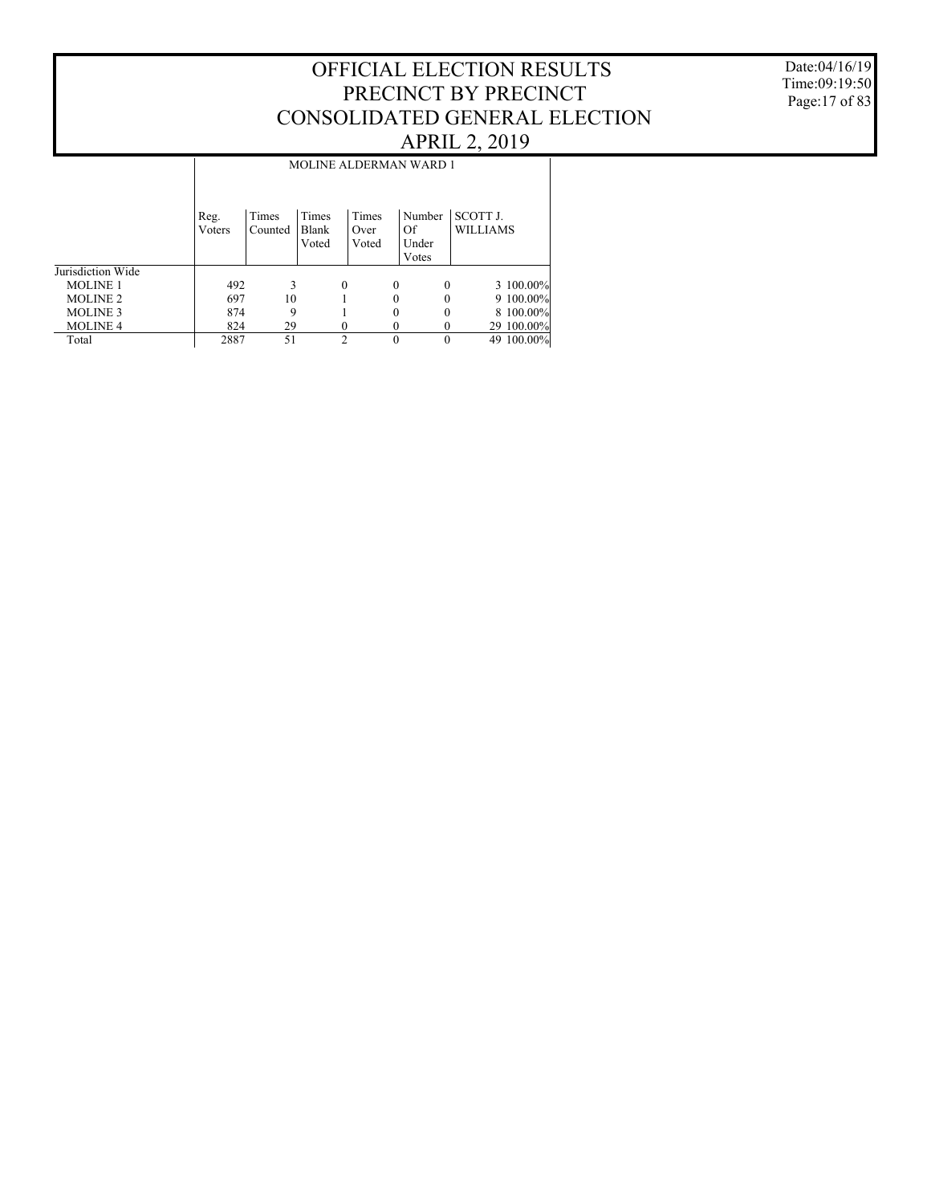#### Date:04/16/19 Time:09:19:50 Page:17 of 83

|                   |                | <b>MOLINE ALDERMAN WARD 1</b> |                         |                        |          |                                |                                    |             |  |  |  |  |  |  |
|-------------------|----------------|-------------------------------|-------------------------|------------------------|----------|--------------------------------|------------------------------------|-------------|--|--|--|--|--|--|
|                   | Reg.<br>Voters | Times<br>Counted              | Times<br>Blank<br>Voted | Times<br>Over<br>Voted |          | Number<br>Of<br>Under<br>Votes | <b>SCOTT J.</b><br><b>WILLIAMS</b> |             |  |  |  |  |  |  |
| Jurisdiction Wide |                |                               |                         |                        |          |                                |                                    |             |  |  |  |  |  |  |
| <b>MOLINE 1</b>   | 492            | 3                             |                         | $\Omega$               | $\Omega$ | $\theta$                       |                                    | 3 100.00%   |  |  |  |  |  |  |
| <b>MOLINE 2</b>   | 697            | 10                            |                         |                        |          | 0                              |                                    | $9100.00\%$ |  |  |  |  |  |  |
| <b>MOLINE 3</b>   | 874            | 9                             |                         |                        |          | 0                              |                                    | 8 100.00%   |  |  |  |  |  |  |
| <b>MOLINE 4</b>   | 824            | 29                            |                         |                        |          | 0                              |                                    | 29 100.00%  |  |  |  |  |  |  |
| Total             | 2887           | 51                            |                         | C                      | $\Omega$ | 0                              |                                    | 49 100.00%  |  |  |  |  |  |  |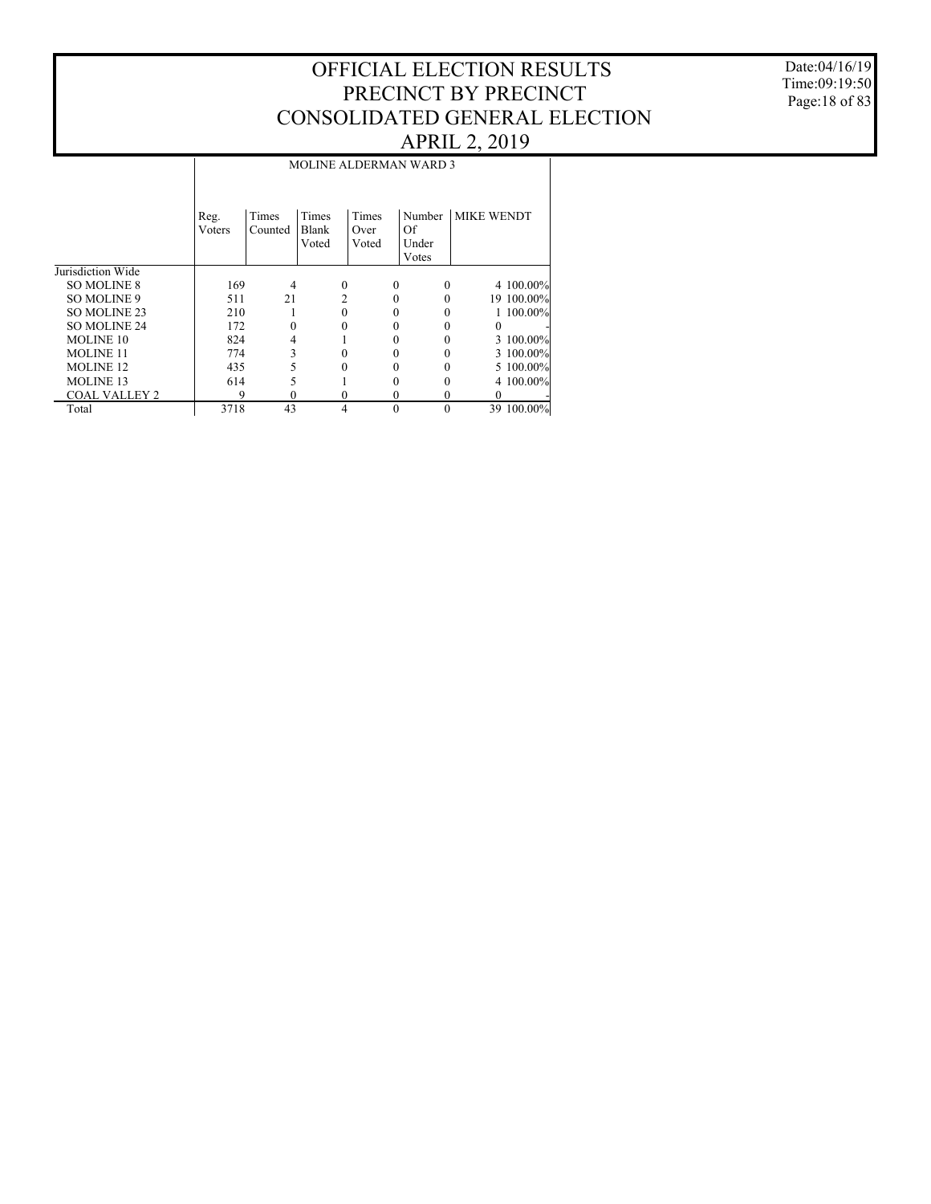Date:04/16/19 Time:09:19:50 Page:18 of 83

|                      |        | <b>MOLINE ALDERMAN WARD 3</b> |                |          |                |                   |            |  |  |  |  |  |  |  |
|----------------------|--------|-------------------------------|----------------|----------|----------------|-------------------|------------|--|--|--|--|--|--|--|
|                      |        |                               |                |          |                |                   |            |  |  |  |  |  |  |  |
|                      |        |                               |                |          |                |                   |            |  |  |  |  |  |  |  |
|                      | Reg.   | Times                         | Times          | Times    | Number         | <b>MIKE WENDT</b> |            |  |  |  |  |  |  |  |
|                      | Voters | Counted                       | Blank          | Over     | Of             |                   |            |  |  |  |  |  |  |  |
|                      |        |                               | Voted          | Voted    | Under<br>Votes |                   |            |  |  |  |  |  |  |  |
| Jurisdiction Wide    |        |                               |                |          |                |                   |            |  |  |  |  |  |  |  |
| <b>SO MOLINE 8</b>   | 169    | 4                             | $\Omega$       | $\theta$ | $\Omega$       |                   | 4 100.00%  |  |  |  |  |  |  |  |
| SO MOLINE 9          | 511    | 21                            | 2              | 0        |                |                   | 19 100.00% |  |  |  |  |  |  |  |
| SO MOLINE 23         | 210    |                               |                |          |                |                   | 1 100.00%  |  |  |  |  |  |  |  |
| <b>SO MOLINE 24</b>  | 172    | 0                             |                |          |                |                   |            |  |  |  |  |  |  |  |
| MOLINE 10            | 824    | 4                             |                |          |                |                   | 3 100.00%  |  |  |  |  |  |  |  |
| <b>MOLINE 11</b>     | 774    | 3                             |                |          |                |                   | 3 100.00%  |  |  |  |  |  |  |  |
| <b>MOLINE 12</b>     | 435    | 5                             |                |          |                |                   | 5 100.00%  |  |  |  |  |  |  |  |
| <b>MOLINE 13</b>     | 614    | 5                             |                |          |                |                   | 4 100.00%  |  |  |  |  |  |  |  |
| <b>COAL VALLEY 2</b> | 9      | 0                             | 0              | 0        | 0              | 0                 |            |  |  |  |  |  |  |  |
| Total                | 3718   | 43                            | $\overline{4}$ | $\Omega$ | $\theta$       |                   | 39 100.00% |  |  |  |  |  |  |  |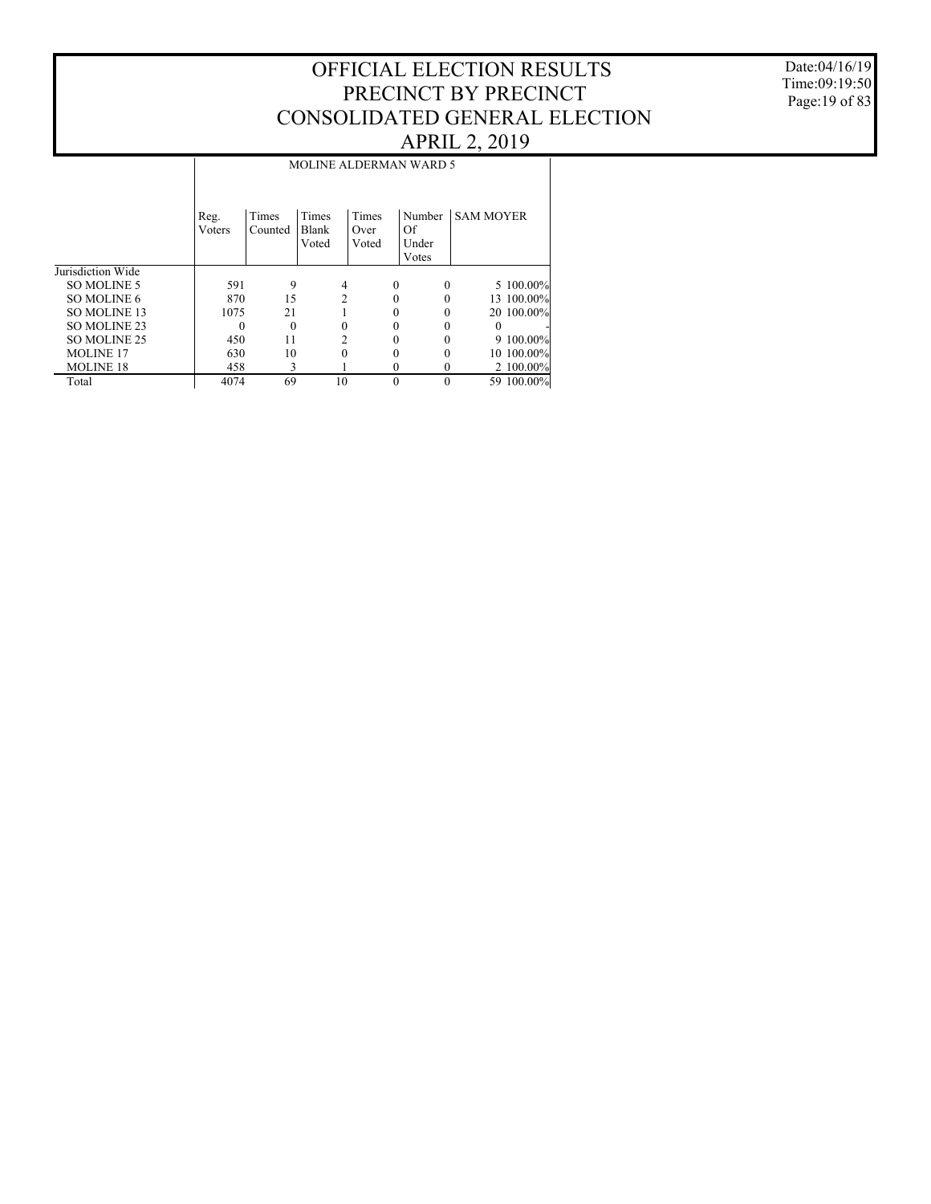#### Date:04/16/19 Time:09:19:50 Page:19 of 83

|                     |                | <b>MOLINE ALDERMAN WARD 5</b> |                         |                        |                                |                  |  |  |  |  |  |  |  |  |
|---------------------|----------------|-------------------------------|-------------------------|------------------------|--------------------------------|------------------|--|--|--|--|--|--|--|--|
|                     | Reg.<br>Voters | Times<br>Counted              | Times<br>Blank<br>Voted | Times<br>Over<br>Voted | Number<br>Of<br>Under<br>Votes | <b>SAM MOYER</b> |  |  |  |  |  |  |  |  |
| Jurisdiction Wide   |                |                               |                         |                        |                                |                  |  |  |  |  |  |  |  |  |
| SO MOLINE 5         | 591            | 9                             | 4                       |                        | 0<br>$\Omega$                  | 5 100.00%        |  |  |  |  |  |  |  |  |
| SO MOLINE 6         | 870            | 15                            | $\mathfrak{D}$          |                        | 0                              | 13 100.00%       |  |  |  |  |  |  |  |  |
| <b>SO MOLINE 13</b> | 1075           | 21                            |                         |                        |                                | 20 100.00%       |  |  |  |  |  |  |  |  |
| SO MOLINE 23        | 0              | $\Omega$                      | 0                       |                        | 0                              | $\theta$         |  |  |  |  |  |  |  |  |
| SO MOLINE 25        | 450            | 11                            | 2                       |                        |                                | 9 100.00%        |  |  |  |  |  |  |  |  |
| <b>MOLINE 17</b>    | 630            | 10                            | 0                       |                        |                                | 10 100,00%       |  |  |  |  |  |  |  |  |
| <b>MOLINE 18</b>    | 458            | 3                             |                         |                        | 0<br>0                         | 2 100.00%        |  |  |  |  |  |  |  |  |
| Total               | 4074           | 69                            | 10                      |                        | $\theta$<br>$\theta$           | 59 100.00%       |  |  |  |  |  |  |  |  |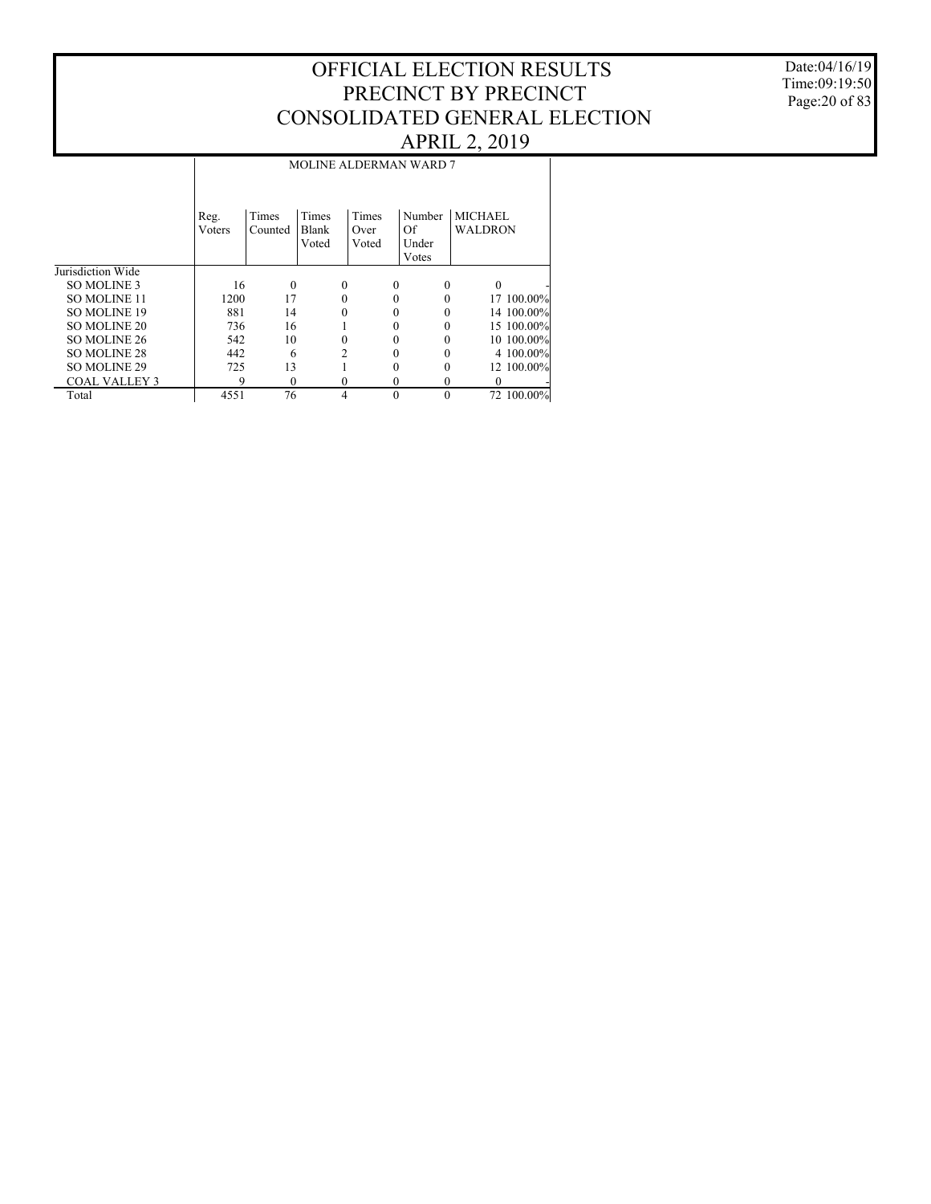Date:04/16/19 Time:09:19:50 Page:20 of 83

|                      |                | <b>MOLINE ALDERMAN WARD 7</b> |                         |                        |          |                                |                                  |            |  |  |  |  |  |  |
|----------------------|----------------|-------------------------------|-------------------------|------------------------|----------|--------------------------------|----------------------------------|------------|--|--|--|--|--|--|
|                      | Reg.<br>Voters | Times<br>Counted              | Times<br>Blank<br>Voted | Times<br>Over<br>Voted |          | Number<br>Of<br>Under<br>Votes | <b>MICHAEL</b><br><b>WALDRON</b> |            |  |  |  |  |  |  |
| Jurisdiction Wide    |                |                               |                         |                        |          |                                |                                  |            |  |  |  |  |  |  |
| SO MOLINE 3          | 16             | $\Omega$                      |                         | $\theta$               | $\theta$ | $\Omega$                       | $\Omega$                         |            |  |  |  |  |  |  |
| <b>SO MOLINE 11</b>  | 1200           | 17                            |                         | 0                      | 0        |                                |                                  | 17 100.00% |  |  |  |  |  |  |
| <b>SO MOLINE 19</b>  | 881            | 14                            |                         |                        | 0        |                                |                                  | 14 100.00% |  |  |  |  |  |  |
| <b>SO MOLINE 20</b>  | 736            | 16                            |                         |                        |          |                                |                                  | 15 100.00% |  |  |  |  |  |  |
| SO MOLINE 26         | 542            | 10                            |                         | 0                      | 0        |                                |                                  | 10 100.00% |  |  |  |  |  |  |
| SO MOLINE 28         | 442            | 6                             |                         | 2                      | 0        |                                |                                  | 4 100,00%  |  |  |  |  |  |  |
| <b>SO MOLINE 29</b>  | 725            | 13                            |                         |                        |          |                                |                                  | 12 100.00% |  |  |  |  |  |  |
| <b>COAL VALLEY 3</b> | 9              | $\Omega$                      |                         | 0                      | 0        | $\Omega$                       | $\Omega$                         |            |  |  |  |  |  |  |
| Total                | 4551           | 76                            |                         | 4                      | $\theta$ | $\Omega$                       |                                  | 72 100.00% |  |  |  |  |  |  |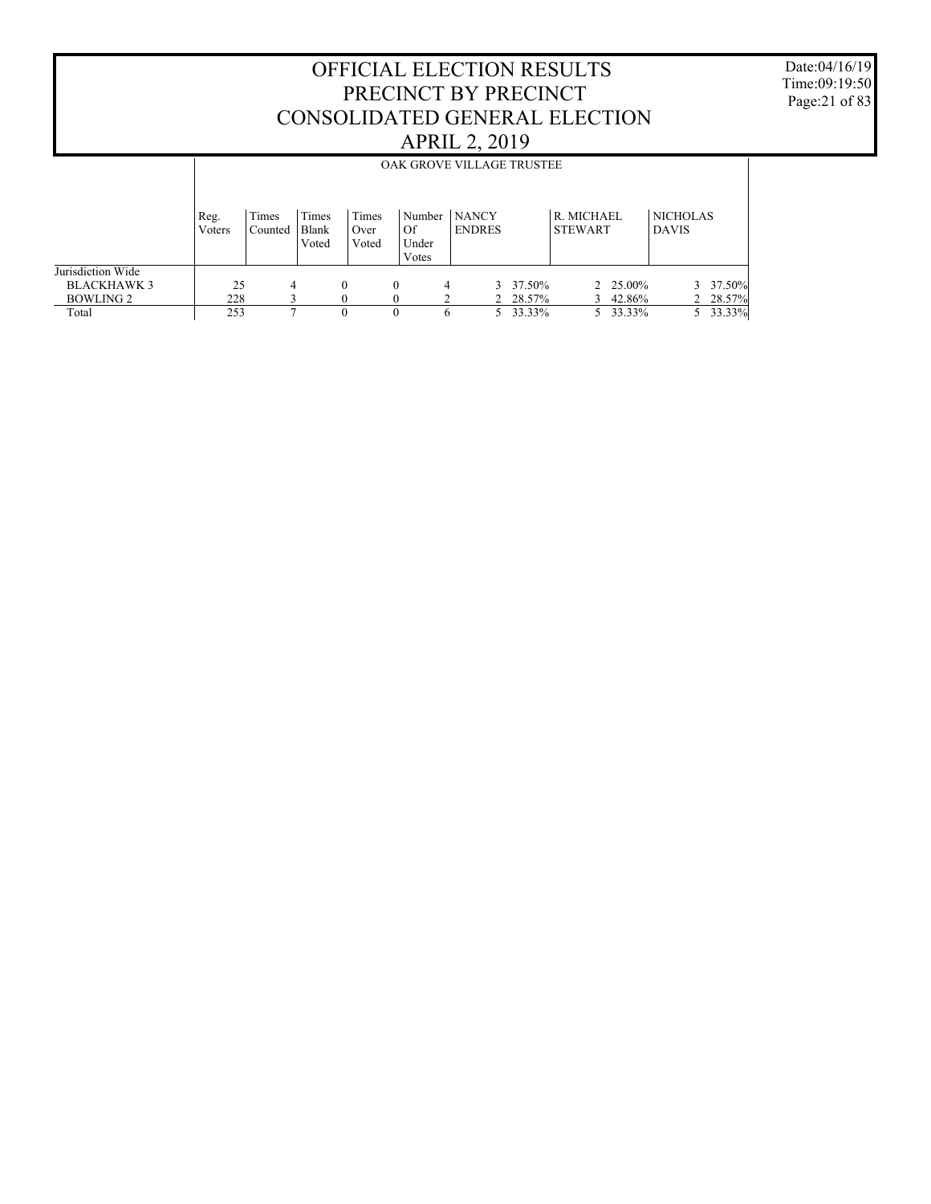Date:04/16/19 Time:09:19:50 Page:21 of 83

|                                |                | OAK GROVE VILLAGE TRUSTEE |                         |          |                        |                                  |   |                               |                    |                              |                    |                                 |          |
|--------------------------------|----------------|---------------------------|-------------------------|----------|------------------------|----------------------------------|---|-------------------------------|--------------------|------------------------------|--------------------|---------------------------------|----------|
|                                | Reg.<br>Voters | Times<br>Counted          | Times<br>Blank<br>Voted |          | Times<br>Over<br>Voted | ∣ Number<br>Of<br>Under<br>Votes |   | <b>NANCY</b><br><b>ENDRES</b> |                    | R. MICHAEL<br><b>STEWART</b> |                    | <b>NICHOLAS</b><br><b>DAVIS</b> |          |
| Jurisdiction Wide              |                |                           |                         |          |                        |                                  |   | 3                             |                    |                              |                    |                                 | 37.50%   |
| <b>BLACKHAWK3</b><br>BOWLING 2 | 25<br>228      | 4                         |                         | $\Omega$ | $\theta$               |                                  | 4 |                               | 37.50%<br>2 28.57% | 3                            | 2 25.00%<br>42.86% |                                 | 2 28.57% |
| Total                          | 253            |                           |                         |          |                        |                                  | 6 | 5.                            | 33.33%             |                              | 5 33.33%           |                                 | 33.33%   |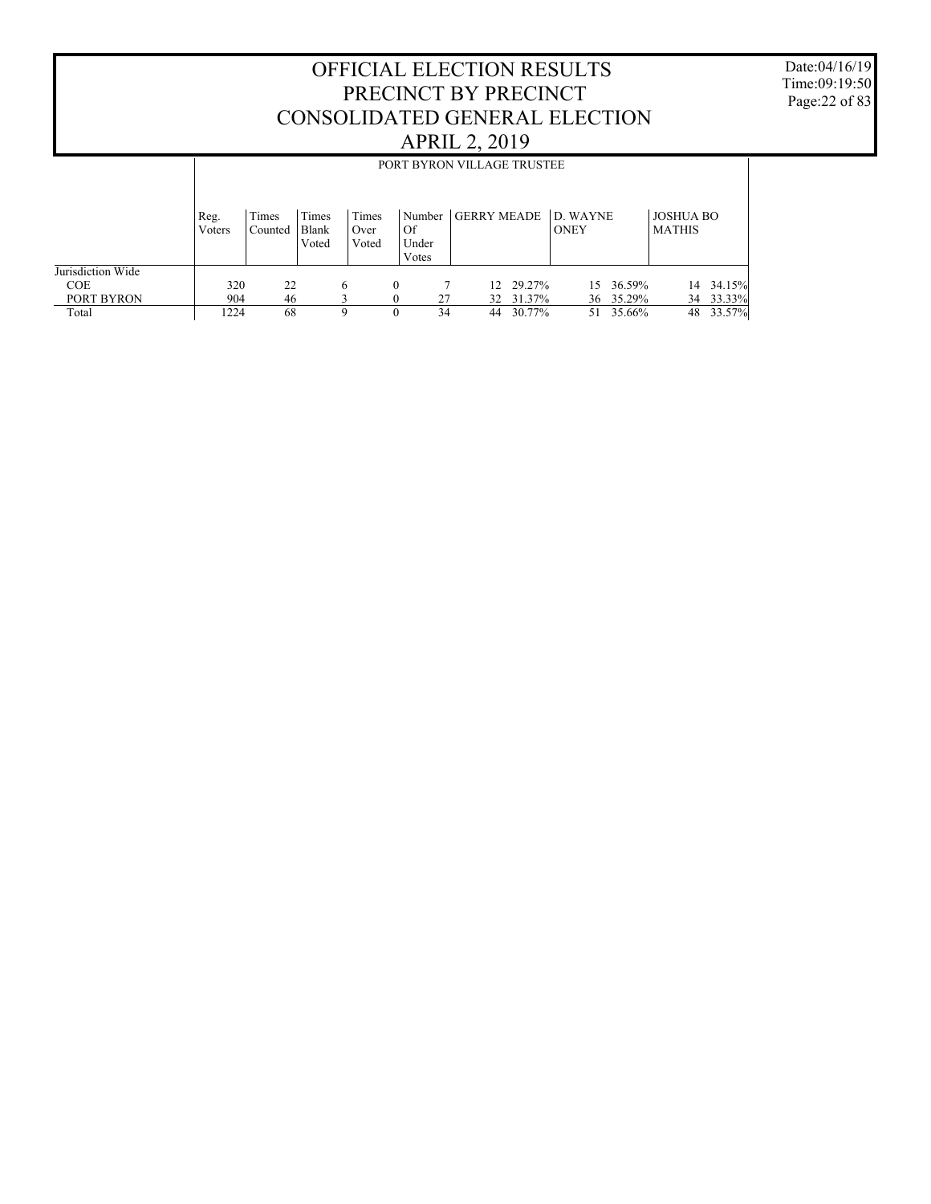Date:04/16/19 Time:09:19:50 Page:22 of 83

|                                 |                | PORT BYRON VILLAGE TRUSTEE                                                                                                                                                                    |  |   |          |          |          |                  |    |                     |    |                     |  |
|---------------------------------|----------------|-----------------------------------------------------------------------------------------------------------------------------------------------------------------------------------------------|--|---|----------|----------|----------|------------------|----|---------------------|----|---------------------|--|
|                                 | Reg.<br>Voters | Times<br>Times<br><b>GERRY MEADE</b><br>Times<br><b>JOSHUA BO</b><br>D. WAYNE<br>Number<br>Of<br>Blank<br><b>ONEY</b><br><b>MATHIS</b><br>Over<br>Counted<br>Under<br>Voted<br>Voted<br>Votes |  |   |          |          |          |                  |    |                     |    |                     |  |
| Jurisdiction Wide<br><b>COE</b> | 320            | 22                                                                                                                                                                                            |  | 6 | $\theta$ |          |          | 12 29.27%        |    | 15 36.59%           | 14 | 34.15%              |  |
| PORT BYRON<br>Total             | 904<br>1224    | 46<br>68                                                                                                                                                                                      |  | Q | $\Omega$ | 27<br>34 | 32<br>44 | 31.37%<br>30.77% | 51 | 36 35.29%<br>35.66% | 48 | 34 33.33%<br>33.57% |  |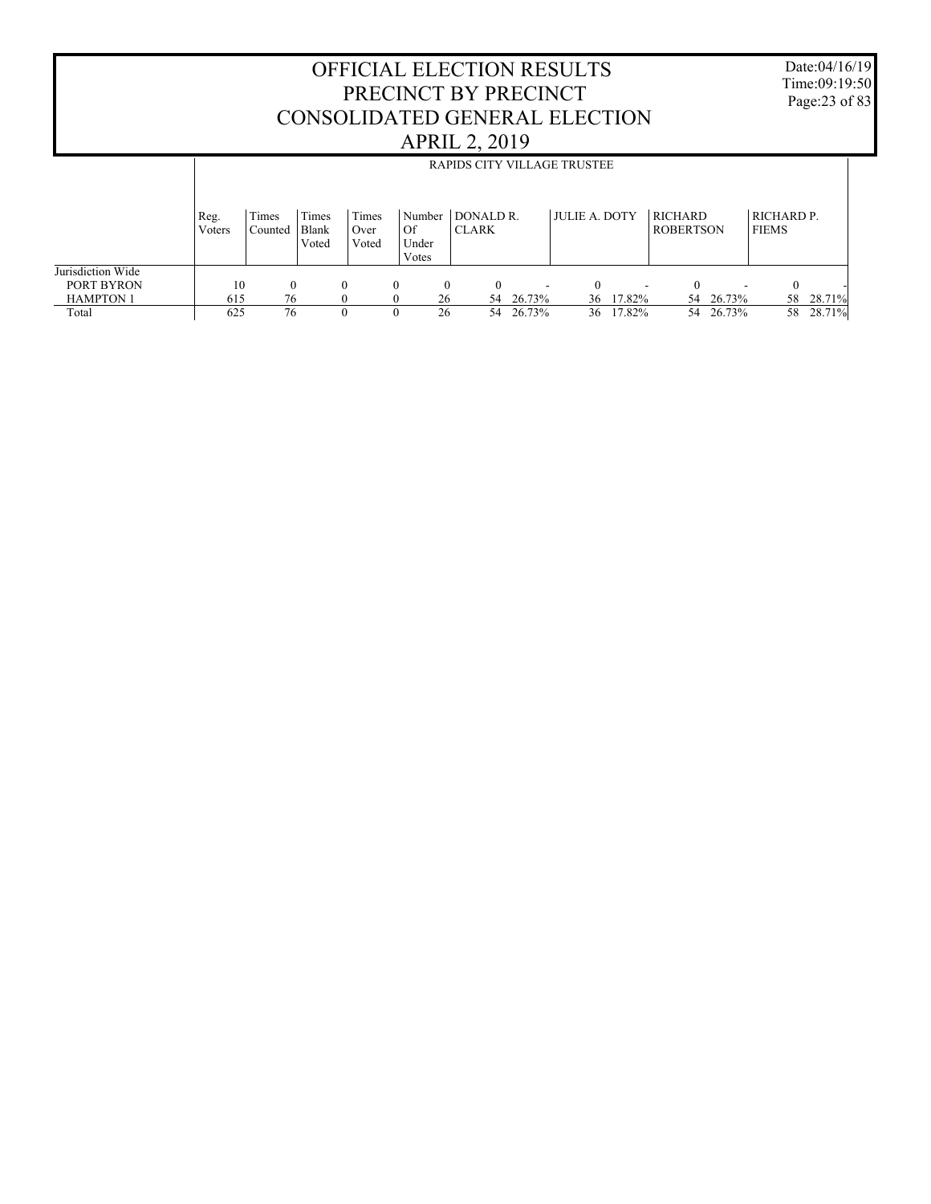Date:04/16/19 Time:09:19:50 Page:23 of 83

|                                 |                |                  |                         |                        |                                |                           |                          | RAPIDS CITY VILLAGE TRUSTEE |                     |                             |                     |                            |                     |
|---------------------------------|----------------|------------------|-------------------------|------------------------|--------------------------------|---------------------------|--------------------------|-----------------------------|---------------------|-----------------------------|---------------------|----------------------------|---------------------|
|                                 | Reg.<br>Voters | Times<br>Counted | Times<br>Blank<br>Voted | Times<br>Over<br>Voted | Number<br>Of<br>Under<br>Votes | DONALD R.<br><b>CLARK</b> |                          | <b>JULIE A. DOTY</b>        |                     | RICHARD<br><b>ROBERTSON</b> |                     | RICHARD P.<br><b>FIEMS</b> |                     |
| Jurisdiction Wide<br>PORT BYRON | 10             | $\Omega$         |                         | 0                      | $\theta$                       | $\Omega$                  | $\overline{\phantom{a}}$ |                             |                     | $\Omega$                    |                     | $\Omega$                   |                     |
| <b>HAMPTON 1</b><br>Total       | 615<br>625     | 76<br>76         |                         |                        | 26<br>26<br>$_{0}$             | 54<br>54                  | 26.73%<br>26.73%         | 36                          | 36 17.82%<br>17.82% | 54                          | 54 26.73%<br>26.73% | 58                         | 58 28.71%<br>28.71% |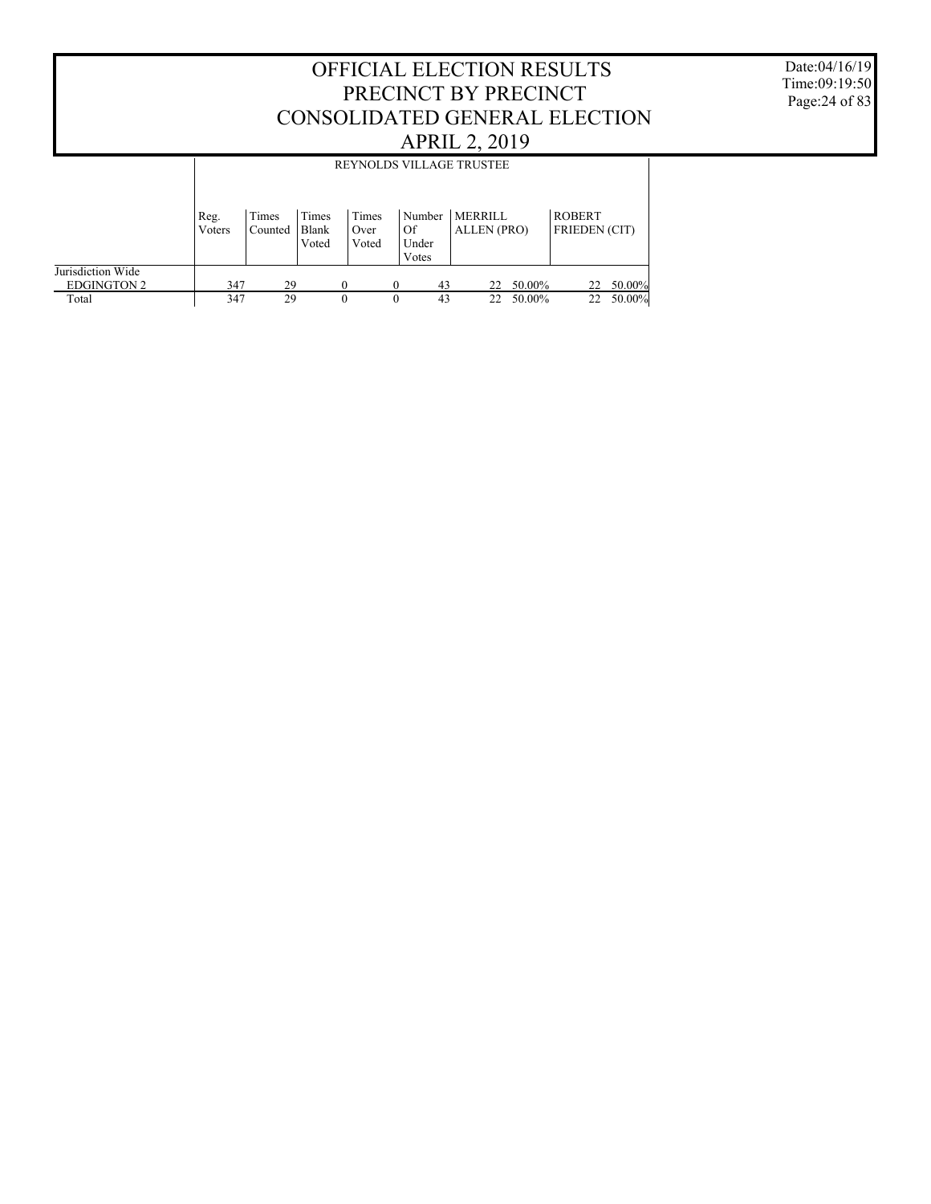Date:04/16/19 Time:09:19:50 Page:24 of 83

|                                         |                |                  |                         |                        |                                | <b>REYNOLDS VILLAGE TRUSTEE</b> |        |                                       |        |
|-----------------------------------------|----------------|------------------|-------------------------|------------------------|--------------------------------|---------------------------------|--------|---------------------------------------|--------|
|                                         |                |                  |                         |                        |                                |                                 |        |                                       |        |
|                                         | Reg.<br>Voters | Times<br>Counted | Times<br>Blank<br>Voted | Times<br>Over<br>Voted | Number<br>Of<br>Under<br>Votes | <b>MERRILL</b><br>ALLEN (PRO)   |        | <b>ROBERT</b><br><b>FRIEDEN</b> (CIT) |        |
| Jurisdiction Wide<br><b>EDGINGTON 2</b> | 347            | 29               |                         | $\Omega$               | 43<br>$\Omega$                 | 22                              | 50.00% | 22                                    | 50.00% |
| Total                                   | 347            | 29               |                         | $\theta$               | 43<br>0                        | 22                              | 50.00% | 22                                    | 50.00% |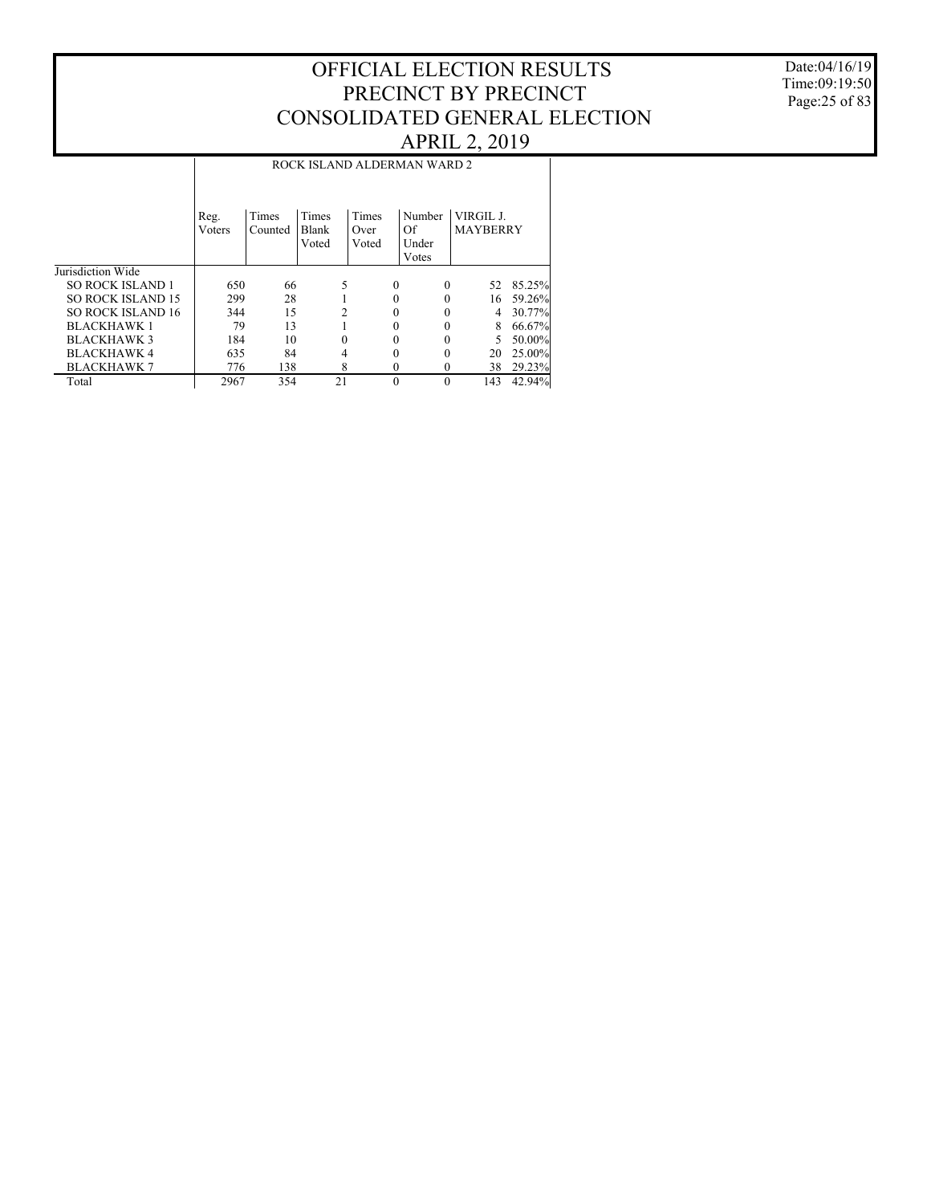#### Date:04/16/19 Time:09:19:50 Page:25 of 83

|                          |        | ROCK ISLAND ALDERMAN WARD 2 |                |          |          |                 |        |  |  |  |  |
|--------------------------|--------|-----------------------------|----------------|----------|----------|-----------------|--------|--|--|--|--|
|                          |        |                             |                |          |          |                 |        |  |  |  |  |
|                          | Reg.   | Times                       | Times          | Times    | Number   | VIRGIL J.       |        |  |  |  |  |
|                          | Voters | Counted                     | Blank          | Over     | Of       | <b>MAYBERRY</b> |        |  |  |  |  |
|                          |        |                             | Voted          | Voted    | Under    |                 |        |  |  |  |  |
|                          |        |                             |                |          | Votes    |                 |        |  |  |  |  |
| Jurisdiction Wide        |        |                             |                |          |          |                 |        |  |  |  |  |
| <b>SO ROCK ISLAND 1</b>  | 650    | 66                          | 5              | $\Omega$ | $\Omega$ | 52              | 85.25% |  |  |  |  |
| <b>SO ROCK ISLAND 15</b> | 299    | 28                          |                |          |          | 16              | 59.26% |  |  |  |  |
| <b>SO ROCK ISLAND 16</b> | 344    | 15                          | $\mathfrak{D}$ |          |          | 4               | 30.77% |  |  |  |  |
| <b>BLACKHAWK1</b>        | 79     | 13                          |                |          |          | 8               | 66.67% |  |  |  |  |
| <b>BLACKHAWK 3</b>       | 184    | 10                          | 0              |          |          | 5               | 50.00% |  |  |  |  |
| <b>BLACKHAWK 4</b>       | 635    | 84                          | 4              |          |          | 20              | 25.00% |  |  |  |  |
| <b>BLACKHAWK 7</b>       | 776    | 138                         | 8              | 0        | 0        | 38              | 29.23% |  |  |  |  |
| Total                    | 2967   | 354                         | 21             | $\Omega$ | $\theta$ | 143             | 42.94% |  |  |  |  |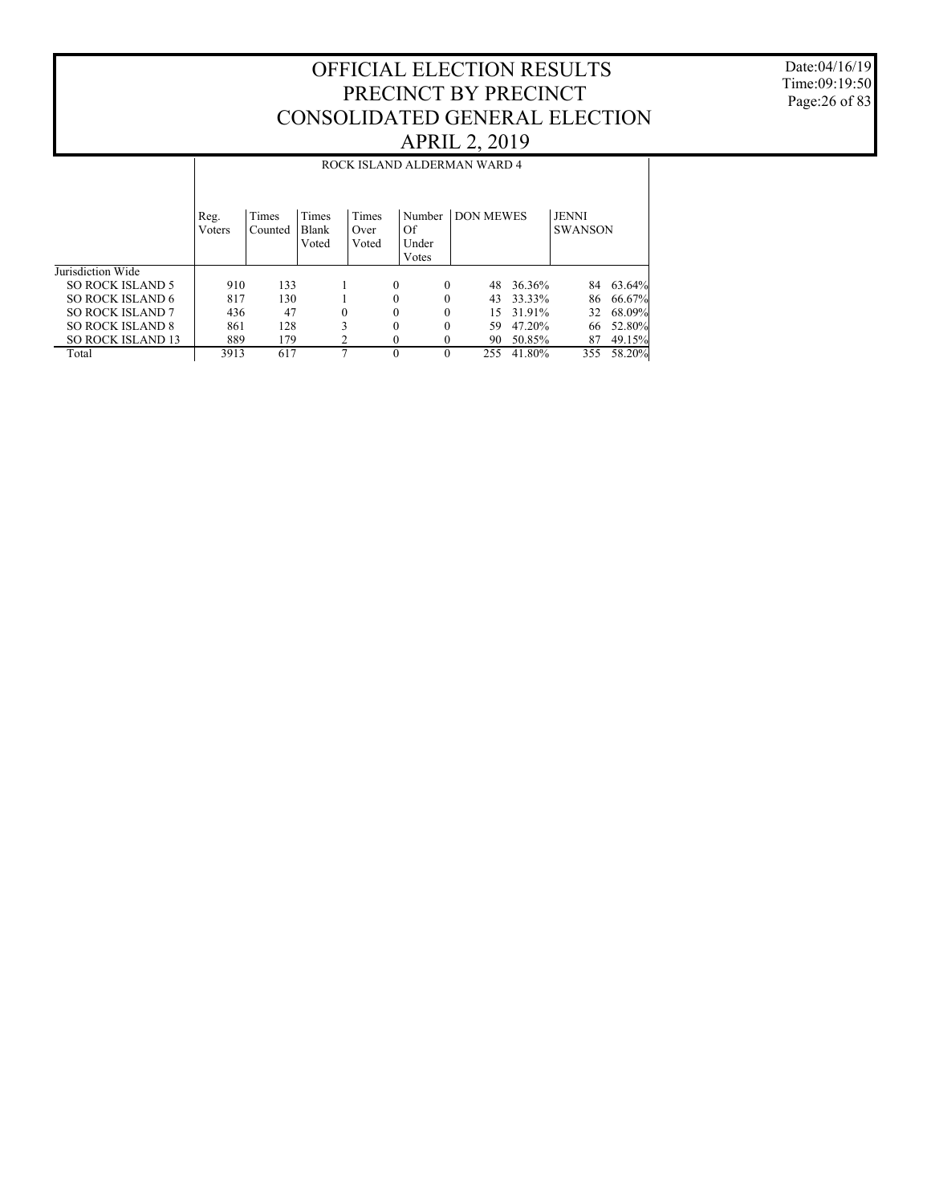Date:04/16/19 Time:09:19:50 Page:26 of 83

|                          |                |                  |                         |                        |                                | ROCK ISLAND ALDERMAN WARD 4 |        |                                |        |
|--------------------------|----------------|------------------|-------------------------|------------------------|--------------------------------|-----------------------------|--------|--------------------------------|--------|
|                          | Reg.<br>Voters | Times<br>Counted | Times<br>Blank<br>Voted | Times<br>Over<br>Voted | Number<br>Of<br>Under<br>Votes | <b>DON MEWES</b>            |        | <b>JENNI</b><br><b>SWANSON</b> |        |
| Jurisdiction Wide        |                |                  |                         |                        |                                |                             |        |                                |        |
| <b>SO ROCK ISLAND 5</b>  | 910            | 133              |                         | $\Omega$               | $\theta$                       | 48                          | 36.36% | 84                             | 63.64% |
| SO ROCK ISLAND 6         | 817            | 130              |                         | $\theta$               | 0                              | 43                          | 33.33% | 86                             | 66.67% |
| <b>SO ROCK ISLAND 7</b>  | 436            | 47               | $\theta$                | $\theta$               | 0                              | 15                          | 31.91% | 32                             | 68.09% |
| <b>SO ROCK ISLAND 8</b>  | 861            | 128              | 3                       | $\theta$               | $\Omega$                       | 59                          | 47.20% | 66                             | 52.80% |
| <b>SO ROCK ISLAND 13</b> | 889            | 179              |                         | $\Omega$               |                                | 90                          | 50.85% | 87                             | 49.15% |
| Total                    | 3913           | 617              | ⇁                       | $\theta$               | $\Omega$                       | 255                         | 41.80% | 355                            | 58.20% |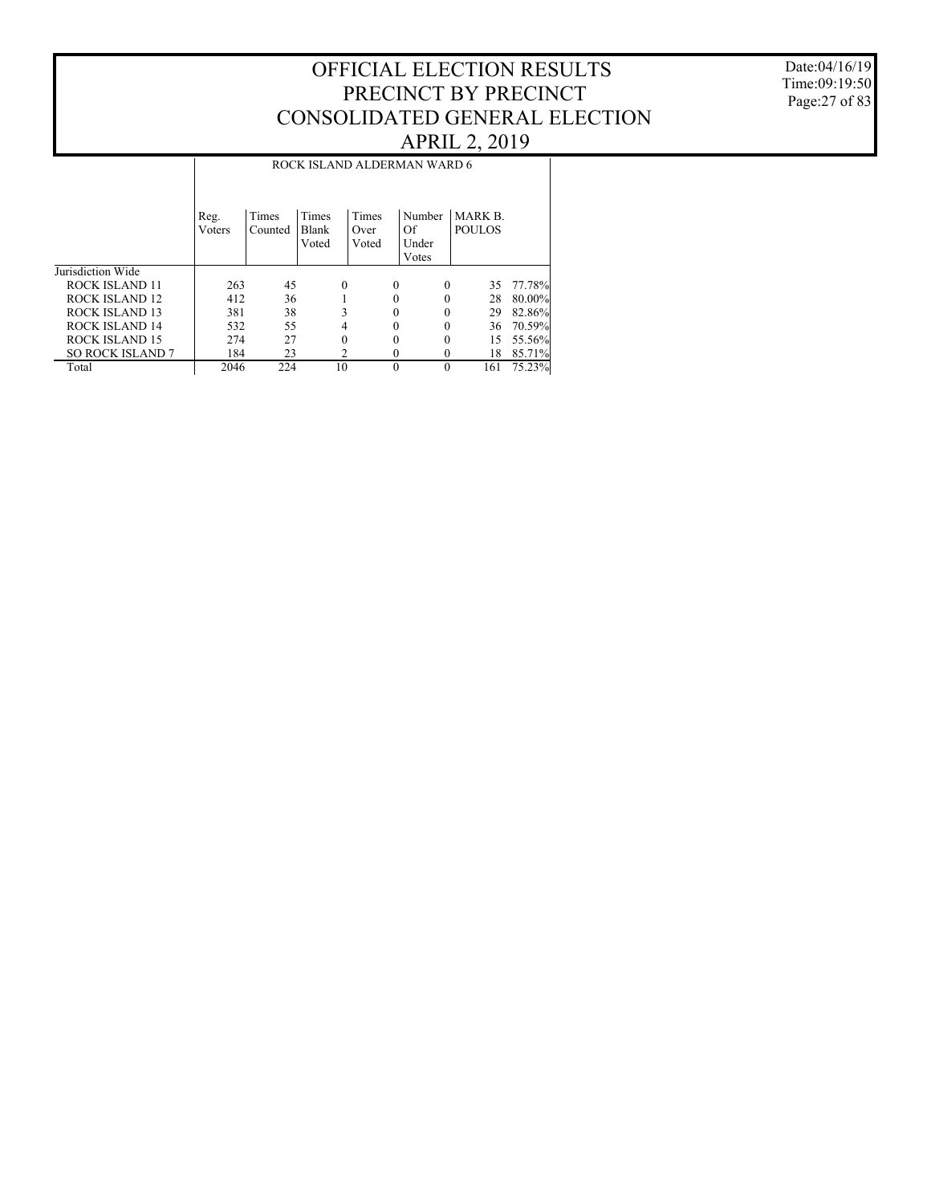Date:04/16/19 Time:09:19:50 Page:27 of 83

|                         |                | ROCK ISLAND ALDERMAN WARD 6 |                                |                        |          |                                |                                 |           |  |  |
|-------------------------|----------------|-----------------------------|--------------------------------|------------------------|----------|--------------------------------|---------------------------------|-----------|--|--|
|                         | Reg.<br>Voters | Times<br>Counted            | <b>Times</b><br>Blank<br>Voted | Times<br>Over<br>Voted |          | Number<br>Of<br>Under<br>Votes | <b>MARK B.</b><br><b>POULOS</b> |           |  |  |
| Jurisdiction Wide       |                |                             |                                |                        |          |                                |                                 |           |  |  |
| ROCK ISLAND 11          | 263            | 45                          | $\theta$                       |                        | 0        | $\Omega$                       | 35                              | 77.78%    |  |  |
| ROCK ISLAND 12          | 412            | 36                          |                                |                        | 0        | 0                              | 28                              | $80.00\%$ |  |  |
| ROCK ISLAND 13          | 381            | 38                          | 3                              |                        | 0        | 0                              | 29                              | 82.86%    |  |  |
| ROCK ISLAND 14          | 532            | 55                          | 4                              |                        | 0        | $\Omega$                       | 36                              | 70.59%    |  |  |
| <b>ROCK ISLAND 15</b>   | 274            | 27                          | $\Omega$                       |                        | 0        | $\Omega$                       | 15                              | 55.56%    |  |  |
| <b>SO ROCK ISLAND 7</b> | 184            | 23                          |                                | 2                      | $\Omega$ | 0                              | 18                              | 85.71%    |  |  |
| Total                   | 2046           | 224                         | 10                             |                        | $\theta$ | $\Omega$                       | 161                             | 75.23%    |  |  |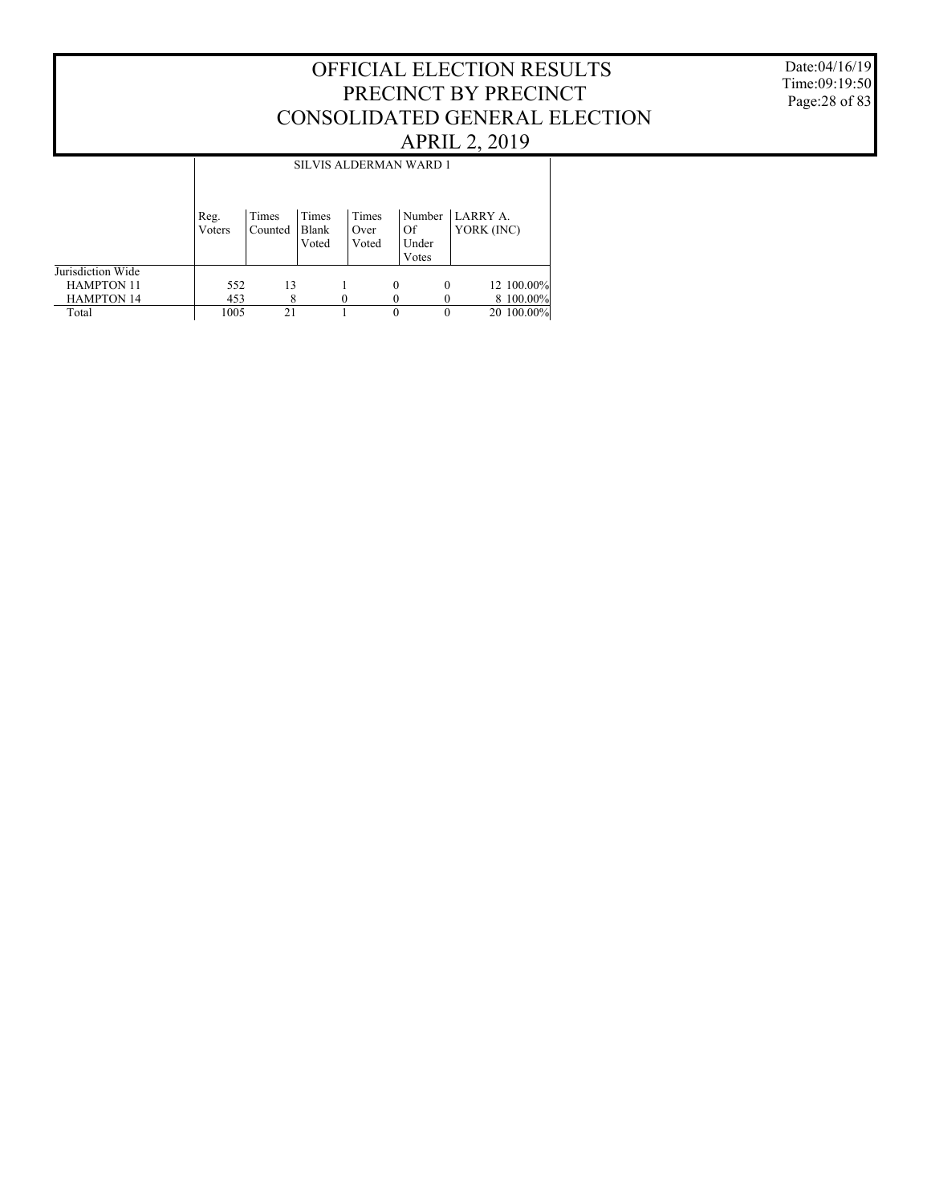Date:04/16/19 Time:09:19:50 Page:28 of 83

|                   |                | <b>SILVIS ALDERMAN WARD 1</b> |                         |                        |          |                                |                        |            |  |  |
|-------------------|----------------|-------------------------------|-------------------------|------------------------|----------|--------------------------------|------------------------|------------|--|--|
|                   | Reg.<br>Voters | Times<br>Counted              | Times<br>Blank<br>Voted | Times<br>Over<br>Voted |          | Number<br>Of<br>Under<br>Votes | LARRY A.<br>YORK (INC) |            |  |  |
| Jurisdiction Wide |                |                               |                         |                        |          |                                |                        |            |  |  |
| <b>HAMPTON 11</b> | 552            | 13                            |                         |                        | $\Omega$ | $\theta$                       |                        | 12 100.00% |  |  |
| <b>HAMPTON 14</b> | 453            | 8                             |                         |                        |          |                                |                        | 8 100.00%  |  |  |
| Total             | 1005           | 21                            |                         |                        | 0        | 0                              |                        | 20 100.00% |  |  |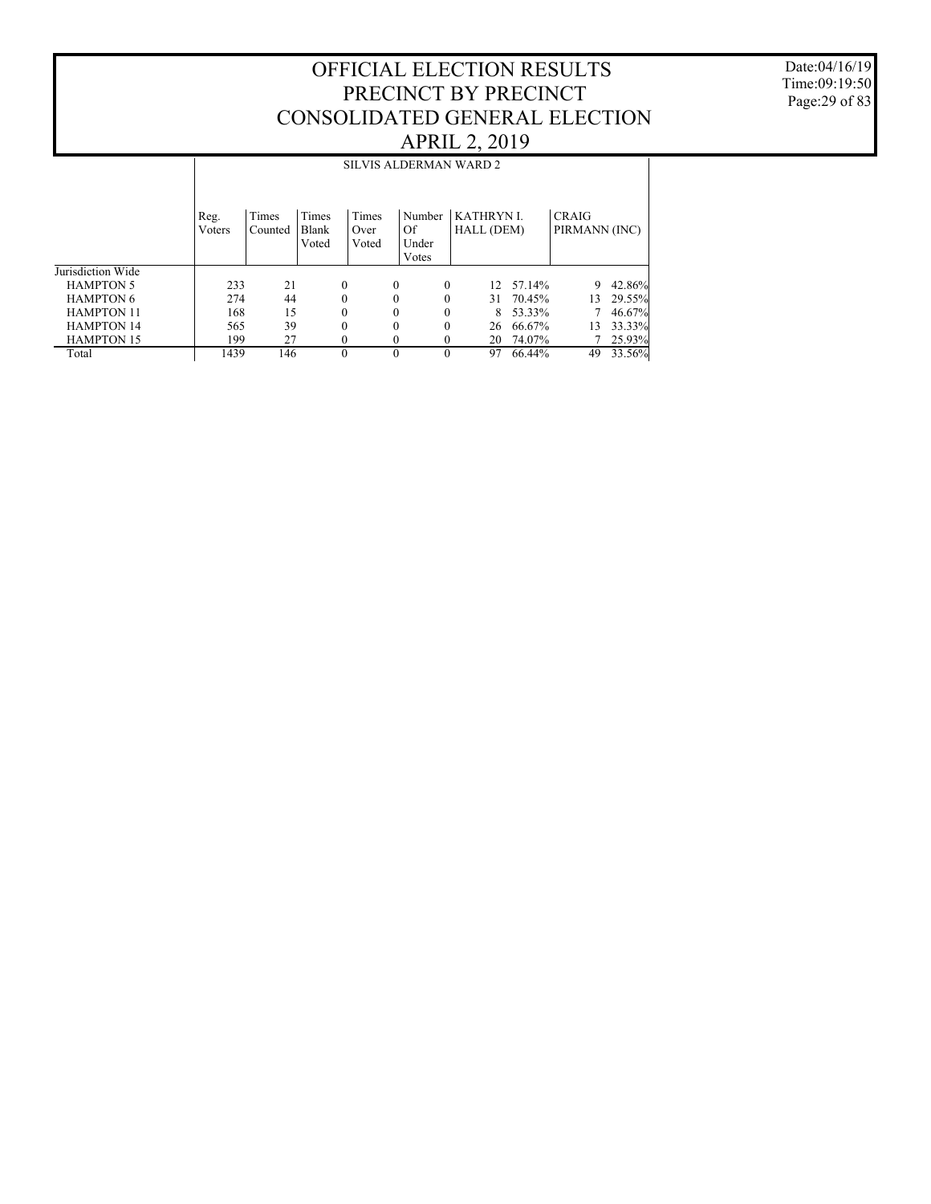Date:04/16/19 Time:09:19:50 Page:29 of 83

|                   |                |                  |                |               |                | SILVIS ALDERMAN WARD 2         |        |                               |        |
|-------------------|----------------|------------------|----------------|---------------|----------------|--------------------------------|--------|-------------------------------|--------|
|                   | Reg.<br>Voters | Times<br>Counted | Times<br>Blank | Times<br>Over | Number<br>Of   | <b>KATHRYN L</b><br>HALL (DEM) |        | <b>CRAIG</b><br>PIRMANN (INC) |        |
|                   |                |                  | Voted          | Voted         | Under<br>Votes |                                |        |                               |        |
| Jurisdiction Wide |                |                  |                |               |                |                                |        |                               |        |
| <b>HAMPTON 5</b>  | 233            | 21               | 0              | $\Omega$      | $\Omega$       | 12 <sub>1</sub>                | 57.14% | 9                             | 42.86% |
| <b>HAMPTON 6</b>  | 274            | 44               | 0              | $\theta$      | 0              | 31                             | 70.45% | 13                            | 29.55% |
| <b>HAMPTON 11</b> | 168            | 15               | 0              | $\theta$      | 0              | 8                              | 53.33% |                               | 46.67% |
| <b>HAMPTON 14</b> | 565            | 39               | 0              | $\Omega$      | 0              | 26                             | 66.67% | 13                            | 33.33% |
| <b>HAMPTON 15</b> | 199            | 27               | 0              | $\theta$      | $_{0}$         | 20                             | 74.07% |                               | 25.93% |
| Total             | 1439           | 146              | $\theta$       | $\Omega$      | $\Omega$       | 97                             | 66.44% | 49                            | 33.56% |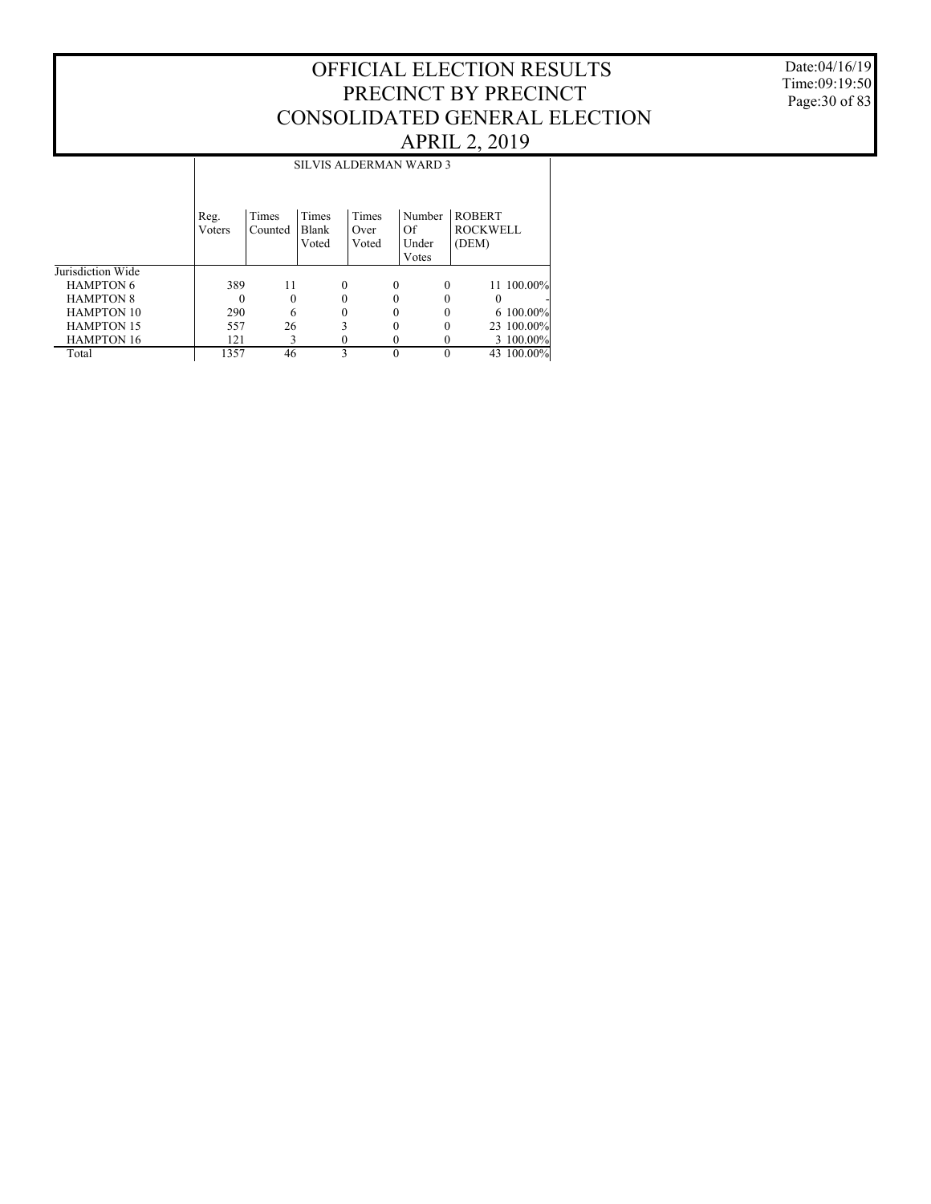#### Date:04/16/19 Time:09:19:50 Page:30 of 83

|                   |                | <b>SILVIS ALDERMAN WARD 3</b> |                         |                        |                                |                                           |  |  |  |  |  |
|-------------------|----------------|-------------------------------|-------------------------|------------------------|--------------------------------|-------------------------------------------|--|--|--|--|--|
|                   | Reg.<br>Voters | Times<br>Counted              | Times<br>Blank<br>Voted | Times<br>Over<br>Voted | Number<br>Of<br>Under<br>Votes | <b>ROBERT</b><br><b>ROCKWELL</b><br>(DEM) |  |  |  |  |  |
| Jurisdiction Wide |                |                               |                         |                        |                                |                                           |  |  |  |  |  |
| <b>HAMPTON 6</b>  | 389            | 11                            | $\Omega$                |                        | 0<br>$\Omega$                  | 11 100.00%                                |  |  |  |  |  |
| <b>HAMPTON 8</b>  | $\Omega$       | $\theta$                      | $\Omega$                | 0                      | 0                              | 0                                         |  |  |  |  |  |
| <b>HAMPTON 10</b> | 290            | 6                             | $\Omega$                | 0                      |                                | 6 100.00%                                 |  |  |  |  |  |
| <b>HAMPTON 15</b> | 557            | 26                            | 3                       | 0                      | 0                              | 23 100.00%                                |  |  |  |  |  |
| <b>HAMPTON 16</b> | 121            | 3                             | $\Omega$                | 0                      | 0                              | 3 100.00%                                 |  |  |  |  |  |
| Total             | 1357           | 46                            | 3                       | $\theta$               | 0                              | 43 100.00%                                |  |  |  |  |  |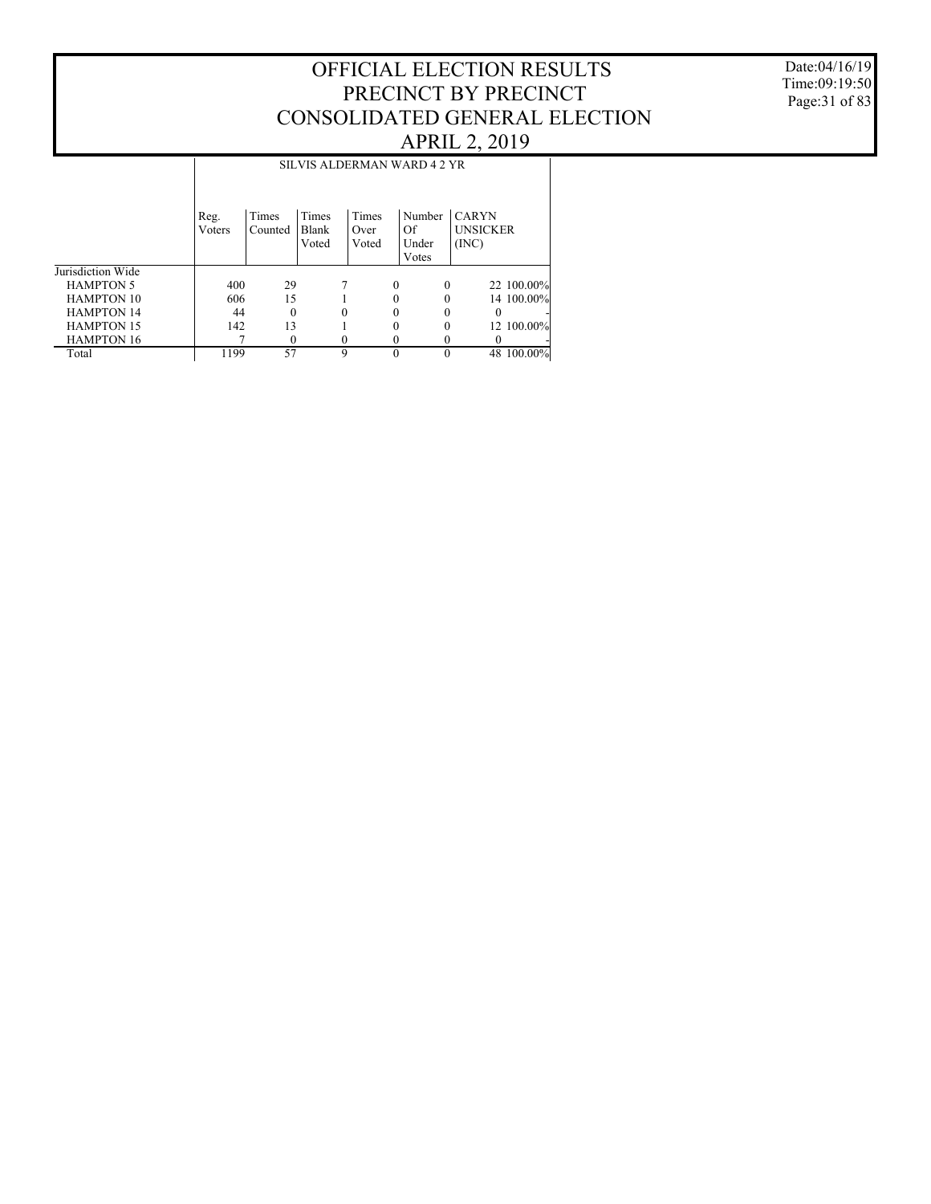#### Date:04/16/19 Time:09:19:50 Page:31 of 83

|                   |                |                  |                |               |          | SILVIS ALDERMAN WARD 4 2 YR |                                 |            |
|-------------------|----------------|------------------|----------------|---------------|----------|-----------------------------|---------------------------------|------------|
|                   |                |                  |                |               |          |                             |                                 |            |
|                   | Reg.<br>Voters | Times<br>Counted | Times<br>Blank | Times<br>Over |          | Number<br>Of                | <b>CARYN</b><br><b>UNSICKER</b> |            |
|                   |                |                  | Voted          | Voted         |          | Under                       | (INC)                           |            |
|                   |                |                  |                |               |          | Votes                       |                                 |            |
| Jurisdiction Wide |                |                  |                |               |          |                             |                                 |            |
| <b>HAMPTON 5</b>  | 400            | 29               |                |               | $\Omega$ | $\Omega$                    |                                 | 22 100.00% |
| <b>HAMPTON 10</b> | 606            | 15               |                |               | 0        | 0                           |                                 | 14 100.00% |
| <b>HAMPTON 14</b> | 44             | $\theta$         |                |               |          |                             |                                 |            |
| <b>HAMPTON 15</b> | 142            | 13               |                |               | 0        | 0                           |                                 | 12 100.00% |
| <b>HAMPTON 16</b> |                | 0                |                |               |          |                             |                                 | ٠          |
| Total             | 1199           | 57               | 9              |               | $\Omega$ | 0                           |                                 | 48 100.00% |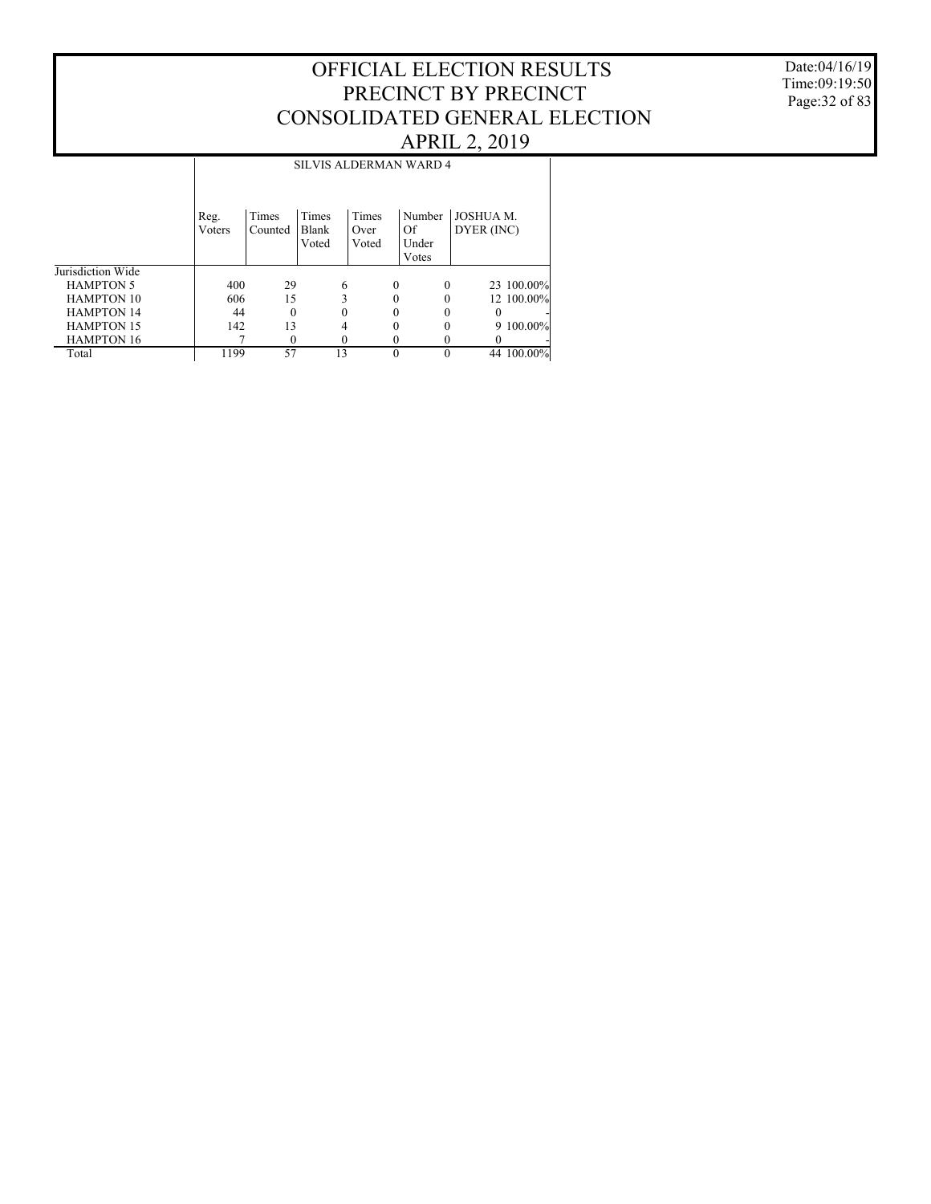#### Date:04/16/19 Time:09:19:50 Page:32 of 83

|                   |                |                  |                         |                        | <b>SILVIS ALDERMAN WARD 4</b>  |                                |
|-------------------|----------------|------------------|-------------------------|------------------------|--------------------------------|--------------------------------|
|                   | Reg.<br>Voters | Times<br>Counted | Times<br>Blank<br>Voted | Times<br>Over<br>Voted | Number<br>Of<br>Under<br>Votes | <b>JOSHUA M.</b><br>DYER (INC) |
| Jurisdiction Wide |                |                  |                         |                        |                                |                                |
| <b>HAMPTON 5</b>  | 400            | 29               | 6                       | $\Omega$               | $\Omega$                       | 23 100.00%                     |
| <b>HAMPTON 10</b> | 606            | 15               | 3                       |                        | 0                              | 12 100.00%                     |
| <b>HAMPTON 14</b> | 44             | $\Omega$         |                         |                        |                                | 0                              |
| <b>HAMPTON 15</b> | 142            | 13               | 4                       | 0                      | 0                              | 9 100.00%                      |
| <b>HAMPTON 16</b> |                | $\Omega$         | 0                       |                        | 0                              |                                |
| Total             | 1199           | 57               | 13                      |                        | 0                              | 44 100.00%                     |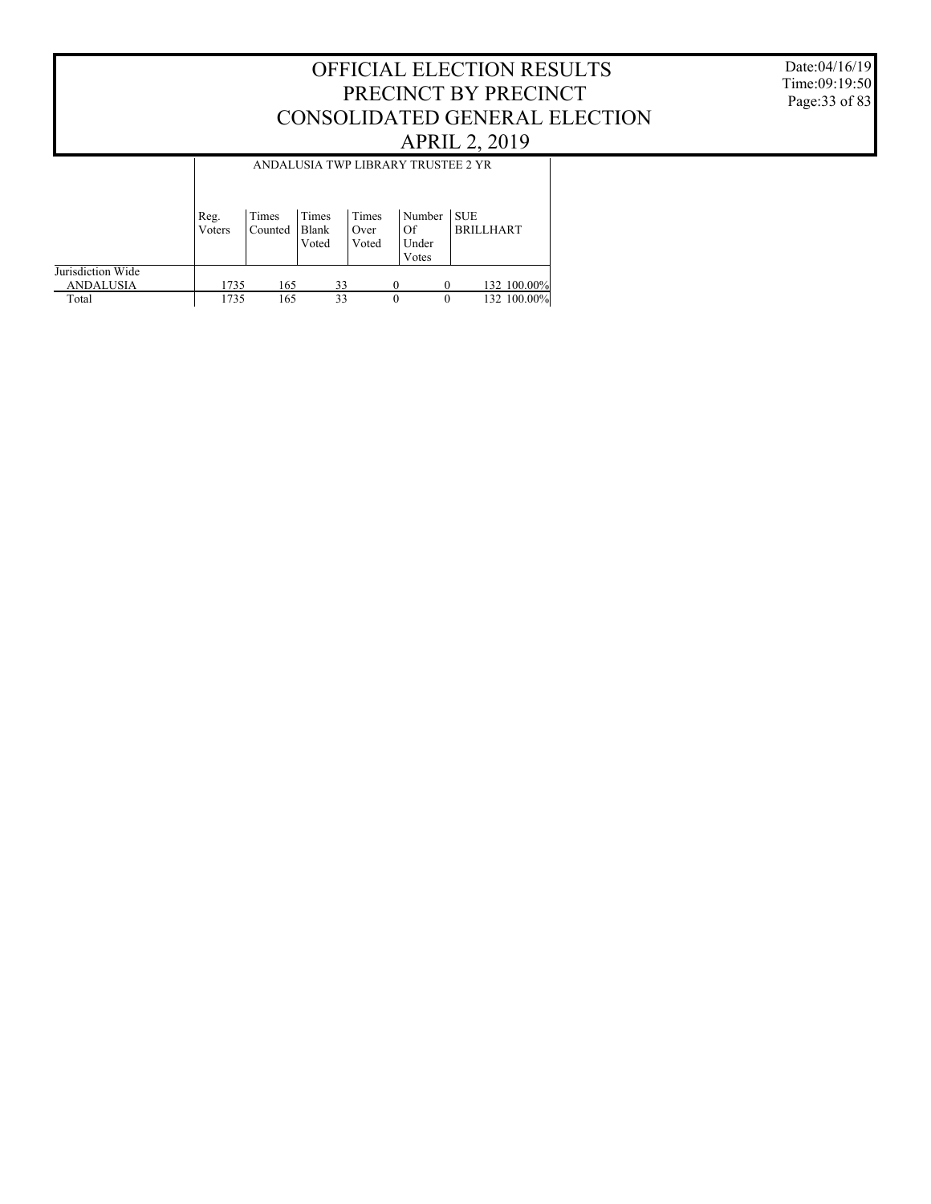Date:04/16/19 Time:09:19:50 Page:33 of 83

|                                       |                |                  |                         |                        | ANDALUSIA TWP LIBRARY TRUSTEE 2 YR |                                |
|---------------------------------------|----------------|------------------|-------------------------|------------------------|------------------------------------|--------------------------------|
|                                       | Reg.<br>Voters | Times<br>Counted | Times<br>Blank<br>Voted | Times<br>Over<br>Voted | Number<br>Of<br>Under<br>Votes     | <b>SUE</b><br><b>BRILLHART</b> |
| Jurisdiction Wide<br><b>ANDALUSIA</b> | 1735           | 165              | 33                      |                        | $\Omega$                           | 132 100.00%<br>$\Omega$        |
| Total                                 | 1735           | 165              | 33                      |                        | $\theta$                           | 132 100.00%<br>$\theta$        |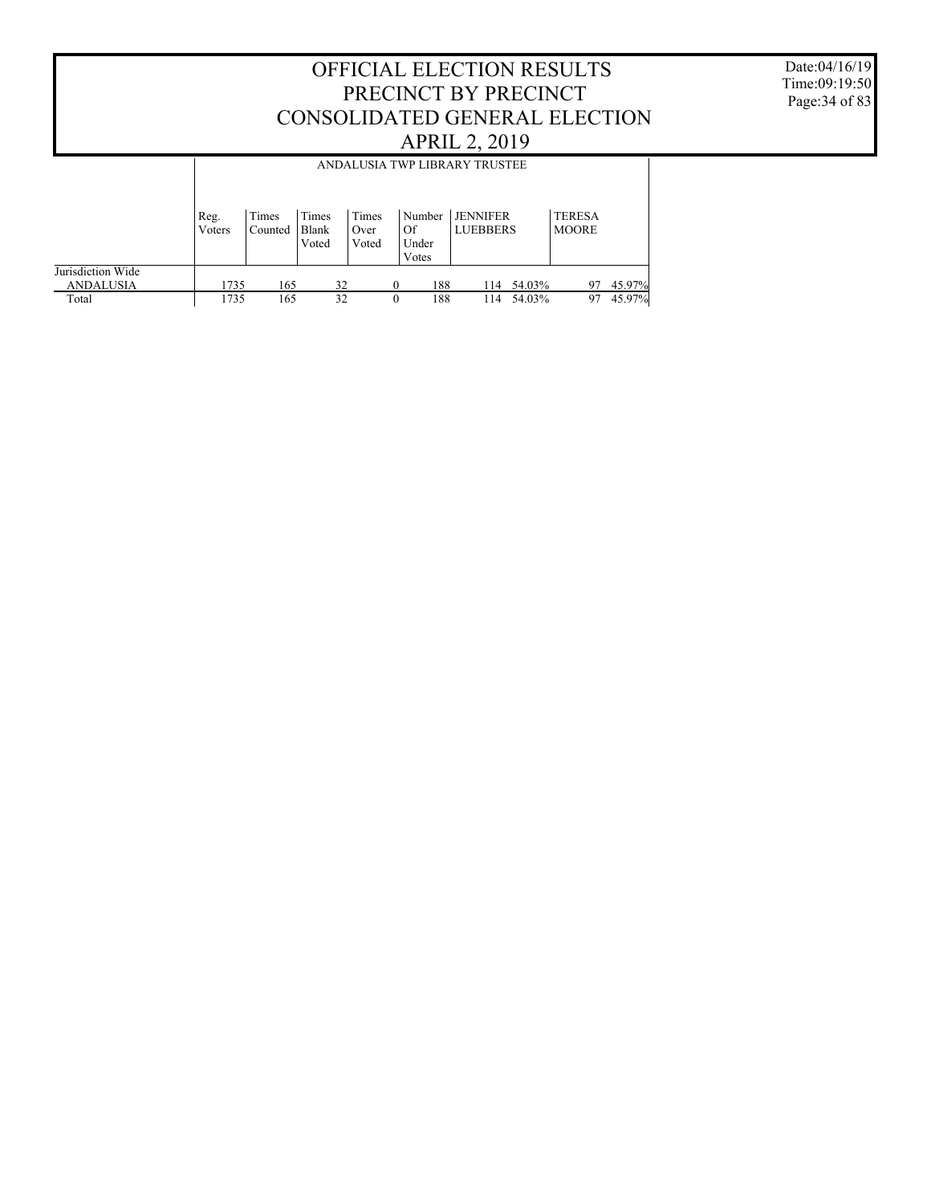Date:04/16/19 Time:09:19:50 Page:34 of 83

|                                       |                |                  |                         |                        |                                | ANDALUSIA TWP LIBRARY TRUSTEE      |                               |        |
|---------------------------------------|----------------|------------------|-------------------------|------------------------|--------------------------------|------------------------------------|-------------------------------|--------|
|                                       | Reg.<br>Voters | Times<br>Counted | Times<br>Blank<br>Voted | Times<br>Over<br>Voted | Number<br>Of<br>Under<br>Votes | <b>JENNIFER</b><br><b>LUEBBERS</b> | <b>TERESA</b><br><b>MOORE</b> |        |
| Jurisdiction Wide<br><b>ANDALUSIA</b> | 1735           | 165              | 32                      |                        | 188<br>0                       | 54.03%<br>114                      | 97                            | 45.97% |
| Total                                 | 1735           | 165              | 32                      |                        | 188<br>0                       | 54.03%<br>114                      | 97                            | 45.97% |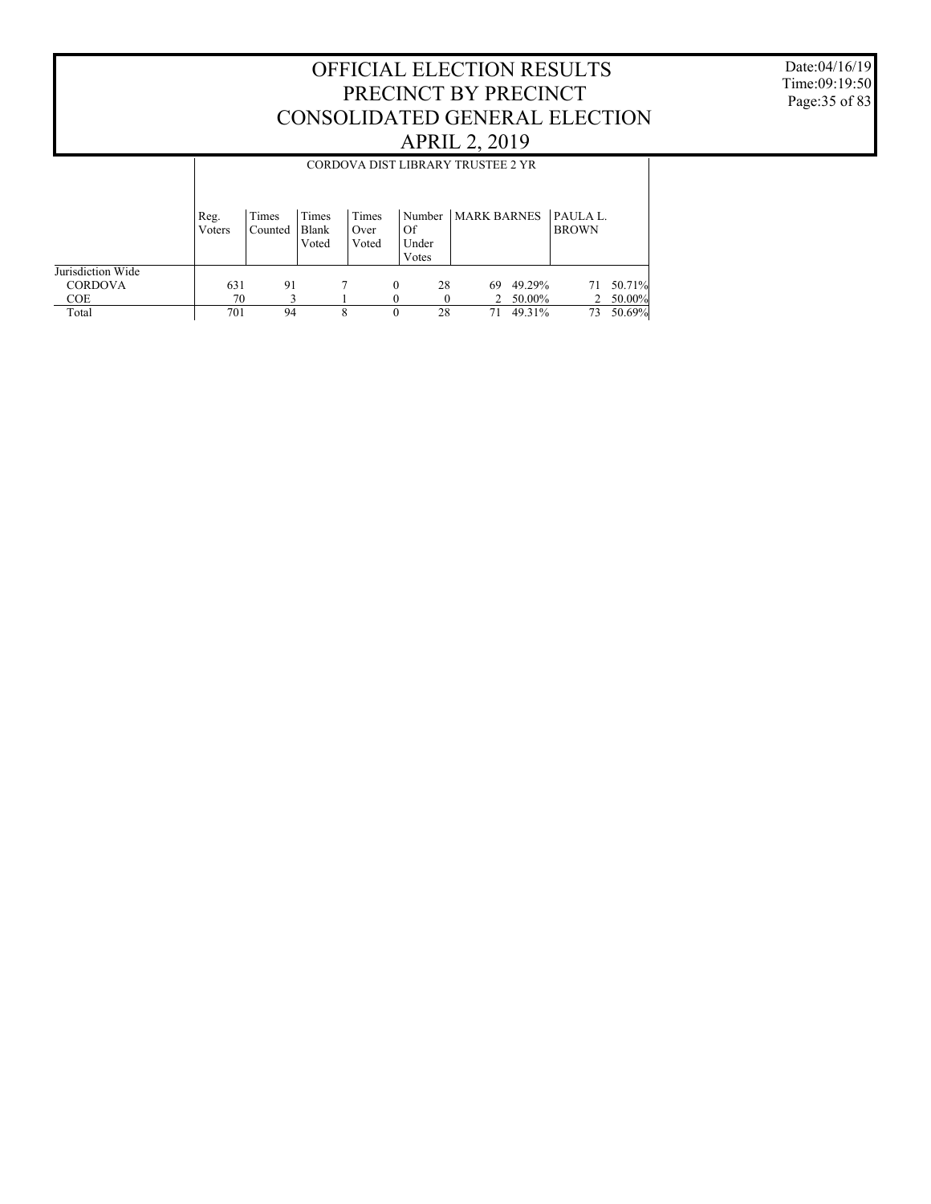Date:04/16/19 Time:09:19:50 Page:35 of 83

|                                     |                | CORDOVA DIST LIBRARY TRUSTEE 2 YR |                         |                        |          |                      |                      |                  |                             |                  |  |
|-------------------------------------|----------------|-----------------------------------|-------------------------|------------------------|----------|----------------------|----------------------|------------------|-----------------------------|------------------|--|
|                                     | Reg.<br>Voters | Times<br>Counted                  | Times<br>Blank<br>Voted | Times<br>Over<br>Voted |          | Of<br>Under<br>Votes | Number   MARK BARNES |                  | $P_A$ ULA L<br><b>BROWN</b> |                  |  |
| Jurisdiction Wide<br><b>CORDOVA</b> | 631            | 91                                |                         |                        | $\theta$ | 28                   | 69                   | 49.29%           | 71                          | 50.71%           |  |
| COE.<br>Total                       | 70<br>701      | 94                                |                         | 8                      | $\Omega$ | 28                   | 71                   | 50.00%<br>49.31% | 2<br>73                     | 50.00%<br>50.69% |  |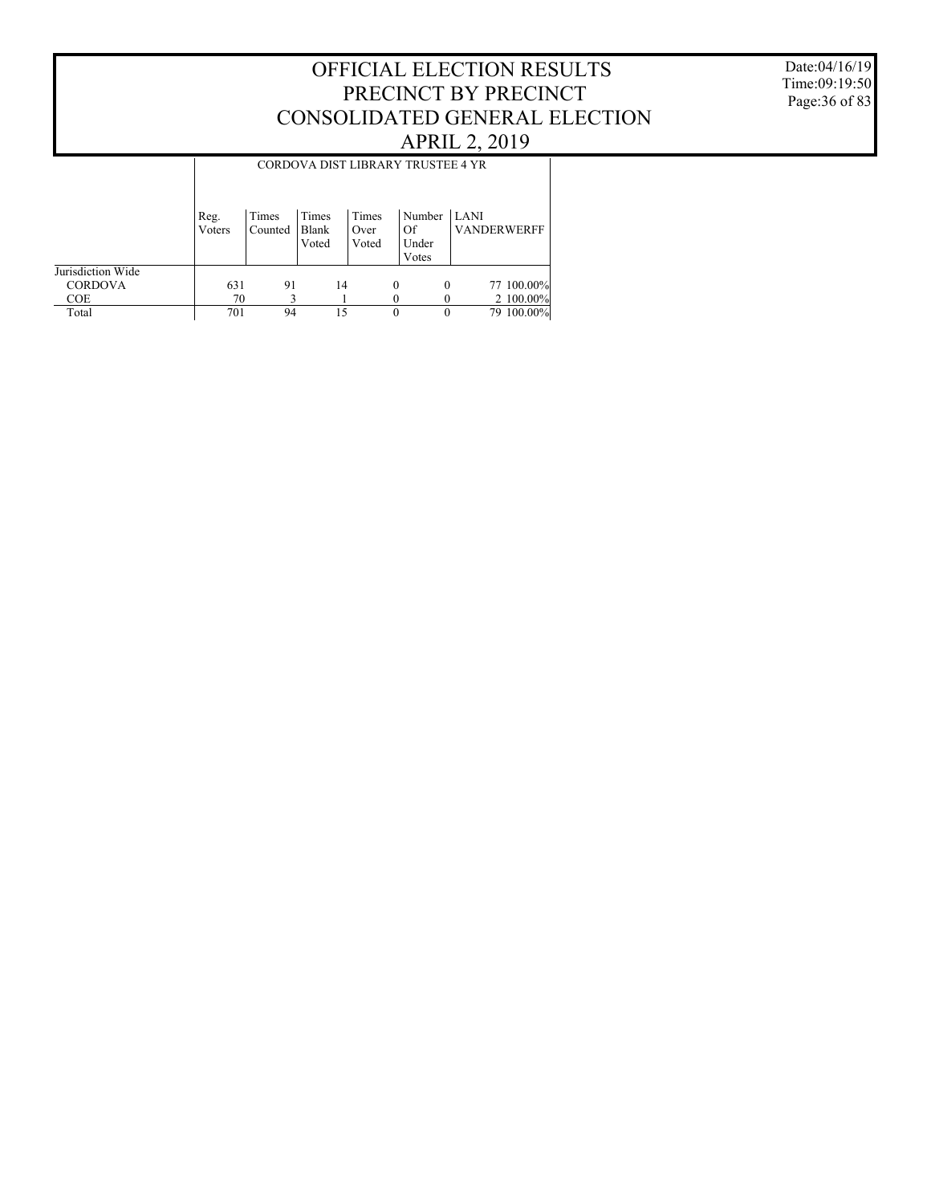Date:04/16/19 Time:09:19:50 Page:36 of 83

|                   | CORDOVA DIST LIBRARY TRUSTEE 4 YR |                  |                         |                        |          |                                |                                   |            |  |
|-------------------|-----------------------------------|------------------|-------------------------|------------------------|----------|--------------------------------|-----------------------------------|------------|--|
|                   | Reg.<br>Voters                    | Times<br>Counted | Times<br>Blank<br>Voted | Times<br>Over<br>Voted |          | Number<br>Of<br>Under<br>Votes | <b>LANI</b><br><b>VANDERWERFF</b> |            |  |
| Jurisdiction Wide |                                   |                  |                         |                        |          |                                |                                   |            |  |
| <b>CORDOVA</b>    | 631                               | 91               |                         | 14                     | $\theta$ | $\theta$                       |                                   | 77 100.00% |  |
| <b>COE</b>        | 70                                |                  |                         |                        |          |                                |                                   | 2 100.00%  |  |
| Total             | 701                               | 94               |                         | 15                     | $\theta$ |                                |                                   | 79 100.00% |  |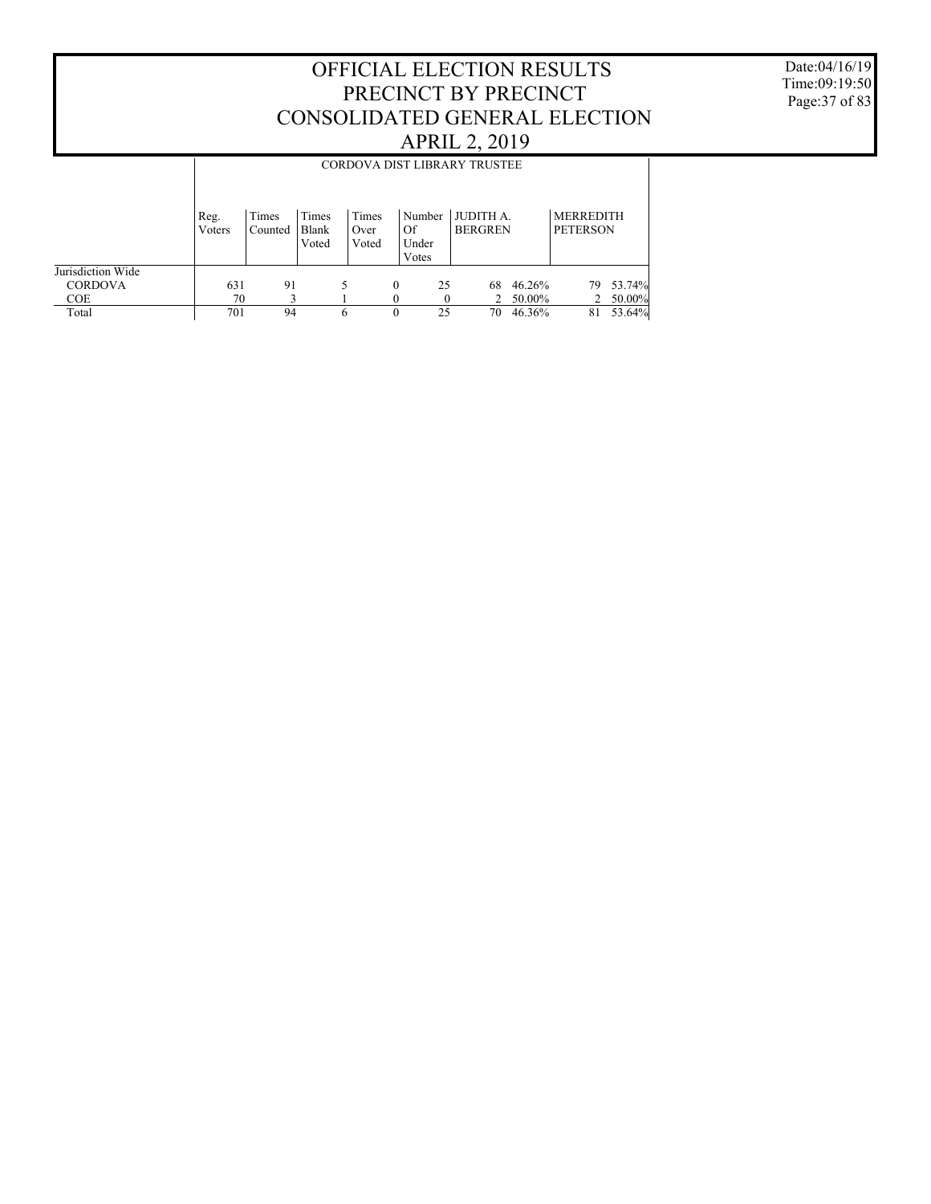Date:04/16/19 Time:09:19:50 Page:37 of 83

|                   |                | CORDOVA DIST LIBRARY TRUSTEE |                         |                        |                                |    |                                    |        |                                     |        |  |  |
|-------------------|----------------|------------------------------|-------------------------|------------------------|--------------------------------|----|------------------------------------|--------|-------------------------------------|--------|--|--|
|                   | Reg.<br>Voters | Times<br>Counted             | Times<br>Blank<br>Voted | Times<br>Over<br>Voted | Number<br>Of<br>Under<br>Votes |    | <b>JUDITH A.</b><br><b>BERGREN</b> |        | <b>MERREDITH</b><br><b>PETERSON</b> |        |  |  |
| Jurisdiction Wide |                |                              |                         |                        |                                |    |                                    |        |                                     |        |  |  |
| <b>CORDOVA</b>    | 631            | 91                           |                         |                        | $\Omega$                       | 25 | 68                                 | 46.26% | 79.                                 | 53.74% |  |  |
| COE.              | 70             |                              |                         |                        |                                |    |                                    | 50.00% | 2                                   | 50.00% |  |  |
| Total             | 701            | 94                           |                         | 6                      | $\theta$                       | 25 | 70                                 | 46.36% | 81                                  | 53.64% |  |  |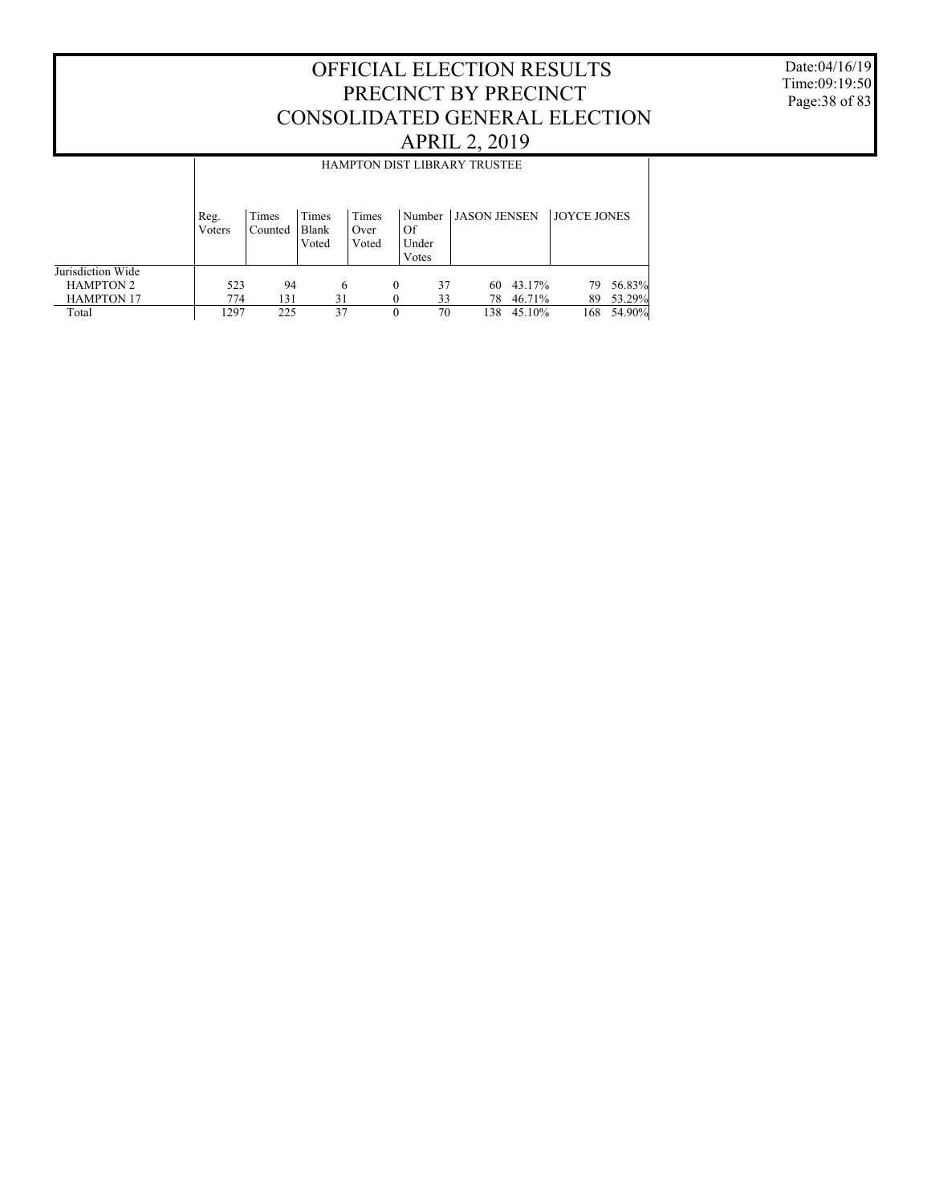Date:04/16/19 Time:09:19:50 Page:38 of 83

| <b>HAMPTON DIST LIBRARY TRUSTEE</b> |  |  |  |  |  |  |  |  |  |  |
|-------------------------------------|--|--|--|--|--|--|--|--|--|--|
| <b>JOYCE JONES</b>                  |  |  |  |  |  |  |  |  |  |  |
|                                     |  |  |  |  |  |  |  |  |  |  |
| 56.83%                              |  |  |  |  |  |  |  |  |  |  |
| 53.29%<br>54.90%                    |  |  |  |  |  |  |  |  |  |  |
|                                     |  |  |  |  |  |  |  |  |  |  |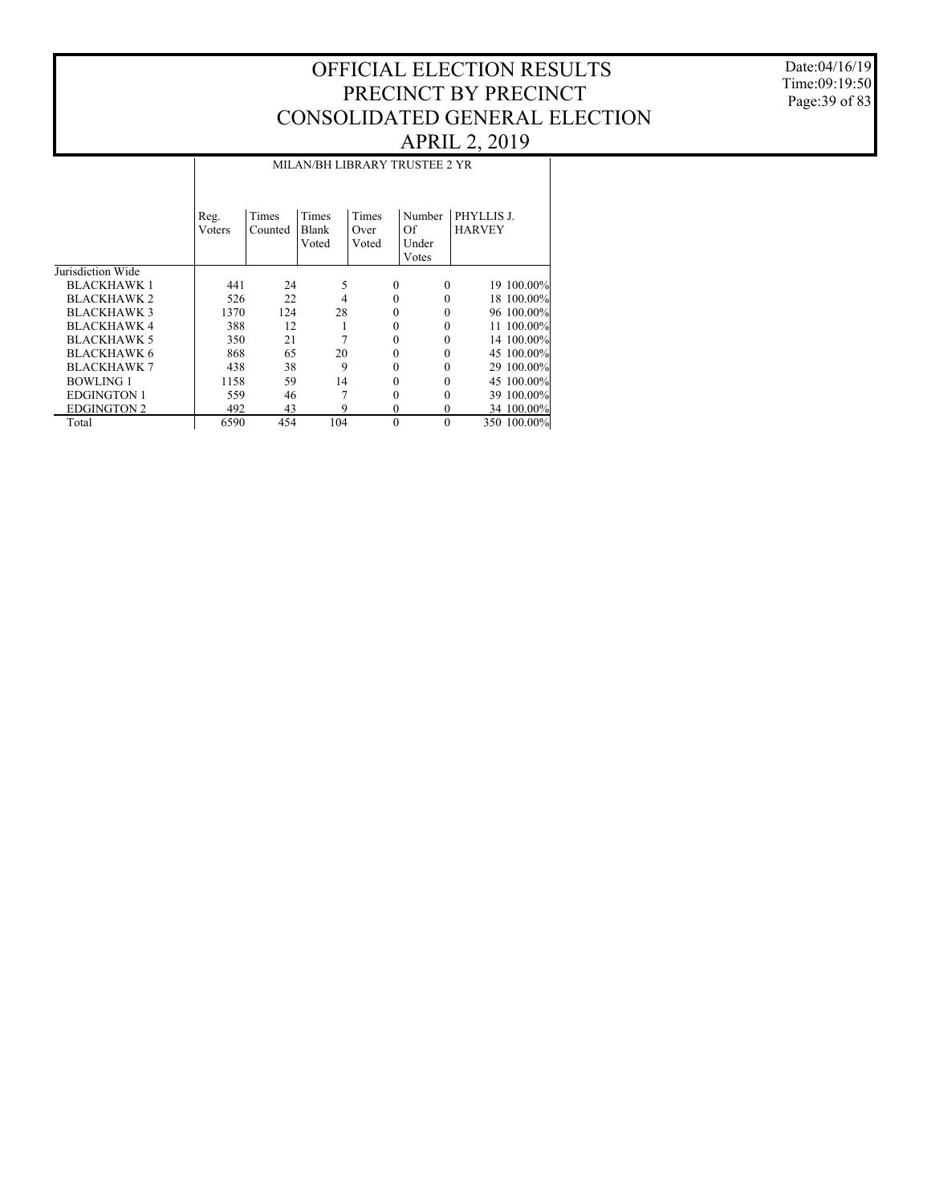### Date:04/16/19 Time:09:19:50 Page:39 of 83

|                    |                | MILAN/BH LIBRARY TRUSTEE 2 YR |                         |                        |                                |                             |  |  |  |  |  |  |
|--------------------|----------------|-------------------------------|-------------------------|------------------------|--------------------------------|-----------------------------|--|--|--|--|--|--|
|                    | Reg.<br>Voters | Times<br>Counted              | Times<br>Blank<br>Voted | Times<br>Over<br>Voted | Number<br>Of<br>Under<br>Votes | PHYLLIS J.<br><b>HARVEY</b> |  |  |  |  |  |  |
| Jurisdiction Wide  |                |                               |                         |                        |                                |                             |  |  |  |  |  |  |
| <b>BLACKHAWK 1</b> | 441            | 24                            | 5                       | 0                      | $\Omega$                       | 19 100.00%                  |  |  |  |  |  |  |
| <b>BLACKHAWK 2</b> | 526            | 22                            | 4                       | 0                      | 0                              | 18 100.00%                  |  |  |  |  |  |  |
| <b>BLACKHAWK3</b>  | 1370           | 124                           | 28                      | 0                      |                                | 96 100.00%                  |  |  |  |  |  |  |
| <b>BLACKHAWK4</b>  | 388            | 12                            |                         | 0                      | $\Omega$                       | 11 100.00%                  |  |  |  |  |  |  |
| <b>BLACKHAWK 5</b> | 350            | 21                            |                         | 0                      |                                | 14 100.00%                  |  |  |  |  |  |  |
| <b>BLACKHAWK 6</b> | 868            | 65                            | 20                      |                        | 0                              | 45 100.00%                  |  |  |  |  |  |  |
| <b>BLACKHAWK 7</b> | 438            | 38                            | 9                       | 0                      |                                | 29 100.00%                  |  |  |  |  |  |  |
| <b>BOWLING 1</b>   | 1158           | 59                            | 14                      | 0                      | 0                              | 45 100.00%                  |  |  |  |  |  |  |
| <b>EDGINGTON 1</b> | 559            | 46                            |                         | 0                      | 0                              | 39 100.00%                  |  |  |  |  |  |  |
| <b>EDGINGTON 2</b> | 492            | 43                            | 9                       | $\theta$               | $\theta$                       | 34 100.00%                  |  |  |  |  |  |  |
| Total              | 6590           | 454                           | 104                     | $\theta$               | $\theta$                       | 350 100.00%                 |  |  |  |  |  |  |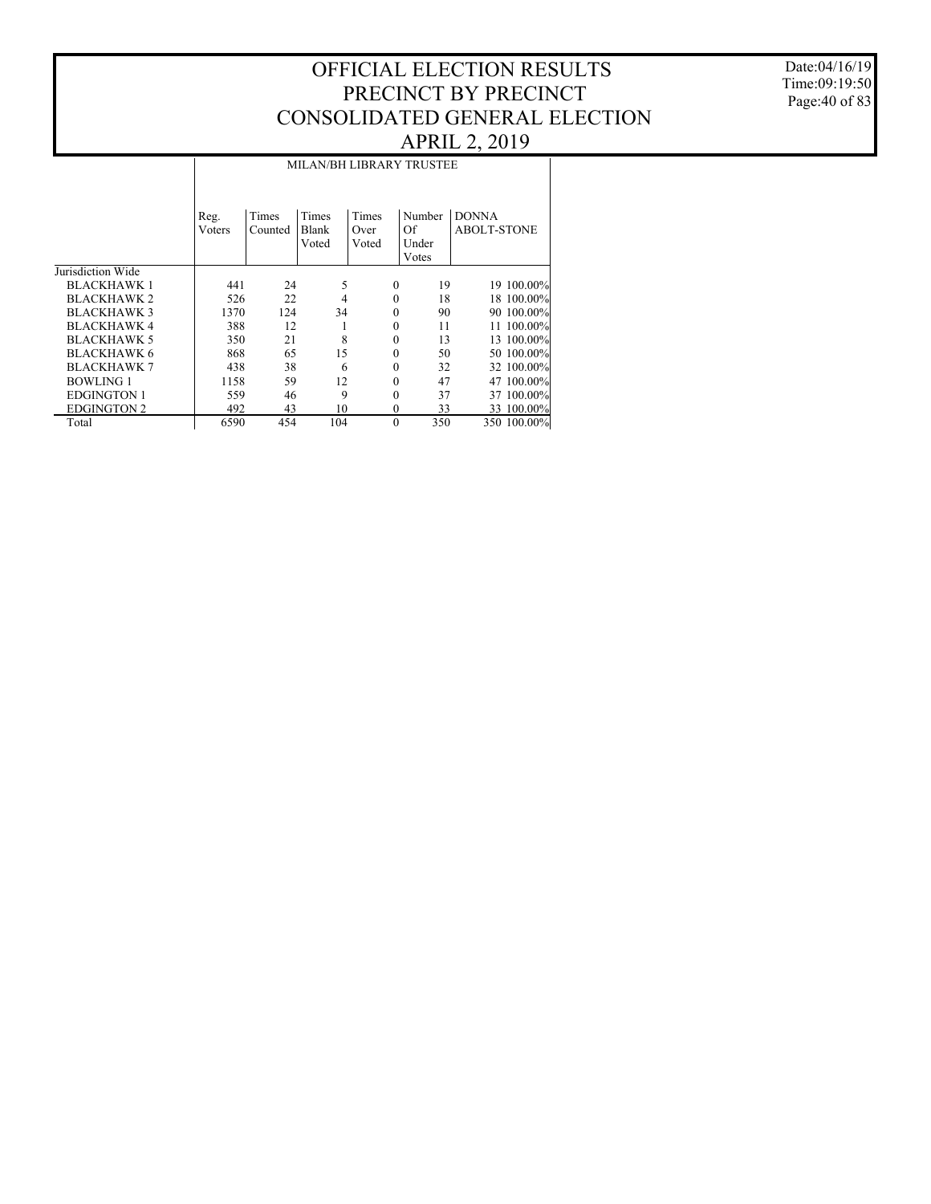Date:04/16/19 Time:09:19:50 Page:40 of 83

|                    |      |                                                                                               |       |          |                          | $\mathcal{L}$      |  |  |  |  |  |  |
|--------------------|------|-----------------------------------------------------------------------------------------------|-------|----------|--------------------------|--------------------|--|--|--|--|--|--|
|                    |      |                                                                                               |       |          | MILAN/BH LIBRARY TRUSTEE |                    |  |  |  |  |  |  |
|                    | Reg. | <b>DONNA</b><br>Times<br>Times<br>Times<br>Number<br>Of<br>Blank<br>Voters<br>Counted<br>Over |       |          |                          |                    |  |  |  |  |  |  |
|                    |      |                                                                                               | Voted | Voted    | Under                    | <b>ABOLT-STONE</b> |  |  |  |  |  |  |
|                    |      |                                                                                               |       |          | Votes                    |                    |  |  |  |  |  |  |
| Jurisdiction Wide  |      |                                                                                               |       |          |                          |                    |  |  |  |  |  |  |
| <b>BLACKHAWK 1</b> | 441  | 24                                                                                            | 5     | $\theta$ | 19                       | 19 100.00%         |  |  |  |  |  |  |
| <b>BLACKHAWK 2</b> | 526  | 22                                                                                            | 4     | $\theta$ | 18                       | 18 100.00%         |  |  |  |  |  |  |
| <b>BLACKHAWK3</b>  | 1370 | 124                                                                                           | 34    | 0        | 90                       | 90 100.00%         |  |  |  |  |  |  |
| <b>BLACKHAWK4</b>  | 388  | 12                                                                                            |       | $\theta$ | 11                       | 11 100.00%         |  |  |  |  |  |  |
| <b>BLACKHAWK 5</b> | 350  | 21                                                                                            | 8     | 0        | 13                       | 13 100.00%         |  |  |  |  |  |  |
| <b>BLACKHAWK 6</b> | 868  | 65                                                                                            | 15    | $\theta$ | 50                       | 50 100.00%         |  |  |  |  |  |  |
| <b>BLACKHAWK 7</b> | 438  | 38                                                                                            | 6     | 0        | 32                       | 32 100.00%         |  |  |  |  |  |  |
| <b>BOWLING 1</b>   | 1158 | 59                                                                                            | 12    | 0        | 47                       | 47 100.00%         |  |  |  |  |  |  |
| <b>EDGINGTON 1</b> | 559  | 46                                                                                            | 9     | 0        | 37                       | 37 100.00%         |  |  |  |  |  |  |
| <b>EDGINGTON 2</b> | 492  | 43                                                                                            | 10    | $\theta$ | 33                       | 33 100.00%         |  |  |  |  |  |  |
| Total              | 6590 | 454                                                                                           | 104   | $\theta$ | 350                      | 350 100.00%        |  |  |  |  |  |  |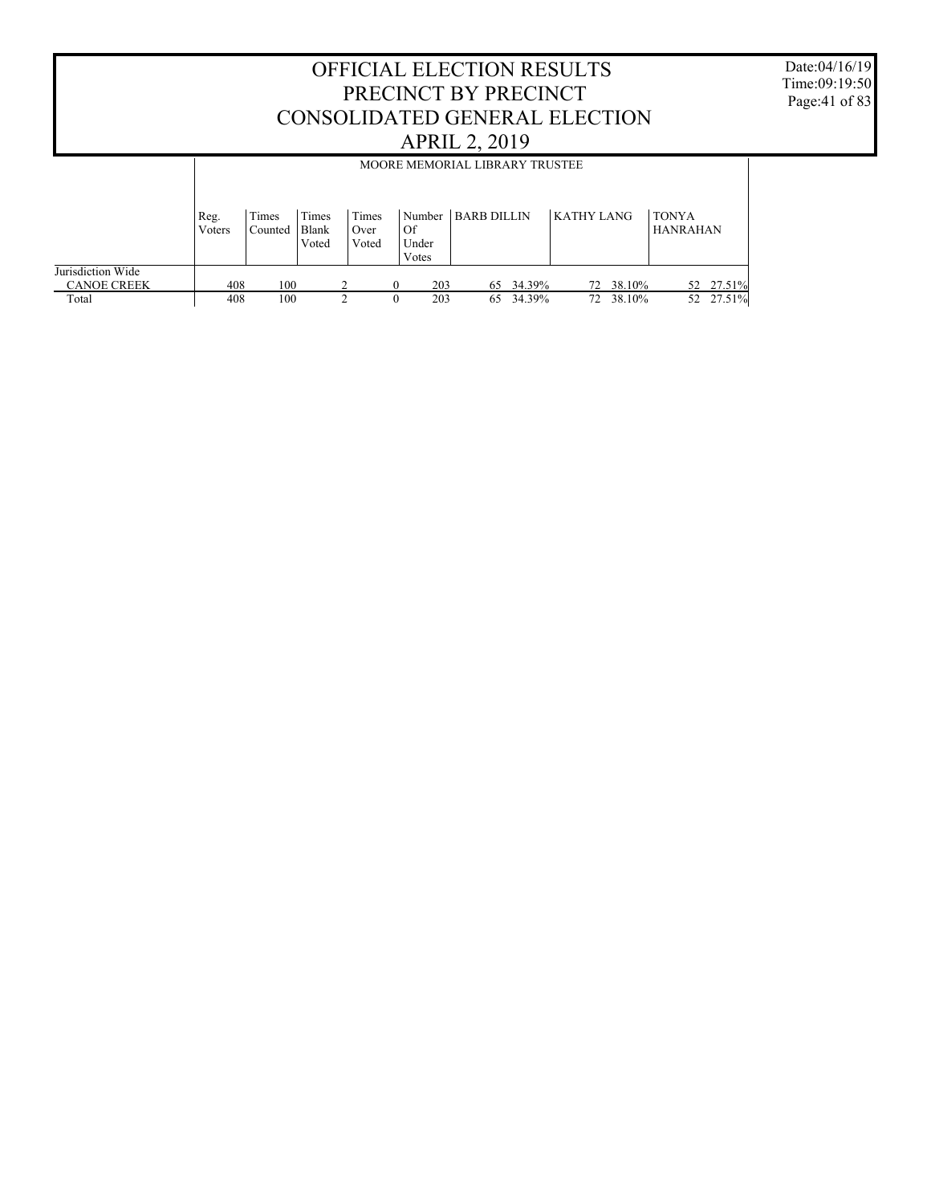#### OFFICIAL ELECTION RESULTS PRECINCT BY PRECINCT CONSOLIDATED GENERAL ELECTION APRIL 2, 2019 Jurisdiction Wide CANOE CREEK Total Reg. Voters Times Counted Times Blank Voted Times Over Voted Number | BARB DILLIN Of Under Votes  $KATHY$  LANG  $|TONYA$ HANRAHAN MOORE MEMORIAL LIBRARY TRUSTEE 408 100 2 0 203 65 34.39% 72 38.10% 52 27.51% 408 100 2 0 203 65 34.39% 72 38.10% 52 27.51%

Date:04/16/19 Time:09:19:50 Page:41 of 83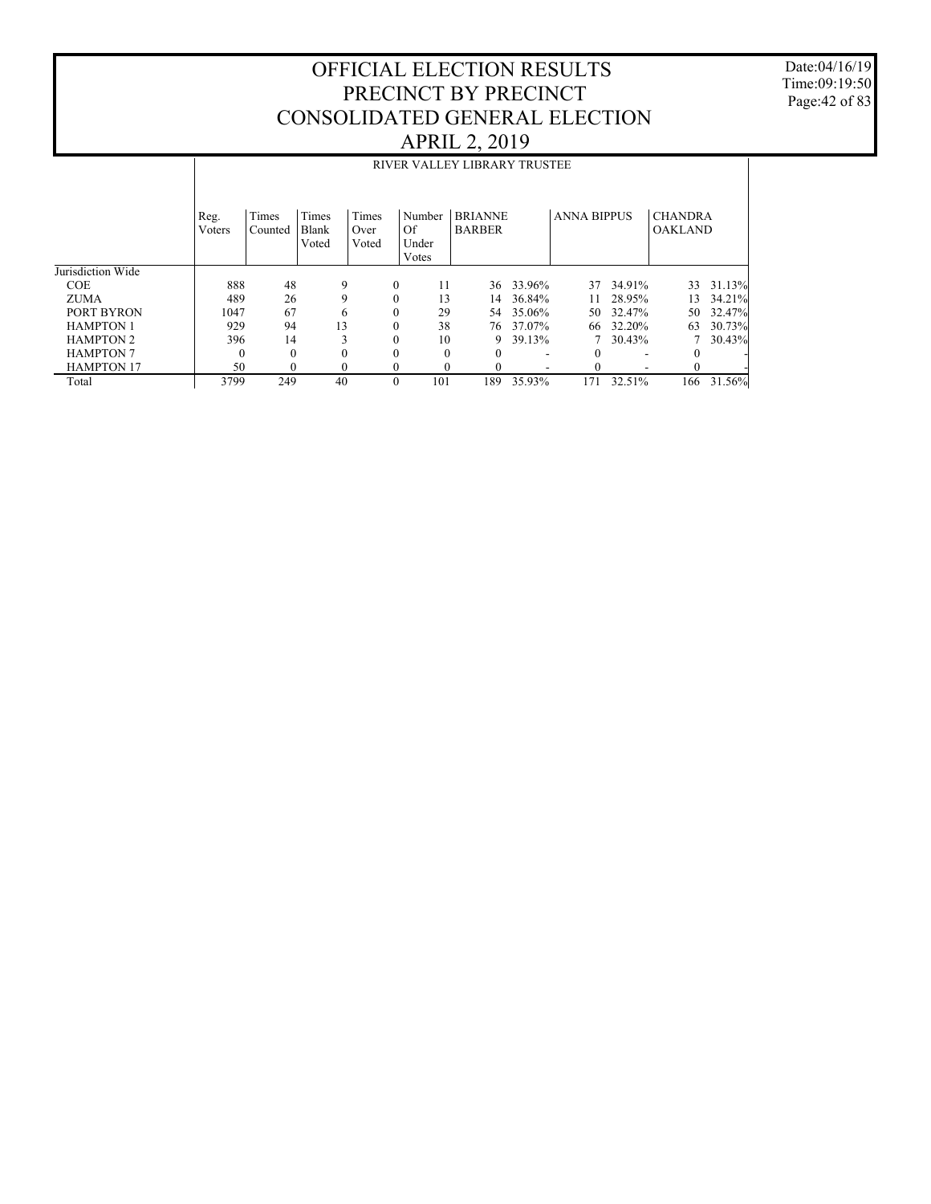Date:04/16/19 Time:09:19:50 Page:42 of 83

|                   |                |                  |                         |                        |                       | RIVER VALLEY LIBRARY TRUSTEE    |        |                    |                          |                                  |        |
|-------------------|----------------|------------------|-------------------------|------------------------|-----------------------|---------------------------------|--------|--------------------|--------------------------|----------------------------------|--------|
|                   | Reg.<br>Voters | Times<br>Counted | Times<br>Blank<br>Voted | Times<br>Over<br>Voted | Number<br>Of<br>Under | <b>BRIANNE</b><br><b>BARBER</b> |        | <b>ANNA BIPPUS</b> |                          | <b>CHANDRA</b><br><b>OAKLAND</b> |        |
|                   |                |                  |                         |                        | Votes                 |                                 |        |                    |                          |                                  |        |
| Jurisdiction Wide |                |                  |                         |                        |                       |                                 |        |                    |                          |                                  |        |
| <b>COE</b>        | 888            | 48               | 9                       | $\mathbf{0}$           | 11                    | 36                              | 33.96% | 37                 | 34.91%                   | 33                               | 31.13% |
| <b>ZUMA</b>       | 489            | 26               | 9                       | $\Omega$               | 13                    | 14                              | 36.84% | 11                 | 28.95%                   | 13                               | 34.21% |
| PORT BYRON        | 1047           | 67               | 6                       | $\Omega$               | 29                    | 54                              | 35.06% | 50                 | 32.47%                   | 50                               | 32.47% |
| <b>HAMPTON 1</b>  | 929            | 94               | 13                      | $\theta$               | 38                    | 76                              | 37.07% | 66                 | 32.20%                   | 63                               | 30.73% |
| <b>HAMPTON 2</b>  | 396            | 14               | 3                       | $\theta$               | 10                    | 9                               | 39.13% |                    | 30.43%                   |                                  | 30.43% |
| <b>HAMPTON 7</b>  | $\Omega$       | $\Omega$         | $\theta$                | $\theta$               | $\Omega$              | $\theta$                        |        | 0                  | $\overline{\phantom{a}}$ | $\Omega$                         |        |
| <b>HAMPTON 17</b> | 50             | $\Omega$         | $\Omega$                | $\theta$               | 0                     | $\theta$                        |        | 0                  |                          | $\theta$                         |        |
| Total             | 3799           | 249              | 40                      | $\Omega$               | 101                   | 189                             | 35.93% | 171                | 32.51%                   | 166                              | 31.56% |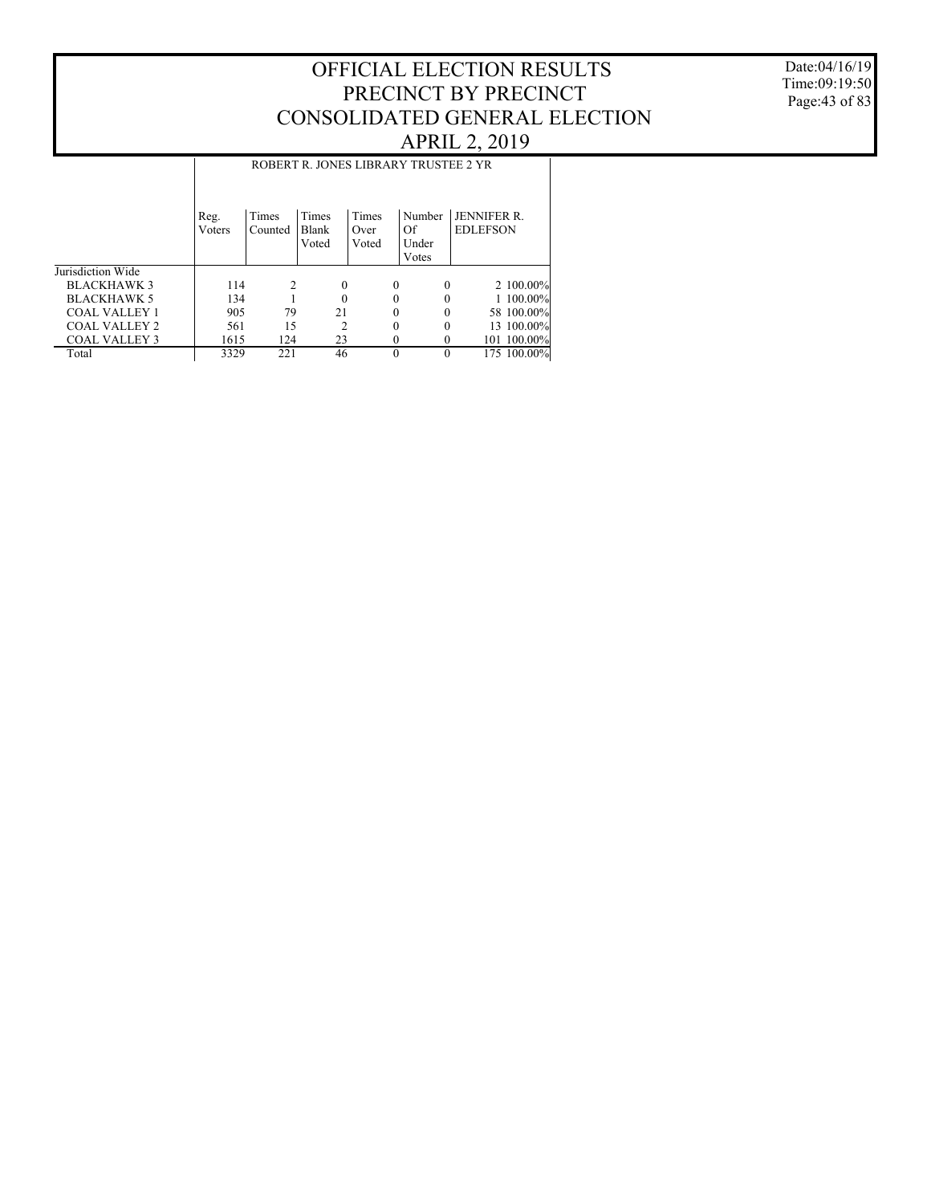Date:04/16/19 Time:09:19:50 Page:43 of 83

|                      |                | ROBERT R. JONES LIBRARY TRUSTEE 2 YR |                         |                        |                                |                                       |  |  |  |  |  |  |
|----------------------|----------------|--------------------------------------|-------------------------|------------------------|--------------------------------|---------------------------------------|--|--|--|--|--|--|
|                      | Reg.<br>Voters | Times<br>Counted                     | Times<br>Blank<br>Voted | Times<br>Over<br>Voted | Number<br>Of<br>Under<br>Votes | <b>JENNIFER R.</b><br><b>EDLEFSON</b> |  |  |  |  |  |  |
| Jurisdiction Wide    |                |                                      |                         |                        |                                |                                       |  |  |  |  |  |  |
| <b>BLACKHAWK 3</b>   | 114            | 2                                    | $\Omega$                | 0                      | $\Omega$                       | 2 100.00%                             |  |  |  |  |  |  |
| <b>BLACKHAWK 5</b>   | 134            |                                      |                         |                        |                                | 1 100.00%                             |  |  |  |  |  |  |
| <b>COAL VALLEY 1</b> | 905            | 79                                   | 21                      |                        | 0                              | 58 100,00%                            |  |  |  |  |  |  |
| <b>COAL VALLEY 2</b> | 561            | 15                                   | 2                       |                        | 0<br>$\Omega$                  | 13 100.00%                            |  |  |  |  |  |  |
| <b>COAL VALLEY 3</b> | 1615           | 124                                  | 23                      |                        | 0<br>$\Omega$                  | 101 100.00%                           |  |  |  |  |  |  |
| Total                | 3329           | 221                                  | 46                      | $\theta$               |                                | 175 100.00%                           |  |  |  |  |  |  |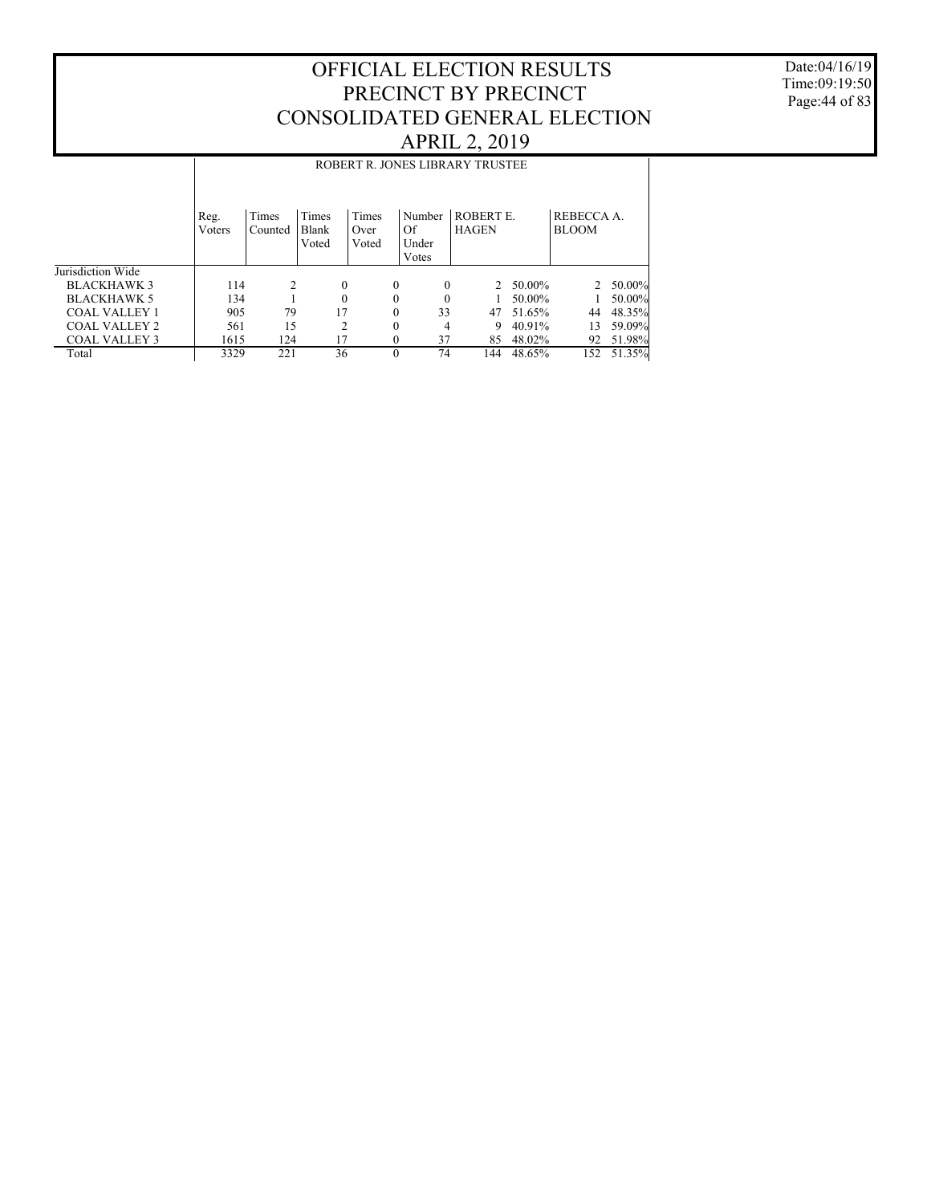Date:04/16/19 Time:09:19:50 Page:44 of 83

|                      |                | ROBERT R. JONES LIBRARY TRUSTEE |                         |                        |                                |                                  |        |                            |                  |  |  |  |
|----------------------|----------------|---------------------------------|-------------------------|------------------------|--------------------------------|----------------------------------|--------|----------------------------|------------------|--|--|--|
|                      | Reg.<br>Voters | Times<br>Counted                | Times<br>Blank<br>Voted | Times<br>Over<br>Voted | Number<br>Of<br>Under<br>Votes | <b>ROBERT E.</b><br><b>HAGEN</b> |        | REBECCA A.<br><b>BLOOM</b> |                  |  |  |  |
| Jurisdiction Wide    |                |                                 |                         |                        |                                |                                  |        |                            |                  |  |  |  |
| <b>BLACKHAWK 3</b>   | 114            | 2                               | $\mathbf{0}$            | $\theta$               | 0                              | $2^{\circ}$                      | 50.00% |                            | $2\quad 50.00\%$ |  |  |  |
| <b>BLACKHAWK 5</b>   | 134            |                                 | $\theta$                | $\Omega$               | 0                              |                                  | 50.00% |                            | 50.00%           |  |  |  |
| <b>COAL VALLEY 1</b> | 905            | 79                              | 17                      | $\theta$               | 33                             | 47                               | 51.65% | 44                         | 48.35%           |  |  |  |
| COAL VALLEY 2        | 561            | 15                              | $\overline{c}$          | $\Omega$               | 4                              | 9                                | 40.91% | 13                         | 59.09%           |  |  |  |
| <b>COAL VALLEY 3</b> | 1615           | 124                             | 17                      |                        | 37                             | 85                               | 48.02% | 92                         | 51.98%           |  |  |  |
| Total                | 3329           | 221                             | 36                      | $\Omega$               | 74                             | 144                              | 48.65% | 152                        | 51.35%           |  |  |  |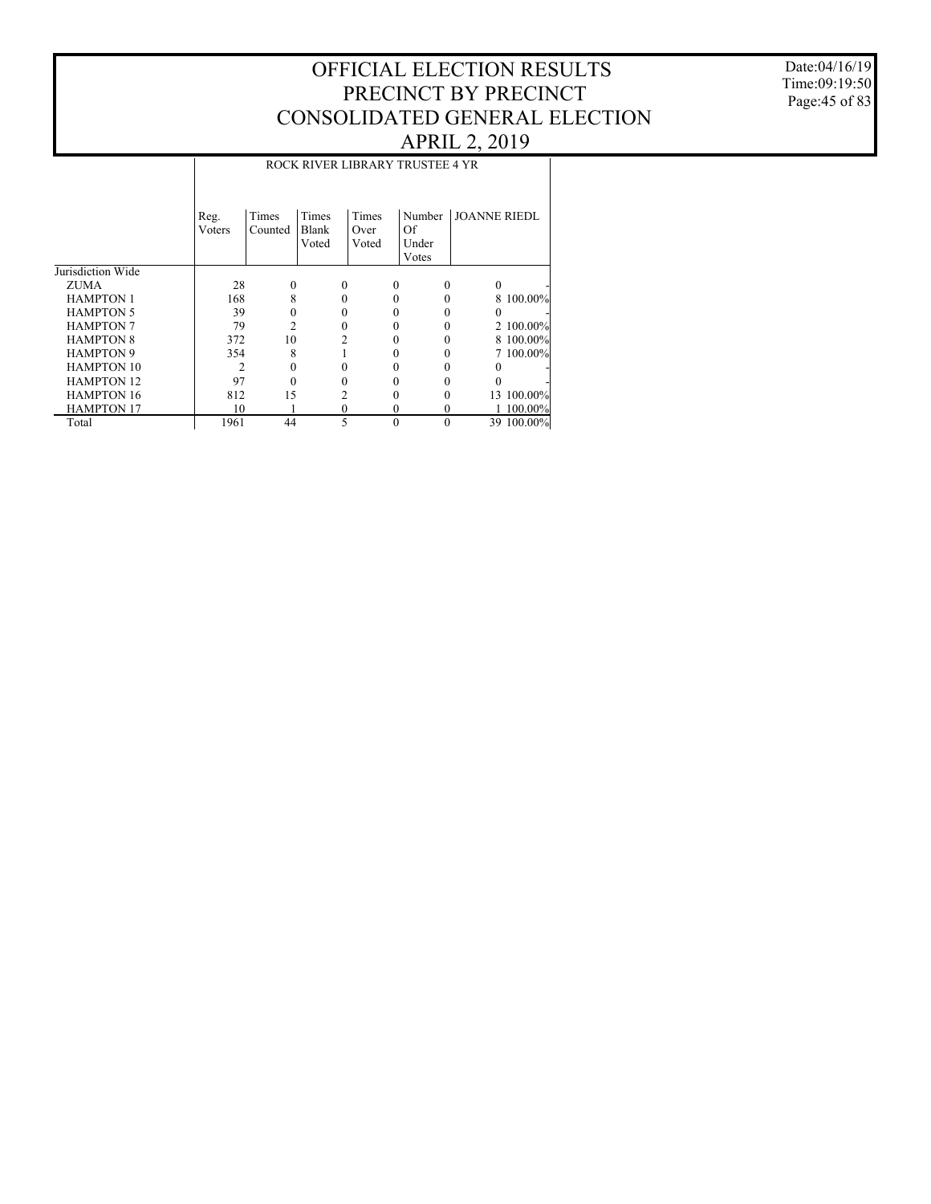### Date:04/16/19 Time:09:19:50 Page:45 of 83

|                   |                | ROCK RIVER LIBRARY TRUSTEE 4 YR |                         |                        |                                |                     |  |  |  |  |  |  |
|-------------------|----------------|---------------------------------|-------------------------|------------------------|--------------------------------|---------------------|--|--|--|--|--|--|
|                   | Reg.<br>Voters | Times<br>Counted                | Times<br>Blank<br>Voted | Times<br>Over<br>Voted | Number<br>Of<br>Under<br>Votes | <b>JOANNE RIEDL</b> |  |  |  |  |  |  |
| Jurisdiction Wide |                |                                 |                         |                        |                                |                     |  |  |  |  |  |  |
| ZUMA              | 28             | $\theta$                        | 0                       | $\Omega$               | $\Omega$                       | 0                   |  |  |  |  |  |  |
| <b>HAMPTON 1</b>  | 168            | 8                               |                         |                        |                                | 8 100.00%           |  |  |  |  |  |  |
| <b>HAMPTON 5</b>  | 39             | 0                               |                         |                        |                                |                     |  |  |  |  |  |  |
| <b>HAMPTON 7</b>  | 79             | $\overline{c}$                  |                         | 0                      |                                | 2 100,00%           |  |  |  |  |  |  |
| <b>HAMPTON 8</b>  | 372            | 10                              |                         |                        |                                | 8 100.00%           |  |  |  |  |  |  |
| <b>HAMPTON 9</b>  | 354            | 8                               |                         |                        |                                | 7 100.00%           |  |  |  |  |  |  |
| <b>HAMPTON 10</b> |                |                                 |                         |                        |                                |                     |  |  |  |  |  |  |
| <b>HAMPTON 12</b> | 97             |                                 |                         |                        |                                |                     |  |  |  |  |  |  |
| <b>HAMPTON 16</b> | 812            | 15                              |                         |                        |                                | 13 100.00%          |  |  |  |  |  |  |
| <b>HAMPTON 17</b> | 10             |                                 | 0                       | $\Omega$               | $\theta$                       | 1 100.00%           |  |  |  |  |  |  |
| Total             | 1961           | 44                              |                         | $\Omega$               | $\theta$                       | 39 100.00%          |  |  |  |  |  |  |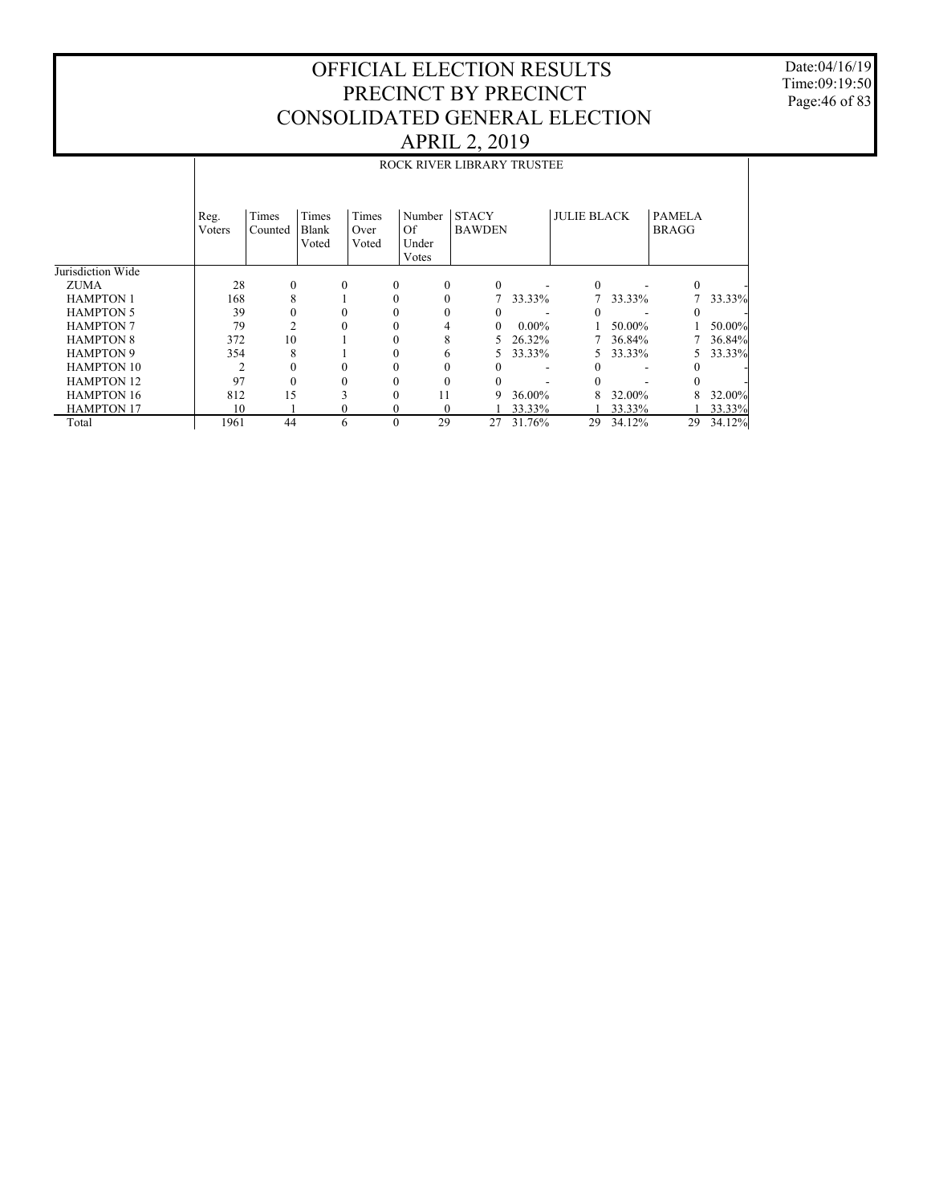Date:04/16/19 Time:09:19:50 Page:46 of 83

|                   |                |                  |                         |                        |              |                                  | ROCK RIVER LIBRARY TRUSTEE    |          |                    |        |                               |        |  |
|-------------------|----------------|------------------|-------------------------|------------------------|--------------|----------------------------------|-------------------------------|----------|--------------------|--------|-------------------------------|--------|--|
|                   |                |                  |                         |                        |              |                                  |                               |          |                    |        |                               |        |  |
|                   | Reg.<br>Voters | Times<br>Counted | Times<br>Blank<br>Voted | Times<br>Over<br>Voted |              | Number<br><sup>Of</sup><br>Under | <b>STACY</b><br><b>BAWDEN</b> |          | <b>JULIE BLACK</b> |        | <b>PAMELA</b><br><b>BRAGG</b> |        |  |
| Jurisdiction Wide |                |                  |                         |                        |              | Votes                            |                               |          |                    |        |                               |        |  |
| <b>ZUMA</b>       | 28             | $\Omega$         |                         | $\Omega$               | $\Omega$     | $\theta$                         | $\Omega$                      |          | $\Omega$           |        | $\Omega$                      |        |  |
| <b>HAMPTON 1</b>  | 168            | 8                |                         |                        | $\theta$     | $\theta$                         | 7                             | 33.33%   |                    | 33.33% | 7                             | 33.33% |  |
| <b>HAMPTON 5</b>  | 39             |                  |                         |                        | $\theta$     | 0                                | $\Omega$                      |          |                    |        |                               |        |  |
| <b>HAMPTON 7</b>  | 79             |                  | $\theta$                |                        | $\theta$     | 4                                | $\Omega$                      | $0.00\%$ |                    | 50.00% |                               | 50.00% |  |
| <b>HAMPTON 8</b>  | 372            | 10               |                         |                        | $\theta$     | 8                                | 5                             | 26.32%   |                    | 36.84% |                               | 36.84% |  |
| <b>HAMPTON 9</b>  | 354            | 8                |                         |                        | 0            | 6                                | 5                             | 33.33%   | 5.                 | 33.33% | 5                             | 33.33% |  |
| <b>HAMPTON 10</b> | 2              |                  | $\Omega$                |                        | $\Omega$     |                                  | 0                             |          |                    |        |                               |        |  |
| <b>HAMPTON 12</b> | 97             |                  |                         |                        |              |                                  |                               |          |                    |        |                               |        |  |
| <b>HAMPTON 16</b> | 812            | 15               |                         |                        | $\theta$     | 11                               | 9                             | 36.00%   |                    | 32.00% | 8                             | 32.00% |  |
| <b>HAMPTON 17</b> | 10             |                  |                         | 0                      | $\mathbf{0}$ | $\Omega$                         |                               | 33.33%   |                    | 33.33% |                               | 33.33% |  |
| Total             | 1961           | 44               |                         | 6                      | $\theta$     | 29                               | 27                            | 31.76%   | 29                 | 34.12% | 29                            | 34.12% |  |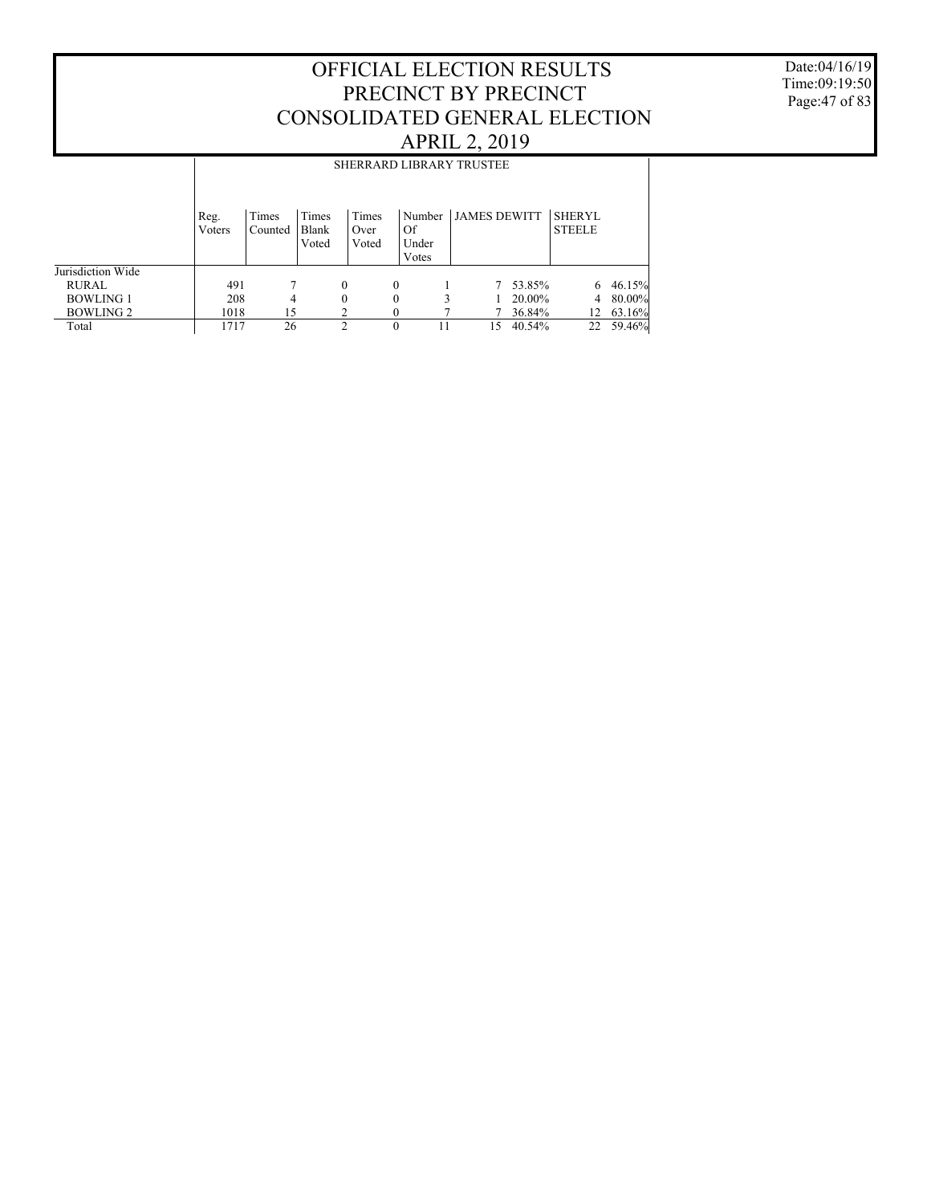Date:04/16/19 Time:09:19:50 Page:47 of 83

|                   |                | <b>SHERRARD LIBRARY TRUSTEE</b> |                         |                        |                                |                     |        |                                |        |  |  |
|-------------------|----------------|---------------------------------|-------------------------|------------------------|--------------------------------|---------------------|--------|--------------------------------|--------|--|--|
|                   | Reg.<br>Voters | Times<br>Counted                | Times<br>Blank<br>Voted | Times<br>Over<br>Voted | Number<br>Of<br>Under<br>Votes | <b>JAMES DEWITT</b> |        | <b>SHERYL</b><br><b>STEELE</b> |        |  |  |
| Jurisdiction Wide |                |                                 |                         |                        |                                |                     |        |                                |        |  |  |
| <b>RURAL</b>      | 491            |                                 |                         | 0                      | $\theta$                       | 7                   | 53.85% | 6                              | 46.15% |  |  |
| <b>BOWLING 1</b>  | 208            | 4                               |                         | 0                      | $\theta$                       |                     | 20.00% | 4                              | 80.00% |  |  |
| <b>BOWLING 2</b>  | 1018           | 15                              |                         |                        |                                |                     | 36.84% | 12                             | 63.16% |  |  |
| Total             | 1717           | 26                              |                         | $\mathfrak{D}$         | $\theta$<br>11                 | 15                  | 40.54% | 22                             | 59.46% |  |  |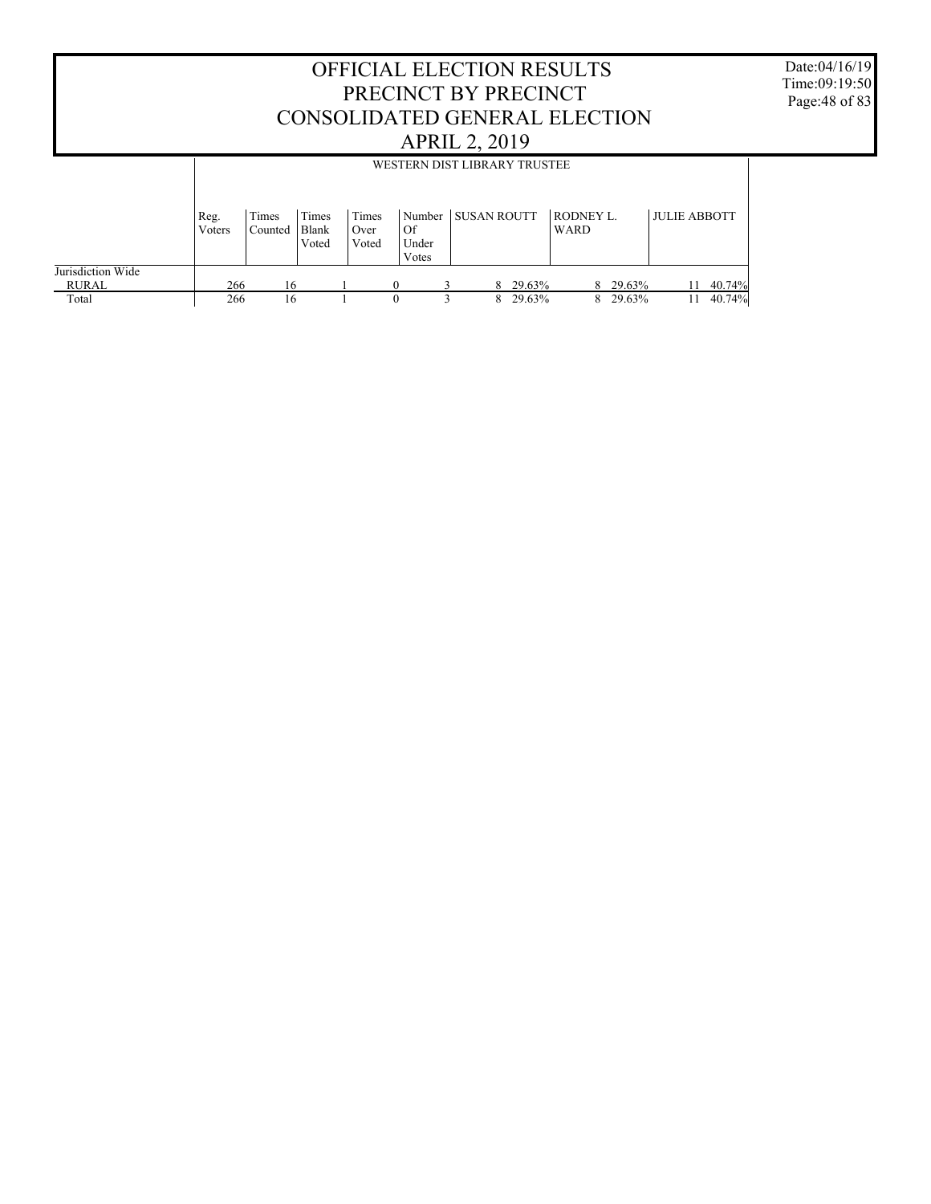|                            |                |                  |                         |                        | <b>OFFICIAL ELECTION RESULTS</b><br>PRECINCT BY PRECINCT<br>CONSOLIDATED GENERAL ELECTION | <b>APRIL 2, 2019</b> |          |                                 |          |                     |           | Date:04/16/19<br>Time:09:19:50<br>Page: 48 of 83 |
|----------------------------|----------------|------------------|-------------------------|------------------------|-------------------------------------------------------------------------------------------|----------------------|----------|---------------------------------|----------|---------------------|-----------|--------------------------------------------------|
|                            |                |                  |                         |                        | WESTERN DIST LIBRARY TRUSTEE                                                              |                      |          |                                 |          |                     |           |                                                  |
|                            | Reg.<br>Voters | Times<br>Counted | Times<br>Blank<br>Voted | Times<br>Over<br>Voted | Number<br>Of<br>Under<br>Votes                                                            | <b>SUSAN ROUTT</b>   |          | <b>RODNEY L.</b><br><b>WARD</b> |          | <b>JULIE ABBOTT</b> |           |                                                  |
| Jurisdiction Wide<br>RURAL | 266            | 16               |                         |                        | $\theta$                                                                                  | 3                    | 8 29.63% |                                 | 8 29.63% |                     | 11 40.74% |                                                  |
| Total                      | 266            | 16               |                         |                        | $\Omega$                                                                                  | $\mathbf{3}$         | 8 29.63% |                                 | 8 29.63% | 11                  | 40.74%    |                                                  |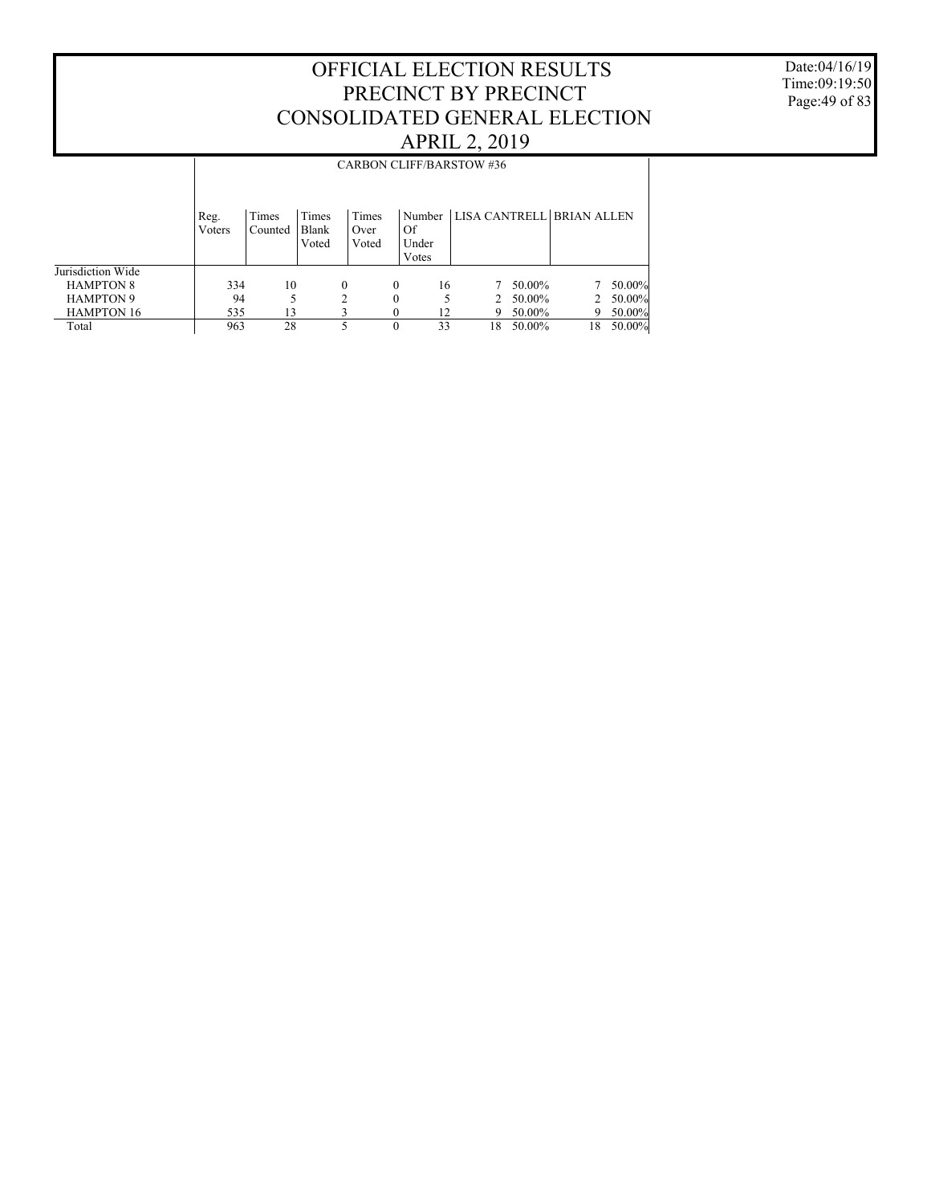Date:04/16/19 Time:09:19:50 Page:49 of 83

|                   |                | <b>CARBON CLIFF/BARSTOW #36</b> |                         |                        |                      |                                  |        |    |              |  |  |  |
|-------------------|----------------|---------------------------------|-------------------------|------------------------|----------------------|----------------------------------|--------|----|--------------|--|--|--|
|                   | Reg.<br>Voters | Times<br>Counted                | Times<br>Blank<br>Voted | Times<br>Over<br>Voted | Of<br>Under<br>Votes | Number LISA CANTRELL BRIAN ALLEN |        |    |              |  |  |  |
| Jurisdiction Wide |                |                                 |                         |                        |                      |                                  |        |    |              |  |  |  |
| <b>HAMPTON 8</b>  | 334            | 10                              |                         | $\theta$               | 16<br>$\Omega$       |                                  | 50.00% |    | $7,50.00\%$  |  |  |  |
| <b>HAMPTON 9</b>  | 94             |                                 |                         | 2                      | $\theta$             | $\mathcal{D}_{\mathcal{L}}$      | 50.00% |    | 2 $50.00\%$  |  |  |  |
| <b>HAMPTON 16</b> | 535            | 13                              |                         |                        | 12                   | 9                                | 50.00% |    | 50.00%<br>9. |  |  |  |
| Total             | 963            | 28                              |                         | 5                      | 33<br>$\theta$       | 18                               | 50.00% | 18 | 50.00%       |  |  |  |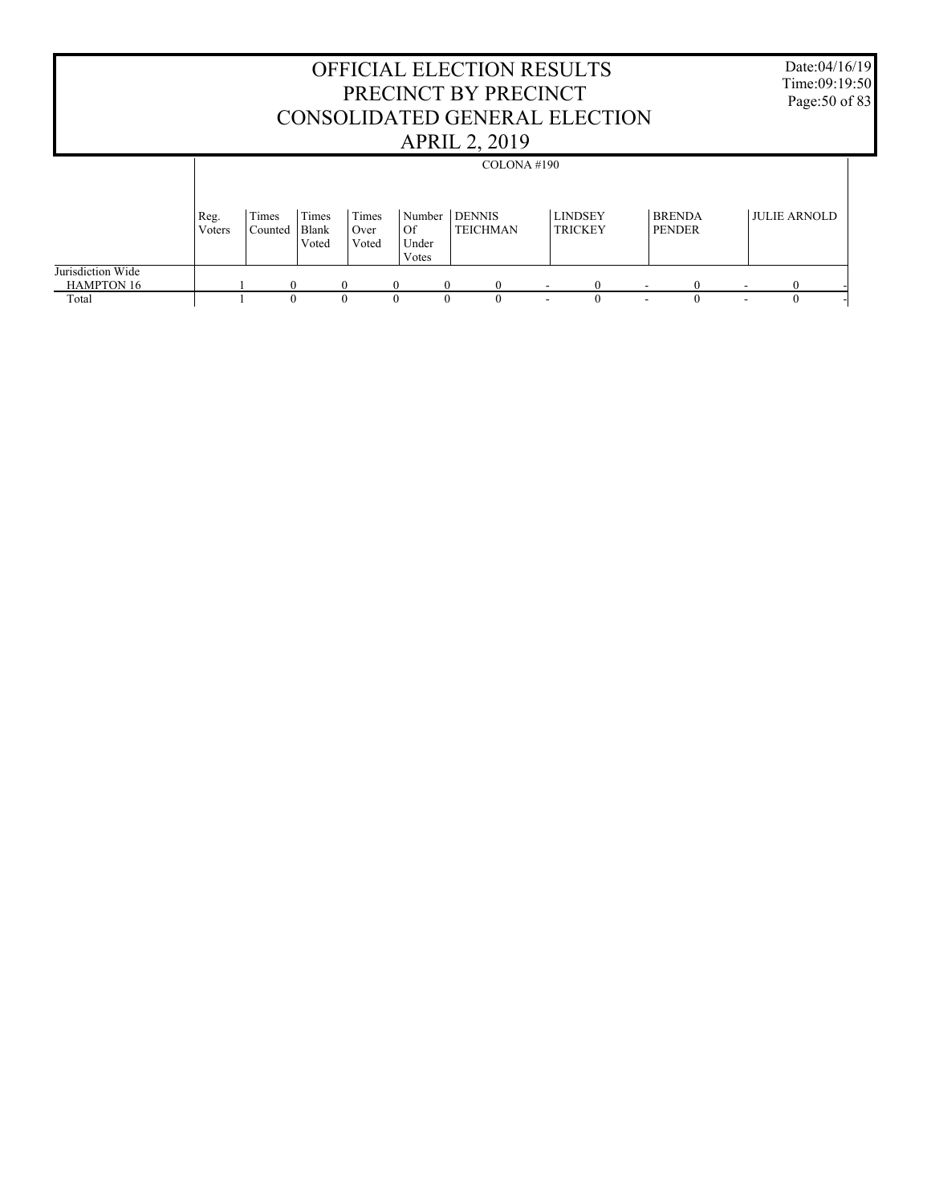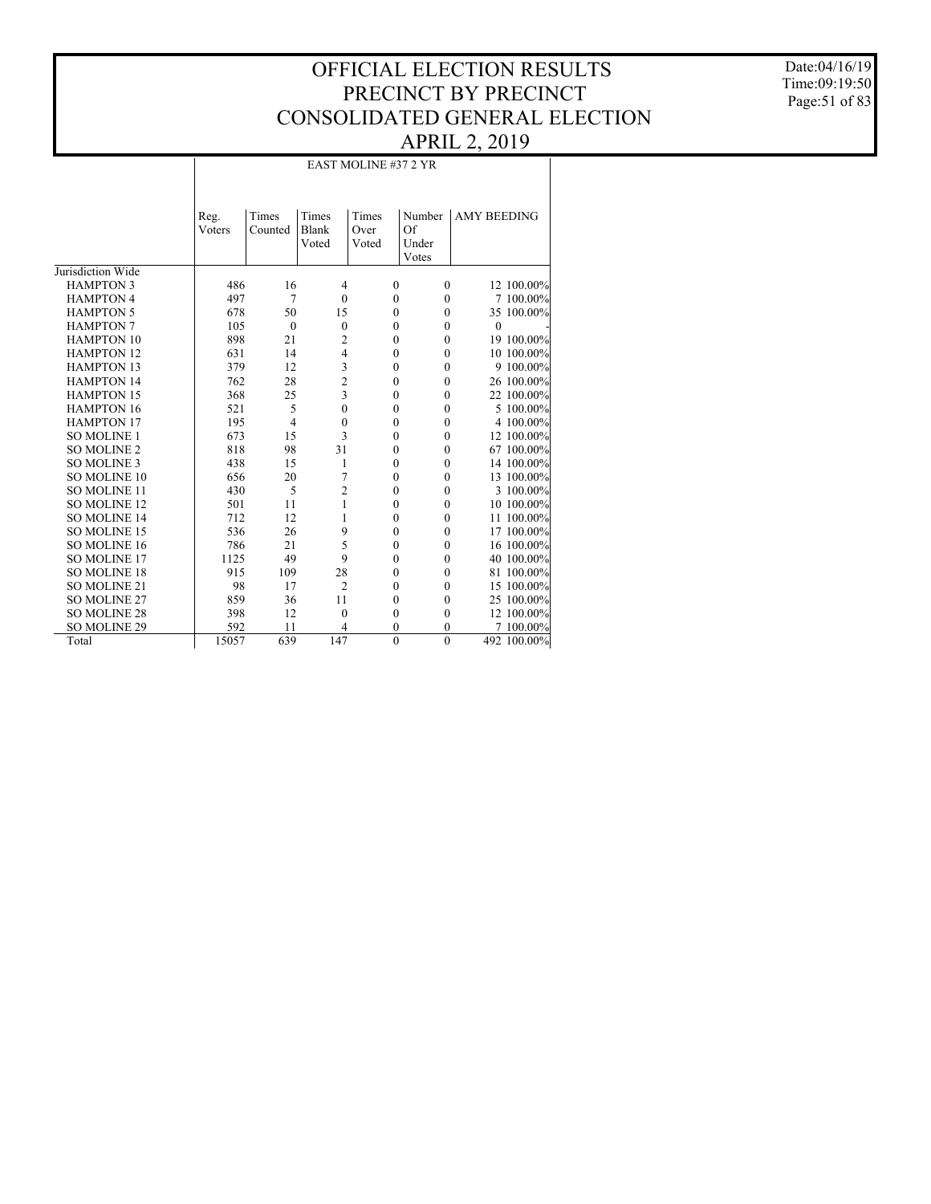Date:04/16/19 Time:09:19:50 Page:51 of 83

## EAST MOLINE #37 2 YR

|                     | Reg.   | Times          | Times          | Times            | Number       | <b>AMY BEEDING</b> |             |
|---------------------|--------|----------------|----------------|------------------|--------------|--------------------|-------------|
|                     | Voters | Counted        | Blank          | Over             | Of           |                    |             |
|                     |        |                | Voted          | Voted            | Under        |                    |             |
|                     |        |                |                |                  | Votes        |                    |             |
| Jurisdiction Wide   |        |                |                |                  |              |                    |             |
| <b>HAMPTON 3</b>    | 486    | 16             | $\overline{4}$ | $\mathbf{0}$     | $\mathbf{0}$ |                    | 12 100.00%  |
| <b>HAMPTON 4</b>    | 497    | 7              | $\mathbf{0}$   | $\mathbf{0}$     | $\mathbf{0}$ |                    | 7 100.00%   |
| <b>HAMPTON 5</b>    | 678    | 50             | 15             | $\theta$         | $\mathbf{0}$ |                    | 35 100.00%  |
| <b>HAMPTON 7</b>    | 105    | $\mathbf{0}$   | $\mathbf{0}$   | $\mathbf{0}$     | $\mathbf{0}$ | $\mathbf{0}$       |             |
| <b>HAMPTON 10</b>   | 898    | 21             | $\overline{c}$ | $\boldsymbol{0}$ | $\mathbf{0}$ |                    | 19 100.00%  |
| <b>HAMPTON 12</b>   | 631    | 14             | $\overline{4}$ | $\mathbf{0}$     | $\mathbf{0}$ |                    | 10 100.00%  |
| <b>HAMPTON 13</b>   | 379    | 12             | 3              | $\mathbf{0}$     | $\mathbf{0}$ |                    | 9 100.00%   |
| <b>HAMPTON 14</b>   | 762    | 28             | $\overline{c}$ | $\mathbf{0}$     | $\mathbf{0}$ |                    | 26 100.00%  |
| <b>HAMPTON 15</b>   | 368    | 25             | 3              | $\mathbf{0}$     | $\mathbf{0}$ |                    | 22 100.00%  |
| <b>HAMPTON 16</b>   | 521    | 5              | $\mathbf{0}$   | $\mathbf{0}$     | $\mathbf{0}$ |                    | 5 100.00%   |
| <b>HAMPTON 17</b>   | 195    | $\overline{4}$ | $\mathbf{0}$   | $\mathbf{0}$     | $\mathbf{0}$ |                    | 4 100.00%   |
| <b>SO MOLINE 1</b>  | 673    | 15             | 3              | $\mathbf{0}$     | $\mathbf{0}$ |                    | 12 100.00%  |
| <b>SO MOLINE 2</b>  | 818    | 98             | 31             | $\mathbf{0}$     | $\mathbf{0}$ |                    | 67 100.00%  |
| <b>SO MOLINE 3</b>  | 438    | 15             | 1              | $\mathbf{0}$     | $\mathbf{0}$ |                    | 14 100.00%  |
| <b>SO MOLINE 10</b> | 656    | 20             | 7              | $\mathbf{0}$     | $\mathbf{0}$ |                    | 13 100.00%  |
| <b>SO MOLINE 11</b> | 430    | 5              | $\overline{2}$ | $\mathbf{0}$     | $\mathbf{0}$ |                    | 3 100.00%   |
| <b>SO MOLINE 12</b> | 501    | 11             | 1              | $\mathbf{0}$     | $\mathbf{0}$ |                    | 10 100.00%  |
| SO MOLINE 14        | 712    | 12             | 1              | $\mathbf{0}$     | $\mathbf{0}$ |                    | 11 100.00%  |
| <b>SO MOLINE 15</b> | 536    | 26             | 9              | $\mathbf{0}$     | $\mathbf{0}$ |                    | 17 100.00%  |
| <b>SO MOLINE 16</b> | 786    | 21             | 5              | $\mathbf{0}$     | $\mathbf{0}$ |                    | 16 100.00%  |
| SO MOLINE 17        | 1125   | 49             | 9              | $\mathbf{0}$     | $\mathbf{0}$ |                    | 40 100.00%  |
| SO MOLINE 18        | 915    | 109            | 28             | $\mathbf{0}$     | $\mathbf{0}$ |                    | 81 100.00%  |
| SO MOLINE 21        | 98     | 17             | $\overline{2}$ | $\mathbf{0}$     | $\mathbf{0}$ |                    | 15 100.00%  |
| SO MOLINE 27        | 859    | 36             | 11             | $\mathbf{0}$     | $\mathbf{0}$ |                    | 25 100.00%  |
| <b>SO MOLINE 28</b> | 398    | 12             | $\mathbf{0}$   | $\mathbf{0}$     | $\mathbf{0}$ |                    | 12 100.00%  |
| SO MOLINE 29        | 592    | 11             | 4              | $\mathbf{0}$     | $\mathbf{0}$ |                    | 7 100.00%   |
| Total               | 15057  | 639            | 147            | $\theta$         | $\theta$     |                    | 492 100.00% |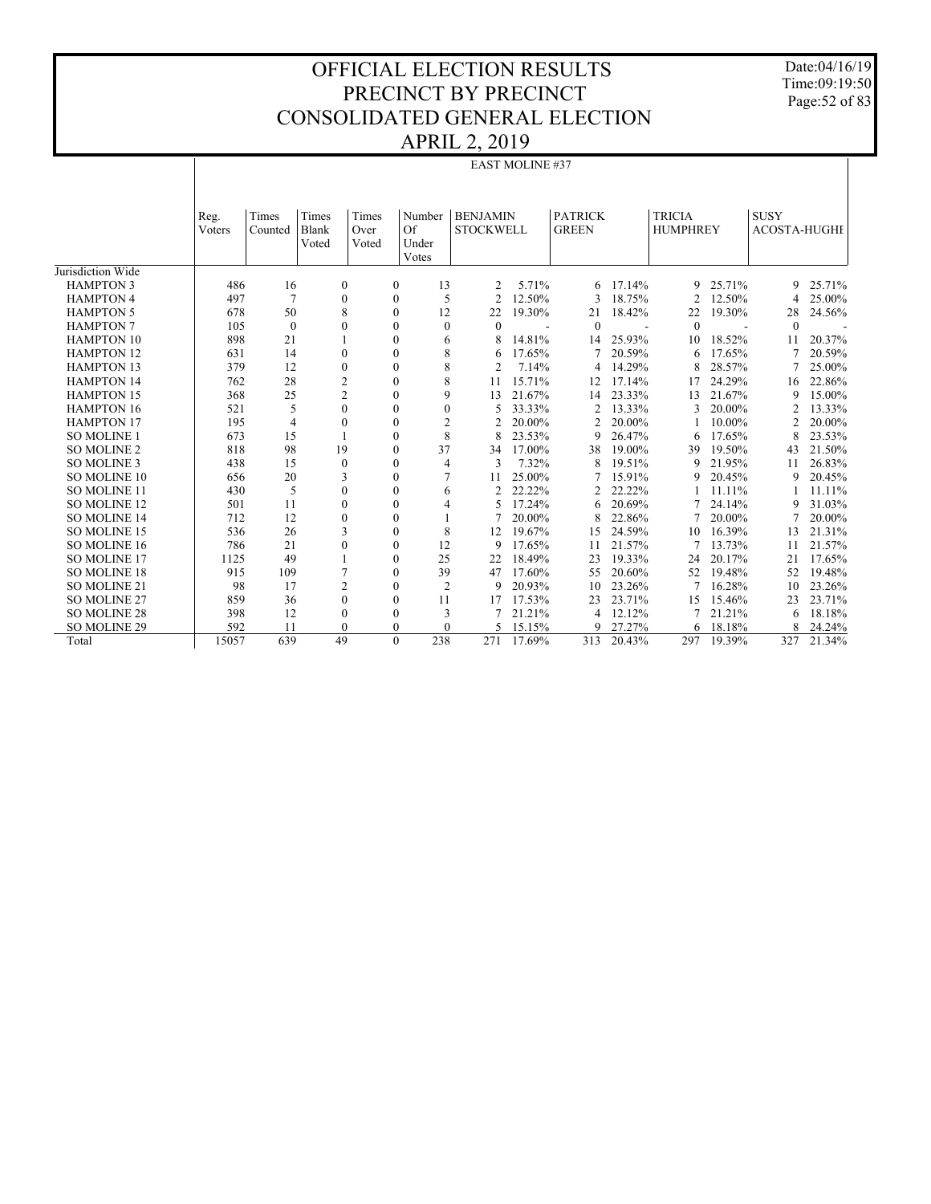Date:04/16/19 Time:09:19:50 Page:52 of 83

|                     | EAST MOLINE #37 |                  |                                |                        |                       |                                     |        |                                |            |                                  |        |                                    |        |
|---------------------|-----------------|------------------|--------------------------------|------------------------|-----------------------|-------------------------------------|--------|--------------------------------|------------|----------------------------------|--------|------------------------------------|--------|
|                     |                 |                  |                                |                        |                       |                                     |        |                                |            |                                  |        |                                    |        |
|                     | Reg.<br>Voters  | Times<br>Counted | Times<br><b>Blank</b><br>Voted | Times<br>Over<br>Voted | Number<br>Of<br>Under | <b>BENJAMIN</b><br><b>STOCKWELL</b> |        | <b>PATRICK</b><br><b>GREEN</b> |            | <b>TRICIA</b><br><b>HUMPHREY</b> |        | <b>SUSY</b><br><b>ACOSTA-HUGHE</b> |        |
|                     |                 |                  |                                |                        | Votes                 |                                     |        |                                |            |                                  |        |                                    |        |
| Jurisdiction Wide   |                 |                  |                                |                        |                       |                                     |        |                                |            |                                  |        |                                    |        |
| <b>HAMPTON 3</b>    | 486             | 16               | $\mathbf{0}$                   | $\mathbf{0}$           | 13                    | 2                                   | 5.71%  | 6                              | 17.14%     | 9                                | 25.71% | 9                                  | 25.71% |
| <b>HAMPTON 4</b>    | 497             | 7                | $\mathbf{0}$                   | $\mathbf{0}$           | 5                     | $\overline{2}$                      | 12.50% | 3                              | 18.75%     | $\overline{2}$                   | 12.50% | 4                                  | 25.00% |
| <b>HAMPTON 5</b>    | 678             | 50               | 8                              | $\mathbf{0}$           | 12                    | 22                                  | 19.30% | 21                             | 18.42%     | 22                               | 19.30% | 28                                 | 24.56% |
| <b>HAMPTON 7</b>    | 105             | $\mathbf{0}$     | $\mathbf{0}$                   | $\mathbf{0}$           | $\mathbf{0}$          | $\theta$                            |        | $\mathbf{0}$                   |            | $\mathbf{0}$                     |        | $\mathbf{0}$                       |        |
| <b>HAMPTON 10</b>   | 898             | 21               |                                | $\boldsymbol{0}$       | 6                     |                                     | 14.81% | 14                             | 25.93%     | 10                               | 18.52% | 11                                 | 20.37% |
| <b>HAMPTON 12</b>   | 631             | 14               | $\boldsymbol{0}$               | $\mathbf{0}$           | 8                     |                                     | 17.65% | 7                              | 20.59%     | 6                                | 17.65% |                                    | 20.59% |
| <b>HAMPTON 13</b>   | 379             | 12               | $\mathbf{0}$                   | $\mathbf{0}$           | 8                     |                                     | 7.14%  | 4                              | 14.29%     |                                  | 28.57% |                                    | 25.00% |
| <b>HAMPTON 14</b>   | 762             | 28               | $\overline{\mathbf{c}}$        | $\mathbf{0}$           | 8                     | 11                                  | 15.71% | 12                             | 17.14%     | 17                               | 24.29% | 16                                 | 22.86% |
| <b>HAMPTON 15</b>   | 368             | 25               | $\overline{c}$                 | $\mathbf{0}$           | 9                     | 13                                  | 21.67% | 14                             | 23.33%     | 13                               | 21.67% | 9                                  | 15.00% |
| <b>HAMPTON 16</b>   | 521             | 5                | $\theta$                       | $\mathbf{0}$           | $\mathbf{0}$          | 5                                   | 33.33% | 2                              | 13.33%     | 3                                | 20.00% | 2                                  | 13.33% |
| <b>HAMPTON 17</b>   | 195             | $\overline{4}$   | $\theta$                       | $\mathbf{0}$           | $\mathfrak{2}$        | 2                                   | 20.00% | 2                              | 20.00%     |                                  | 10.00% | 2                                  | 20.00% |
| <b>SO MOLINE 1</b>  | 673             | 15               |                                | $\mathbf{0}$           | 8                     |                                     | 23.53% | 9                              | 26.47%     | 6                                | 17.65% | 8                                  | 23.53% |
| SO MOLINE 2         | 818             | 98               | 19                             | $\mathbf{0}$           | 37                    | 34                                  | 17.00% | 38                             | 19.00%     | 39                               | 19.50% | 43                                 | 21.50% |
| <b>SO MOLINE 3</b>  | 438             | 15               | $\mathbf{0}$                   | $\mathbf{0}$           | $\overline{4}$        | 3                                   | 7.32%  | 8                              | 19.51%     | 9                                | 21.95% | 11                                 | 26.83% |
| SO MOLINE 10        | 656             | 20               | 3                              | $\Omega$               | $\overline{7}$        | 11                                  | 25.00% | 7                              | 15.91%     | 9                                | 20.45% | 9                                  | 20.45% |
| SO MOLINE 11        | 430             | 5                | $\overline{0}$                 | $\Omega$               | 6                     | 2                                   | 22.22% | 2                              | 22.22%     |                                  | 11.11% |                                    | 11.11% |
| SO MOLINE 12        | 501             | 11               | $\theta$                       | $\Omega$               | $\overline{4}$        | 5                                   | 17.24% | 6                              | 20.69%     | 7                                | 24.14% | 9                                  | 31.03% |
| <b>SO MOLINE 14</b> | 712             | 12               | $\mathbf{0}$                   | $\mathbf{0}$           |                       |                                     | 20.00% | 8                              | 22.86%     | 7                                | 20.00% | $\overline{7}$                     | 20.00% |
| SO MOLINE 15        | 536             | 26               | 3                              | $\mathbf{0}$           | 8                     | 12                                  | 19.67% | 15                             | 24.59%     | 10                               | 16.39% | 13                                 | 21.31% |
| SO MOLINE 16        | 786             | 21               | $\mathbf{0}$                   | $\mathbf{0}$           | 12                    | 9                                   | 17.65% | 11                             | 21.57%     | 7                                | 13.73% | 11                                 | 21.57% |
| SO MOLINE 17        | 1125            | 49               | $\mathbf{1}$                   | $\mathbf{0}$           | 25                    | 22                                  | 18.49% | 23                             | 19.33%     | 24                               | 20.17% | 21                                 | 17.65% |
| <b>SO MOLINE 18</b> | 915             | 109              | $\overline{7}$                 | $\mathbf{0}$           | 39                    | 47                                  | 17.60% | 55                             | 20.60%     | 52                               | 19.48% | 52                                 | 19.48% |
| SO MOLINE 21        | 98              | 17               | $\overline{c}$                 | $\mathbf{0}$           | $\overline{2}$        | 9                                   | 20.93% | 10                             | 23.26%     |                                  | 16.28% | 10                                 | 23.26% |
| SO MOLINE 27        | 859             | 36               | $\overline{0}$                 | $\mathbf{0}$           | 11                    | 17                                  | 17.53% | 23                             | 23.71%     | 15                               | 15.46% | 23                                 | 23.71% |
| <b>SO MOLINE 28</b> | 398             | 12               | $\mathbf{0}$                   | $\boldsymbol{0}$       | 3                     |                                     | 21.21% | 4                              | 12.12%     |                                  | 21.21% | 6                                  | 18.18% |
| <b>SO MOLINE 29</b> | 592             | 11               | $\theta$                       | $\mathbf{0}$           | $\theta$              | 5                                   | 15.15% | 9                              | 27.27%     | 6                                | 18.18% | 8                                  | 24.24% |
| Total               | 15057           | 639              | 49                             | $\theta$               | 238                   | 271                                 | 17.69% |                                | 313 20.43% | 297                              | 19.39% | 327                                | 21.34% |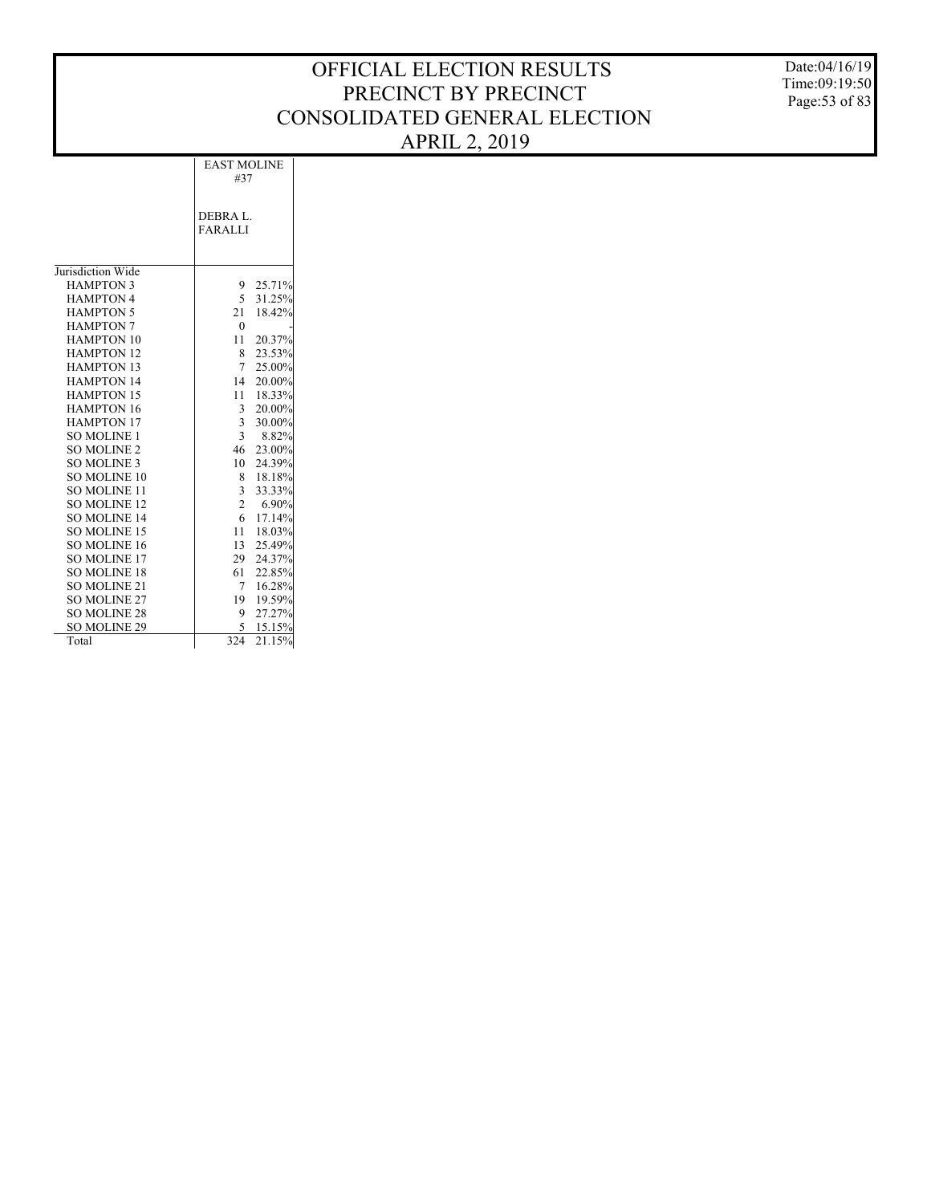Date:04/16/19 Time:09:19:50 Page:53 of 83

|                     | <b>EAST MOLINE</b> |        |
|---------------------|--------------------|--------|
|                     | #37                |        |
|                     | DEBRA L.           |        |
|                     | <b>FARALLI</b>     |        |
|                     |                    |        |
|                     |                    |        |
| Jurisdiction Wide   |                    |        |
| <b>HAMPTON 3</b>    | 9                  | 25.71% |
| <b>HAMPTON 4</b>    | 5                  | 31.25% |
| <b>HAMPTON 5</b>    | 21                 | 18.42% |
| <b>HAMPTON 7</b>    | $\theta$           |        |
| <b>HAMPTON 10</b>   | 11                 | 20.37% |
| <b>HAMPTON 12</b>   | 8                  | 23.53% |
| <b>HAMPTON 13</b>   | 7                  | 25.00% |
| <b>HAMPTON 14</b>   | 14                 | 20.00% |
| <b>HAMPTON 15</b>   | 11                 | 18.33% |
| <b>HAMPTON 16</b>   | $\overline{3}$     | 20.00% |
| <b>HAMPTON 17</b>   | $\overline{3}$     | 30.00% |
| <b>SO MOLINE 1</b>  | $\overline{3}$     | 8.82%  |
| <b>SO MOLINE 2</b>  | 46                 | 23.00% |
| <b>SO MOLINE 3</b>  | 10                 | 24.39% |
| <b>SO MOLINE 10</b> | 8                  | 18.18% |
| <b>SO MOLINE 11</b> | $\overline{3}$     | 33.33% |
| <b>SO MOLINE 12</b> | $\overline{c}$     | 6.90%  |
| <b>SO MOLINE 14</b> | 6                  | 17.14% |
| SO MOLINE 15        | 11                 | 18.03% |
| SO MOLINE 16        | 13                 | 25.49% |
| <b>SO MOLINE 17</b> | 29                 | 24.37% |
| <b>SO MOLINE 18</b> | 61                 | 22.85% |
| <b>SO MOLINE 21</b> | 7                  | 16.28% |
| <b>SO MOLINE 27</b> | 19                 | 19.59% |
| <b>SO MOLINE 28</b> | 9                  | 27.27% |
| <b>SO MOLINE 29</b> | 5                  | 15.15% |
| Total               | 324                | 21.15% |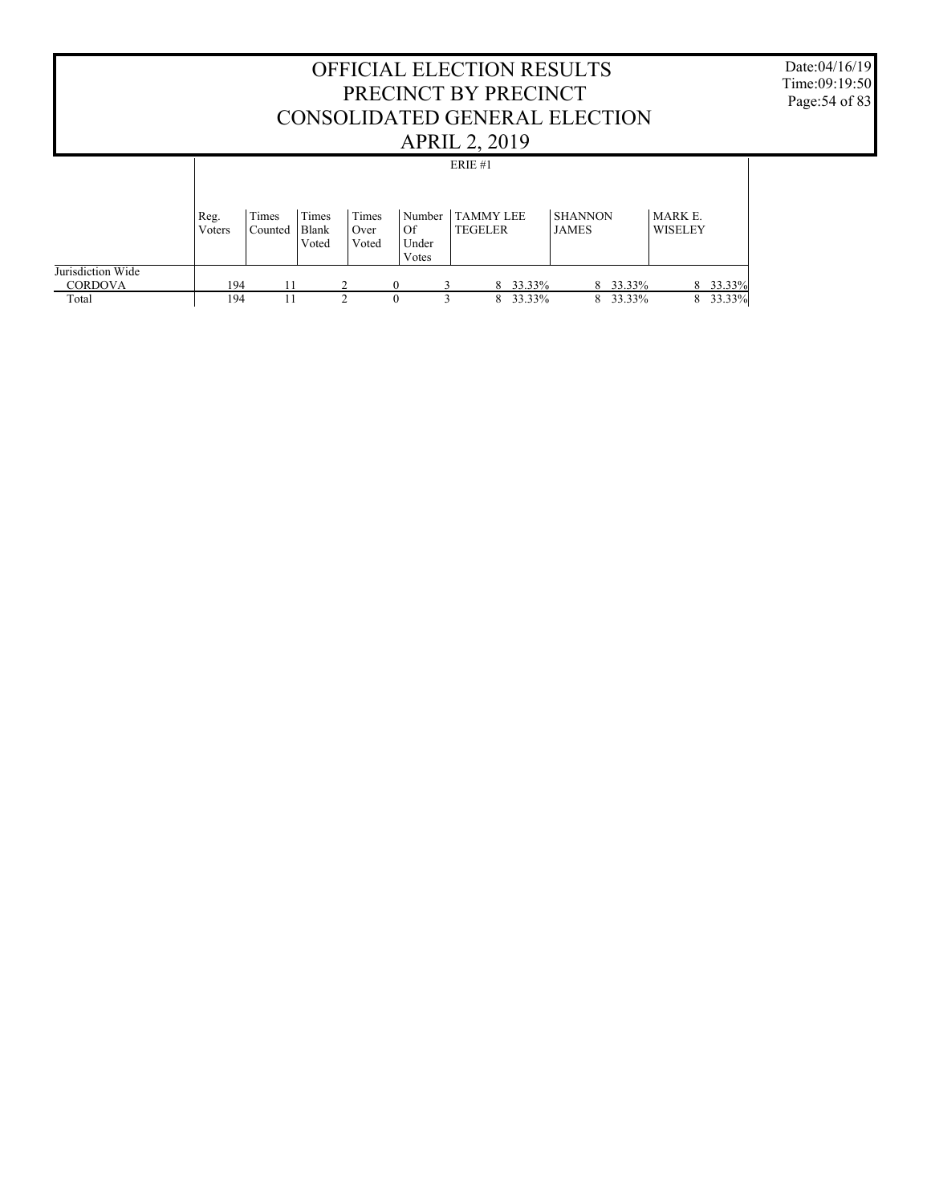#### OFFICIAL ELECTION RESULTS PRECINCT BY PRECINCT CONSOLIDATED GENERAL ELECTION APRIL 2, 2019 Date:04/16/19 Time:09:19:50 Page:54 of 83 Jurisdiction Wide **CORDOVA**  Total Reg. Voters Times Counted Times Blank Voted Times Over Voted Number TAMMY LEE Of Under Votes TEGELER SHANNON JAMES MARK E. WISELEY ERIE #1 194 11 2 0 3 8 33.33% 8 33.33% 8 33.33%<br>194 11 2 0 3 8 33.33% 8 33.33% 8 33.33% 8 33.33%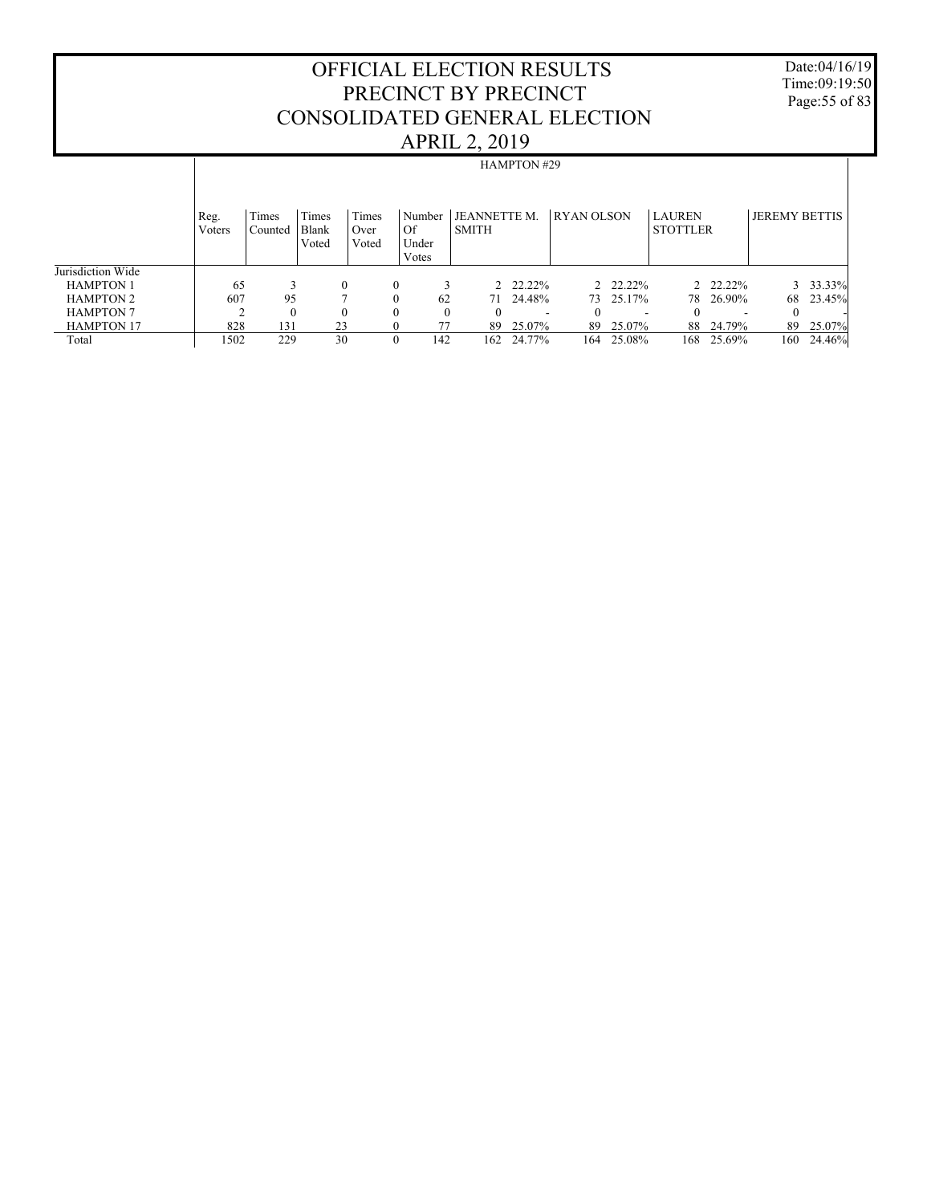Date:04/16/19 Time:09:19:50 Page:55 of 83

|                   |                |                  |                         |                        |                                  |                                     | <b>HAMPTON #29</b>       |                   |                          |                                  |           |                      |          |
|-------------------|----------------|------------------|-------------------------|------------------------|----------------------------------|-------------------------------------|--------------------------|-------------------|--------------------------|----------------------------------|-----------|----------------------|----------|
|                   | Reg.<br>Voters | Times<br>Counted | Times<br>Blank<br>Voted | Times<br>Over<br>Voted | Number<br>  Of<br>Under<br>Votes | <b>JEANNETTE M.</b><br><b>SMITH</b> |                          | <b>RYAN OLSON</b> |                          | <b>LAUREN</b><br><b>STOTTLER</b> |           | <b>JEREMY BETTIS</b> |          |
| Jurisdiction Wide |                |                  |                         |                        |                                  |                                     |                          |                   |                          |                                  |           |                      |          |
| <b>HAMPTON 1</b>  | 65             | 3                | $\theta$                | $\mathbf{0}$           |                                  |                                     | 2 22.22%                 |                   | 2 22.22%                 |                                  | 2 22.22%  |                      | 3 33.33% |
| <b>HAMPTON 2</b>  | 607            | 95               |                         | $\Omega$               | 62                               |                                     | 71 24.48%                |                   | 73 25.17%                |                                  | 78 26.90% | 68                   | 23.45%   |
| <b>HAMPTON 7</b>  |                | $\mathbf{0}$     |                         | $\Omega$               | $\theta$                         | $\theta$                            | $\overline{\phantom{a}}$ |                   | $\overline{\phantom{a}}$ | $\Omega$                         |           | $\Omega$             |          |
| <b>HAMPTON 17</b> | 828            | 131              | 23                      | $\Omega$               | 77                               | 89                                  | 25.07%                   | 89                | 25.07%                   |                                  | 88 24.79% | 89                   | 25.07%   |
| Total             | 1502           | 229              | 30                      | $\mathbf{0}$           | 142                              | 162                                 | 24.77%                   | 164               | 25.08%                   | 168                              | 25.69%    | 160                  | 24.46%   |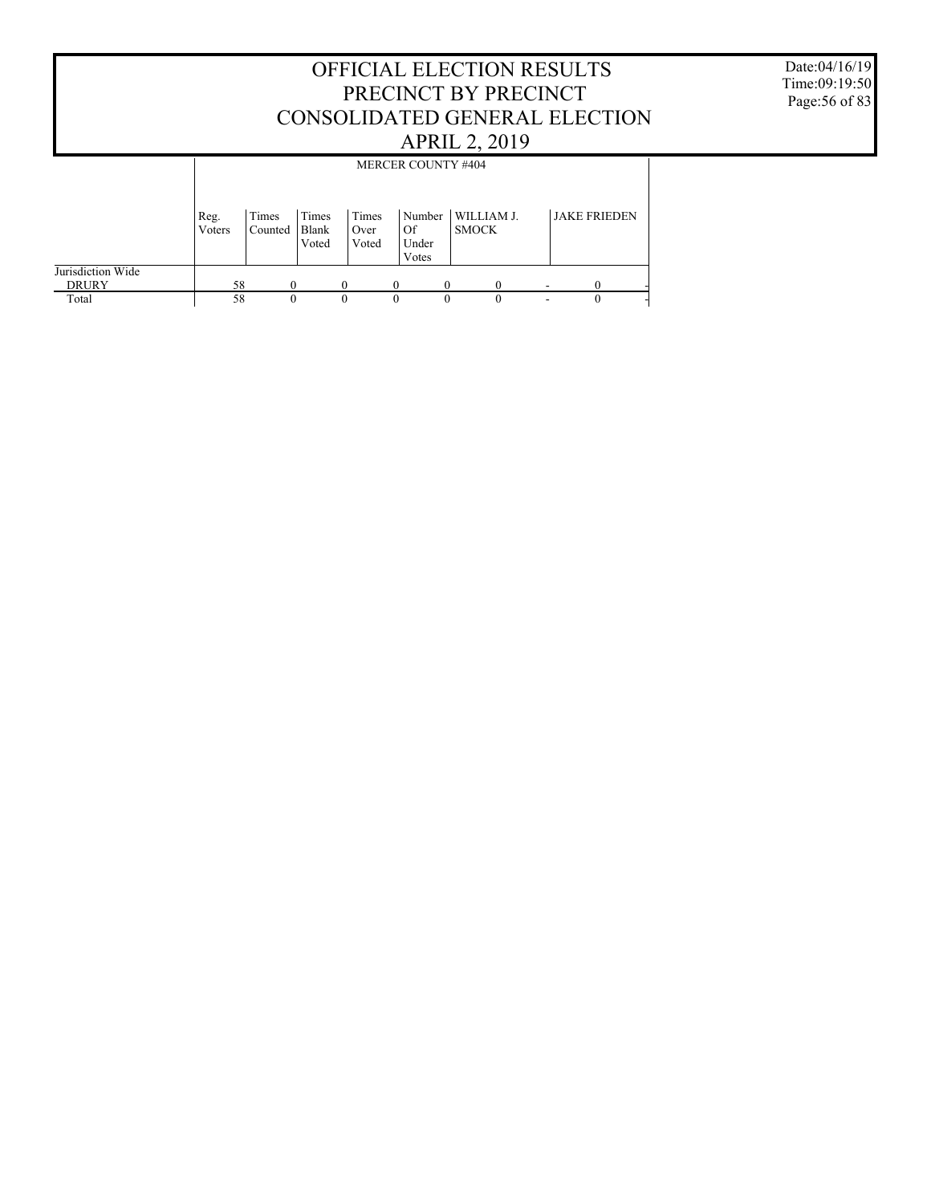|                                   |                        |                  |                         |                        |                    |                 | <b>OFFICIAL ELECTION RESULTS</b><br>PRECINCT BY PRECINCT<br>CONSOLIDATED GENERAL ELECTION |                     |
|-----------------------------------|------------------------|------------------|-------------------------|------------------------|--------------------|-----------------|-------------------------------------------------------------------------------------------|---------------------|
|                                   |                        |                  |                         |                        |                    |                 | <b>APRIL 2, 2019</b>                                                                      |                     |
|                                   |                        |                  |                         |                        | MERCER COUNTY #404 |                 |                                                                                           |                     |
|                                   | Reg.<br><b>V</b> oters | Times<br>Counted | Times<br>Blank<br>Voted | Times<br>Over<br>Voted | Of<br>Votes        | Number<br>Under | WILLIAM J.<br><b>SMOCK</b>                                                                | <b>JAKE FRIEDEN</b> |
| Jurisdiction Wide<br><b>DRURY</b> | 58                     | $\theta$         |                         | $\Omega$               | $\mathbf{0}$       | $\Omega$        | 0                                                                                         | $\Omega$            |
| Total                             | 58                     | $\Omega$         |                         | $\theta$               | $\Omega$           | $\Omega$        | $\Omega$                                                                                  | $\Omega$            |

Date:04/16/19 Time:09:19:50 Page:56 of 83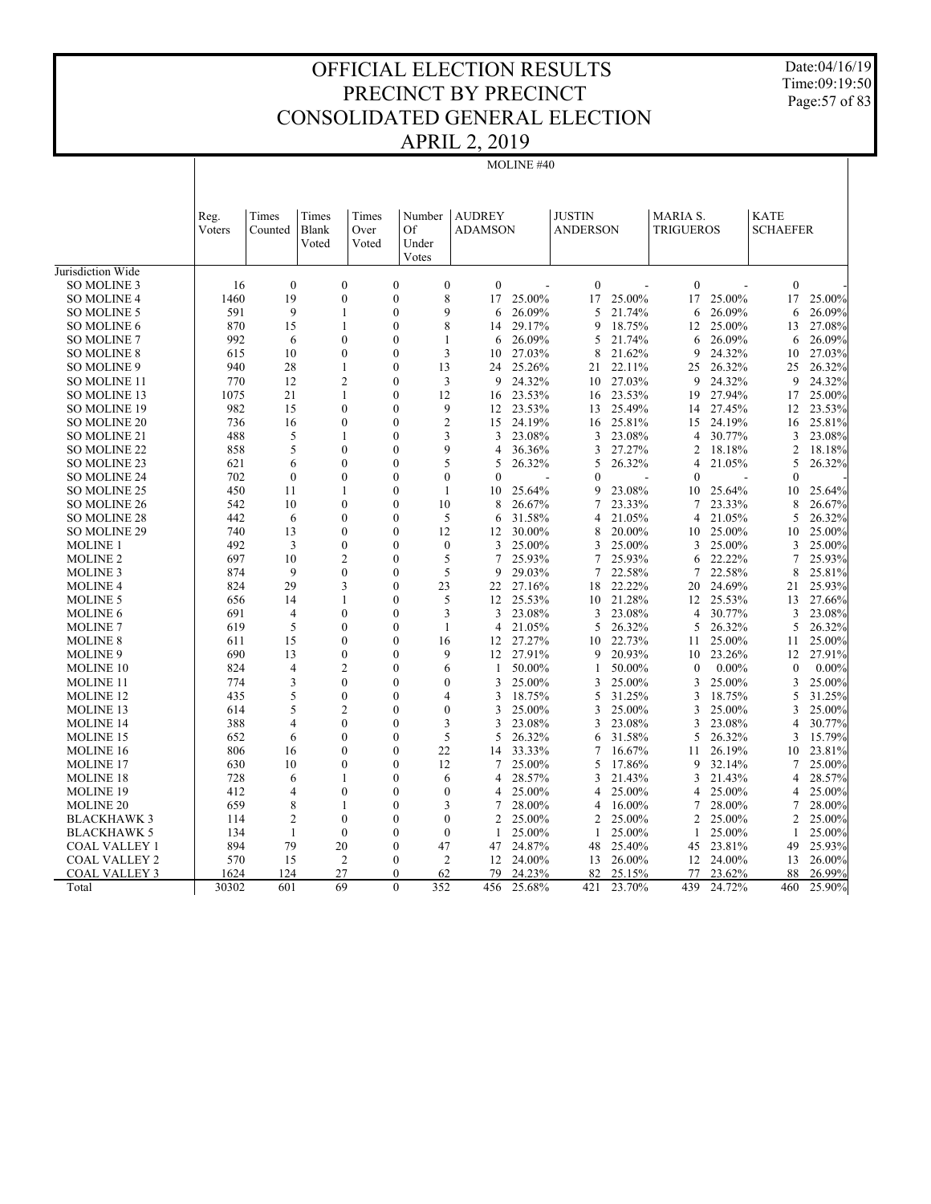Date:04/16/19 Time:09:19:50 Page:57 of 83

| <b>AUDREY</b><br><b>JUSTIN</b><br><b>KATE</b><br>Times<br><b>MARIA S.</b><br>Times<br>Times<br>Number<br>Reg.<br>Voters<br>Counted<br>Blank<br>Over<br>Of<br><b>ADAMSON</b><br><b>ANDERSON</b><br><b>TRIGUEROS</b><br><b>SCHAEFER</b><br>Voted<br>Voted<br>Under<br>Votes<br>Jurisdiction Wide<br>$\boldsymbol{0}$<br>$\overline{0}$<br>$\overline{0}$<br>$\overline{0}$<br>$\overline{0}$<br>$\overline{0}$<br>SO MOLINE 3<br>$\mathbf{0}$<br>$\mathbf{0}$<br>16<br>19<br>$\mathbf{0}$<br>8<br>17<br>17<br>25.00%<br>17<br><b>SO MOLINE 4</b><br>1460<br>$\boldsymbol{0}$<br>17<br>25.00%<br>25.00%<br>25.00%<br>9<br>9<br>26.09%<br>591<br>26.09%<br>5<br>21.74%<br>26.09%<br>SO MOLINE 5<br>1<br>$\theta$<br>6<br>6<br>6<br>8<br>870<br>15<br>$\mathbf{1}$<br>$\mathbf{0}$<br>29.17%<br>9<br>18.75%<br>25.00%<br>27.08%<br><b>SO MOLINE 6</b><br>12<br>13<br>14<br>992<br>$\mathbf{0}$<br>26.09%<br>21.74%<br>26.09%<br><b>SO MOLINE 7</b><br>6<br>0<br>1<br>5<br>6<br>26.09%<br>6<br>6<br>615<br>$\overline{0}$<br>3<br>27.03%<br>21.62%<br>24.32%<br>27.03%<br><b>SO MOLINE 8</b><br>10<br>$\overline{0}$<br>8<br>9<br>10<br>10<br>SO MOLINE 9<br>940<br>28<br>$\mathbf{1}$<br>$\overline{0}$<br>13<br>25.26%<br>22.11%<br>25<br>26.32%<br>25<br>26.32%<br>24<br>21<br>12<br>$\overline{2}$<br>770<br>$\theta$<br>3<br>9<br>24.32%<br>27.03%<br>9<br>24.32%<br>9<br>24.32%<br><b>SO MOLINE 11</b><br>10<br>1075<br>21<br>12<br>23.53%<br>23.53%<br>27.94%<br>25.00%<br>SO MOLINE 13<br>1<br>0<br>19<br>17<br>16<br>16<br>982<br>15<br>$\theta$<br>9<br>12 23.53%<br>25.49%<br>27.45%<br><b>SO MOLINE 19</b><br>$\theta$<br>12<br>23.53%<br>13<br>14<br>736<br>$\overline{c}$<br>24.19%<br>24.19%<br>SO MOLINE 20<br>16<br>$\theta$<br>$\theta$<br>15<br>25.81%<br>25.81%<br>16<br>15<br>16<br>3<br>488<br>5<br>23.08%<br>23.08%<br>30.77%<br>3<br>SO MOLINE 21<br>1<br>$\mathbf{0}$<br>3<br>3<br>4<br>23.08%<br>9<br>858<br>5<br>$\overline{0}$<br>$\theta$<br>36.36%<br>3<br>27.27%<br>18.18%<br>$\overline{c}$<br>18.18%<br><b>SO MOLINE 22</b><br>4<br>2<br>5<br>$\mathbf{0}$<br>26.32%<br>SO MOLINE 23<br>621<br>6<br>$\mathbf{0}$<br>5<br>26.32%<br>5<br>4<br>21.05%<br>5<br>26.32%<br>702<br>$\mathbf{0}$<br>$\overline{0}$<br>$\overline{0}$<br>$\overline{0}$<br>$\mathbf{0}$<br>$\overline{0}$<br>SO MOLINE 24<br>$\overline{0}$<br>$\mathbf{0}$<br>SO MOLINE 25<br>450<br>11<br>$\mathbf{1}$<br>$\overline{0}$<br>$\mathbf{1}$<br>10<br>25.64%<br>9<br>23.08%<br>25.64%<br>10<br>25.64%<br>10<br>10<br>23.33%<br>8<br>542<br>10<br>$\mathbf{0}$<br>$\theta$<br>8<br>26.67%<br>7<br>23.33%<br>26.67%<br><b>SO MOLINE 26</b><br>7<br>21.05%<br><b>SO MOLINE 28</b><br>442<br>$\mathbf{0}$<br>5<br>31.58%<br>21.05%<br>5<br>26.32%<br>6<br>0<br>6<br>$\overline{4}$<br>4<br>SO MOLINE 29<br>740<br>$\mathbf{0}$<br>12<br>25.00%<br>25.00%<br>13<br>$\theta$<br>30.00%<br>8<br>20.00%<br>12<br>10<br>10<br>492<br><b>MOLINE 1</b><br>3<br>$\theta$<br>$\theta$<br>$\mathbf{0}$<br>3<br>25.00%<br>3<br>25.00%<br>3<br>25.00%<br>3<br>25.00%<br>$\overline{2}$<br>5<br>697<br>10<br>7<br>25.93%<br>7<br>25.93%<br>22.22%<br>7<br>25.93%<br><b>MOLINE 2</b><br>$\Omega$<br>6<br>5<br>22.58%<br>874<br>9<br>$\mathbf{0}$<br>$\theta$<br>9<br>29.03%<br>7<br>22.58%<br>8<br>25.81%<br><b>MOLINE 3</b><br>7<br>24.69%<br>824<br>29<br>3<br>23<br>27.16%<br>22.22%<br>25.93%<br><b>MOLINE 4</b><br>0<br>22<br>18<br>20<br>21<br>656<br>5<br>25.53%<br>21.28%<br>25.53%<br>27.66%<br><b>MOLINE 5</b><br>14<br>$\mathbf{1}$<br>$\overline{0}$<br>12<br>10<br>12<br>13<br>3<br>691<br>$\overline{4}$<br>$\mathbf{0}$<br>$\mathbf{0}$<br>3<br>23.08%<br>3<br>23.08%<br>$\overline{4}$<br>30.77%<br>3<br>23.08%<br><b>MOLINE 6</b><br>5<br>5<br>619<br>$\theta$<br>$\theta$<br>$\mathbf{1}$<br>21.05%<br>5<br>26.32%<br>5<br>26.32%<br>26.32%<br><b>MOLINE 7</b><br>4<br>611<br>15<br>$\mathbf{0}$<br>27.27%<br>22.73%<br>25.00%<br>25.00%<br><b>MOLINE 8</b><br>0<br>16<br>12<br>10<br>11<br>11<br>12 27.91%<br>690<br>$\mathbf{0}$<br>9<br>20.93%<br>23.26%<br>27.91%<br><b>MOLINE 9</b><br>13<br>$\theta$<br>9<br>10<br>12<br>824<br>$\overline{c}$<br>50.00%<br>MOLINE 10<br>$\overline{4}$<br>$\theta$<br>6<br>50.00%<br>$\theta$<br>$0.00\%$<br>$\boldsymbol{0}$<br>$0.00\%$<br>1<br>$\mathbf{1}$<br>774<br>3<br>$\theta$<br>$\mathbf{0}$<br>25.00%<br>25.00%<br>25.00%<br>3<br><b>MOLINE 11</b><br>$\mathbf{0}$<br>3<br>3<br>3<br>25.00%<br>5<br>435<br>$\mathbf{0}$<br>$\theta$<br>$\overline{4}$<br>3<br>18.75%<br>5<br>31.25%<br>18.75%<br>5<br>31.25%<br><b>MOLINE 12</b><br>3<br>5<br>$\overline{0}$<br>614<br>$\overline{c}$<br>25.00%<br>25.00%<br>25.00%<br><b>MOLINE 13</b><br>0<br>3<br>3<br>3<br>3<br>25.00% |
|-------------------------------------------------------------------------------------------------------------------------------------------------------------------------------------------------------------------------------------------------------------------------------------------------------------------------------------------------------------------------------------------------------------------------------------------------------------------------------------------------------------------------------------------------------------------------------------------------------------------------------------------------------------------------------------------------------------------------------------------------------------------------------------------------------------------------------------------------------------------------------------------------------------------------------------------------------------------------------------------------------------------------------------------------------------------------------------------------------------------------------------------------------------------------------------------------------------------------------------------------------------------------------------------------------------------------------------------------------------------------------------------------------------------------------------------------------------------------------------------------------------------------------------------------------------------------------------------------------------------------------------------------------------------------------------------------------------------------------------------------------------------------------------------------------------------------------------------------------------------------------------------------------------------------------------------------------------------------------------------------------------------------------------------------------------------------------------------------------------------------------------------------------------------------------------------------------------------------------------------------------------------------------------------------------------------------------------------------------------------------------------------------------------------------------------------------------------------------------------------------------------------------------------------------------------------------------------------------------------------------------------------------------------------------------------------------------------------------------------------------------------------------------------------------------------------------------------------------------------------------------------------------------------------------------------------------------------------------------------------------------------------------------------------------------------------------------------------------------------------------------------------------------------------------------------------------------------------------------------------------------------------------------------------------------------------------------------------------------------------------------------------------------------------------------------------------------------------------------------------------------------------------------------------------------------------------------------------------------------------------------------------------------------------------------------------------------------------------------------------------------------------------------------------------------------------------------------------------------------------------------------------------------------------------------------------------------------------------------------------------------------------------------------------------------------------------------------------------------------------------------------------------------------------------------------------------------------------------------------------------------------------------------------------------------------------------------------------------------------------------------------------------------------------------------------------------------------------------------------------------------------------------------------------------------------------------------------------------------------------------------------------------------------------------------------------------------------------------------|
|                                                                                                                                                                                                                                                                                                                                                                                                                                                                                                                                                                                                                                                                                                                                                                                                                                                                                                                                                                                                                                                                                                                                                                                                                                                                                                                                                                                                                                                                                                                                                                                                                                                                                                                                                                                                                                                                                                                                                                                                                                                                                                                                                                                                                                                                                                                                                                                                                                                                                                                                                                                                                                                                                                                                                                                                                                                                                                                                                                                                                                                                                                                                                                                                                                                                                                                                                                                                                                                                                                                                                                                                                                                                                                                                                                                                                                                                                                                                                                                                                                                                                                                                                                                                                                                                                                                                                                                                                                                                                                                                                                                                                                                                                                                               |
|                                                                                                                                                                                                                                                                                                                                                                                                                                                                                                                                                                                                                                                                                                                                                                                                                                                                                                                                                                                                                                                                                                                                                                                                                                                                                                                                                                                                                                                                                                                                                                                                                                                                                                                                                                                                                                                                                                                                                                                                                                                                                                                                                                                                                                                                                                                                                                                                                                                                                                                                                                                                                                                                                                                                                                                                                                                                                                                                                                                                                                                                                                                                                                                                                                                                                                                                                                                                                                                                                                                                                                                                                                                                                                                                                                                                                                                                                                                                                                                                                                                                                                                                                                                                                                                                                                                                                                                                                                                                                                                                                                                                                                                                                                                               |
|                                                                                                                                                                                                                                                                                                                                                                                                                                                                                                                                                                                                                                                                                                                                                                                                                                                                                                                                                                                                                                                                                                                                                                                                                                                                                                                                                                                                                                                                                                                                                                                                                                                                                                                                                                                                                                                                                                                                                                                                                                                                                                                                                                                                                                                                                                                                                                                                                                                                                                                                                                                                                                                                                                                                                                                                                                                                                                                                                                                                                                                                                                                                                                                                                                                                                                                                                                                                                                                                                                                                                                                                                                                                                                                                                                                                                                                                                                                                                                                                                                                                                                                                                                                                                                                                                                                                                                                                                                                                                                                                                                                                                                                                                                                               |
|                                                                                                                                                                                                                                                                                                                                                                                                                                                                                                                                                                                                                                                                                                                                                                                                                                                                                                                                                                                                                                                                                                                                                                                                                                                                                                                                                                                                                                                                                                                                                                                                                                                                                                                                                                                                                                                                                                                                                                                                                                                                                                                                                                                                                                                                                                                                                                                                                                                                                                                                                                                                                                                                                                                                                                                                                                                                                                                                                                                                                                                                                                                                                                                                                                                                                                                                                                                                                                                                                                                                                                                                                                                                                                                                                                                                                                                                                                                                                                                                                                                                                                                                                                                                                                                                                                                                                                                                                                                                                                                                                                                                                                                                                                                               |
|                                                                                                                                                                                                                                                                                                                                                                                                                                                                                                                                                                                                                                                                                                                                                                                                                                                                                                                                                                                                                                                                                                                                                                                                                                                                                                                                                                                                                                                                                                                                                                                                                                                                                                                                                                                                                                                                                                                                                                                                                                                                                                                                                                                                                                                                                                                                                                                                                                                                                                                                                                                                                                                                                                                                                                                                                                                                                                                                                                                                                                                                                                                                                                                                                                                                                                                                                                                                                                                                                                                                                                                                                                                                                                                                                                                                                                                                                                                                                                                                                                                                                                                                                                                                                                                                                                                                                                                                                                                                                                                                                                                                                                                                                                                               |
|                                                                                                                                                                                                                                                                                                                                                                                                                                                                                                                                                                                                                                                                                                                                                                                                                                                                                                                                                                                                                                                                                                                                                                                                                                                                                                                                                                                                                                                                                                                                                                                                                                                                                                                                                                                                                                                                                                                                                                                                                                                                                                                                                                                                                                                                                                                                                                                                                                                                                                                                                                                                                                                                                                                                                                                                                                                                                                                                                                                                                                                                                                                                                                                                                                                                                                                                                                                                                                                                                                                                                                                                                                                                                                                                                                                                                                                                                                                                                                                                                                                                                                                                                                                                                                                                                                                                                                                                                                                                                                                                                                                                                                                                                                                               |
|                                                                                                                                                                                                                                                                                                                                                                                                                                                                                                                                                                                                                                                                                                                                                                                                                                                                                                                                                                                                                                                                                                                                                                                                                                                                                                                                                                                                                                                                                                                                                                                                                                                                                                                                                                                                                                                                                                                                                                                                                                                                                                                                                                                                                                                                                                                                                                                                                                                                                                                                                                                                                                                                                                                                                                                                                                                                                                                                                                                                                                                                                                                                                                                                                                                                                                                                                                                                                                                                                                                                                                                                                                                                                                                                                                                                                                                                                                                                                                                                                                                                                                                                                                                                                                                                                                                                                                                                                                                                                                                                                                                                                                                                                                                               |
|                                                                                                                                                                                                                                                                                                                                                                                                                                                                                                                                                                                                                                                                                                                                                                                                                                                                                                                                                                                                                                                                                                                                                                                                                                                                                                                                                                                                                                                                                                                                                                                                                                                                                                                                                                                                                                                                                                                                                                                                                                                                                                                                                                                                                                                                                                                                                                                                                                                                                                                                                                                                                                                                                                                                                                                                                                                                                                                                                                                                                                                                                                                                                                                                                                                                                                                                                                                                                                                                                                                                                                                                                                                                                                                                                                                                                                                                                                                                                                                                                                                                                                                                                                                                                                                                                                                                                                                                                                                                                                                                                                                                                                                                                                                               |
|                                                                                                                                                                                                                                                                                                                                                                                                                                                                                                                                                                                                                                                                                                                                                                                                                                                                                                                                                                                                                                                                                                                                                                                                                                                                                                                                                                                                                                                                                                                                                                                                                                                                                                                                                                                                                                                                                                                                                                                                                                                                                                                                                                                                                                                                                                                                                                                                                                                                                                                                                                                                                                                                                                                                                                                                                                                                                                                                                                                                                                                                                                                                                                                                                                                                                                                                                                                                                                                                                                                                                                                                                                                                                                                                                                                                                                                                                                                                                                                                                                                                                                                                                                                                                                                                                                                                                                                                                                                                                                                                                                                                                                                                                                                               |
|                                                                                                                                                                                                                                                                                                                                                                                                                                                                                                                                                                                                                                                                                                                                                                                                                                                                                                                                                                                                                                                                                                                                                                                                                                                                                                                                                                                                                                                                                                                                                                                                                                                                                                                                                                                                                                                                                                                                                                                                                                                                                                                                                                                                                                                                                                                                                                                                                                                                                                                                                                                                                                                                                                                                                                                                                                                                                                                                                                                                                                                                                                                                                                                                                                                                                                                                                                                                                                                                                                                                                                                                                                                                                                                                                                                                                                                                                                                                                                                                                                                                                                                                                                                                                                                                                                                                                                                                                                                                                                                                                                                                                                                                                                                               |
|                                                                                                                                                                                                                                                                                                                                                                                                                                                                                                                                                                                                                                                                                                                                                                                                                                                                                                                                                                                                                                                                                                                                                                                                                                                                                                                                                                                                                                                                                                                                                                                                                                                                                                                                                                                                                                                                                                                                                                                                                                                                                                                                                                                                                                                                                                                                                                                                                                                                                                                                                                                                                                                                                                                                                                                                                                                                                                                                                                                                                                                                                                                                                                                                                                                                                                                                                                                                                                                                                                                                                                                                                                                                                                                                                                                                                                                                                                                                                                                                                                                                                                                                                                                                                                                                                                                                                                                                                                                                                                                                                                                                                                                                                                                               |
|                                                                                                                                                                                                                                                                                                                                                                                                                                                                                                                                                                                                                                                                                                                                                                                                                                                                                                                                                                                                                                                                                                                                                                                                                                                                                                                                                                                                                                                                                                                                                                                                                                                                                                                                                                                                                                                                                                                                                                                                                                                                                                                                                                                                                                                                                                                                                                                                                                                                                                                                                                                                                                                                                                                                                                                                                                                                                                                                                                                                                                                                                                                                                                                                                                                                                                                                                                                                                                                                                                                                                                                                                                                                                                                                                                                                                                                                                                                                                                                                                                                                                                                                                                                                                                                                                                                                                                                                                                                                                                                                                                                                                                                                                                                               |
|                                                                                                                                                                                                                                                                                                                                                                                                                                                                                                                                                                                                                                                                                                                                                                                                                                                                                                                                                                                                                                                                                                                                                                                                                                                                                                                                                                                                                                                                                                                                                                                                                                                                                                                                                                                                                                                                                                                                                                                                                                                                                                                                                                                                                                                                                                                                                                                                                                                                                                                                                                                                                                                                                                                                                                                                                                                                                                                                                                                                                                                                                                                                                                                                                                                                                                                                                                                                                                                                                                                                                                                                                                                                                                                                                                                                                                                                                                                                                                                                                                                                                                                                                                                                                                                                                                                                                                                                                                                                                                                                                                                                                                                                                                                               |
|                                                                                                                                                                                                                                                                                                                                                                                                                                                                                                                                                                                                                                                                                                                                                                                                                                                                                                                                                                                                                                                                                                                                                                                                                                                                                                                                                                                                                                                                                                                                                                                                                                                                                                                                                                                                                                                                                                                                                                                                                                                                                                                                                                                                                                                                                                                                                                                                                                                                                                                                                                                                                                                                                                                                                                                                                                                                                                                                                                                                                                                                                                                                                                                                                                                                                                                                                                                                                                                                                                                                                                                                                                                                                                                                                                                                                                                                                                                                                                                                                                                                                                                                                                                                                                                                                                                                                                                                                                                                                                                                                                                                                                                                                                                               |
|                                                                                                                                                                                                                                                                                                                                                                                                                                                                                                                                                                                                                                                                                                                                                                                                                                                                                                                                                                                                                                                                                                                                                                                                                                                                                                                                                                                                                                                                                                                                                                                                                                                                                                                                                                                                                                                                                                                                                                                                                                                                                                                                                                                                                                                                                                                                                                                                                                                                                                                                                                                                                                                                                                                                                                                                                                                                                                                                                                                                                                                                                                                                                                                                                                                                                                                                                                                                                                                                                                                                                                                                                                                                                                                                                                                                                                                                                                                                                                                                                                                                                                                                                                                                                                                                                                                                                                                                                                                                                                                                                                                                                                                                                                                               |
|                                                                                                                                                                                                                                                                                                                                                                                                                                                                                                                                                                                                                                                                                                                                                                                                                                                                                                                                                                                                                                                                                                                                                                                                                                                                                                                                                                                                                                                                                                                                                                                                                                                                                                                                                                                                                                                                                                                                                                                                                                                                                                                                                                                                                                                                                                                                                                                                                                                                                                                                                                                                                                                                                                                                                                                                                                                                                                                                                                                                                                                                                                                                                                                                                                                                                                                                                                                                                                                                                                                                                                                                                                                                                                                                                                                                                                                                                                                                                                                                                                                                                                                                                                                                                                                                                                                                                                                                                                                                                                                                                                                                                                                                                                                               |
|                                                                                                                                                                                                                                                                                                                                                                                                                                                                                                                                                                                                                                                                                                                                                                                                                                                                                                                                                                                                                                                                                                                                                                                                                                                                                                                                                                                                                                                                                                                                                                                                                                                                                                                                                                                                                                                                                                                                                                                                                                                                                                                                                                                                                                                                                                                                                                                                                                                                                                                                                                                                                                                                                                                                                                                                                                                                                                                                                                                                                                                                                                                                                                                                                                                                                                                                                                                                                                                                                                                                                                                                                                                                                                                                                                                                                                                                                                                                                                                                                                                                                                                                                                                                                                                                                                                                                                                                                                                                                                                                                                                                                                                                                                                               |
|                                                                                                                                                                                                                                                                                                                                                                                                                                                                                                                                                                                                                                                                                                                                                                                                                                                                                                                                                                                                                                                                                                                                                                                                                                                                                                                                                                                                                                                                                                                                                                                                                                                                                                                                                                                                                                                                                                                                                                                                                                                                                                                                                                                                                                                                                                                                                                                                                                                                                                                                                                                                                                                                                                                                                                                                                                                                                                                                                                                                                                                                                                                                                                                                                                                                                                                                                                                                                                                                                                                                                                                                                                                                                                                                                                                                                                                                                                                                                                                                                                                                                                                                                                                                                                                                                                                                                                                                                                                                                                                                                                                                                                                                                                                               |
|                                                                                                                                                                                                                                                                                                                                                                                                                                                                                                                                                                                                                                                                                                                                                                                                                                                                                                                                                                                                                                                                                                                                                                                                                                                                                                                                                                                                                                                                                                                                                                                                                                                                                                                                                                                                                                                                                                                                                                                                                                                                                                                                                                                                                                                                                                                                                                                                                                                                                                                                                                                                                                                                                                                                                                                                                                                                                                                                                                                                                                                                                                                                                                                                                                                                                                                                                                                                                                                                                                                                                                                                                                                                                                                                                                                                                                                                                                                                                                                                                                                                                                                                                                                                                                                                                                                                                                                                                                                                                                                                                                                                                                                                                                                               |
|                                                                                                                                                                                                                                                                                                                                                                                                                                                                                                                                                                                                                                                                                                                                                                                                                                                                                                                                                                                                                                                                                                                                                                                                                                                                                                                                                                                                                                                                                                                                                                                                                                                                                                                                                                                                                                                                                                                                                                                                                                                                                                                                                                                                                                                                                                                                                                                                                                                                                                                                                                                                                                                                                                                                                                                                                                                                                                                                                                                                                                                                                                                                                                                                                                                                                                                                                                                                                                                                                                                                                                                                                                                                                                                                                                                                                                                                                                                                                                                                                                                                                                                                                                                                                                                                                                                                                                                                                                                                                                                                                                                                                                                                                                                               |
|                                                                                                                                                                                                                                                                                                                                                                                                                                                                                                                                                                                                                                                                                                                                                                                                                                                                                                                                                                                                                                                                                                                                                                                                                                                                                                                                                                                                                                                                                                                                                                                                                                                                                                                                                                                                                                                                                                                                                                                                                                                                                                                                                                                                                                                                                                                                                                                                                                                                                                                                                                                                                                                                                                                                                                                                                                                                                                                                                                                                                                                                                                                                                                                                                                                                                                                                                                                                                                                                                                                                                                                                                                                                                                                                                                                                                                                                                                                                                                                                                                                                                                                                                                                                                                                                                                                                                                                                                                                                                                                                                                                                                                                                                                                               |
|                                                                                                                                                                                                                                                                                                                                                                                                                                                                                                                                                                                                                                                                                                                                                                                                                                                                                                                                                                                                                                                                                                                                                                                                                                                                                                                                                                                                                                                                                                                                                                                                                                                                                                                                                                                                                                                                                                                                                                                                                                                                                                                                                                                                                                                                                                                                                                                                                                                                                                                                                                                                                                                                                                                                                                                                                                                                                                                                                                                                                                                                                                                                                                                                                                                                                                                                                                                                                                                                                                                                                                                                                                                                                                                                                                                                                                                                                                                                                                                                                                                                                                                                                                                                                                                                                                                                                                                                                                                                                                                                                                                                                                                                                                                               |
|                                                                                                                                                                                                                                                                                                                                                                                                                                                                                                                                                                                                                                                                                                                                                                                                                                                                                                                                                                                                                                                                                                                                                                                                                                                                                                                                                                                                                                                                                                                                                                                                                                                                                                                                                                                                                                                                                                                                                                                                                                                                                                                                                                                                                                                                                                                                                                                                                                                                                                                                                                                                                                                                                                                                                                                                                                                                                                                                                                                                                                                                                                                                                                                                                                                                                                                                                                                                                                                                                                                                                                                                                                                                                                                                                                                                                                                                                                                                                                                                                                                                                                                                                                                                                                                                                                                                                                                                                                                                                                                                                                                                                                                                                                                               |
|                                                                                                                                                                                                                                                                                                                                                                                                                                                                                                                                                                                                                                                                                                                                                                                                                                                                                                                                                                                                                                                                                                                                                                                                                                                                                                                                                                                                                                                                                                                                                                                                                                                                                                                                                                                                                                                                                                                                                                                                                                                                                                                                                                                                                                                                                                                                                                                                                                                                                                                                                                                                                                                                                                                                                                                                                                                                                                                                                                                                                                                                                                                                                                                                                                                                                                                                                                                                                                                                                                                                                                                                                                                                                                                                                                                                                                                                                                                                                                                                                                                                                                                                                                                                                                                                                                                                                                                                                                                                                                                                                                                                                                                                                                                               |
|                                                                                                                                                                                                                                                                                                                                                                                                                                                                                                                                                                                                                                                                                                                                                                                                                                                                                                                                                                                                                                                                                                                                                                                                                                                                                                                                                                                                                                                                                                                                                                                                                                                                                                                                                                                                                                                                                                                                                                                                                                                                                                                                                                                                                                                                                                                                                                                                                                                                                                                                                                                                                                                                                                                                                                                                                                                                                                                                                                                                                                                                                                                                                                                                                                                                                                                                                                                                                                                                                                                                                                                                                                                                                                                                                                                                                                                                                                                                                                                                                                                                                                                                                                                                                                                                                                                                                                                                                                                                                                                                                                                                                                                                                                                               |
|                                                                                                                                                                                                                                                                                                                                                                                                                                                                                                                                                                                                                                                                                                                                                                                                                                                                                                                                                                                                                                                                                                                                                                                                                                                                                                                                                                                                                                                                                                                                                                                                                                                                                                                                                                                                                                                                                                                                                                                                                                                                                                                                                                                                                                                                                                                                                                                                                                                                                                                                                                                                                                                                                                                                                                                                                                                                                                                                                                                                                                                                                                                                                                                                                                                                                                                                                                                                                                                                                                                                                                                                                                                                                                                                                                                                                                                                                                                                                                                                                                                                                                                                                                                                                                                                                                                                                                                                                                                                                                                                                                                                                                                                                                                               |
|                                                                                                                                                                                                                                                                                                                                                                                                                                                                                                                                                                                                                                                                                                                                                                                                                                                                                                                                                                                                                                                                                                                                                                                                                                                                                                                                                                                                                                                                                                                                                                                                                                                                                                                                                                                                                                                                                                                                                                                                                                                                                                                                                                                                                                                                                                                                                                                                                                                                                                                                                                                                                                                                                                                                                                                                                                                                                                                                                                                                                                                                                                                                                                                                                                                                                                                                                                                                                                                                                                                                                                                                                                                                                                                                                                                                                                                                                                                                                                                                                                                                                                                                                                                                                                                                                                                                                                                                                                                                                                                                                                                                                                                                                                                               |
|                                                                                                                                                                                                                                                                                                                                                                                                                                                                                                                                                                                                                                                                                                                                                                                                                                                                                                                                                                                                                                                                                                                                                                                                                                                                                                                                                                                                                                                                                                                                                                                                                                                                                                                                                                                                                                                                                                                                                                                                                                                                                                                                                                                                                                                                                                                                                                                                                                                                                                                                                                                                                                                                                                                                                                                                                                                                                                                                                                                                                                                                                                                                                                                                                                                                                                                                                                                                                                                                                                                                                                                                                                                                                                                                                                                                                                                                                                                                                                                                                                                                                                                                                                                                                                                                                                                                                                                                                                                                                                                                                                                                                                                                                                                               |
|                                                                                                                                                                                                                                                                                                                                                                                                                                                                                                                                                                                                                                                                                                                                                                                                                                                                                                                                                                                                                                                                                                                                                                                                                                                                                                                                                                                                                                                                                                                                                                                                                                                                                                                                                                                                                                                                                                                                                                                                                                                                                                                                                                                                                                                                                                                                                                                                                                                                                                                                                                                                                                                                                                                                                                                                                                                                                                                                                                                                                                                                                                                                                                                                                                                                                                                                                                                                                                                                                                                                                                                                                                                                                                                                                                                                                                                                                                                                                                                                                                                                                                                                                                                                                                                                                                                                                                                                                                                                                                                                                                                                                                                                                                                               |
|                                                                                                                                                                                                                                                                                                                                                                                                                                                                                                                                                                                                                                                                                                                                                                                                                                                                                                                                                                                                                                                                                                                                                                                                                                                                                                                                                                                                                                                                                                                                                                                                                                                                                                                                                                                                                                                                                                                                                                                                                                                                                                                                                                                                                                                                                                                                                                                                                                                                                                                                                                                                                                                                                                                                                                                                                                                                                                                                                                                                                                                                                                                                                                                                                                                                                                                                                                                                                                                                                                                                                                                                                                                                                                                                                                                                                                                                                                                                                                                                                                                                                                                                                                                                                                                                                                                                                                                                                                                                                                                                                                                                                                                                                                                               |
|                                                                                                                                                                                                                                                                                                                                                                                                                                                                                                                                                                                                                                                                                                                                                                                                                                                                                                                                                                                                                                                                                                                                                                                                                                                                                                                                                                                                                                                                                                                                                                                                                                                                                                                                                                                                                                                                                                                                                                                                                                                                                                                                                                                                                                                                                                                                                                                                                                                                                                                                                                                                                                                                                                                                                                                                                                                                                                                                                                                                                                                                                                                                                                                                                                                                                                                                                                                                                                                                                                                                                                                                                                                                                                                                                                                                                                                                                                                                                                                                                                                                                                                                                                                                                                                                                                                                                                                                                                                                                                                                                                                                                                                                                                                               |
|                                                                                                                                                                                                                                                                                                                                                                                                                                                                                                                                                                                                                                                                                                                                                                                                                                                                                                                                                                                                                                                                                                                                                                                                                                                                                                                                                                                                                                                                                                                                                                                                                                                                                                                                                                                                                                                                                                                                                                                                                                                                                                                                                                                                                                                                                                                                                                                                                                                                                                                                                                                                                                                                                                                                                                                                                                                                                                                                                                                                                                                                                                                                                                                                                                                                                                                                                                                                                                                                                                                                                                                                                                                                                                                                                                                                                                                                                                                                                                                                                                                                                                                                                                                                                                                                                                                                                                                                                                                                                                                                                                                                                                                                                                                               |
|                                                                                                                                                                                                                                                                                                                                                                                                                                                                                                                                                                                                                                                                                                                                                                                                                                                                                                                                                                                                                                                                                                                                                                                                                                                                                                                                                                                                                                                                                                                                                                                                                                                                                                                                                                                                                                                                                                                                                                                                                                                                                                                                                                                                                                                                                                                                                                                                                                                                                                                                                                                                                                                                                                                                                                                                                                                                                                                                                                                                                                                                                                                                                                                                                                                                                                                                                                                                                                                                                                                                                                                                                                                                                                                                                                                                                                                                                                                                                                                                                                                                                                                                                                                                                                                                                                                                                                                                                                                                                                                                                                                                                                                                                                                               |
|                                                                                                                                                                                                                                                                                                                                                                                                                                                                                                                                                                                                                                                                                                                                                                                                                                                                                                                                                                                                                                                                                                                                                                                                                                                                                                                                                                                                                                                                                                                                                                                                                                                                                                                                                                                                                                                                                                                                                                                                                                                                                                                                                                                                                                                                                                                                                                                                                                                                                                                                                                                                                                                                                                                                                                                                                                                                                                                                                                                                                                                                                                                                                                                                                                                                                                                                                                                                                                                                                                                                                                                                                                                                                                                                                                                                                                                                                                                                                                                                                                                                                                                                                                                                                                                                                                                                                                                                                                                                                                                                                                                                                                                                                                                               |
|                                                                                                                                                                                                                                                                                                                                                                                                                                                                                                                                                                                                                                                                                                                                                                                                                                                                                                                                                                                                                                                                                                                                                                                                                                                                                                                                                                                                                                                                                                                                                                                                                                                                                                                                                                                                                                                                                                                                                                                                                                                                                                                                                                                                                                                                                                                                                                                                                                                                                                                                                                                                                                                                                                                                                                                                                                                                                                                                                                                                                                                                                                                                                                                                                                                                                                                                                                                                                                                                                                                                                                                                                                                                                                                                                                                                                                                                                                                                                                                                                                                                                                                                                                                                                                                                                                                                                                                                                                                                                                                                                                                                                                                                                                                               |
|                                                                                                                                                                                                                                                                                                                                                                                                                                                                                                                                                                                                                                                                                                                                                                                                                                                                                                                                                                                                                                                                                                                                                                                                                                                                                                                                                                                                                                                                                                                                                                                                                                                                                                                                                                                                                                                                                                                                                                                                                                                                                                                                                                                                                                                                                                                                                                                                                                                                                                                                                                                                                                                                                                                                                                                                                                                                                                                                                                                                                                                                                                                                                                                                                                                                                                                                                                                                                                                                                                                                                                                                                                                                                                                                                                                                                                                                                                                                                                                                                                                                                                                                                                                                                                                                                                                                                                                                                                                                                                                                                                                                                                                                                                                               |
| 388<br>$\overline{0}$<br>3<br>23.08%<br>23.08%<br>23.08%<br><b>MOLINE 14</b><br>$\overline{4}$<br>$\overline{0}$<br>3<br>3<br>3<br>4<br>30.77%                                                                                                                                                                                                                                                                                                                                                                                                                                                                                                                                                                                                                                                                                                                                                                                                                                                                                                                                                                                                                                                                                                                                                                                                                                                                                                                                                                                                                                                                                                                                                                                                                                                                                                                                                                                                                                                                                                                                                                                                                                                                                                                                                                                                                                                                                                                                                                                                                                                                                                                                                                                                                                                                                                                                                                                                                                                                                                                                                                                                                                                                                                                                                                                                                                                                                                                                                                                                                                                                                                                                                                                                                                                                                                                                                                                                                                                                                                                                                                                                                                                                                                                                                                                                                                                                                                                                                                                                                                                                                                                                                                                |
| 5<br>652<br>6<br>$\theta$<br>$\overline{0}$<br>5<br>26.32%<br>31.58%<br>26.32%<br>3<br>15.79%<br><b>MOLINE 15</b><br>6<br>5                                                                                                                                                                                                                                                                                                                                                                                                                                                                                                                                                                                                                                                                                                                                                                                                                                                                                                                                                                                                                                                                                                                                                                                                                                                                                                                                                                                                                                                                                                                                                                                                                                                                                                                                                                                                                                                                                                                                                                                                                                                                                                                                                                                                                                                                                                                                                                                                                                                                                                                                                                                                                                                                                                                                                                                                                                                                                                                                                                                                                                                                                                                                                                                                                                                                                                                                                                                                                                                                                                                                                                                                                                                                                                                                                                                                                                                                                                                                                                                                                                                                                                                                                                                                                                                                                                                                                                                                                                                                                                                                                                                                   |
| 22<br>26.19%<br>806<br>$\mathbf{0}$<br>$\theta$<br>33.33%<br>7<br>16.67%<br>23.81%<br><b>MOLINE 16</b><br>16<br>14<br>10<br>11                                                                                                                                                                                                                                                                                                                                                                                                                                                                                                                                                                                                                                                                                                                                                                                                                                                                                                                                                                                                                                                                                                                                                                                                                                                                                                                                                                                                                                                                                                                                                                                                                                                                                                                                                                                                                                                                                                                                                                                                                                                                                                                                                                                                                                                                                                                                                                                                                                                                                                                                                                                                                                                                                                                                                                                                                                                                                                                                                                                                                                                                                                                                                                                                                                                                                                                                                                                                                                                                                                                                                                                                                                                                                                                                                                                                                                                                                                                                                                                                                                                                                                                                                                                                                                                                                                                                                                                                                                                                                                                                                                                                |
| 630<br>$\mathbf{0}$<br>12<br>25.00%<br>17.86%<br>32.14%<br>25.00%<br><b>MOLINE 17</b><br>10<br>$\theta$<br>7<br>5<br>9<br>7                                                                                                                                                                                                                                                                                                                                                                                                                                                                                                                                                                                                                                                                                                                                                                                                                                                                                                                                                                                                                                                                                                                                                                                                                                                                                                                                                                                                                                                                                                                                                                                                                                                                                                                                                                                                                                                                                                                                                                                                                                                                                                                                                                                                                                                                                                                                                                                                                                                                                                                                                                                                                                                                                                                                                                                                                                                                                                                                                                                                                                                                                                                                                                                                                                                                                                                                                                                                                                                                                                                                                                                                                                                                                                                                                                                                                                                                                                                                                                                                                                                                                                                                                                                                                                                                                                                                                                                                                                                                                                                                                                                                   |
| 28.57%<br>21.43%<br>28.57%<br><b>MOLINE 18</b><br>728<br>6<br>1<br>$\Omega$<br>6<br>3<br>21.43%<br>4<br>3<br>4                                                                                                                                                                                                                                                                                                                                                                                                                                                                                                                                                                                                                                                                                                                                                                                                                                                                                                                                                                                                                                                                                                                                                                                                                                                                                                                                                                                                                                                                                                                                                                                                                                                                                                                                                                                                                                                                                                                                                                                                                                                                                                                                                                                                                                                                                                                                                                                                                                                                                                                                                                                                                                                                                                                                                                                                                                                                                                                                                                                                                                                                                                                                                                                                                                                                                                                                                                                                                                                                                                                                                                                                                                                                                                                                                                                                                                                                                                                                                                                                                                                                                                                                                                                                                                                                                                                                                                                                                                                                                                                                                                                                                |
| $\theta$<br>25.00%<br><b>MOLINE 19</b><br>412<br>$\overline{4}$<br>$\theta$<br>$\boldsymbol{0}$<br>25.00%<br>4<br>25.00%<br>$\overline{4}$<br>25.00%<br>4<br>4                                                                                                                                                                                                                                                                                                                                                                                                                                                                                                                                                                                                                                                                                                                                                                                                                                                                                                                                                                                                                                                                                                                                                                                                                                                                                                                                                                                                                                                                                                                                                                                                                                                                                                                                                                                                                                                                                                                                                                                                                                                                                                                                                                                                                                                                                                                                                                                                                                                                                                                                                                                                                                                                                                                                                                                                                                                                                                                                                                                                                                                                                                                                                                                                                                                                                                                                                                                                                                                                                                                                                                                                                                                                                                                                                                                                                                                                                                                                                                                                                                                                                                                                                                                                                                                                                                                                                                                                                                                                                                                                                                |
| 8<br>3<br>28.00%<br>28.00%<br>7<br>28.00%<br><b>MOLINE 20</b><br>659<br>$\mathbf{1}$<br>$\Omega$<br>7<br>4<br>16.00%<br>7                                                                                                                                                                                                                                                                                                                                                                                                                                                                                                                                                                                                                                                                                                                                                                                                                                                                                                                                                                                                                                                                                                                                                                                                                                                                                                                                                                                                                                                                                                                                                                                                                                                                                                                                                                                                                                                                                                                                                                                                                                                                                                                                                                                                                                                                                                                                                                                                                                                                                                                                                                                                                                                                                                                                                                                                                                                                                                                                                                                                                                                                                                                                                                                                                                                                                                                                                                                                                                                                                                                                                                                                                                                                                                                                                                                                                                                                                                                                                                                                                                                                                                                                                                                                                                                                                                                                                                                                                                                                                                                                                                                                     |
| $\overline{2}$<br>$\overline{0}$<br>114<br>$\mathbf{0}$<br>$\mathbf{0}$<br>25.00%<br>$\overline{c}$<br>25.00%<br>25.00%<br>$\overline{2}$<br>25.00%<br><b>BLACKHAWK3</b><br>2<br>2                                                                                                                                                                                                                                                                                                                                                                                                                                                                                                                                                                                                                                                                                                                                                                                                                                                                                                                                                                                                                                                                                                                                                                                                                                                                                                                                                                                                                                                                                                                                                                                                                                                                                                                                                                                                                                                                                                                                                                                                                                                                                                                                                                                                                                                                                                                                                                                                                                                                                                                                                                                                                                                                                                                                                                                                                                                                                                                                                                                                                                                                                                                                                                                                                                                                                                                                                                                                                                                                                                                                                                                                                                                                                                                                                                                                                                                                                                                                                                                                                                                                                                                                                                                                                                                                                                                                                                                                                                                                                                                                            |
| $\mathbf{0}$<br>$\mathbf{0}$<br>25.00%<br><b>BLACKHAWK 5</b><br>134<br>1<br>0<br>25.00%<br>25.00%<br>25.00%<br>1<br>1<br>1<br>1                                                                                                                                                                                                                                                                                                                                                                                                                                                                                                                                                                                                                                                                                                                                                                                                                                                                                                                                                                                                                                                                                                                                                                                                                                                                                                                                                                                                                                                                                                                                                                                                                                                                                                                                                                                                                                                                                                                                                                                                                                                                                                                                                                                                                                                                                                                                                                                                                                                                                                                                                                                                                                                                                                                                                                                                                                                                                                                                                                                                                                                                                                                                                                                                                                                                                                                                                                                                                                                                                                                                                                                                                                                                                                                                                                                                                                                                                                                                                                                                                                                                                                                                                                                                                                                                                                                                                                                                                                                                                                                                                                                               |
| 894<br>79<br>20<br>47<br>24.87%<br>25.40%<br>23.81%<br><b>COAL VALLEY 1</b><br>$\overline{0}$<br>48<br>49<br>25.93%<br>47<br>45                                                                                                                                                                                                                                                                                                                                                                                                                                                                                                                                                                                                                                                                                                                                                                                                                                                                                                                                                                                                                                                                                                                                                                                                                                                                                                                                                                                                                                                                                                                                                                                                                                                                                                                                                                                                                                                                                                                                                                                                                                                                                                                                                                                                                                                                                                                                                                                                                                                                                                                                                                                                                                                                                                                                                                                                                                                                                                                                                                                                                                                                                                                                                                                                                                                                                                                                                                                                                                                                                                                                                                                                                                                                                                                                                                                                                                                                                                                                                                                                                                                                                                                                                                                                                                                                                                                                                                                                                                                                                                                                                                                               |
| <b>COAL VALLEY 2</b><br>570<br>15<br>$\overline{2}$<br>$\overline{2}$<br>12<br>24.00%<br>13<br>26.00%<br>12<br>24.00%<br>13<br>26.00%<br>$\Omega$                                                                                                                                                                                                                                                                                                                                                                                                                                                                                                                                                                                                                                                                                                                                                                                                                                                                                                                                                                                                                                                                                                                                                                                                                                                                                                                                                                                                                                                                                                                                                                                                                                                                                                                                                                                                                                                                                                                                                                                                                                                                                                                                                                                                                                                                                                                                                                                                                                                                                                                                                                                                                                                                                                                                                                                                                                                                                                                                                                                                                                                                                                                                                                                                                                                                                                                                                                                                                                                                                                                                                                                                                                                                                                                                                                                                                                                                                                                                                                                                                                                                                                                                                                                                                                                                                                                                                                                                                                                                                                                                                                             |
| 1624<br>27<br>62<br>79<br>24.23%<br>25.15%<br>23.62%<br>26.99%<br><b>COAL VALLEY 3</b><br>124<br>$\Omega$<br>82<br>77<br>88                                                                                                                                                                                                                                                                                                                                                                                                                                                                                                                                                                                                                                                                                                                                                                                                                                                                                                                                                                                                                                                                                                                                                                                                                                                                                                                                                                                                                                                                                                                                                                                                                                                                                                                                                                                                                                                                                                                                                                                                                                                                                                                                                                                                                                                                                                                                                                                                                                                                                                                                                                                                                                                                                                                                                                                                                                                                                                                                                                                                                                                                                                                                                                                                                                                                                                                                                                                                                                                                                                                                                                                                                                                                                                                                                                                                                                                                                                                                                                                                                                                                                                                                                                                                                                                                                                                                                                                                                                                                                                                                                                                                   |
| 30302<br>601<br>69<br>$\theta$<br>352<br>25.68%<br>23.70%<br>439<br>24.72%<br>25.90%<br>Total<br>456<br>421<br>460                                                                                                                                                                                                                                                                                                                                                                                                                                                                                                                                                                                                                                                                                                                                                                                                                                                                                                                                                                                                                                                                                                                                                                                                                                                                                                                                                                                                                                                                                                                                                                                                                                                                                                                                                                                                                                                                                                                                                                                                                                                                                                                                                                                                                                                                                                                                                                                                                                                                                                                                                                                                                                                                                                                                                                                                                                                                                                                                                                                                                                                                                                                                                                                                                                                                                                                                                                                                                                                                                                                                                                                                                                                                                                                                                                                                                                                                                                                                                                                                                                                                                                                                                                                                                                                                                                                                                                                                                                                                                                                                                                                                            |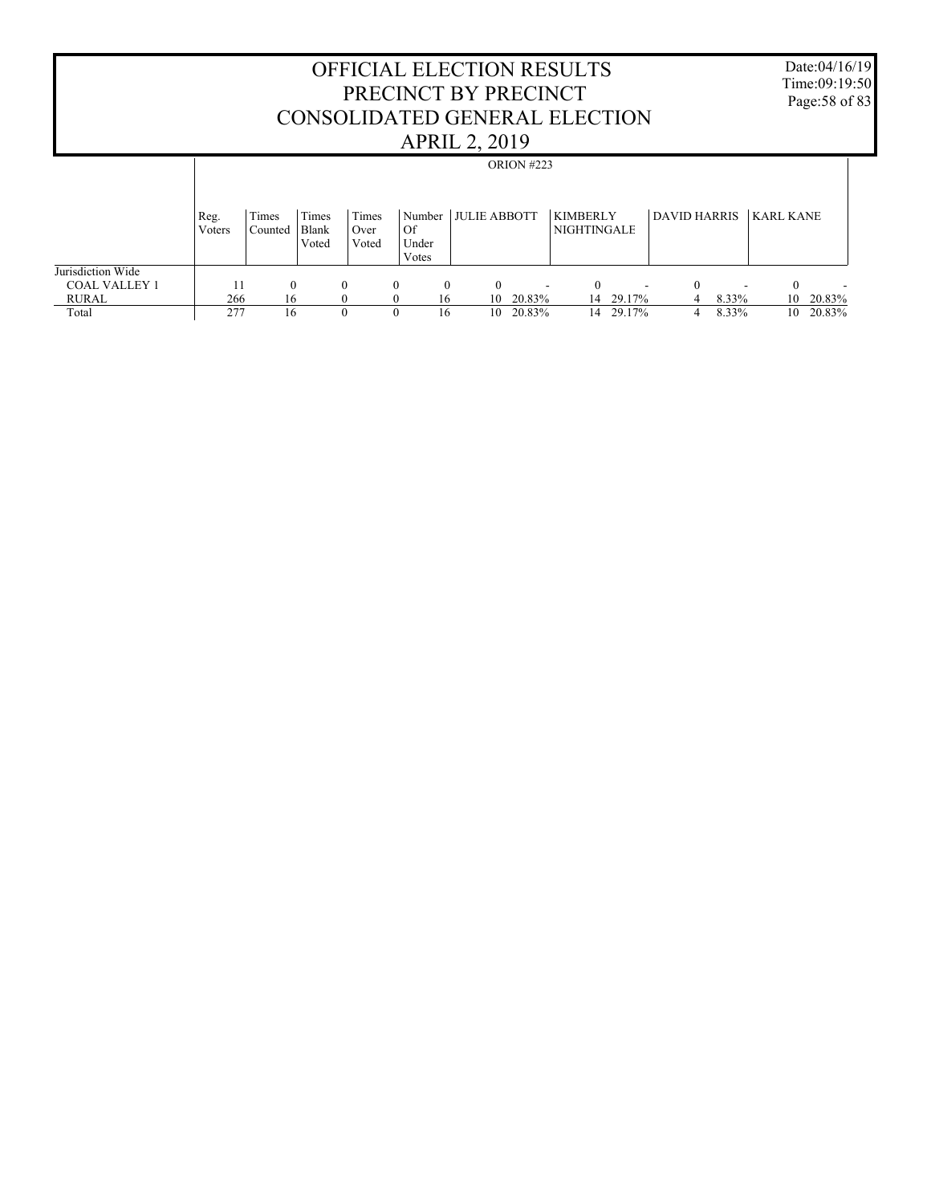Date:04/16/19 Time:09:19:50 Page:58 of 83

|                      |        |          |          |       |                |    |                     | ORION #223 |                               |        |                                      |       |                  |        |
|----------------------|--------|----------|----------|-------|----------------|----|---------------------|------------|-------------------------------|--------|--------------------------------------|-------|------------------|--------|
|                      |        |          |          |       |                |    |                     |            |                               |        |                                      |       |                  |        |
|                      |        |          |          |       |                |    |                     |            |                               |        |                                      |       |                  |        |
|                      | Reg.   | Times    | Times    | Times | Number         |    | <b>JULIE ABBOTT</b> |            | <b>KIMBERLY</b>               |        | DAVID HARRIS                         |       | <b>KARL KANE</b> |        |
|                      | Voters | Counted  | Blank    | Over  | Of             |    |                     |            | NIGHTINGALE                   |        |                                      |       |                  |        |
|                      |        |          | Voted    | Voted | Under<br>Votes |    |                     |            |                               |        |                                      |       |                  |        |
| Jurisdiction Wide    |        |          |          |       |                |    |                     |            |                               |        |                                      |       |                  |        |
| <b>COAL VALLEY 1</b> | 11     | $\Omega$ | $\theta$ |       | $\Omega$       | 0  | $\theta$            |            | 0<br>$\overline{\phantom{a}}$ |        | $\Omega$<br>$\overline{\phantom{a}}$ |       | $\Omega$         |        |
| <b>RURAL</b>         | 266    | 16       |          |       | $\Omega$       | 16 | 10                  | 20.83%     | 14                            | 29.17% | 4                                    | 8.33% | 10               | 20.83% |
| Total                | 277    | 16       |          | 0     | $\Omega$       | 16 | 10                  | 20.83%     | 14                            | 29.17% | 4                                    | 8.33% | 10               | 20.83% |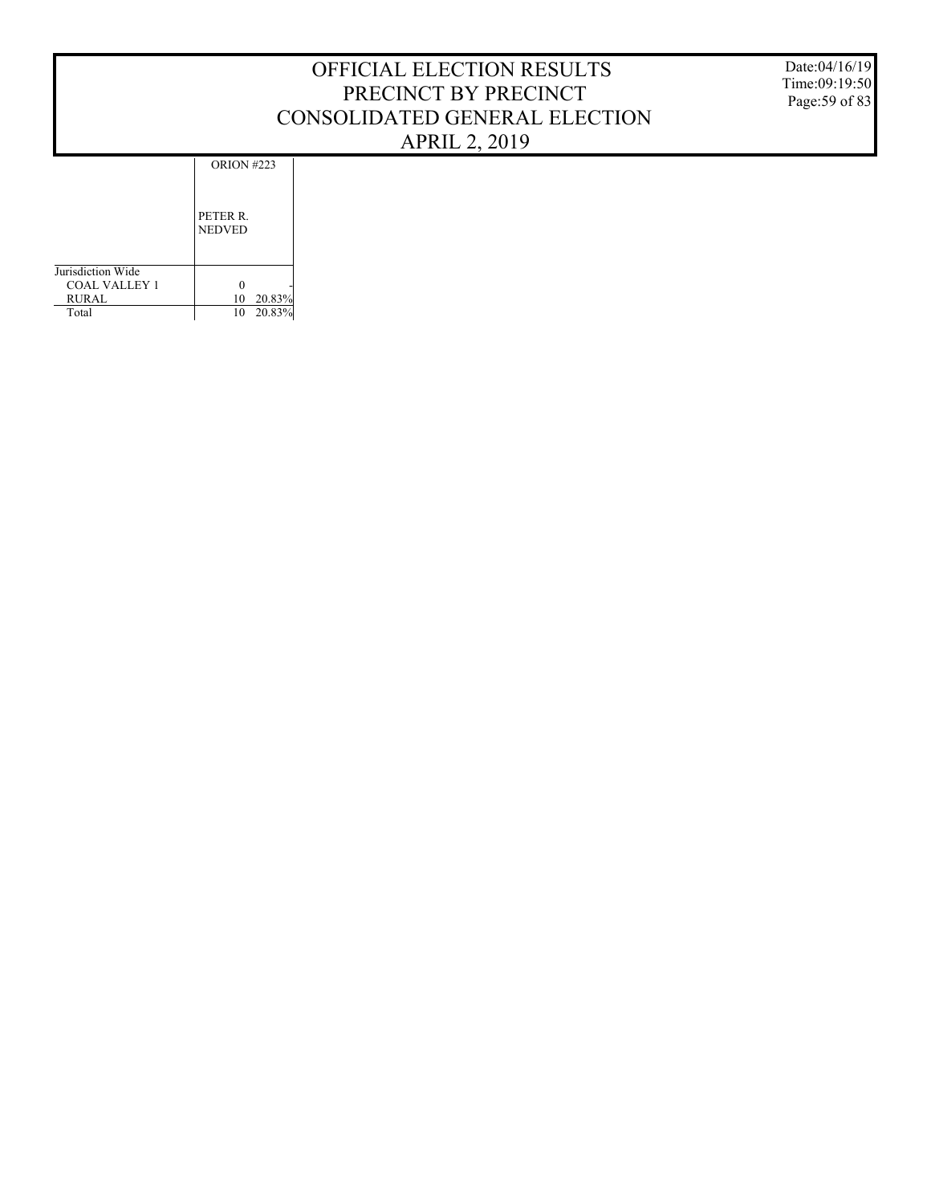Date:04/16/19 Time:09:19:50 Page:59 of 83

ORION #223

|                   | PETER R.<br><b>NEDVED</b> |        |
|-------------------|---------------------------|--------|
| Jurisdiction Wide |                           |        |
| COAL VALLEY 1     |                           |        |
| <b>RURAL</b>      | 10                        | 20.83% |
| Total             | 10                        | 20.83% |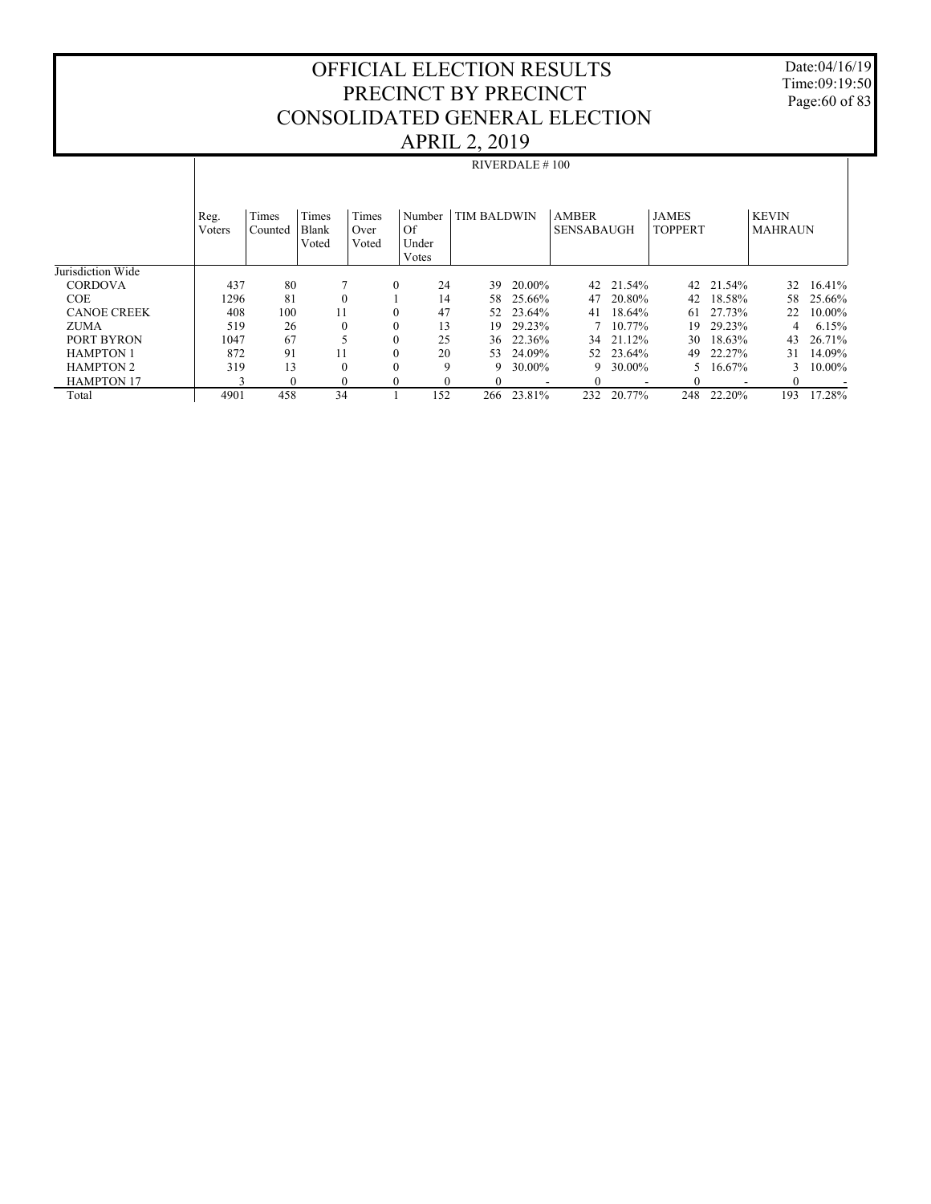Date:04/16/19 Time:09:19:50 Page:60 of 83

|                    |                |                  |                         |                        |                                |                    | <b>RIVERDALE #100</b> |                                   |          |                                |           |                                |        |
|--------------------|----------------|------------------|-------------------------|------------------------|--------------------------------|--------------------|-----------------------|-----------------------------------|----------|--------------------------------|-----------|--------------------------------|--------|
|                    | Reg.<br>Voters | Times<br>Counted | Times<br>Blank<br>Voted | Times<br>Over<br>Voted | Number<br>Of<br>Under<br>Votes | <b>TIM BALDWIN</b> |                       | <b>AMBER</b><br><b>SENSABAUGH</b> |          | <b>JAMES</b><br><b>TOPPERT</b> |           | <b>KEVIN</b><br><b>MAHRAUN</b> |        |
| Jurisdiction Wide  |                |                  |                         |                        |                                |                    |                       |                                   |          |                                |           |                                |        |
| <b>CORDOVA</b>     | 437            | 80               |                         | $\mathbf{0}$           | 24                             | 39                 | 20.00%                | 42                                | 21.54%   |                                | 42 21.54% | 32                             | 16.41% |
| <b>COE</b>         | 1296           | 81               |                         |                        | 14                             | 58                 | 25.66%                | 47                                | 20.80%   | 42                             | 18.58%    | 58                             | 25.66% |
| <b>CANOE CREEK</b> | 408            | 100              | 11                      | $\mathbf{0}$           | 47                             | 52                 | 23.64%                | 41                                | 18.64%   | 61                             | 27.73%    | 22                             | 10.00% |
| <b>ZUMA</b>        | 519            | 26               | $\theta$                | $\mathbf{0}$           | 13                             | 19                 | 29.23%                |                                   | 7 10.77% | 19                             | 29.23%    | 4                              | 6.15%  |
| PORT BYRON         | 1047           | 67               |                         | $\mathbf{0}$           | 25                             | 36                 | 22.36%                | 34                                | 21.12%   | 30                             | 18.63%    | 43                             | 26.71% |
| <b>HAMPTON 1</b>   | 872            | 91               | 11                      | $\theta$               | 20                             | 53                 | 24.09%                | 52                                | 23.64%   | 49                             | 22.27%    | 31                             | 14.09% |
| <b>HAMPTON 2</b>   | 319            | 13               |                         | $\theta$               | 9                              | 9                  | 30.00%                | 9                                 | 30.00%   |                                | 16.67%    | 3                              | 10.00% |
| <b>HAMPTON 17</b>  | $\mathcal{L}$  | $\Omega$         | $\theta$                | $\Omega$               | 0                              | 0                  |                       |                                   |          |                                |           | $_{0}$                         |        |
| Total              | 4901           | 458              | 34                      |                        | 152                            | 266                | 23.81%                | 232                               | 20.77%   | 248                            | 22.20%    | 193                            | 17.28% |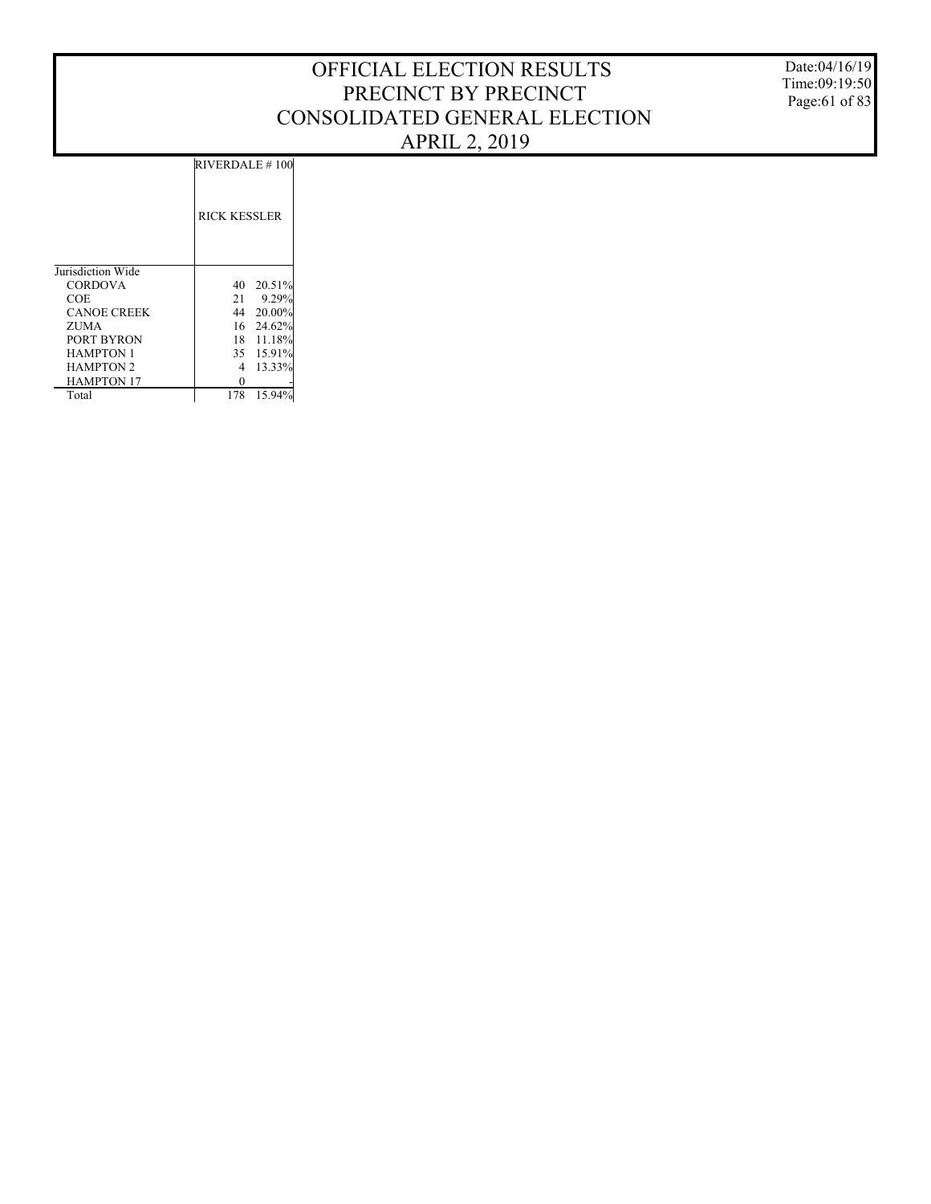Date:04/16/19 Time:09:19:50 Page:61 of 83

RIVERDALE # 100

|                    | <b>RICK KESSLER</b> |
|--------------------|---------------------|
| Jurisdiction Wide  |                     |
| <b>CORDOVA</b>     | 20.51%<br>40        |
| COE                | 9.29%<br>21         |
| <b>CANOE CREEK</b> | $20.00\%$<br>44     |
| ZUMA               | 16<br>24.62%        |
| PORT BYRON         | 18 11.18%           |
| <b>HAMPTON 1</b>   | 35 15.91%           |
| <b>HAMPTON 2</b>   | 13.33%<br>4         |
| <b>HAMPTON 17</b>  |                     |
| Total              | 15.94%<br>178       |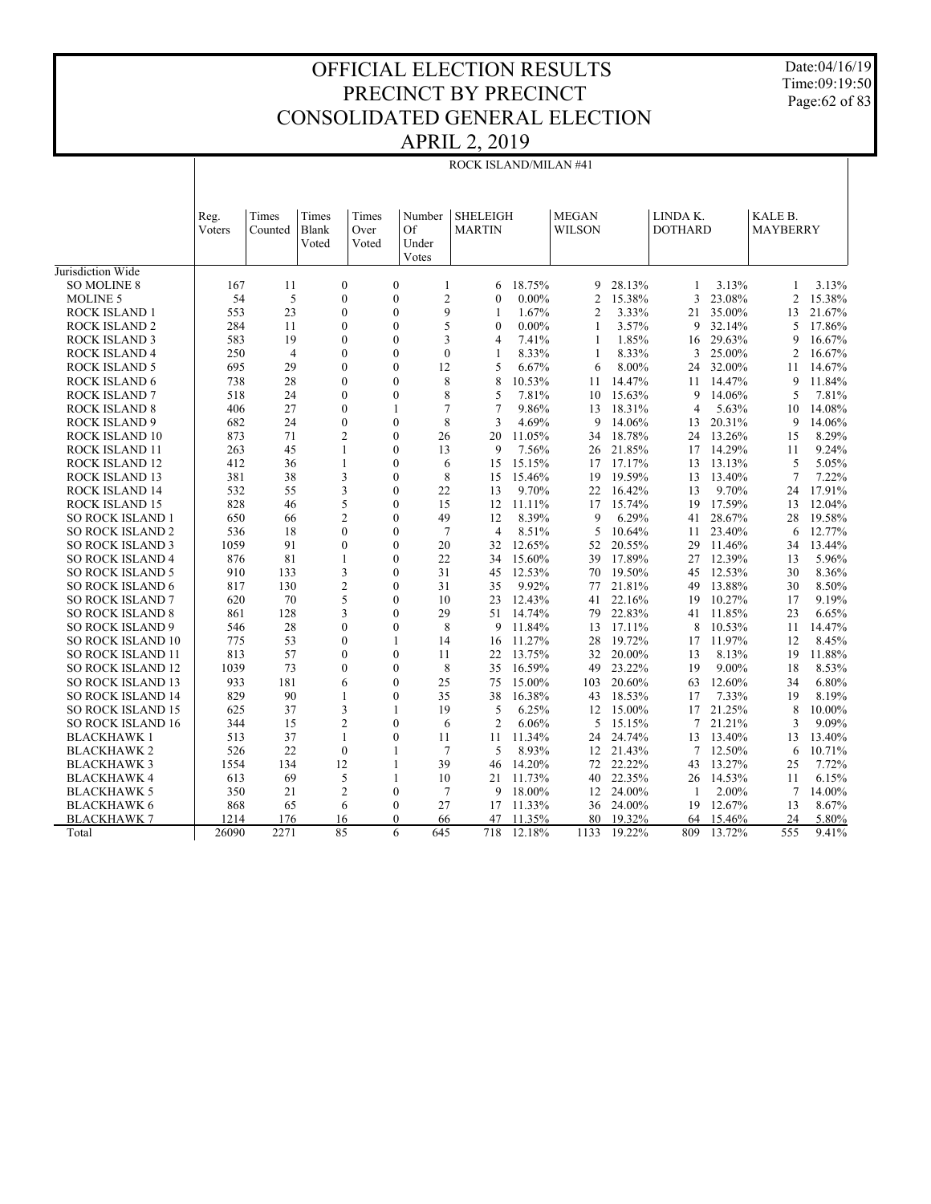Date:04/16/19 Time:09:19:50 Page:62 of 83

| <b>SHELEIGH</b><br><b>MEGAN</b><br>LINDA K.<br>KALE B.<br>Times<br>Reg.<br>Times<br>Times<br>Number<br>Voters<br>Blank<br>Of<br><b>MARTIN</b><br><b>WILSON</b><br><b>DOTHARD</b><br><b>MAYBERRY</b><br>Counted<br>Over<br>Voted<br>Voted<br>Under<br>Votes<br>Jurisdiction Wide<br>$\mathbf{0}$<br>18.75%<br>28.13%<br>3.13%<br><b>SO MOLINE 8</b><br>167<br>11<br>$\boldsymbol{0}$<br>$\mathbf{1}$<br>9<br>$\mathbf{1}$<br>6<br>1<br>$\overline{2}$<br>54<br>5<br>$\mathbf{0}$<br>$\mathbf{0}$<br>$0.00\%$<br>$\overline{2}$<br>15.38%<br>3<br>23.08%<br>$\overline{2}$<br><b>MOLINE 5</b><br>$\mathbf{0}$<br>9<br>ROCK ISLAND 1<br>553<br>23<br>$\theta$<br>$\mathbf{0}$<br>1.67%<br>$\overline{2}$<br>3.33%<br>21 35.00%<br>$\mathbf{1}$<br>13<br>5<br>$\mathbf{0}$<br><b>ROCK ISLAND 2</b><br>284<br>11<br>$\mathbf{0}$<br>$\mathbf{0}$<br>$0.00\%$<br>$\mathbf{1}$<br>3.57%<br>9<br>32.14%<br>5<br>583<br>19<br>$\mathbf{0}$<br>3<br><b>ROCK ISLAND 3</b><br>$\mathbf{0}$<br>$\overline{4}$<br>7.41%<br>1<br>1.85%<br>16 29.63%<br>9<br>$\theta$<br>$\mathbf{0}$<br>250<br>$\overline{4}$<br>$\theta$<br>8.33%<br>8.33%<br>25.00%<br>$\overline{2}$<br><b>ROCK ISLAND 4</b><br>$\mathbf{1}$<br>1<br>3<br>29<br>$\mathbf{0}$<br>5<br>695<br>$\mathbf{0}$<br>12<br>6.67%<br>6<br>8.00%<br>32.00%<br><b>ROCK ISLAND 5</b><br>24<br>11<br>738<br>28<br>$\mathbf{0}$<br>$\theta$<br>8<br>8<br>14.47%<br><b>ROCK ISLAND 6</b><br>10.53%<br>14.47%<br>11<br>9<br>11<br>$\mathbf{0}$<br>8<br>518<br>24<br>$\theta$<br>5<br>7.81%<br>15.63%<br>14.06%<br>5<br><b>ROCK ISLAND 7</b><br>10<br>9 |        |
|-------------------------------------------------------------------------------------------------------------------------------------------------------------------------------------------------------------------------------------------------------------------------------------------------------------------------------------------------------------------------------------------------------------------------------------------------------------------------------------------------------------------------------------------------------------------------------------------------------------------------------------------------------------------------------------------------------------------------------------------------------------------------------------------------------------------------------------------------------------------------------------------------------------------------------------------------------------------------------------------------------------------------------------------------------------------------------------------------------------------------------------------------------------------------------------------------------------------------------------------------------------------------------------------------------------------------------------------------------------------------------------------------------------------------------------------------------------------------------------------------------------------------------------------------------------------------------------------|--------|
|                                                                                                                                                                                                                                                                                                                                                                                                                                                                                                                                                                                                                                                                                                                                                                                                                                                                                                                                                                                                                                                                                                                                                                                                                                                                                                                                                                                                                                                                                                                                                                                           |        |
|                                                                                                                                                                                                                                                                                                                                                                                                                                                                                                                                                                                                                                                                                                                                                                                                                                                                                                                                                                                                                                                                                                                                                                                                                                                                                                                                                                                                                                                                                                                                                                                           |        |
|                                                                                                                                                                                                                                                                                                                                                                                                                                                                                                                                                                                                                                                                                                                                                                                                                                                                                                                                                                                                                                                                                                                                                                                                                                                                                                                                                                                                                                                                                                                                                                                           | 3.13%  |
|                                                                                                                                                                                                                                                                                                                                                                                                                                                                                                                                                                                                                                                                                                                                                                                                                                                                                                                                                                                                                                                                                                                                                                                                                                                                                                                                                                                                                                                                                                                                                                                           | 15.38% |
|                                                                                                                                                                                                                                                                                                                                                                                                                                                                                                                                                                                                                                                                                                                                                                                                                                                                                                                                                                                                                                                                                                                                                                                                                                                                                                                                                                                                                                                                                                                                                                                           | 21.67% |
|                                                                                                                                                                                                                                                                                                                                                                                                                                                                                                                                                                                                                                                                                                                                                                                                                                                                                                                                                                                                                                                                                                                                                                                                                                                                                                                                                                                                                                                                                                                                                                                           | 17.86% |
|                                                                                                                                                                                                                                                                                                                                                                                                                                                                                                                                                                                                                                                                                                                                                                                                                                                                                                                                                                                                                                                                                                                                                                                                                                                                                                                                                                                                                                                                                                                                                                                           | 16.67% |
|                                                                                                                                                                                                                                                                                                                                                                                                                                                                                                                                                                                                                                                                                                                                                                                                                                                                                                                                                                                                                                                                                                                                                                                                                                                                                                                                                                                                                                                                                                                                                                                           | 16.67% |
|                                                                                                                                                                                                                                                                                                                                                                                                                                                                                                                                                                                                                                                                                                                                                                                                                                                                                                                                                                                                                                                                                                                                                                                                                                                                                                                                                                                                                                                                                                                                                                                           | 14.67% |
|                                                                                                                                                                                                                                                                                                                                                                                                                                                                                                                                                                                                                                                                                                                                                                                                                                                                                                                                                                                                                                                                                                                                                                                                                                                                                                                                                                                                                                                                                                                                                                                           | 11.84% |
|                                                                                                                                                                                                                                                                                                                                                                                                                                                                                                                                                                                                                                                                                                                                                                                                                                                                                                                                                                                                                                                                                                                                                                                                                                                                                                                                                                                                                                                                                                                                                                                           | 7.81%  |
| 27<br>$\overline{7}$<br>406<br>$\mathbf{0}$<br>1<br>7<br>9.86%<br>18.31%<br>$\overline{4}$<br>5.63%<br>10<br><b>ROCK ISLAND 8</b><br>13                                                                                                                                                                                                                                                                                                                                                                                                                                                                                                                                                                                                                                                                                                                                                                                                                                                                                                                                                                                                                                                                                                                                                                                                                                                                                                                                                                                                                                                   | 14.08% |
| 8<br>682<br>24<br>$\mathbf{0}$<br>$\mathbf{0}$<br>3<br>4.69%<br>9<br>14.06%<br>20.31%<br>9<br><b>ROCK ISLAND 9</b><br>13                                                                                                                                                                                                                                                                                                                                                                                                                                                                                                                                                                                                                                                                                                                                                                                                                                                                                                                                                                                                                                                                                                                                                                                                                                                                                                                                                                                                                                                                  | 14.06% |
| ROCK ISLAND 10<br>873<br>71<br>$\overline{2}$<br>$\Omega$<br>26<br>20<br>11.05%<br>18.78%<br>24 13.26%<br>34<br>15                                                                                                                                                                                                                                                                                                                                                                                                                                                                                                                                                                                                                                                                                                                                                                                                                                                                                                                                                                                                                                                                                                                                                                                                                                                                                                                                                                                                                                                                        | 8.29%  |
| 45<br>14.29%<br>ROCK ISLAND 11<br>263<br>$\mathbf{1}$<br>$\Omega$<br>13<br>9<br>7.56%<br>21.85%<br>11<br>26<br>17                                                                                                                                                                                                                                                                                                                                                                                                                                                                                                                                                                                                                                                                                                                                                                                                                                                                                                                                                                                                                                                                                                                                                                                                                                                                                                                                                                                                                                                                         | 9.24%  |
| 412<br>$\mathbf{0}$<br>17.17%<br><b>ROCK ISLAND 12</b><br>36<br>1<br>6<br>15<br>15.15%<br>17<br>13 13.13%<br>5                                                                                                                                                                                                                                                                                                                                                                                                                                                                                                                                                                                                                                                                                                                                                                                                                                                                                                                                                                                                                                                                                                                                                                                                                                                                                                                                                                                                                                                                            | 5.05%  |
| 3<br>381<br>38<br>$\mathbf{0}$<br>8<br>15.46%<br>19.59%<br>13.40%<br>$\overline{7}$<br>ROCK ISLAND 13<br>15<br>19<br>13                                                                                                                                                                                                                                                                                                                                                                                                                                                                                                                                                                                                                                                                                                                                                                                                                                                                                                                                                                                                                                                                                                                                                                                                                                                                                                                                                                                                                                                                   | 7.22%  |
| 3<br>9.70%<br><b>ROCK ISLAND 14</b><br>532<br>55<br>$\theta$<br>22<br>13<br>9.70%<br>16.42%<br>13<br>24<br>22                                                                                                                                                                                                                                                                                                                                                                                                                                                                                                                                                                                                                                                                                                                                                                                                                                                                                                                                                                                                                                                                                                                                                                                                                                                                                                                                                                                                                                                                             | 17.91% |
| 828<br>5<br>17.59%<br>ROCK ISLAND 15<br>46<br>$\mathbf{0}$<br>15<br>12 11.11%<br>15.74%<br>19<br>13<br>17                                                                                                                                                                                                                                                                                                                                                                                                                                                                                                                                                                                                                                                                                                                                                                                                                                                                                                                                                                                                                                                                                                                                                                                                                                                                                                                                                                                                                                                                                 | 12.04% |
| $\overline{2}$<br>$\theta$<br>49<br>8.39%<br>9<br>6.29%<br>41 28.67%<br><b>SO ROCK ISLAND 1</b><br>650<br>66<br>12<br>28                                                                                                                                                                                                                                                                                                                                                                                                                                                                                                                                                                                                                                                                                                                                                                                                                                                                                                                                                                                                                                                                                                                                                                                                                                                                                                                                                                                                                                                                  | 19.58% |
| $\mathbf{0}$<br>$\theta$<br>$7\phantom{.0}$<br>536<br>18<br>$\overline{4}$<br>8.51%<br>5<br>10.64%<br>23.40%<br><b>SO ROCK ISLAND 2</b><br>11<br>6                                                                                                                                                                                                                                                                                                                                                                                                                                                                                                                                                                                                                                                                                                                                                                                                                                                                                                                                                                                                                                                                                                                                                                                                                                                                                                                                                                                                                                        | 12.77% |
| 91<br>$\theta$<br>$\theta$<br>20<br>32 12.65%<br>20.55%<br>29 11.46%<br><b>SO ROCK ISLAND 3</b><br>1059<br>34<br>52                                                                                                                                                                                                                                                                                                                                                                                                                                                                                                                                                                                                                                                                                                                                                                                                                                                                                                                                                                                                                                                                                                                                                                                                                                                                                                                                                                                                                                                                       | 13.44% |
| 876<br>81<br>$\mathbf{1}$<br>$\theta$<br>22<br>15.60%<br>17.89%<br>27 12.39%<br><b>SO ROCK ISLAND 4</b><br>34<br>39<br>13                                                                                                                                                                                                                                                                                                                                                                                                                                                                                                                                                                                                                                                                                                                                                                                                                                                                                                                                                                                                                                                                                                                                                                                                                                                                                                                                                                                                                                                                 | 5.96%  |
| 910<br>3<br>$\Omega$<br>31<br><b>SO ROCK ISLAND 5</b><br>133<br>45 12.53%<br>19.50%<br>45 12.53%<br>30<br>70                                                                                                                                                                                                                                                                                                                                                                                                                                                                                                                                                                                                                                                                                                                                                                                                                                                                                                                                                                                                                                                                                                                                                                                                                                                                                                                                                                                                                                                                              | 8.36%  |
| $\overline{c}$<br>817<br>130<br>$\theta$<br>31<br>9.92%<br>13.88%<br>30<br>SO ROCK ISLAND 6<br>35<br>77<br>21.81%<br>49                                                                                                                                                                                                                                                                                                                                                                                                                                                                                                                                                                                                                                                                                                                                                                                                                                                                                                                                                                                                                                                                                                                                                                                                                                                                                                                                                                                                                                                                   | 8.50%  |
| 5<br><b>SO ROCK ISLAND 7</b><br>620<br>70<br>$\theta$<br>10<br>23<br>12.43%<br>22.16%<br>19 10.27%<br>17<br>41                                                                                                                                                                                                                                                                                                                                                                                                                                                                                                                                                                                                                                                                                                                                                                                                                                                                                                                                                                                                                                                                                                                                                                                                                                                                                                                                                                                                                                                                            | 9.19%  |
| 29<br><b>SO ROCK ISLAND 8</b><br>861<br>128<br>3<br>$\theta$<br>51<br>14.74%<br>79<br>22.83%<br>41 11.85%<br>23                                                                                                                                                                                                                                                                                                                                                                                                                                                                                                                                                                                                                                                                                                                                                                                                                                                                                                                                                                                                                                                                                                                                                                                                                                                                                                                                                                                                                                                                           | 6.65%  |
| 8<br>11.84%<br>10.53%<br><b>SO ROCK ISLAND 9</b><br>546<br>28<br>$\mathbf{0}$<br>$\mathbf{0}$<br>9<br>13<br>17.11%<br>8<br>11                                                                                                                                                                                                                                                                                                                                                                                                                                                                                                                                                                                                                                                                                                                                                                                                                                                                                                                                                                                                                                                                                                                                                                                                                                                                                                                                                                                                                                                             | 14.47% |
| 775<br>53<br>$\theta$<br>11.27%<br>11.97%<br>SO ROCK ISLAND 10<br>1<br>14<br>28<br>19.72%<br>17<br>12<br>16                                                                                                                                                                                                                                                                                                                                                                                                                                                                                                                                                                                                                                                                                                                                                                                                                                                                                                                                                                                                                                                                                                                                                                                                                                                                                                                                                                                                                                                                               | 8.45%  |
| 813<br>57<br>$\theta$<br>$\mathbf{0}$<br>11<br>22 13.75%<br>32<br>20.00%<br>8.13%<br>19<br><b>SO ROCK ISLAND 11</b><br>13                                                                                                                                                                                                                                                                                                                                                                                                                                                                                                                                                                                                                                                                                                                                                                                                                                                                                                                                                                                                                                                                                                                                                                                                                                                                                                                                                                                                                                                                 | 11.88% |
| 1039<br>73<br>$\mathbf{0}$<br>$\mathbf{0}$<br>8<br>16.59%<br>49<br>23.22%<br>19<br>9.00%<br>18<br><b>SO ROCK ISLAND 12</b><br>35                                                                                                                                                                                                                                                                                                                                                                                                                                                                                                                                                                                                                                                                                                                                                                                                                                                                                                                                                                                                                                                                                                                                                                                                                                                                                                                                                                                                                                                          | 8.53%  |
| $\mathbf{0}$<br>63 12.60%<br><b>SO ROCK ISLAND 13</b><br>933<br>181<br>6<br>25<br>15.00%<br>20.60%<br>34<br>75<br>103                                                                                                                                                                                                                                                                                                                                                                                                                                                                                                                                                                                                                                                                                                                                                                                                                                                                                                                                                                                                                                                                                                                                                                                                                                                                                                                                                                                                                                                                     | 6.80%  |
| 829<br>90<br>$\overline{0}$<br>35<br>16.38%<br>7.33%<br>19<br><b>SO ROCK ISLAND 14</b><br>1<br>38<br>43<br>18.53%<br>17                                                                                                                                                                                                                                                                                                                                                                                                                                                                                                                                                                                                                                                                                                                                                                                                                                                                                                                                                                                                                                                                                                                                                                                                                                                                                                                                                                                                                                                                   | 8.19%  |
| 3<br>17 21.25%<br>37<br>19<br>5<br>6.25%<br>15.00%<br>8<br><b>SO ROCK ISLAND 15</b><br>625<br>1<br>12                                                                                                                                                                                                                                                                                                                                                                                                                                                                                                                                                                                                                                                                                                                                                                                                                                                                                                                                                                                                                                                                                                                                                                                                                                                                                                                                                                                                                                                                                     | 10.00% |
| 15<br>$\overline{c}$<br>$\theta$<br>$\overline{2}$<br>21.21%<br>3<br>344<br>6<br>6.06%<br>5<br>15.15%<br>$\tau$<br><b>SO ROCK ISLAND 16</b>                                                                                                                                                                                                                                                                                                                                                                                                                                                                                                                                                                                                                                                                                                                                                                                                                                                                                                                                                                                                                                                                                                                                                                                                                                                                                                                                                                                                                                               | 9.09%  |
| 37<br>$\mathbf{0}$<br>$\mathbf{1}$<br>11.34%<br>24.74%<br>13 13.40%<br><b>BLACKHAWK1</b><br>513<br>11<br>11<br>13<br>24                                                                                                                                                                                                                                                                                                                                                                                                                                                                                                                                                                                                                                                                                                                                                                                                                                                                                                                                                                                                                                                                                                                                                                                                                                                                                                                                                                                                                                                                   | 13.40% |
| 22<br>$\theta$<br>8.93%<br>7 12.50%<br>526<br>1<br>$7\phantom{.0}$<br>5<br>12<br>21.43%<br>6<br><b>BLACKHAWK2</b>                                                                                                                                                                                                                                                                                                                                                                                                                                                                                                                                                                                                                                                                                                                                                                                                                                                                                                                                                                                                                                                                                                                                                                                                                                                                                                                                                                                                                                                                         | 10.71% |
| 1554<br>134<br>12<br>$\mathbf{1}$<br>39<br>14.20%<br>22.22%<br>13.27%<br>25<br>46<br>72<br><b>BLACKHAWK3</b><br>43                                                                                                                                                                                                                                                                                                                                                                                                                                                                                                                                                                                                                                                                                                                                                                                                                                                                                                                                                                                                                                                                                                                                                                                                                                                                                                                                                                                                                                                                        | 7.72%  |
| 613<br>69<br>5<br>10<br>11.73%<br>22.35%<br>14.53%<br>11<br><b>BLACKHAWK4</b><br>1<br>21<br>40<br>26                                                                                                                                                                                                                                                                                                                                                                                                                                                                                                                                                                                                                                                                                                                                                                                                                                                                                                                                                                                                                                                                                                                                                                                                                                                                                                                                                                                                                                                                                      | 6.15%  |
| $\overline{7}$<br>350<br>21<br>$\overline{2}$<br>$\mathbf{0}$<br>$7\phantom{.0}$<br>9<br>18.00%<br>24.00%<br>2.00%<br><b>BLACKHAWK 5</b><br>12<br>-1                                                                                                                                                                                                                                                                                                                                                                                                                                                                                                                                                                                                                                                                                                                                                                                                                                                                                                                                                                                                                                                                                                                                                                                                                                                                                                                                                                                                                                      | 14.00% |
| $\mathbf{0}$<br>27<br>11.33%<br>19 12.67%<br><b>BLACKHAWK 6</b><br>868<br>65<br>6<br>17<br>36<br>24.00%<br>13                                                                                                                                                                                                                                                                                                                                                                                                                                                                                                                                                                                                                                                                                                                                                                                                                                                                                                                                                                                                                                                                                                                                                                                                                                                                                                                                                                                                                                                                             | 8.67%  |
| 11.35%<br>19.32%<br>15.46%<br>24<br><b>BLACKHAWK 7</b><br>1214<br>176<br>16<br>$\mathbf{0}$<br>66<br>47<br>80<br>64                                                                                                                                                                                                                                                                                                                                                                                                                                                                                                                                                                                                                                                                                                                                                                                                                                                                                                                                                                                                                                                                                                                                                                                                                                                                                                                                                                                                                                                                       | 5.80%  |
| 6<br>2271<br>85<br>645<br>26090<br>718<br>12.18%<br>1133<br>19.22%<br>809<br>13.72%<br>555<br>Total                                                                                                                                                                                                                                                                                                                                                                                                                                                                                                                                                                                                                                                                                                                                                                                                                                                                                                                                                                                                                                                                                                                                                                                                                                                                                                                                                                                                                                                                                       | 9.41%  |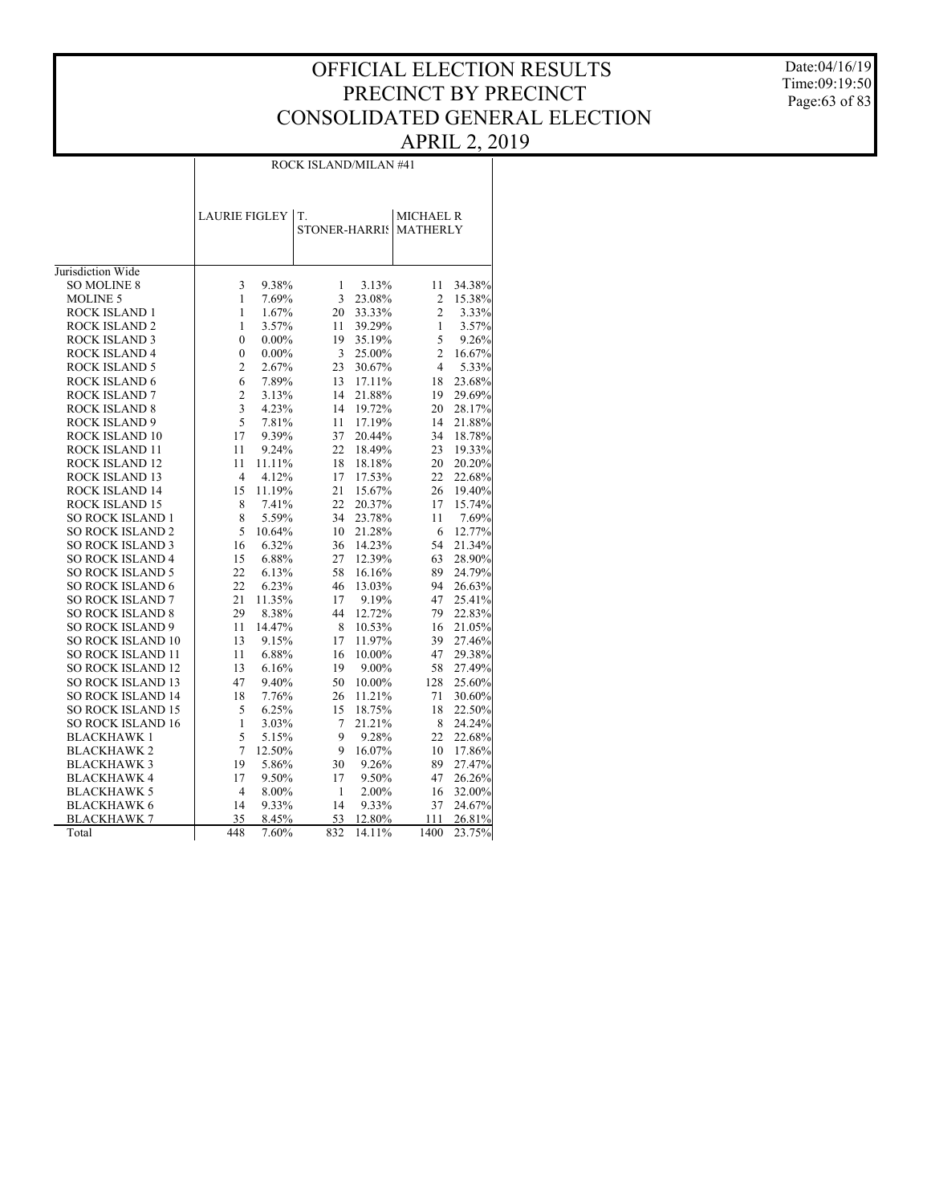Date:04/16/19 Time:09:19:50 Page:63 of 83

| 3                       | 9.38%    | 1                    | 3.13%                | 11             | 34.38%                                                                 |
|-------------------------|----------|----------------------|----------------------|----------------|------------------------------------------------------------------------|
| 1                       | 7.69%    | 3                    | 23.08%               | $\overline{2}$ | 15.38%                                                                 |
| $\mathbf{1}$            | 1.67%    | 20                   | 33.33%               | $\overline{2}$ | 3.33%                                                                  |
| $\mathbf{1}$            | 3.57%    | 11                   | 39.29%               | $\mathbf{1}$   | 3.57%                                                                  |
| 0                       | $0.00\%$ | 19                   | 35.19%               | 5              | 9.26%                                                                  |
| 0                       | $0.00\%$ | 3                    | 25.00%               | $\overline{c}$ | 16.67%                                                                 |
| $\overline{\mathbf{c}}$ | 2.67%    | 23                   | 30.67%               | $\overline{4}$ | 5.33%                                                                  |
| 6                       | 7.89%    | 13                   | 17.11%               | 18             | 23.68%                                                                 |
| $\overline{c}$          | 3.13%    | 14                   | 21.88%               | 19             | 29.69%                                                                 |
| 3                       | 4.23%    | 14                   | 19.72%               | 20             | 28.17%                                                                 |
| 5                       | 7.81%    | 11                   | 17.19%               | 14             | 21.88%                                                                 |
| 17                      | 9.39%    | 37                   | 20.44%               | 34             | 18.78%                                                                 |
| 11                      | 9.24%    | 22                   | 18.49%               | 23             | 19.33%                                                                 |
| 11                      | 11.11%   | 18                   | 18.18%               | 20             | 20.20%                                                                 |
| $\overline{4}$          | 4.12%    | 17                   | 17.53%               | 22             | 22.68%                                                                 |
| 15                      | 11.19%   | 21                   | 15.67%               | 26             | 19.40%                                                                 |
| 8                       | 7.41%    | 22                   | 20.37%               | 17             | 15.74%                                                                 |
| 8                       | 5.59%    | 34                   | 23.78%               | 11             | 7.69%                                                                  |
| 5                       | 10.64%   | 10                   | 21.28%               | 6              | 12.77%                                                                 |
| 16                      | 6.32%    | 36                   | 14.23%               | 54             | 21.34%                                                                 |
| 15                      | 6.88%    | 27                   | 12.39%               | 63             | 28.90%                                                                 |
| 22                      | 6.13%    | 58                   | 16.16%               | 89             | 24.79%                                                                 |
| 22                      | 6.23%    | 46                   | 13.03%               | 94             | 26.63%                                                                 |
| 21                      | 11.35%   | 17                   | 9.19%                | 47             | 25.41%                                                                 |
| 29                      | 8.38%    | 44                   | 12.72%               | 79             | 22.83%                                                                 |
| 11                      | 14.47%   | 8                    | 10.53%               | 16             | 21.05%                                                                 |
| 13                      | 9.15%    | 17                   | 11.97%               | 39             | 27.46%                                                                 |
| 11                      | 6.88%    | 16                   | 10.00%               | 47             | 29.38%                                                                 |
| 13                      | 6.16%    | 19                   | 9.00%                | 58             | 27.49%                                                                 |
| 47                      | 9.40%    | 50                   | 10.00%               | 128            | 25.60%                                                                 |
| 18                      | 7.76%    | 26                   | 11.21%               | 71             | 30.60%                                                                 |
| 5                       | 6.25%    | 15                   | 18.75%               | 18             | 22.50%                                                                 |
| 1                       | 3.03%    | 7                    | 21.21%               | 8              | 24.24%                                                                 |
|                         | 5.15%    | 9                    | 9.28%                | 22             | 22.68%                                                                 |
| 7                       | 12.50%   | 9                    | 16.07%               | 10             | 17.86%                                                                 |
| 19                      | 5.86%    | 30                   | 9.26%                | 89             | 27.47%                                                                 |
| 17                      | 9.50%    | 17                   | 9.50%                | 47             | 26.26%                                                                 |
| $\overline{4}$          | 8.00%    | $\mathbf{1}$         | 2.00%                | 16             | 32.00%                                                                 |
| 14                      | 9.33%    | 14                   | 9.33%                | 37             | 24.67%                                                                 |
| 35                      |          | 53                   | 12.80%               | 111            | 26.81%                                                                 |
| 448                     |          | 832                  |                      | 1400           | 23.75%                                                                 |
|                         | 5        | <b>LAURIE FIGLEY</b> | T.<br>8.45%<br>7.60% | STONER-HARRIS  | ROCK ISLAND/MILAN #41<br><b>MICHAEL R</b><br><b>MATHERLY</b><br>14.11% |

ROCK ISLAND/MILAN #41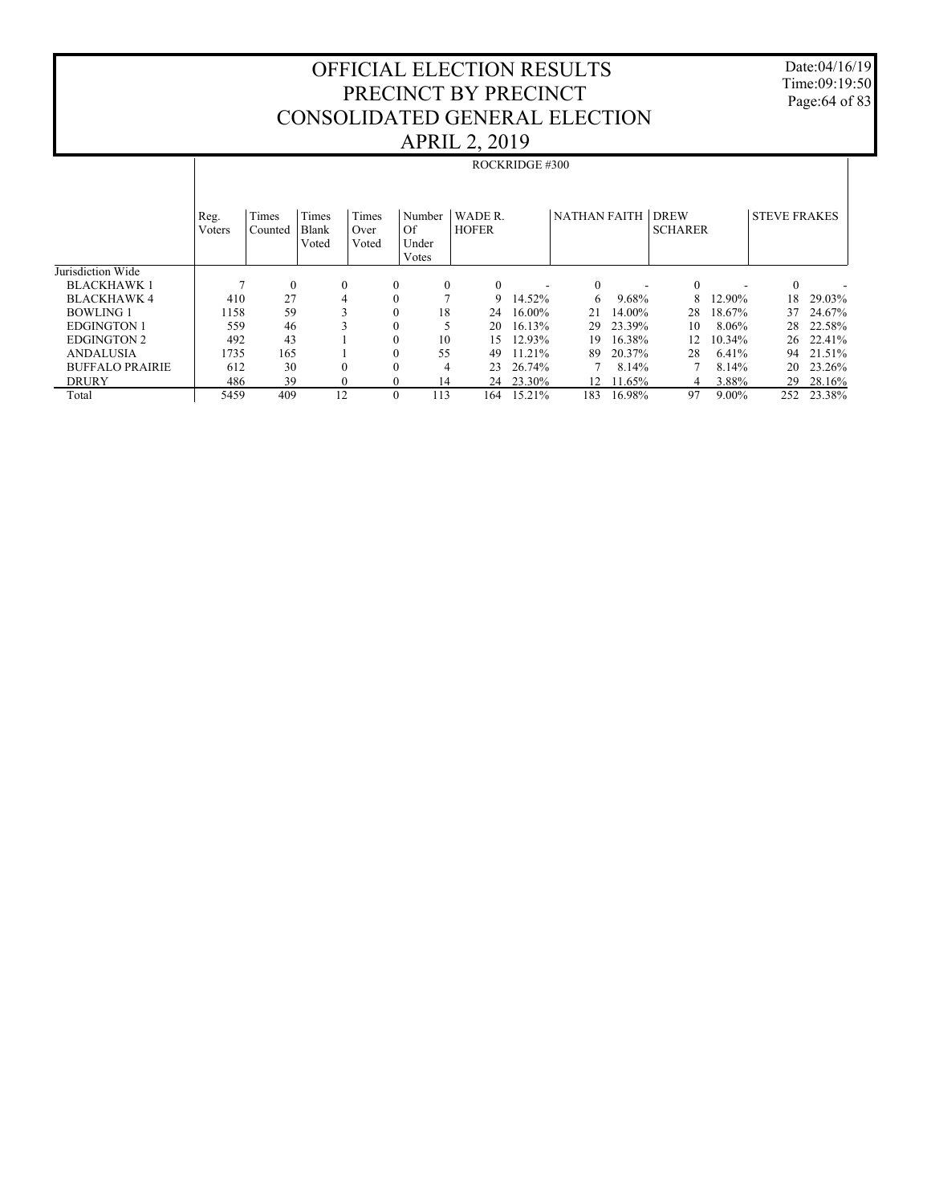Date:04/16/19 Time:09:19:50 Page:64 of 83

|                        |                | <b>ROCKRIDGE #300</b> |                         |                        |                                |                         |           |                     |        |                               |          |                     |        |
|------------------------|----------------|-----------------------|-------------------------|------------------------|--------------------------------|-------------------------|-----------|---------------------|--------|-------------------------------|----------|---------------------|--------|
|                        | Reg.<br>Voters | Times<br>Counted      | Times<br>Blank<br>Voted | Times<br>Over<br>Voted | Number<br>Of<br>Under<br>Votes | WADE R.<br><b>HOFER</b> |           | <b>NATHAN FAITH</b> |        | <b>DREW</b><br><b>SCHARER</b> |          | <b>STEVE FRAKES</b> |        |
| Jurisdiction Wide      |                |                       |                         |                        |                                |                         |           |                     |        |                               |          |                     |        |
| <b>BLACKHAWK1</b>      |                | $\mathbf{0}$          | $\mathbf{0}$            | $\bf{0}$               | $\mathbf{0}$                   | $\Omega$                |           | $\mathbf{0}$        |        | $\mathbf{0}$                  |          | $\mathbf{0}$        |        |
| <b>BLACKHAWK 4</b>     | 410            | 27                    | 4                       | $\mathbf{0}$           |                                | 9                       | 14.52%    | 6                   | 9.68%  | 8                             | 12.90%   | 18                  | 29.03% |
| <b>BOWLING 1</b>       | 1158           | 59                    |                         | $\mathbf{0}$           | 18                             | 24                      | 16.00%    | 21                  | 14.00% | 28                            | 18.67%   | 37                  | 24.67% |
| <b>EDGINGTON 1</b>     | 559            | 46                    |                         | $\mathbf{0}$           |                                | 20                      | 16.13%    | 29                  | 23.39% | 10                            | 8.06%    | 28                  | 22.58% |
| <b>EDGINGTON 2</b>     | 492            | 43                    |                         | $\mathbf{0}$           | 10                             | 15                      | 12.93%    | 19                  | 16.38% | 12                            | 10.34%   | 26                  | 22.41% |
| <b>ANDALUSIA</b>       | 1735           | 165                   |                         | $\mathbf{0}$           | 55                             | 49                      | 11.21%    | 89                  | 20.37% | 28                            | 6.41%    | 94                  | 21.51% |
| <b>BUFFALO PRAIRIE</b> | 612            | 30                    | 0                       | $\Omega$               | 4                              | 23                      | 26.74%    |                     | 8.14%  |                               | 8.14%    | 20                  | 23.26% |
| <b>DRURY</b>           | 486            | 39                    | 0                       | $\Omega$               | 14                             |                         | 24 23.30% | 12                  | 11.65% | 4                             | 3.88%    | 29                  | 28.16% |
| Total                  | 5459           | 409                   | 12                      | $\theta$               | 113                            | 164                     | 15.21%    | 183                 | 16.98% | 97                            | $9.00\%$ | 252                 | 23.38% |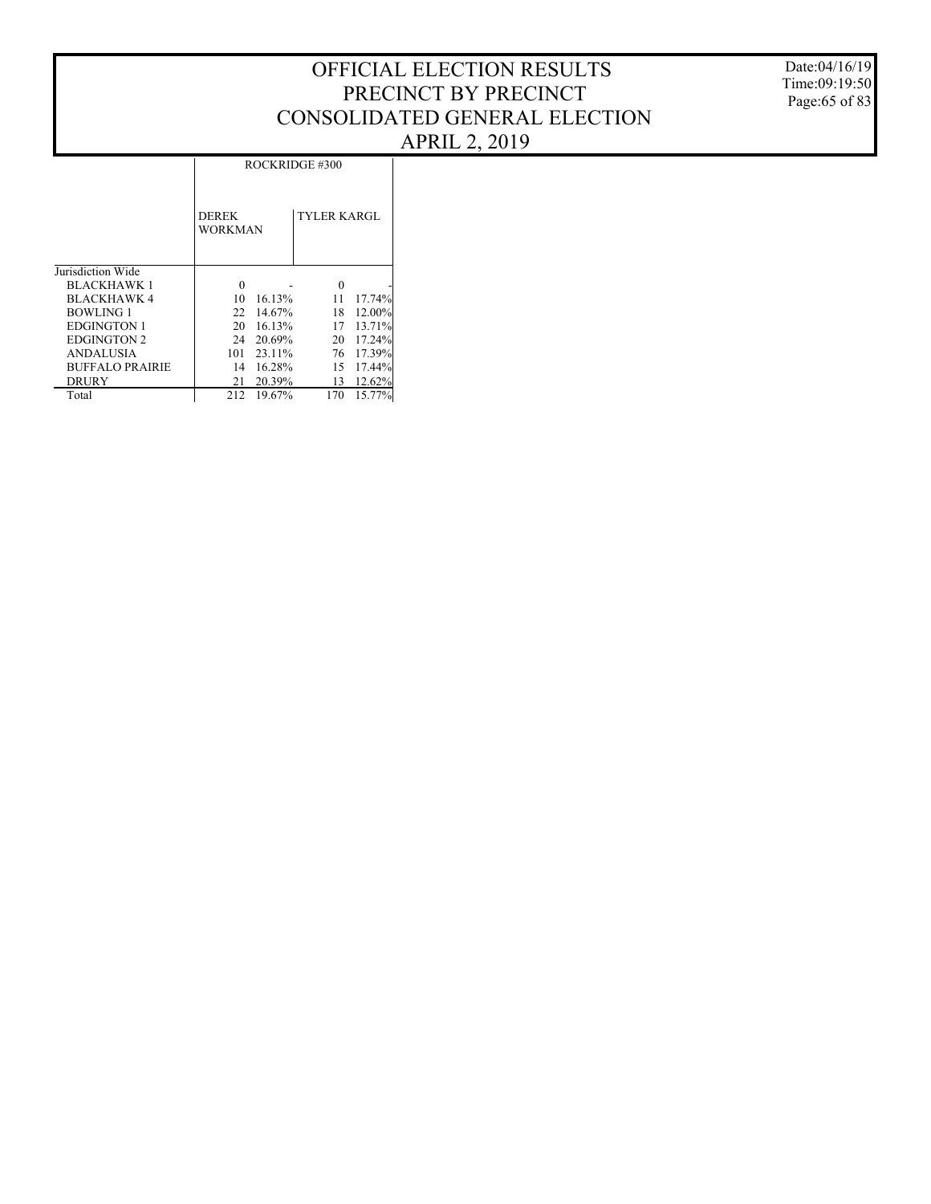ROCKRIDGE #300

|                        | <b>DEREK</b><br><b>WORKMAN</b> |        | <b>TYLER KARGL</b> |        |
|------------------------|--------------------------------|--------|--------------------|--------|
| Jurisdiction Wide      |                                |        |                    |        |
| <b>BLACKHAWK 1</b>     | 0                              |        | 0                  |        |
| <b>BLACKHAWK 4</b>     | 10                             | 16.13% | 11                 | 17.74% |
| <b>BOWLING 1</b>       | 22                             | 14.67% | 18                 | 12.00% |
| <b>EDGINGTON 1</b>     | 20                             | 16.13% | 17                 | 13.71% |
| <b>EDGINGTON 2</b>     | 24                             | 20.69% | 20                 | 17.24% |
| <b>ANDALUSIA</b>       | 101                            | 23.11% | 76                 | 17.39% |
| <b>BUFFALO PRAIRIE</b> | 14                             | 16.28% | 15                 | 17.44% |
| <b>DRURY</b>           | 21                             | 20.39% | 13                 | 12.62% |
| Total                  | 212                            | 19.67% | 170                | 15.77% |

Date:04/16/19 Time:09:19:50 Page:65 of 83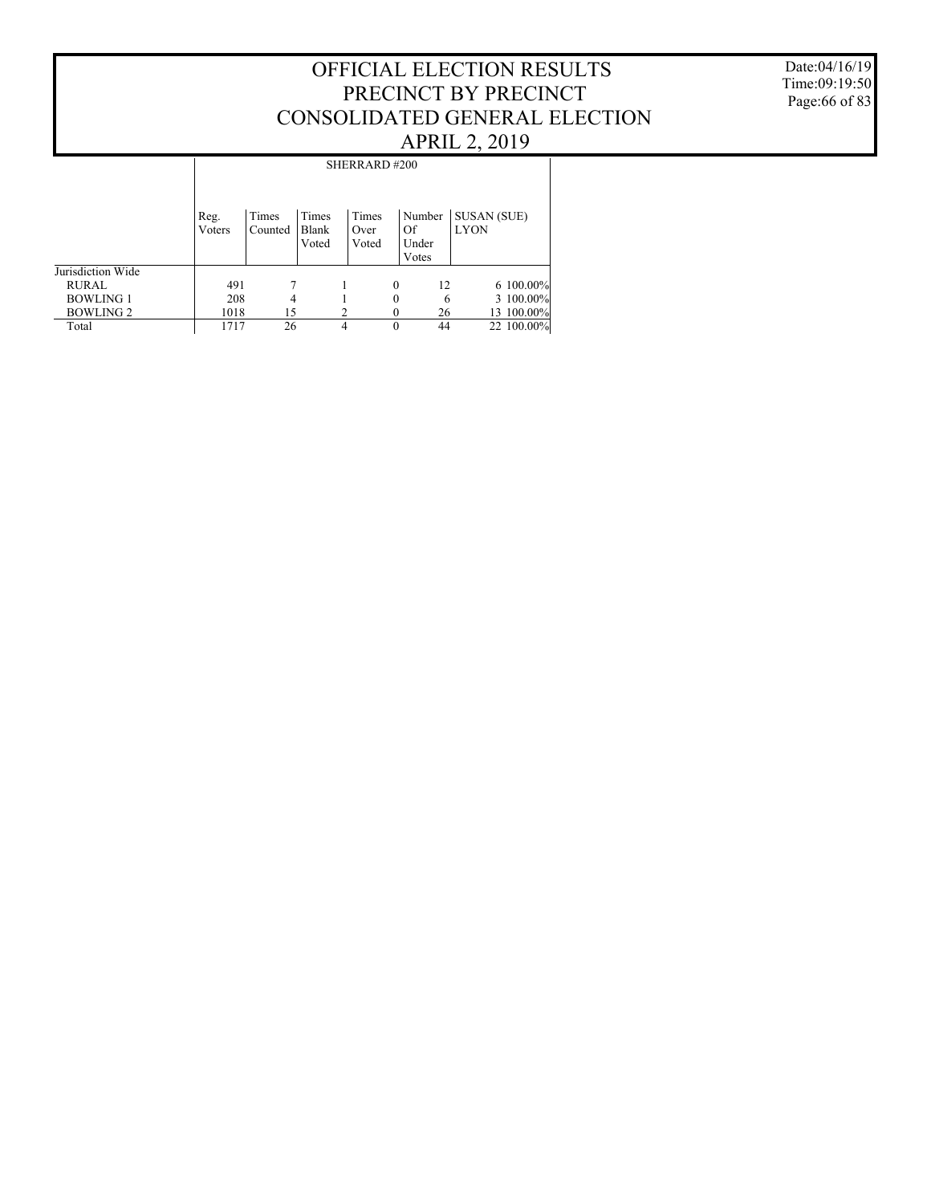### Date:04/16/19 Time:09:19:50 Page:66 of 83

|                   |                | SHERRARD#200     |                         |                        |                                |                                   |  |  |  |  |  |
|-------------------|----------------|------------------|-------------------------|------------------------|--------------------------------|-----------------------------------|--|--|--|--|--|
|                   | Reg.<br>Voters | Times<br>Counted | Times<br>Blank<br>Voted | Times<br>Over<br>Voted | Number<br>Of<br>Under<br>Votes | <b>SUSAN (SUE)</b><br><b>LYON</b> |  |  |  |  |  |
| Jurisdiction Wide |                |                  |                         |                        |                                |                                   |  |  |  |  |  |
| <b>RURAL</b>      | 491            |                  |                         |                        | 0<br>12                        | $6100.00\%$                       |  |  |  |  |  |
| <b>BOWLING 1</b>  | 208            | 4                |                         |                        | 0                              | 3 100.00%<br>6                    |  |  |  |  |  |
| BOWLING 2         | 1018           | 15               |                         |                        | 26                             | 13 100.00%                        |  |  |  |  |  |
| Total             | 1717           | 26               | 4                       |                        | 44<br>0                        | 22 100.00%                        |  |  |  |  |  |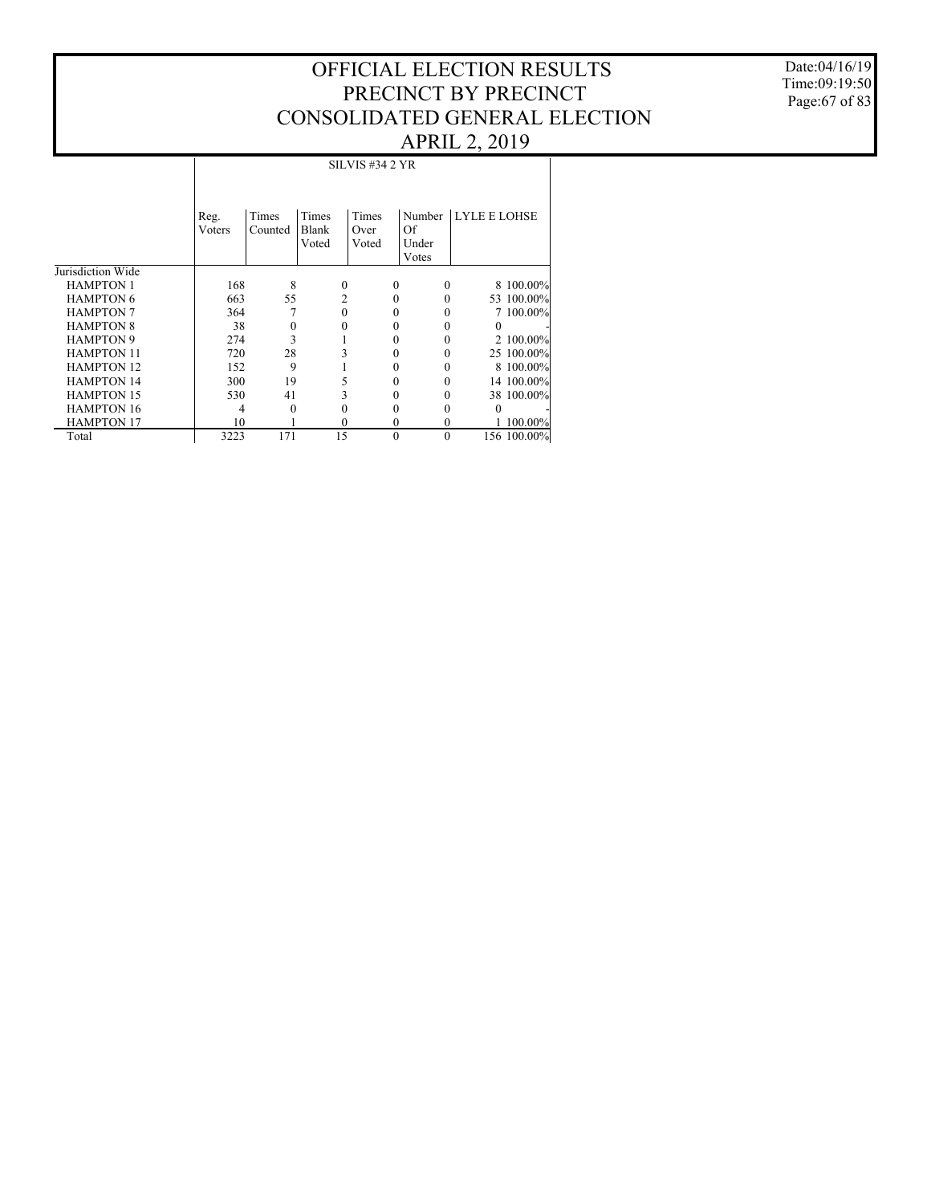Date:04/16/19 Time:09:19:50 Page:67 of 83

|                   | <b>SILVIS #34 2 YR</b> |         |          |          |          |                     |  |  |  |  |  |
|-------------------|------------------------|---------|----------|----------|----------|---------------------|--|--|--|--|--|
|                   | Reg.                   | Times   | Times    | Times    | Number   | <b>LYLE E LOHSE</b> |  |  |  |  |  |
|                   | Voters                 | Counted | Blank    | Over     | Of       |                     |  |  |  |  |  |
|                   |                        |         | Voted    | Voted    | Under    |                     |  |  |  |  |  |
|                   |                        |         |          |          | Votes    |                     |  |  |  |  |  |
| Jurisdiction Wide |                        |         |          |          |          |                     |  |  |  |  |  |
| <b>HAMPTON 1</b>  | 168                    | 8       | $\theta$ | $\Omega$ | $\Omega$ | 8 100.00%           |  |  |  |  |  |
| <b>HAMPTON 6</b>  | 663                    | 55      | 2        | 0        | 0        | 53 100.00%          |  |  |  |  |  |
| <b>HAMPTON 7</b>  | 364                    | 7       | 0        | 0        |          | 7 100.00%           |  |  |  |  |  |
| <b>HAMPTON 8</b>  | 38                     | 0       |          | 0        |          | 0                   |  |  |  |  |  |
| <b>HAMPTON 9</b>  | 274                    | 3       |          | 0        |          | 2 100,00%           |  |  |  |  |  |
| <b>HAMPTON 11</b> | 720                    | 28      |          | 0        | 0        | 25 100.00%          |  |  |  |  |  |
| <b>HAMPTON 12</b> | 152                    | 9       |          | 0        |          | 8 100.00%           |  |  |  |  |  |
| <b>HAMPTON 14</b> | 300                    | 19      |          | 0        |          | 14 100.00%          |  |  |  |  |  |
| <b>HAMPTON 15</b> | 530                    | 41      |          |          |          | 38 100.00%          |  |  |  |  |  |
| <b>HAMPTON 16</b> | 4                      | 0       |          | 0        |          | 0                   |  |  |  |  |  |
| <b>HAMPTON 17</b> | 10                     |         | $\Omega$ | $\theta$ | $\Omega$ | $100.00\%$          |  |  |  |  |  |
| Total             | 3223                   | 171     | 15       | $\theta$ | $\theta$ | 156 100.00%         |  |  |  |  |  |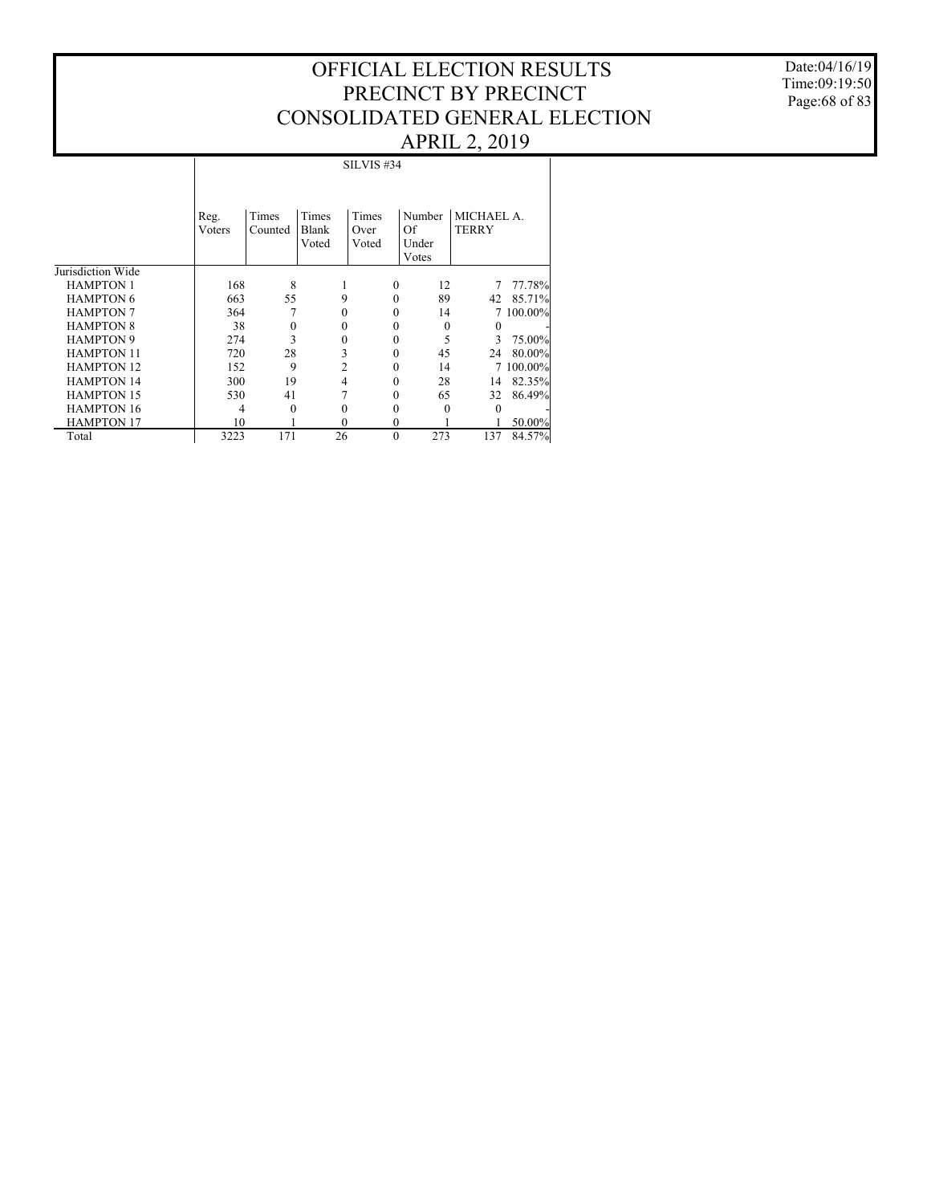Date:04/16/19 Time:09:19:50 Page:68 of 83

|                   | SILVIS #34     |                  |                         |                        |                                |                            |            |  |  |  |  |
|-------------------|----------------|------------------|-------------------------|------------------------|--------------------------------|----------------------------|------------|--|--|--|--|
|                   | Reg.<br>Voters | Times<br>Counted | Times<br>Blank<br>Voted | Times<br>Over<br>Voted | Number<br>Of<br>Under<br>Votes | MICHAEL A.<br><b>TERRY</b> |            |  |  |  |  |
| Jurisdiction Wide |                |                  |                         |                        |                                |                            |            |  |  |  |  |
| <b>HAMPTON 1</b>  | 168            | 8                |                         | $\theta$               | 12                             | 7                          | 77.78%     |  |  |  |  |
| <b>HAMPTON 6</b>  | 663            | 55               | 9                       | $\theta$               | 89                             | 42                         | 85.71%     |  |  |  |  |
| <b>HAMPTON 7</b>  | 364            |                  | 0                       |                        | 14<br>0                        | 7                          | $100.00\%$ |  |  |  |  |
| <b>HAMPTON 8</b>  | 38             | 0                | 0                       |                        | 0<br>$\theta$                  | 0                          |            |  |  |  |  |
| <b>HAMPTON 9</b>  | 274            | 3                | $\theta$                | $\theta$               | 5                              | 3                          | 75.00%     |  |  |  |  |
| <b>HAMPTON 11</b> | 720            | 28               | 3                       |                        | 45<br>0                        | 24                         | 80.00%     |  |  |  |  |
| <b>HAMPTON 12</b> | 152            | 9                | 2                       |                        | 14<br>0                        | 7                          | 100.00%    |  |  |  |  |
| <b>HAMPTON 14</b> | 300            | 19               | 4                       |                        | 28<br>0                        | 14                         | 82.35%     |  |  |  |  |
| <b>HAMPTON 15</b> | 530            | 41               |                         |                        | 65<br>0                        | 32                         | 86.49%     |  |  |  |  |
| <b>HAMPTON 16</b> | 4              | 0                | 0                       |                        | $\Omega$<br>0                  | 0                          |            |  |  |  |  |
| <b>HAMPTON 17</b> | 10             |                  | 0                       | $\theta$               |                                |                            | 50.00%     |  |  |  |  |
| Total             | 3223           | 171              | 26                      | $\theta$               | 273                            | 137                        | 84.57%     |  |  |  |  |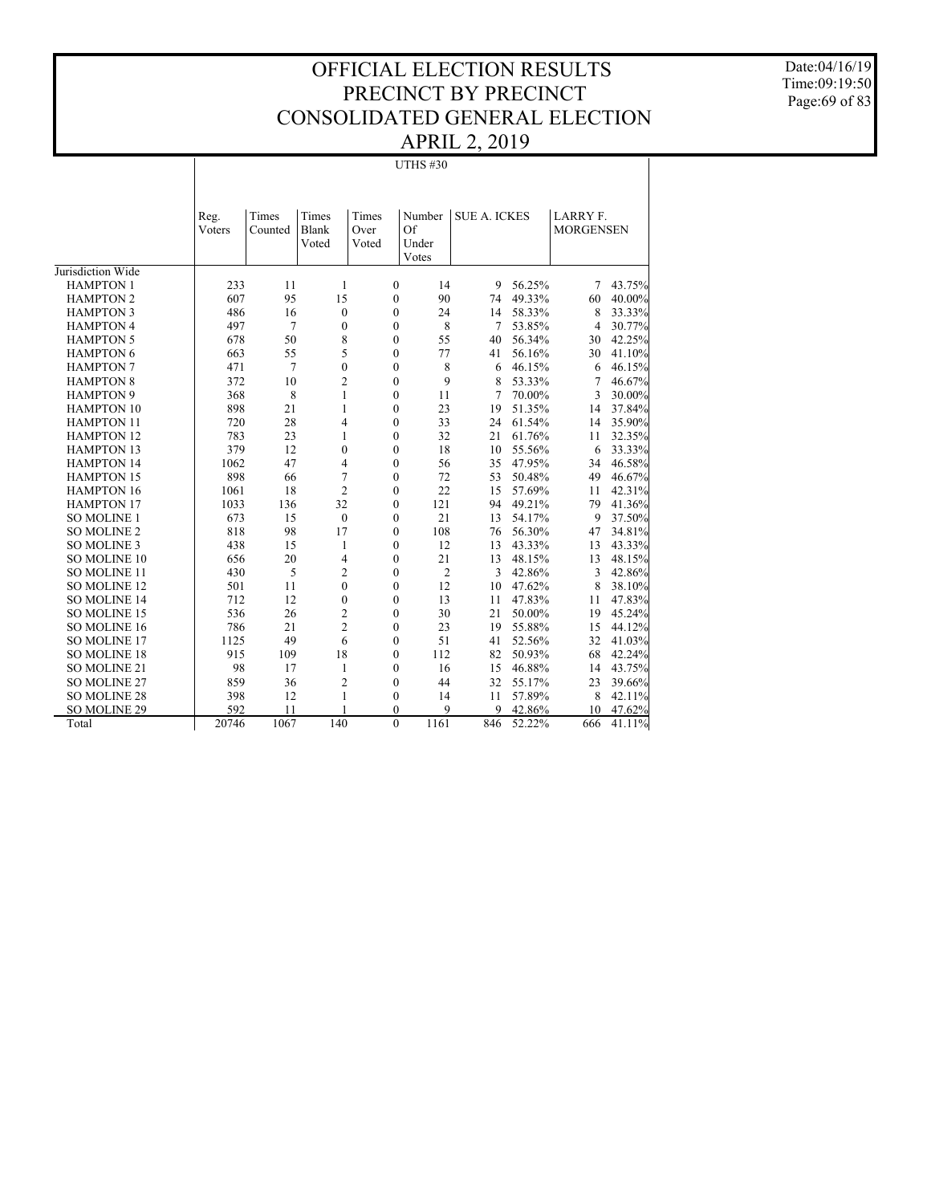Date:04/16/19 Time:09:19:50 Page:69 of 83

## UTHS #30

|                                       | Reg.<br>Voters | Times<br>Counted | Times<br>Blank<br>Voted | Times<br>Over<br>Voted | Number<br>Of<br>Under<br>Votes | <b>SUE A. ICKES</b> |        | LARRY F.<br><b>MORGENSEN</b> |        |
|---------------------------------------|----------------|------------------|-------------------------|------------------------|--------------------------------|---------------------|--------|------------------------------|--------|
| Jurisdiction Wide<br><b>HAMPTON 1</b> | 233            | 11               | 1                       | $\boldsymbol{0}$       | 14                             | 9                   | 56.25% | 7                            | 43.75% |
| <b>HAMPTON 2</b>                      | 607            | 95               | 15                      | $\boldsymbol{0}$       | 90                             | 74                  | 49.33% | 60                           | 40.00% |
| <b>HAMPTON 3</b>                      | 486            | 16               | $\mathbf{0}$            | $\mathbf{0}$           | 24                             | 14                  | 58.33% | 8                            | 33.33% |
| <b>HAMPTON 4</b>                      | 497            | 7                | $\mathbf{0}$            | $\mathbf{0}$           | 8                              | 7                   | 53.85% | $\overline{4}$               | 30.77% |
| <b>HAMPTON 5</b>                      | 678            | 50               | 8                       | $\Omega$               | 55                             | 40                  | 56.34% | 30                           | 42.25% |
| <b>HAMPTON 6</b>                      | 663            | 55               | 5                       | $\mathbf{0}$           | 77                             | 41                  | 56.16% | 30                           | 41.10% |
| <b>HAMPTON 7</b>                      | 471            | 7                | $\theta$                | $\Omega$               | 8                              | 6                   | 46.15% | 6                            | 46.15% |
| <b>HAMPTON 8</b>                      | 372            | 10               | $\overline{c}$          | $\mathbf{0}$           | 9                              | 8                   | 53.33% | 7                            | 46.67% |
| <b>HAMPTON 9</b>                      | 368            | 8                | 1                       | $\boldsymbol{0}$       | 11                             | 7                   | 70.00% | 3                            | 30.00% |
| <b>HAMPTON 10</b>                     | 898            | 21               | 1                       | $\mathbf{0}$           | 23                             | 19                  | 51.35% | 14                           | 37.84% |
| <b>HAMPTON 11</b>                     | 720            | 28               | 4                       | $\mathbf{0}$           | 33                             | 24                  | 61.54% | 14                           | 35.90% |
| <b>HAMPTON 12</b>                     | 783            | 23               | 1                       | $\theta$               | 32                             | 21                  | 61.76% | 11                           | 32.35% |
| <b>HAMPTON 13</b>                     | 379            | 12               | 0                       | $\mathbf{0}$           | 18                             | 10                  | 55.56% | 6                            | 33.33% |
| <b>HAMPTON 14</b>                     | 1062           | 47               | 4                       | $\mathbf{0}$           | 56                             | 35                  | 47.95% | 34                           | 46.58% |
| <b>HAMPTON 15</b>                     | 898            | 66               | 7                       | $\mathbf{0}$           | 72                             | 53                  | 50.48% | 49                           | 46.67% |
| <b>HAMPTON 16</b>                     | 1061           | 18               | 2                       | $\mathbf{0}$           | 22                             | 15                  | 57.69% | 11                           | 42.31% |
| <b>HAMPTON 17</b>                     | 1033           | 136              | 32                      | $\mathbf{0}$           | 121                            | 94                  | 49.21% | 79                           | 41.36% |
| <b>SO MOLINE 1</b>                    | 673            | 15               | $\mathbf{0}$            | $\mathbf{0}$           | 21                             | 13                  | 54.17% | 9                            | 37.50% |
| SO MOLINE 2                           | 818            | 98               | 17                      | $\mathbf{0}$           | 108                            | 76                  | 56.30% | 47                           | 34.81% |
| SO MOLINE 3                           | 438            | 15               | 1                       | $\mathbf{0}$           | 12                             | 13                  | 43.33% | 13                           | 43.33% |
| SO MOLINE 10                          | 656            | 20               | 4                       | $\mathbf{0}$           | 21                             | 13                  | 48.15% | 13                           | 48.15% |
| SO MOLINE 11                          | 430            | 5                | 2                       | $\mathbf{0}$           | $\overline{2}$                 | 3                   | 42.86% | 3                            | 42.86% |
| SO MOLINE 12                          | 501            | 11               | 0                       | $\mathbf{0}$           | 12                             | 10                  | 47.62% | 8                            | 38.10% |
| <b>SO MOLINE 14</b>                   | 712            | 12               | $\mathbf{0}$            | $\mathbf{0}$           | 13                             | 11                  | 47.83% | 11                           | 47.83% |
| SO MOLINE 15                          | 536            | 26               | $\overline{c}$          | $\mathbf{0}$           | 30                             | 21                  | 50.00% | 19                           | 45.24% |
| SO MOLINE 16                          | 786            | 21               | $\overline{c}$          | $\boldsymbol{0}$       | 23                             | 19                  | 55.88% | 15                           | 44.12% |
| SO MOLINE 17                          | 1125           | 49               | 6                       | $\mathbf{0}$           | 51                             | 41                  | 52.56% | 32                           | 41.03% |
| SO MOLINE 18                          | 915            | 109              | 18                      | $\mathbf{0}$           | 112                            | 82                  | 50.93% | 68                           | 42.24% |
| SO MOLINE 21                          | 98             | 17               | 1                       | $\mathbf{0}$           | 16                             | 15                  | 46.88% | 14                           | 43.75% |
| SO MOLINE 27                          | 859            | 36               | 2                       | $\mathbf{0}$           | 44                             | 32                  | 55.17% | 23                           | 39.66% |
| <b>SO MOLINE 28</b>                   | 398            | 12               | $\mathbf{1}$            | $\mathbf{0}$           | 14                             | 11                  | 57.89% | 8                            | 42.11% |
| SO MOLINE 29                          | 592            | 11               |                         | $\Omega$               | 9                              | 9                   | 42.86% | 10                           | 47.62% |
| Total                                 | 20746          | 1067             | 140                     | $\Omega$               | 1161                           | 846                 | 52.22% | 666                          | 41.11% |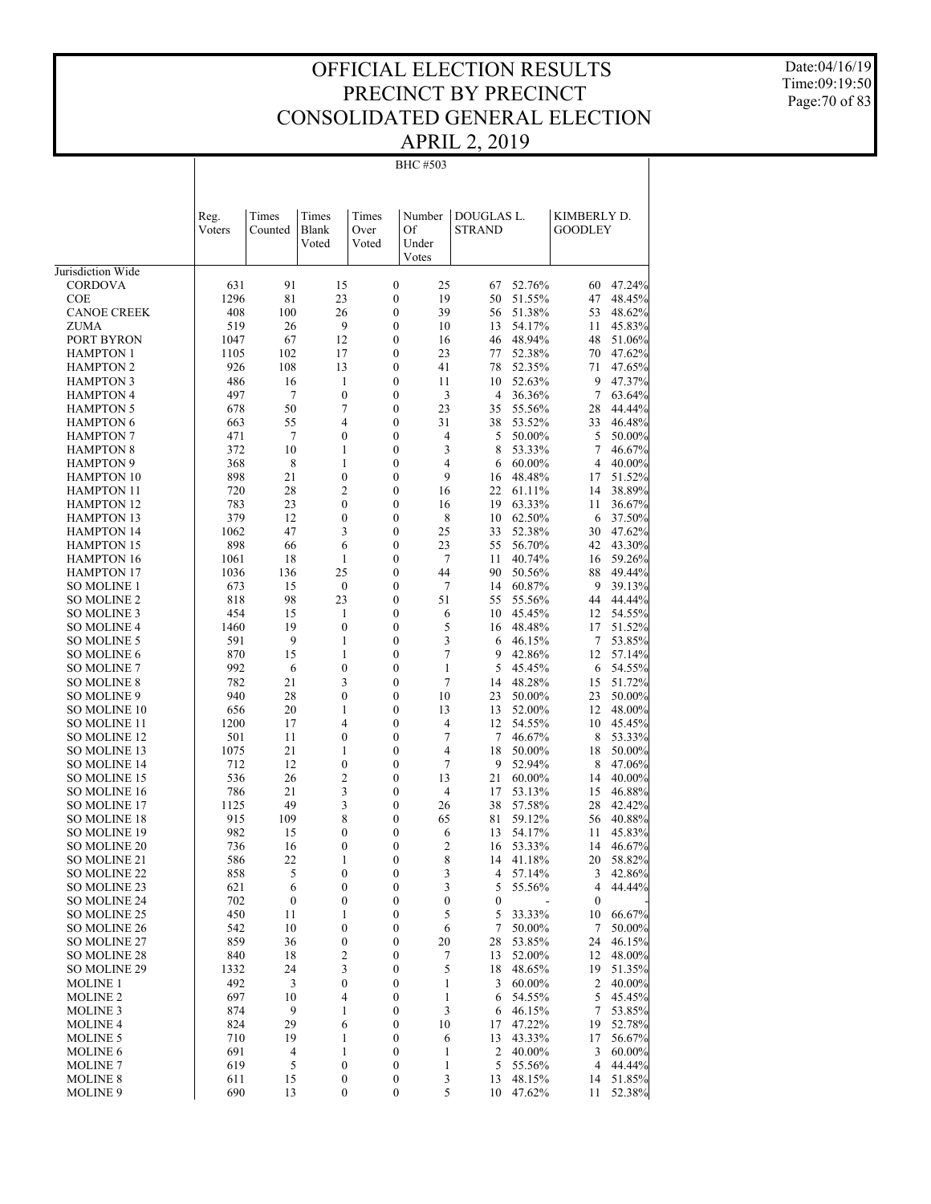Date:04/16/19 Time:09:19:50 Page:70 of 83

#### BHC #503

|                                            | Reg.<br>Voters | Times<br>Counted     | Times<br>Blank<br>Voted | Times<br>Over<br>Voted               | Number<br>Of<br>Under<br>Votes | DOUGLAS L.<br><b>STRAND</b> |                  | KIMBERLY D.<br><b>GOODLEY</b> |                  |
|--------------------------------------------|----------------|----------------------|-------------------------|--------------------------------------|--------------------------------|-----------------------------|------------------|-------------------------------|------------------|
| Jurisdiction Wide                          |                |                      |                         |                                      |                                |                             |                  |                               |                  |
| <b>CORDOVA</b>                             | 631            | 91                   | 15                      | $\boldsymbol{0}$                     | 25                             | 67                          | 52.76%           | 60                            | 47.24%           |
| <b>COE</b>                                 | 1296           | 81                   | 23                      | $\boldsymbol{0}$                     | 19                             | 50                          | 51.55%           | 47                            | 48.45%           |
| <b>CANOE CREEK</b>                         | 408            | 100                  | 26                      | $\boldsymbol{0}$                     | 39                             | 56                          | 51.38%           | 53                            | 48.62%           |
| <b>ZUMA</b>                                | 519            | 26                   | 9                       | $\boldsymbol{0}$                     | 10                             | 13                          | 54.17%           | 11                            | 45.83%           |
| PORT BYRON                                 | 1047           | 67                   | 12                      | $\boldsymbol{0}$                     | 16                             | 46                          | 48.94%           | 48                            | 51.06%           |
| <b>HAMPTON 1</b>                           | 1105           | 102                  | 17                      | $\boldsymbol{0}$                     | 23                             | 77                          | 52.38%           | 70                            | 47.62%           |
| <b>HAMPTON 2</b>                           | 926            | 108                  | 13                      | $\boldsymbol{0}$                     | 41                             | 78                          | 52.35%           | 71                            | 47.65%           |
| <b>HAMPTON 3</b>                           | 486            | 16                   | 1                       | $\boldsymbol{0}$                     | 11                             | 10                          | 52.63%           | 9                             | 47.37%           |
| <b>HAMPTON 4</b>                           | 497            | 7                    | $\boldsymbol{0}$        | $\boldsymbol{0}$                     | 3                              | $\overline{4}$              | 36.36%           | 7                             | 63.64%           |
| <b>HAMPTON 5</b>                           | 678            | 50                   | 7                       | $\boldsymbol{0}$                     | 23                             | 35                          | 55.56%           | 28                            | 44.44%           |
| <b>HAMPTON 6</b>                           | 663            | 55                   | 4                       | $\boldsymbol{0}$                     | 31                             | 38                          | 53.52%           | 33                            | 46.48%           |
| <b>HAMPTON 7</b><br><b>HAMPTON 8</b>       | 471<br>372     | $\overline{7}$<br>10 | $\boldsymbol{0}$<br>1   | $\boldsymbol{0}$<br>$\boldsymbol{0}$ | 4<br>3                         | 5<br>8                      | 50.00%<br>53.33% | 5<br>7                        | 50.00%<br>46.67% |
| <b>HAMPTON 9</b>                           | 368            | 8                    | 1                       | $\boldsymbol{0}$                     | 4                              | 6                           | 60.00%           | 4                             | 40.00%           |
| <b>HAMPTON 10</b>                          | 898            | 21                   | $\boldsymbol{0}$        | $\mathbf{0}$                         | 9                              | 16                          | 48.48%           | 17                            | 51.52%           |
| <b>HAMPTON 11</b>                          | 720            | 28                   | 2                       | $\boldsymbol{0}$                     | 16                             | 22                          | 61.11%           | 14                            | 38.89%           |
| <b>HAMPTON 12</b>                          | 783            | 23                   | $\boldsymbol{0}$        | $\mathbf{0}$                         | 16                             | 19                          | 63.33%           | 11                            | 36.67%           |
| <b>HAMPTON 13</b>                          | 379            | 12                   | $\boldsymbol{0}$        | $\boldsymbol{0}$                     | 8                              | 10                          | 62.50%           | 6                             | 37.50%           |
| <b>HAMPTON 14</b>                          | 1062           | 47                   | 3                       | $\boldsymbol{0}$                     | 25                             | 33                          | 52.38%           | 30                            | 47.62%           |
| <b>HAMPTON 15</b>                          | 898            | 66                   | 6                       | $\boldsymbol{0}$                     | 23                             | 55                          | 56.70%           | 42                            | 43.30%           |
| <b>HAMPTON 16</b>                          | 1061           | 18                   | 1                       | $\mathbf{0}$                         | 7                              | 11                          | 40.74%           | 16                            | 59.26%           |
| <b>HAMPTON 17</b>                          | 1036           | 136                  | 25                      | $\boldsymbol{0}$                     | 44                             | 90                          | 50.56%           | 88                            | 49.44%           |
| <b>SO MOLINE 1</b>                         | 673            | 15                   | $\boldsymbol{0}$        | $\mathbf{0}$                         | 7                              | 14                          | 60.87%           | 9                             | 39.13%           |
| <b>SO MOLINE 2</b>                         | 818            | 98                   | 23                      | $\boldsymbol{0}$                     | 51                             | 55                          | 55.56%           | 44                            | 44.44%           |
| <b>SO MOLINE 3</b>                         | 454            | 15                   | 1                       | $\boldsymbol{0}$                     | 6                              | 10                          | 45.45%           | 12                            | 54.55%           |
| <b>SO MOLINE 4</b>                         | 1460           | 19                   | $\boldsymbol{0}$        | $\boldsymbol{0}$                     | 5                              | 16                          | 48.48%           | 17                            | 51.52%           |
| <b>SO MOLINE 5</b>                         | 591            | 9                    | 1                       | $\boldsymbol{0}$                     | 3                              | 6                           | 46.15%           | 7                             | 53.85%           |
| <b>SO MOLINE 6</b>                         | 870            | 15                   | 1                       | $\boldsymbol{0}$                     | 7                              | 9                           | 42.86%           | 12                            | 57.14%           |
| <b>SO MOLINE 7</b>                         | 992            | 6                    | $\boldsymbol{0}$        | $\mathbf{0}$                         | 1                              | 5                           | 45.45%           | 6                             | 54.55%           |
| <b>SO MOLINE 8</b>                         | 782            | 21                   | 3                       | $\boldsymbol{0}$                     | 7                              | 14                          | 48.28%           | 15                            | 51.72%           |
| SO MOLINE 9                                | 940            | 28                   | 0                       | $\mathbf{0}$                         | 10                             | 23                          | 50.00%           | 23                            | 50.00%           |
| <b>SO MOLINE 10</b><br><b>SO MOLINE 11</b> | 656<br>1200    | 20<br>17             | 1<br>4                  | $\boldsymbol{0}$<br>$\mathbf{0}$     | 13<br>$\overline{4}$           | 13<br>12                    | 52.00%<br>54.55% | 12<br>10                      | 48.00%<br>45.45% |
| <b>SO MOLINE 12</b>                        | 501            | 11                   | $\boldsymbol{0}$        | $\boldsymbol{0}$                     | 7                              | 7                           | 46.67%           | 8                             | 53.33%           |
| SO MOLINE 13                               | 1075           | 21                   | 1                       | $\mathbf{0}$                         | 4                              | 18                          | 50.00%           | 18                            | 50.00%           |
| <b>SO MOLINE 14</b>                        | 712            | 12                   | $\boldsymbol{0}$        | $\boldsymbol{0}$                     | 7                              | 9                           | 52.94%           | 8                             | 47.06%           |
| <b>SO MOLINE 15</b>                        | 536            | 26                   | $\overline{c}$          | $\boldsymbol{0}$                     | 13                             | 21                          | 60.00%           | 14                            | 40.00%           |
| <b>SO MOLINE 16</b>                        | 786            | 21                   | 3                       | $\boldsymbol{0}$                     | $\overline{4}$                 | 17                          | 53.13%           | 15                            | 46.88%           |
| <b>SO MOLINE 17</b>                        | 1125           | 49                   | 3                       | $\boldsymbol{0}$                     | 26                             | 38                          | 57.58%           | 28                            | 42.42%           |
| <b>SO MOLINE 18</b>                        | 915            | 109                  | 8                       | $\boldsymbol{0}$                     | 65                             | 81                          | 59.12%           | 56                            | 40.88%           |
| <b>SO MOLINE 19</b>                        | 982            | 15                   | 0                       | $\mathbf{0}$                         | 6                              | 13                          | 54.17%           | 11                            | 45.83%           |
| <b>SO MOLINE 20</b>                        | 736            | 16                   | $\boldsymbol{0}$        | $\boldsymbol{0}$                     | $\overline{c}$                 | 16                          | 53.33%           | 14                            | 46.67%           |
| SO MOLINE 21                               | 586            | 22                   | 1                       | $\mathbf{0}$                         | 8                              | 14                          | 41.18%           | 20                            | 58.82%           |
| SO MOLINE 22                               | 858            | 5                    | 0                       | $\boldsymbol{0}$                     | 3                              | 4                           | 57.14%           | 3                             | 42.86%           |
| SO MOLINE 23                               | 621            | 6                    | $\boldsymbol{0}$        | $\boldsymbol{0}$                     | 3                              | 5                           | 55.56%           | 4                             | 44.44%           |
| SO MOLINE 24                               | 702            | $\boldsymbol{0}$     | $\boldsymbol{0}$        | $\boldsymbol{0}$                     | $\boldsymbol{0}$               | $\boldsymbol{0}$            |                  | $\boldsymbol{0}$              |                  |
| SO MOLINE 25                               | 450            | 11                   | 1                       | $\boldsymbol{0}$                     | 5                              | 5                           | 33.33%           | 10                            | 66.67%           |
| SO MOLINE 26                               | 542            | 10                   | $\boldsymbol{0}$        | $\boldsymbol{0}$                     | 6                              | 7                           | 50.00%           | 7                             | 50.00%           |
| SO MOLINE 27                               | 859            | 36                   | $\boldsymbol{0}$        | $\boldsymbol{0}$                     | 20                             | 28                          | 53.85%           | 24                            | 46.15%           |
| <b>SO MOLINE 28</b>                        | 840            | 18                   | $\overline{\mathbf{c}}$ | $\boldsymbol{0}$                     | 7                              | 13                          | 52.00%           | 12                            | 48.00%           |
| SO MOLINE 29                               | 1332           | 24                   | 3                       | $\boldsymbol{0}$                     | 5                              | 18                          | 48.65%           | 19                            | 51.35%           |
| <b>MOLINE 1</b>                            | 492            | 3                    | $\boldsymbol{0}$        | $\boldsymbol{0}$                     | 1                              | 3                           | 60.00%           | 2                             | 40.00%           |
| <b>MOLINE 2</b>                            | 697            | 10                   | 4                       | $\boldsymbol{0}$                     | 1                              | 6                           | 54.55%           | 5                             | 45.45%           |
| <b>MOLINE 3</b>                            | 874            | 9<br>29              | 1                       | $\boldsymbol{0}$<br>$\boldsymbol{0}$ | 3                              | 6                           | 46.15%<br>47.22% | 7                             | 53.85%           |
| <b>MOLINE 4</b><br><b>MOLINE 5</b>         | 824<br>710     | 19                   | 6<br>1                  | $\boldsymbol{0}$                     | 10<br>6                        | 17<br>13                    | 43.33%           | 19<br>17                      | 52.78%<br>56.67% |
| <b>MOLINE 6</b>                            | 691            | 4                    | 1                       | $\boldsymbol{0}$                     | 1                              | 2                           | 40.00%           | 3                             | 60.00%           |
| <b>MOLINE 7</b>                            | 619            | 5                    | $\boldsymbol{0}$        | $\boldsymbol{0}$                     | 1                              | 5                           | 55.56%           | 4                             | 44.44%           |
| <b>MOLINE 8</b>                            | 611            | 15                   | $\boldsymbol{0}$        | $\boldsymbol{0}$                     | 3                              | 13                          | 48.15%           |                               | 14 51.85%        |
| MOLINE 9                                   | 690            | 13                   | $\boldsymbol{0}$        | $\boldsymbol{0}$                     | 5                              | 10                          | 47.62%           | 11                            | 52.38%           |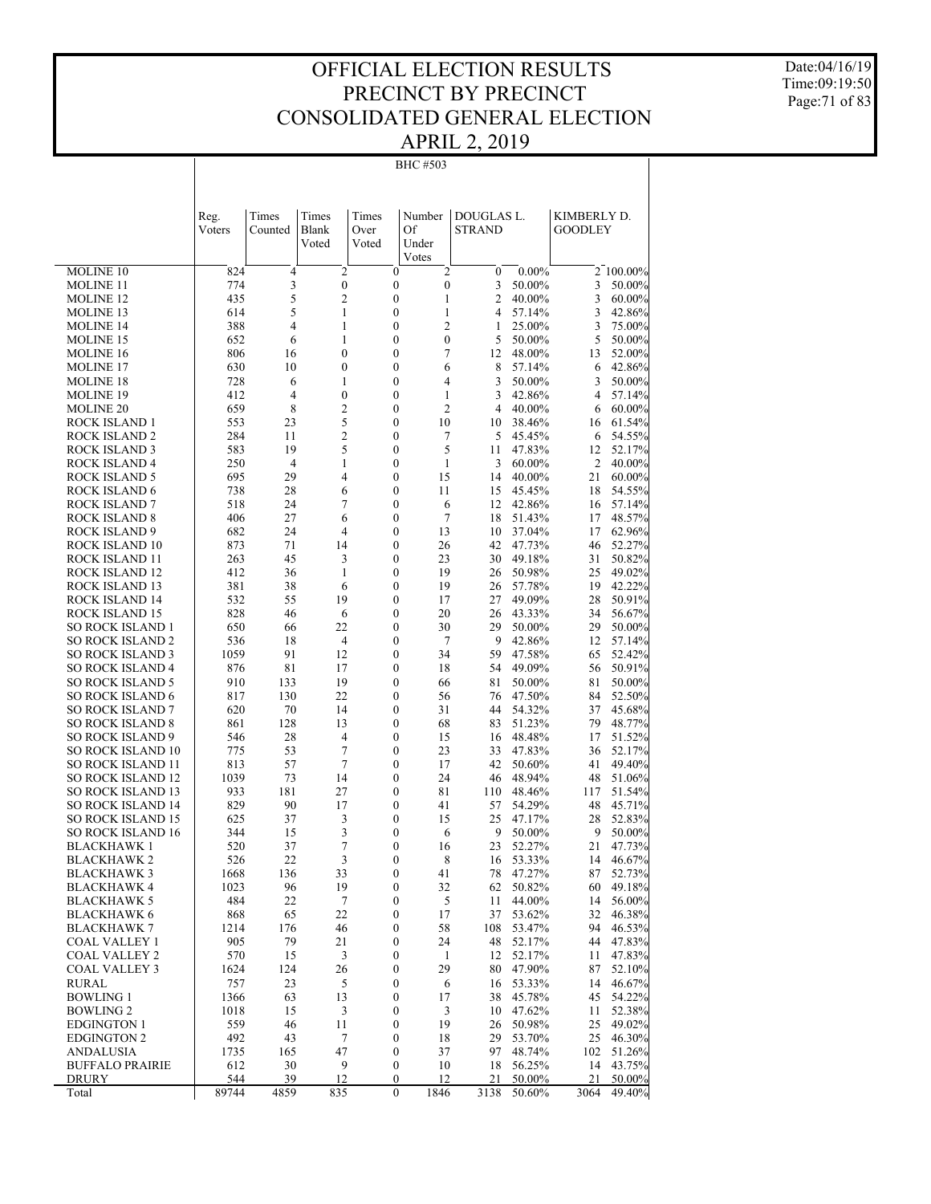Date:04/16/19 Time:09:19:50 Page:71 of 83

#### BHC #503

|                                             | Reg.<br>Voters | Times<br>Counted | Times<br>Blank<br>Voted | Times<br>Over<br>Voted | Number<br>Of<br>Under<br>Votes | DOUGLAS L.<br><b>STRAND</b> |                  | KIMBERLY D.<br><b>GOODLEY</b> |                  |
|---------------------------------------------|----------------|------------------|-------------------------|------------------------|--------------------------------|-----------------------------|------------------|-------------------------------|------------------|
| MOLINE 10                                   | 824            | 4                | $\overline{c}$          | $\boldsymbol{0}$       | 2                              | $\boldsymbol{0}$            | $0.00\%$         |                               | 2 100.00%        |
| <b>MOLINE 11</b>                            | 774            | 3                | $\boldsymbol{0}$        | $\boldsymbol{0}$       | $\boldsymbol{0}$               | 3                           | 50.00%           | 3                             | 50.00%           |
| MOLINE 12                                   | 435            | 5                | 2                       | 0                      | 1                              | 2                           | 40.00%           | 3                             | 60.00%           |
| MOLINE 13                                   | 614            | 5                | 1                       | $\boldsymbol{0}$       | 1                              | 4                           | 57.14%           | 3                             | 42.86%           |
| <b>MOLINE 14</b>                            | 388            | 4                | 1                       | $\boldsymbol{0}$       | 2                              | 1                           | 25.00%           | 3                             | 75.00%           |
| <b>MOLINE 15</b>                            | 652            | 6                | 1                       | $\boldsymbol{0}$       | $\mathbf{0}$                   | 5                           | 50.00%           | 5                             | 50.00%           |
| MOLINE 16                                   | 806            | 16               | 0                       | $\boldsymbol{0}$       | 7                              | 12                          | 48.00%           | 13                            | 52.00%           |
| <b>MOLINE 17</b>                            | 630            | 10               | $\boldsymbol{0}$        | $\boldsymbol{0}$       | 6                              | 8                           | 57.14%           | 6                             | 42.86%           |
| MOLINE 18                                   | 728            | 6                | 1                       | $\boldsymbol{0}$       | 4                              | 3                           | 50.00%           | 3                             | 50.00%           |
| MOLINE 19                                   | 412            | 4                | 0                       | $\boldsymbol{0}$       | 1                              | 3                           | 42.86%           | $\overline{4}$                | 57.14%           |
| MOLINE 20                                   | 659            | 8                | 2                       | $\boldsymbol{0}$       | 2                              | 4                           | 40.00%           | 6                             | 60.00%           |
| ROCK ISLAND 1                               | 553            | 23               | 5                       | 0                      | 10                             | 10                          | 38.46%           | 16                            | 61.54%           |
| ROCK ISLAND 2                               | 284            | 11               | 2                       | 0                      | 7                              | 5                           | 45.45%           | 6                             | 54.55%           |
| ROCK ISLAND 3                               | 583            | 19               | 5                       | 0                      | 5                              | 11                          | 47.83%           | 12                            | 52.17%           |
| ROCK ISLAND 4                               | 250            | $\overline{4}$   | 1                       | 0                      | 1                              | 3                           | 60.00%           | 2                             | 40.00%           |
| ROCK ISLAND 5                               | 695            | 29               | 4                       | $\boldsymbol{0}$       | 15                             | 14                          | 40.00%           | 21                            | 60.00%           |
| ROCK ISLAND 6                               | 738            | 28               | 6                       | 0                      | 11                             | 15                          | 45.45%           | 18                            | 54.55%           |
| <b>ROCK ISLAND 7</b>                        | 518            | 24               | 7                       | 0                      | 6                              | 12                          | 42.86%           | 16                            | 57.14%           |
| ROCK ISLAND 8                               | 406            | 27               | 6                       | 0                      | 7                              | 18                          | 51.43%           | 17                            | 48.57%           |
| ROCK ISLAND 9                               | 682            | 24               | 4                       | 0                      | 13                             | 10                          | 37.04%           | 17                            | 62.96%           |
| ROCK ISLAND 10                              | 873            | 71               | 14                      | 0                      | 26                             | 42                          | 47.73%           | 46                            | 52.27%           |
| ROCK ISLAND 11                              | 263            | 45               | 3                       | 0                      | 23                             | 30                          | 49.18%           | 31                            | 50.82%           |
| ROCK ISLAND 12                              | 412            | 36               | 1                       | 0                      | 19                             | 26                          | 50.98%           | 25                            | 49.02%           |
| ROCK ISLAND 13                              | 381            | 38               | 6                       | 0                      | 19                             | 26                          | 57.78%           | 19                            | 42.22%           |
| ROCK ISLAND 14                              | 532            | 55               | 19                      | 0                      | 17                             | 27                          | 49.09%           | 28                            | 50.91%           |
| ROCK ISLAND 15                              | 828            | 46               | 6                       | 0                      | 20                             | 26                          | 43.33%           | 34                            | 56.67%           |
| SO ROCK ISLAND 1                            | 650            | 66               | 22                      | 0                      | 30                             | 29                          | 50.00%           | 29                            | 50.00%           |
| SO ROCK ISLAND 2                            | 536            | 18               | 4                       | 0                      | 7                              | 9                           | 42.86%           | 12                            | 57.14%           |
| SO ROCK ISLAND 3                            | 1059           | 91               | 12                      | 0                      | 34                             | 59                          | 47.58%           | 65                            | 52.42%           |
| SO ROCK ISLAND 4<br><b>SO ROCK ISLAND 5</b> | 876<br>910     | 81<br>133        | 17<br>19                | 0<br>0                 | 18<br>66                       | 54<br>81                    | 49.09%<br>50.00% | 56<br>81                      | 50.91%<br>50.00% |
| SO ROCK ISLAND 6                            | 817            | 130              | 22                      | 0                      | 56                             | 76                          | 47.50%           | 84                            | 52.50%           |
| SO ROCK ISLAND 7                            | 620            | 70               | 14                      | 0                      | 31                             | 44                          | 54.32%           | 37                            | 45.68%           |
| SO ROCK ISLAND 8                            | 861            | 128              | 13                      | 0                      | 68                             | 83                          | 51.23%           | 79                            | 48.77%           |
| <b>SO ROCK ISLAND 9</b>                     | 546            | 28               | 4                       | 0                      | 15                             | 16                          | 48.48%           | 17                            | 51.52%           |
| SO ROCK ISLAND 10                           | 775            | 53               | 7                       | 0                      | 23                             | 33                          | 47.83%           | 36                            | 52.17%           |
| SO ROCK ISLAND 11                           | 813            | 57               | 7                       | 0                      | 17                             | 42                          | 50.60%           | 41                            | 49.40%           |
| SO ROCK ISLAND 12                           | 1039           | 73               | 14                      | 0                      | 24                             | 46                          | 48.94%           | 48                            | 51.06%           |
| SO ROCK ISLAND 13                           | 933            | 181              | 27                      | 0                      | 81                             | 110                         | 48.46%           | 117                           | 51.54%           |
| SO ROCK ISLAND 14                           | 829            | 90               | 17                      | 0                      | 41                             | 57                          | 54.29%           | 48                            | 45.71%           |
| SO ROCK ISLAND 15                           | 625            | 37               | 3                       | 0                      | 15                             | 25                          | 47.17%           | 28                            | 52.83%           |
| <b>SO ROCK ISLAND 16</b>                    | 344            | 15               | 3                       | 0                      | 6                              | 9                           | 50.00%           | 9                             | 50.00%           |
| BLACKHAWK 1                                 | 520            | 37               | 7                       | 0                      | 16                             | 23                          | 52.27%           | 21                            | 47.73%           |
| <b>BLACKHAWK2</b>                           | 526            | 22               | 3                       | 0                      | 8                              | 16                          | 53.33%           | 14                            | 46.67%           |
| <b>BLACKHAWK 3</b>                          | 1668           | 136              | 33                      | $\theta$               | 41                             | 78                          | 47.27%           | 87                            | 52.73%           |
| <b>BLACKHAWK 4</b>                          | 1023           | 96               | 19                      | $\boldsymbol{0}$       | 32                             | 62                          | 50.82%           |                               | 60 49.18%        |
| BLACKHAWK 5                                 | 484            | 22               | 7                       | $\boldsymbol{0}$       | 5                              | 11                          | 44.00%           | 14                            | 56.00%           |
| <b>BLACKHAWK 6</b>                          | 868            | 65               | 22                      | 0                      | 17                             | 37                          | 53.62%           | 32                            | 46.38%           |
| BLACKHAWK 7                                 | 1214           | 176              | 46                      | 0                      | 58                             | 108                         | 53.47%           | 94                            | 46.53%           |
| COAL VALLEY 1                               | 905            | 79               | 21                      | 0                      | 24                             | 48                          | 52.17%           | 44                            | 47.83%           |
| COAL VALLEY 2                               | 570            | 15               | 3                       | 0                      | 1                              | 12                          | 52.17%           | 11                            | 47.83%           |
| COAL VALLEY 3                               | 1624           | 124              | 26                      | 0                      | 29                             | 80                          | 47.90%           | 87                            | 52.10%           |
| RURAL                                       | 757            | 23               | 5                       | 0                      | 6                              | 16                          | 53.33%           | 14                            | 46.67%           |
| <b>BOWLING 1</b>                            | 1366           | 63               | 13                      | 0                      | 17                             | 38                          | 45.78%           | 45                            | 54.22%           |
| BOWLING 2                                   | 1018           | 15               | 3                       | 0                      | 3                              | 10                          | 47.62%           | 11                            | 52.38%           |
| <b>EDGINGTON 1</b>                          | 559            | 46               | 11                      | 0                      | 19                             | 26                          | 50.98%           | 25                            | 49.02%           |
| EDGINGTON 2                                 | 492            | 43               | 7                       | 0                      | 18                             | 29                          | 53.70%           | 25                            | 46.30%           |
| ANDALUSIA                                   | 1735           | 165<br>30        | 47<br>9                 | 0<br>$\boldsymbol{0}$  | 37                             | 97<br>18                    | 48.74%<br>56.25% | 102<br>14                     | 51.26%<br>43.75% |
| BUFFALO PRAIRIE<br>DRURY                    | 612<br>544     | 39               | 12                      | 0                      | 10<br>12                       | 21                          | 50.00%           | 21                            | 50.00%           |
| Total                                       | 89744          | 4859             | 835                     | $\boldsymbol{0}$       | 1846                           | 3138                        | 50.60%           | 3064                          | 49.40%           |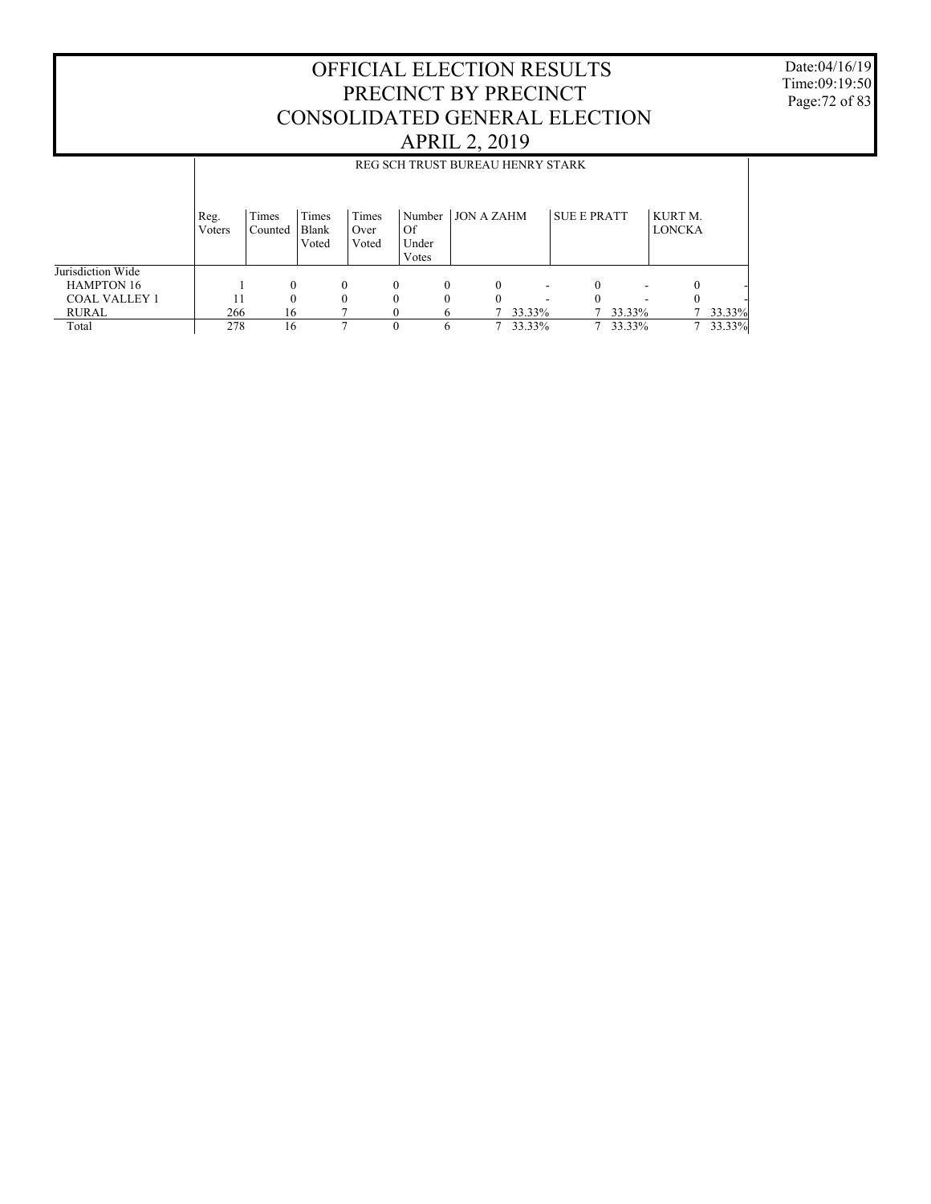Date:04/16/19 Time:09:19:50 Page:72 of 83

|                      |                | REG SCH TRUST BUREAU HENRY STARK |                         |                        |                      |              |                   |                          |                    |        |                          |        |
|----------------------|----------------|----------------------------------|-------------------------|------------------------|----------------------|--------------|-------------------|--------------------------|--------------------|--------|--------------------------|--------|
|                      | Reg.<br>Voters | Times<br>Counted                 | Times<br>Blank<br>Voted | Times<br>Over<br>Voted | Of<br>Under<br>Votes | Number       | <b>JON A ZAHM</b> |                          | <b>SUE E PRATT</b> |        | KURT M.<br><b>LONCKA</b> |        |
| Jurisdiction Wide    |                |                                  |                         |                        |                      |              |                   |                          |                    |        |                          |        |
| <b>HAMPTON 16</b>    |                | $\Omega$                         |                         | 0                      | $\theta$             | $\Omega$     | $\theta$          | $\overline{\phantom{a}}$ |                    |        |                          |        |
| <b>COAL VALLEY 1</b> | 11             | $\Omega$                         |                         |                        | $\theta$             | $\theta$     | 0                 |                          |                    |        |                          |        |
| RURAL                | 266            | 16                               |                         |                        | $\theta$             | <sub>(</sub> |                   | 33.33%                   |                    | 33.33% |                          | 33.33% |
| Total                | 278            | 16                               |                         |                        | $\theta$             | 6            |                   | 33.33%                   |                    | 33.33% |                          | 33.33% |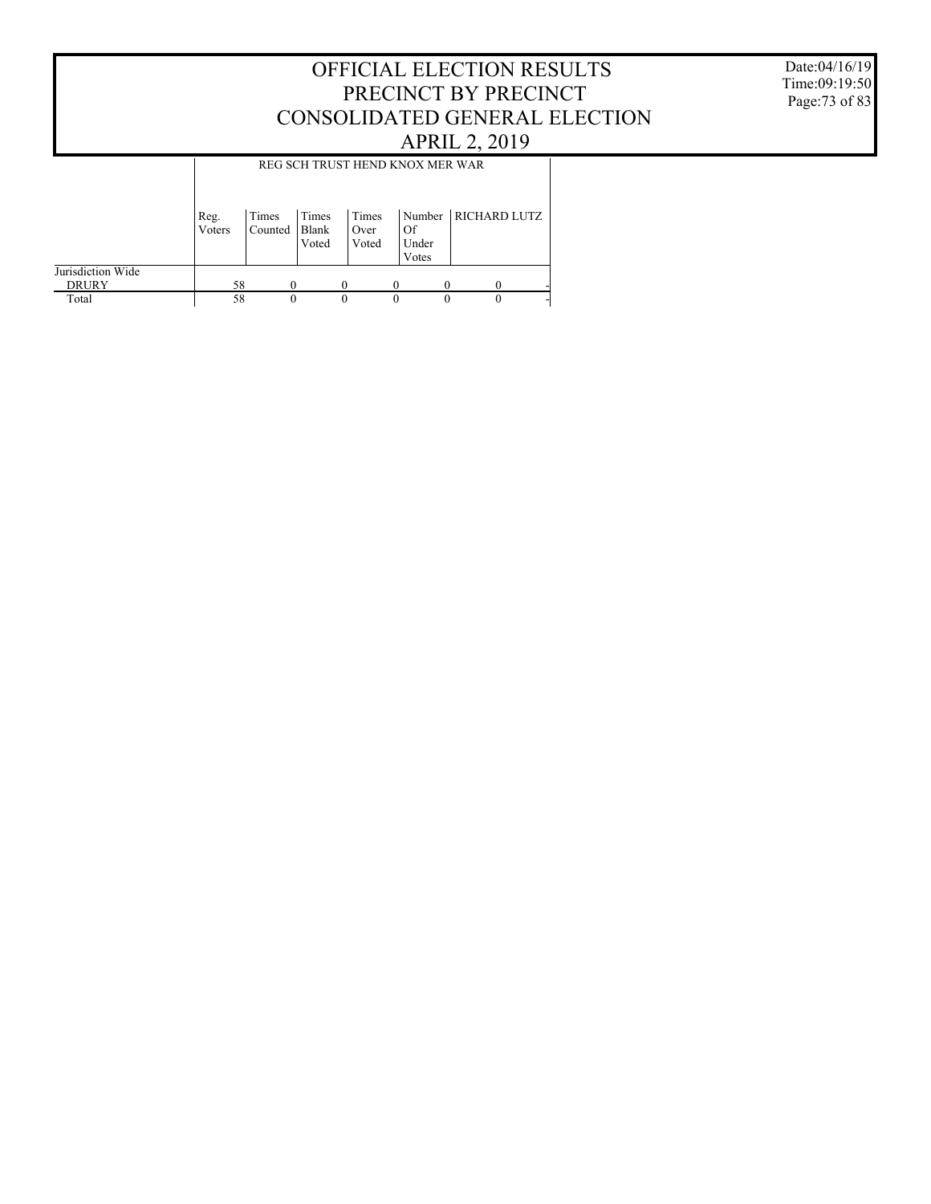Date:04/16/19 Time:09:19:50 Page:73 of 83

|                                   |                |                  |                         | REG SCH TRUST HEND KNOX MER WAR |                                |                     |
|-----------------------------------|----------------|------------------|-------------------------|---------------------------------|--------------------------------|---------------------|
|                                   | Reg.<br>Voters | Times<br>Counted | Times<br>Blank<br>Voted | Times<br>Over<br>Voted          | Number<br>Of<br>Under<br>Votes | <b>RICHARD LUTZ</b> |
| Jurisdiction Wide<br><b>DRURY</b> | 58             | 0                |                         |                                 |                                |                     |
| Total                             | 58             | 0                |                         | 0                               | 0                              |                     |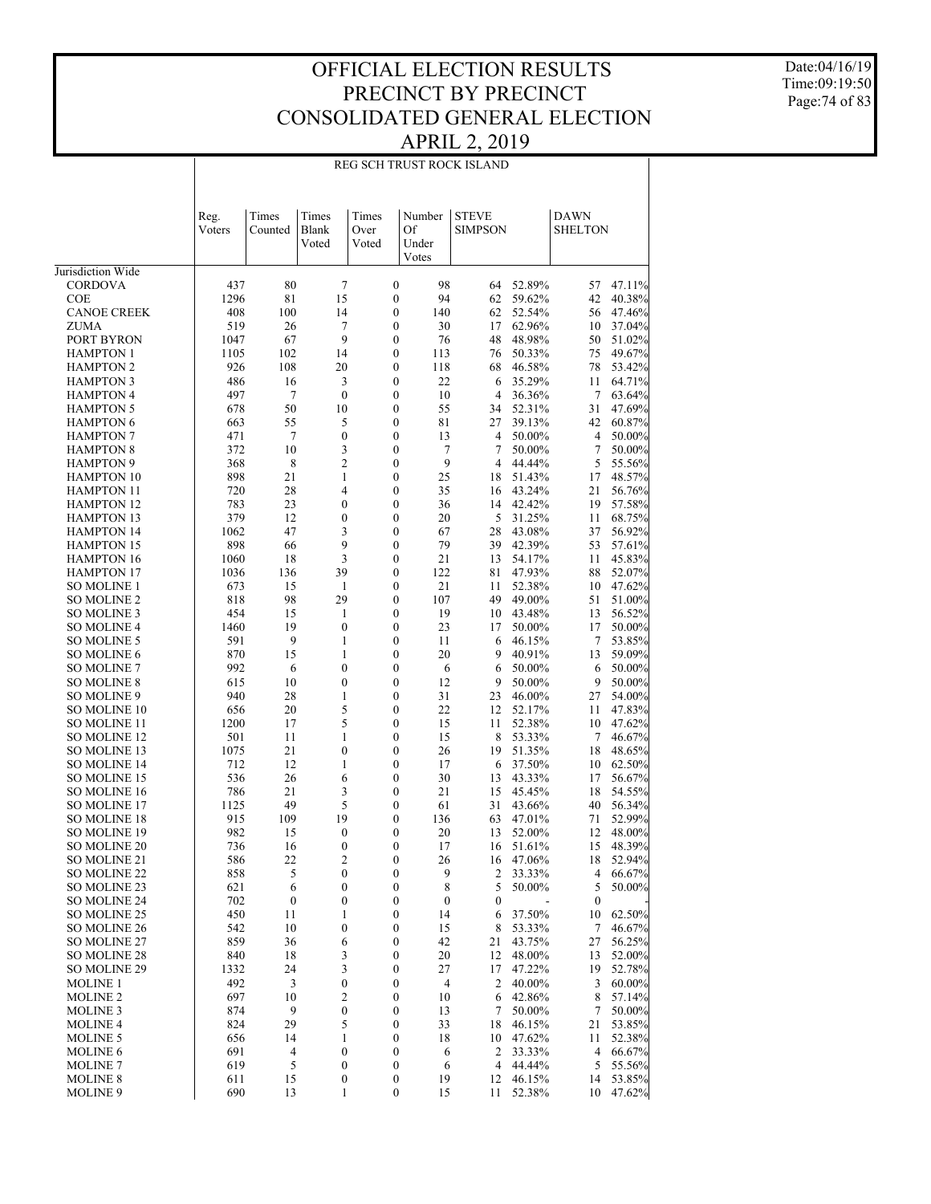Date:04/16/19 Time:09:19:50 Page:74 of 83

### REG SCH TRUST ROCK ISLAND

|                                          |                | Times            | Times                        | Times                              | Number           | <b>STEVE</b>     |                  | <b>DAWN</b>      |                  |
|------------------------------------------|----------------|------------------|------------------------------|------------------------------------|------------------|------------------|------------------|------------------|------------------|
|                                          | Reg.<br>Voters | Counted          | Blank<br>Voted               | Over<br>Voted                      | Of<br>Under      | <b>SIMPSON</b>   |                  | <b>SHELTON</b>   |                  |
| Jurisdiction Wide                        |                |                  |                              |                                    | Votes            |                  |                  |                  |                  |
| <b>CORDOVA</b>                           | 437            | 80               | 7                            | $\boldsymbol{0}$                   | 98               | 64               | 52.89%           | 57               | 47.11%           |
| <b>COE</b>                               | 1296           | 81               | 15                           | $\mathbf{0}$                       | 94               | 62               | 59.62%           | 42               | 40.38%           |
| <b>CANOE CREEK</b>                       | 408            | 100              | 14                           | $\mathbf{0}$                       | 140              | 62               | 52.54%           | 56               | 47.46%           |
| <b>ZUMA</b>                              | 519            | 26               | 7                            | $\overline{0}$                     | 30               | 17               | 62.96%           | 10               | 37.04%           |
| PORT BYRON                               | 1047           | 67               | 9                            | $\mathbf{0}$                       | 76               | 48               | 48.98%           | 50               | 51.02%           |
| <b>HAMPTON 1</b>                         | 1105           | 102              | 14                           | $\boldsymbol{0}$                   | 113              | 76               | 50.33%           | 75               | 49.67%           |
| <b>HAMPTON 2</b>                         | 926            | 108              | 20                           | $\boldsymbol{0}$                   | 118              | 68               | 46.58%           | 78               | 53.42%           |
| <b>HAMPTON 3</b>                         | 486            | 16               | 3                            | $\boldsymbol{0}$                   | 22               | 6                | 35.29%           | 11               | 64.71%           |
| <b>HAMPTON 4</b>                         | 497            | 7                | $\mathbf{0}$                 | $\mathbf{0}$                       | 10               | $\overline{4}$   | 36.36%           | 7                | 63.64%           |
| <b>HAMPTON 5</b>                         | 678            | 50               | 10                           | $\boldsymbol{0}$                   | 55               | 34               | 52.31%           | 31               | 47.69%           |
| <b>HAMPTON 6</b>                         | 663            | 55               | 5                            | $\overline{0}$                     | 81               | 27               | 39.13%           | 42               | 60.87%           |
| <b>HAMPTON 7</b>                         | 471            | 7                | $\boldsymbol{0}$             | $\boldsymbol{0}$                   | 13               | 4                | 50.00%           | 4                | 50.00%           |
| <b>HAMPTON 8</b><br><b>HAMPTON 9</b>     | 372<br>368     | 10<br>8          | 3<br>$\overline{c}$          | $\overline{0}$<br>$\overline{0}$   | 7<br>9           | 7<br>4           | 50.00%<br>44.44% | 7<br>5           | 50.00%<br>55.56% |
| <b>HAMPTON 10</b>                        | 898            | 21               | 1                            | $\overline{0}$                     | 25               | 18               | 51.43%           | 17               | 48.57%           |
| <b>HAMPTON 11</b>                        | 720            | 28               | $\overline{4}$               | $\boldsymbol{0}$                   | 35               | 16               | 43.24%           | 21               | 56.76%           |
| <b>HAMPTON 12</b>                        | 783            | 23               | $\mathbf{0}$                 | $\overline{0}$                     | 36               | 14               | 42.42%           | 19               | 57.58%           |
| <b>HAMPTON 13</b>                        | 379            | 12               | $\boldsymbol{0}$             | $\overline{0}$                     | 20               | 5                | 31.25%           | 11               | 68.75%           |
| <b>HAMPTON 14</b>                        | 1062           | 47               | 3                            | $\overline{0}$                     | 67               | 28               | 43.08%           | 37               | 56.92%           |
| <b>HAMPTON 15</b>                        | 898            | 66               | 9                            | $\boldsymbol{0}$                   | 79               | 39               | 42.39%           | 53               | 57.61%           |
| <b>HAMPTON 16</b>                        | 1060           | 18               | 3                            | $\boldsymbol{0}$                   | 21               | 13               | 54.17%           | 11               | 45.83%           |
| <b>HAMPTON 17</b>                        | 1036           | 136              | 39                           | $\boldsymbol{0}$                   | 122              | 81               | 47.93%           | 88               | 52.07%           |
| <b>SO MOLINE 1</b>                       | 673            | 15               | 1                            | $\overline{0}$                     | 21               | 11               | 52.38%           | 10               | 47.62%           |
| <b>SO MOLINE 2</b>                       | 818            | 98               | 29                           | $\boldsymbol{0}$                   | 107              | 49               | 49.00%           | 51               | 51.00%           |
| <b>SO MOLINE 3</b>                       | 454            | 15               | 1                            | $\overline{0}$                     | 19               | 10               | 43.48%           | 13               | 56.52%           |
| <b>SO MOLINE 4</b>                       | 1460           | 19               | $\boldsymbol{0}$             | $\overline{0}$                     | 23               | 17               | 50.00%           | 17               | 50.00%           |
| <b>SO MOLINE 5</b>                       | 591            | 9                | 1                            | $\overline{0}$                     | 11               | 6<br>9           | 46.15%           | 7                | 53.85%           |
| <b>SO MOLINE 6</b><br><b>SO MOLINE 7</b> | 870<br>992     | 15<br>6          | 1<br>$\mathbf{0}$            | $\boldsymbol{0}$<br>$\overline{0}$ | 20<br>6          | 6                | 40.91%<br>50.00% | 13<br>6          | 59.09%<br>50.00% |
| <b>SO MOLINE 8</b>                       | 615            | 10               | $\boldsymbol{0}$             | $\boldsymbol{0}$                   | 12               | 9                | 50.00%           | 9                | 50.00%           |
| SO MOLINE 9                              | 940            | 28               | 1                            | $\overline{0}$                     | 31               | 23               | 46.00%           | 27               | 54.00%           |
| <b>SO MOLINE 10</b>                      | 656            | 20               | 5                            | $\boldsymbol{0}$                   | 22               | 12               | 52.17%           | 11               | 47.83%           |
| <b>SO MOLINE 11</b>                      | 1200           | 17               | 5                            | $\boldsymbol{0}$                   | 15               | 11               | 52.38%           | 10               | 47.62%           |
| <b>SO MOLINE 12</b>                      | 501            | 11               | 1                            | $\mathbf{0}$                       | 15               | 8                | 53.33%           | 7                | 46.67%           |
| SO MOLINE 13                             | 1075           | 21               | $\mathbf{0}$                 | $\boldsymbol{0}$                   | 26               | 19               | 51.35%           | 18               | 48.65%           |
| <b>SO MOLINE 14</b>                      | 712            | 12               | 1                            | $\boldsymbol{0}$                   | 17               | 6                | 37.50%           | 10               | 62.50%           |
| <b>SO MOLINE 15</b>                      | 536            | 26               | 6                            | $\boldsymbol{0}$                   | 30               | 13               | 43.33%           | 17               | 56.67%           |
| <b>SO MOLINE 16</b>                      | 786            | 21               | 3                            | $\boldsymbol{0}$                   | 21               | 15               | 45.45%           | 18               | 54.55%           |
| <b>SO MOLINE 17</b>                      | 1125           | 49               | 5                            | $\mathbf{0}$                       | 61               | 31               | 43.66%           | 40               | 56.34%           |
| <b>SO MOLINE 18</b>                      | 915            | 109              | 19                           | $\boldsymbol{0}$                   | 136              | 63               | 47.01%<br>52.00% | 71               | 52.99%           |
| <b>SO MOLINE 19</b><br>SO MOLINE 20      | 982<br>736     | 15<br>16         | $\mathbf{0}$<br>$\mathbf{0}$ | 0<br>0                             | 20<br>17         | 13<br>16         | 51.61%           | 12<br>15         | 48.00%<br>48.39% |
| SO MOLINE 21                             | 586            | 22               | $\overline{2}$               | 0                                  | 26               | 16               | 47.06%           | 18               | 52.94%           |
| SO MOLINE 22                             | 858            | C                | $\boldsymbol{0}$             | 0                                  | 9                | $\mathbf{z}$     | 33.33%           | 4                | 66.67%           |
| SO MOLINE 23                             | 621            | 6                | $\boldsymbol{0}$             | 0                                  | 8                | 5                | 50.00%           | 5                | 50.00%           |
| SO MOLINE 24                             | 702            | $\boldsymbol{0}$ | $\boldsymbol{0}$             | 0                                  | $\boldsymbol{0}$ | $\boldsymbol{0}$ |                  | $\boldsymbol{0}$ |                  |
| SO MOLINE 25                             | 450            | 11               | 1                            | 0                                  | 14               | 6                | 37.50%           | 10               | 62.50%           |
| SO MOLINE 26                             | 542            | 10               | $\boldsymbol{0}$             | 0                                  | 15               | 8                | 53.33%           | 7                | 46.67%           |
| SO MOLINE 27                             | 859            | 36               | 6                            | 0                                  | 42               | 21               | 43.75%           | 27               | 56.25%           |
| SO MOLINE 28                             | 840            | 18               | 3                            | 0                                  | 20               | 12               | 48.00%           | 13               | 52.00%           |
| SO MOLINE 29                             | 1332           | 24               | 3                            | 0                                  | 27               | 17               | 47.22%           | 19               | 52.78%           |
| <b>MOLINE 1</b>                          | 492            | 3                | $\boldsymbol{0}$             | 0                                  | 4                | 2                | 40.00%           | 3                | 60.00%           |
| <b>MOLINE 2</b>                          | 697            | 10               | $\overline{c}$               | 0                                  | 10               | 6                | 42.86%           | 8                | 57.14%<br>50.00% |
| <b>MOLINE 3</b><br><b>MOLINE 4</b>       | 874<br>824     | 9<br>29          | $\boldsymbol{0}$<br>5        | $\boldsymbol{0}$<br>0              | 13<br>33         | 7<br>18          | 50.00%<br>46.15% | 7<br>21          | 53.85%           |
| <b>MOLINE 5</b>                          | 656            | 14               | 1                            | 0                                  | 18               | 10               | 47.62%           | 11               | 52.38%           |
| <b>MOLINE 6</b>                          | 691            | 4                | $\boldsymbol{0}$             | 0                                  | 6                | 2                | 33.33%           | 4                | 66.67%           |
| <b>MOLINE 7</b>                          | 619            | 5                | $\boldsymbol{0}$             | $\boldsymbol{0}$                   | 6                | $\overline{4}$   | 44.44%           | 5                | 55.56%           |
| <b>MOLINE 8</b>                          | 611            | 15               | $\boldsymbol{0}$             | 0                                  | 19               | 12               | 46.15%           | 14               | 53.85%           |
| <b>MOLINE 9</b>                          | 690            | 13               | 1                            | 0                                  | 15               | 11               | 52.38%           | 10               | 47.62%           |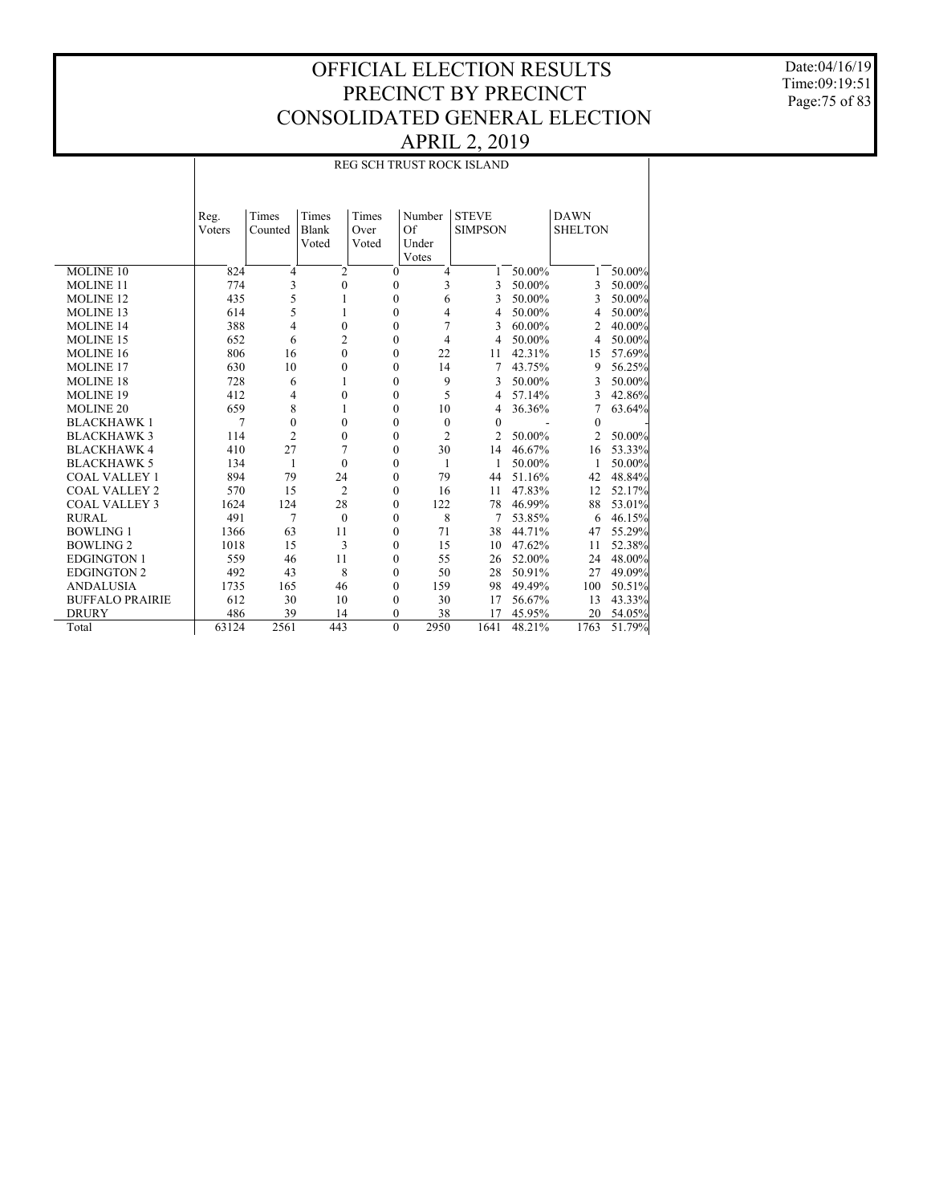Date:04/16/19 Time:09:19:51 Page:75 of 83

|                        |        | REG SCH TRUST ROCK ISLAND |                  |                  |                |                |        |                |        |  |  |  |
|------------------------|--------|---------------------------|------------------|------------------|----------------|----------------|--------|----------------|--------|--|--|--|
|                        | Reg.   | Times                     | Times            | Times            | Number         | <b>STEVE</b>   |        | <b>DAWN</b>    |        |  |  |  |
|                        | Voters | Counted                   | Blank            | Over             | Of             | <b>SIMPSON</b> |        | <b>SHELTON</b> |        |  |  |  |
|                        |        |                           | Voted            | Voted            | Under          |                |        |                |        |  |  |  |
|                        |        |                           |                  |                  | Votes          |                |        |                |        |  |  |  |
| <b>MOLINE 10</b>       | 824    | $\overline{4}$            | $\overline{2}$   | $\mathbf{0}$     | $\overline{4}$ | 1              | 50.00% | 1              | 50.00% |  |  |  |
| <b>MOLINE 11</b>       | 774    | 3                         | $\boldsymbol{0}$ | $\boldsymbol{0}$ | 3              | 3              | 50.00% | 3              | 50.00% |  |  |  |
| <b>MOLINE 12</b>       | 435    | 5                         | 1                | $\mathbf{0}$     | 6              | 3              | 50.00% | 3              | 50.00% |  |  |  |
| <b>MOLINE 13</b>       | 614    | 5                         | 1                | $\boldsymbol{0}$ | 4              | 4              | 50.00% | 4              | 50.00% |  |  |  |
| <b>MOLINE 14</b>       | 388    | 4                         | $\mathbf{0}$     | $\mathbf{0}$     | 7              | 3              | 60.00% | $\overline{2}$ | 40.00% |  |  |  |
| <b>MOLINE 15</b>       | 652    | 6                         | $\overline{c}$   | $\theta$         | $\overline{4}$ | 4              | 50.00% | 4              | 50.00% |  |  |  |
| <b>MOLINE 16</b>       | 806    | 16                        | $\mathbf{0}$     | $\mathbf{0}$     | 22             | 11             | 42.31% | 15             | 57.69% |  |  |  |
| <b>MOLINE 17</b>       | 630    | 10                        | $\boldsymbol{0}$ | $\mathbf{0}$     | 14             | 7              | 43.75% | 9              | 56.25% |  |  |  |
| <b>MOLINE 18</b>       | 728    | 6                         | 1                | $\mathbf{0}$     | 9              | 3              | 50.00% | 3              | 50.00% |  |  |  |
| <b>MOLINE 19</b>       | 412    | 4                         | $\boldsymbol{0}$ | $\boldsymbol{0}$ | 5              | 4              | 57.14% | 3              | 42.86% |  |  |  |
| <b>MOLINE 20</b>       | 659    | 8                         | 1                | $\mathbf{0}$     | 10             | 4              | 36.36% | 7              | 63.64% |  |  |  |
| <b>BLACKHAWK1</b>      | 7      | $\mathbf{0}$              | $\boldsymbol{0}$ | $\mathbf{0}$     | $\mathbf{0}$   | $\theta$       |        | $\theta$       |        |  |  |  |
| <b>BLACKHAWK3</b>      | 114    | $\overline{2}$            | $\mathbf{0}$     | $\mathbf{0}$     | $\overline{c}$ | $\mathfrak{D}$ | 50.00% | $\overline{c}$ | 50.00% |  |  |  |
| <b>BLACKHAWK4</b>      | 410    | 27                        | 7                | $\mathbf{0}$     | 30             | 14             | 46.67% | 16             | 53.33% |  |  |  |
| <b>BLACKHAWK 5</b>     | 134    | 1                         | $\mathbf{0}$     | $\mathbf{0}$     | $\mathbf{1}$   | 1              | 50.00% | 1              | 50.00% |  |  |  |
| <b>COAL VALLEY 1</b>   | 894    | 79                        | 24               | $\boldsymbol{0}$ | 79             | 44             | 51.16% | 42             | 48.84% |  |  |  |
| <b>COAL VALLEY 2</b>   | 570    | 15                        | 2                | $\mathbf{0}$     | 16             | 11             | 47.83% | 12             | 52.17% |  |  |  |
| <b>COAL VALLEY 3</b>   | 1624   | 124                       | 28               | $\mathbf{0}$     | 122            | 78             | 46.99% | 88             | 53.01% |  |  |  |
| <b>RURAL</b>           | 491    | 7                         | $\mathbf{0}$     | $\mathbf{0}$     | 8              | 7              | 53.85% | 6              | 46.15% |  |  |  |
| <b>BOWLING 1</b>       | 1366   | 63                        | 11               | $\mathbf{0}$     | 71             | 38             | 44.71% | 47             | 55.29% |  |  |  |
| <b>BOWLING 2</b>       | 1018   | 15                        | 3                | $\mathbf{0}$     | 15             | 10             | 47.62% | 11             | 52.38% |  |  |  |
| <b>EDGINGTON 1</b>     | 559    | 46                        | 11               | $\mathbf{0}$     | 55             | 26             | 52.00% | 24             | 48.00% |  |  |  |
| <b>EDGINGTON 2</b>     | 492    | 43                        | 8                | $\boldsymbol{0}$ | 50             | 28             | 50.91% | 27             | 49.09% |  |  |  |
| <b>ANDALUSIA</b>       | 1735   | 165                       | 46               | $\mathbf{0}$     | 159            | 98             | 49.49% | 100            | 50.51% |  |  |  |
| <b>BUFFALO PRAIRIE</b> | 612    | 30                        | 10               | $\boldsymbol{0}$ | 30             | 17             | 56.67% | 13             | 43.33% |  |  |  |
| <b>DRURY</b>           | 486    | 39                        | 14               | $\Omega$         | 38             | 17             | 45.95% | 20             | 54.05% |  |  |  |
| Total                  | 63124  | 2561                      | 443              | $\mathbf{0}$     | 2950           | 1641           | 48.21% | 1763           | 51.79% |  |  |  |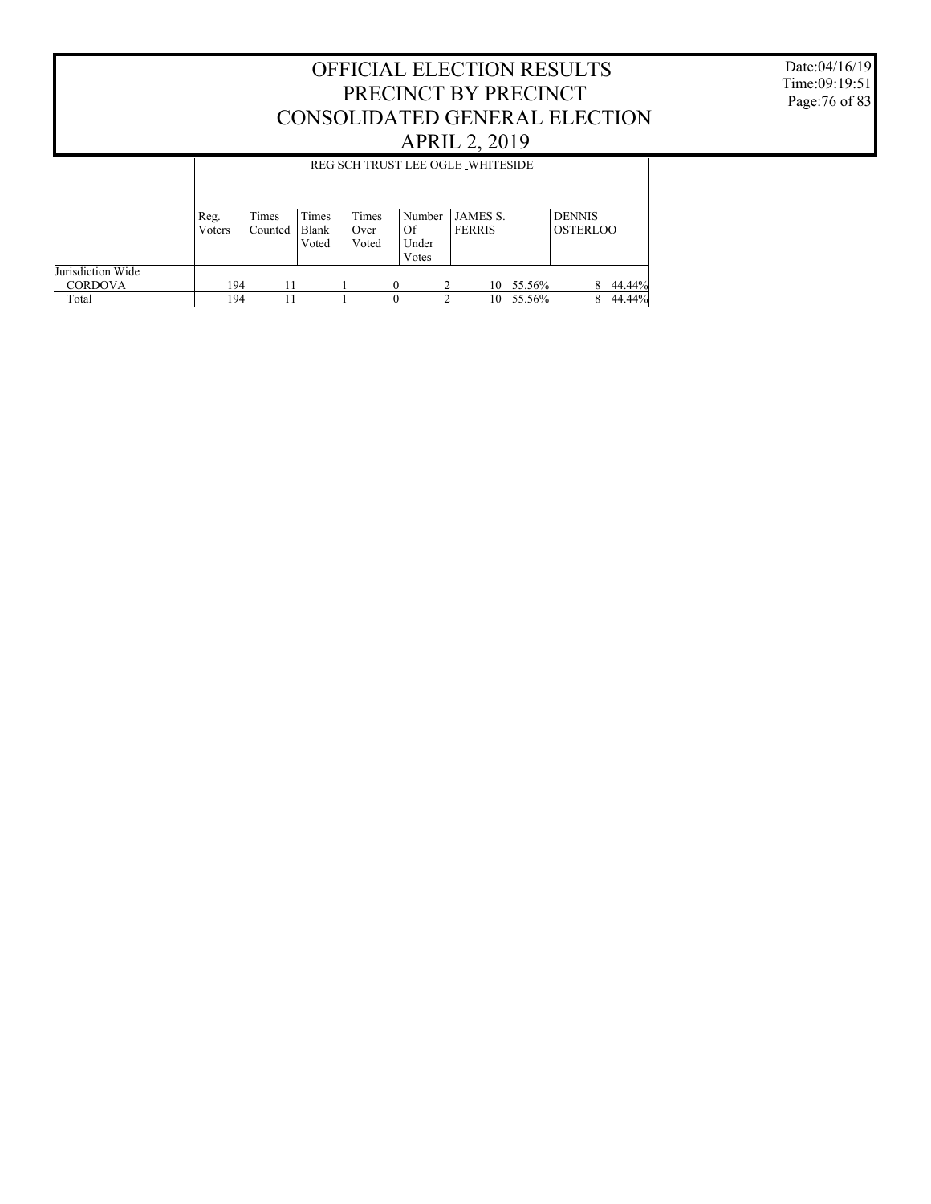OFFICIAL ELECTION RESULTS PRECINCT BY PRECINCT Date:04/16/19

Time:09:19:51 Page:76 of 83

|                                     |                |                  |                         |                        |                                | CONSOLIDATED GENERAL ELECTION    |        |                                  |        |
|-------------------------------------|----------------|------------------|-------------------------|------------------------|--------------------------------|----------------------------------|--------|----------------------------------|--------|
|                                     |                |                  |                         |                        |                                | <b>APRIL 2, 2019</b>             |        |                                  |        |
|                                     |                |                  |                         |                        |                                | REG SCH TRUST LEE OGLE WHITESIDE |        |                                  |        |
|                                     | Reg.<br>Voters | Times<br>Counted | Times<br>Blank<br>Voted | Times<br>Over<br>Voted | Number<br>Of<br>Under<br>Votes | <b>JAMES S.</b><br><b>FERRIS</b> |        | <b>DENNIS</b><br><b>OSTERLOO</b> |        |
| Jurisdiction Wide<br><b>CORDOVA</b> | 194            |                  |                         |                        |                                | 10                               | 55.56% | 8                                | 44.44% |
| Total                               | 194            |                  |                         | $\Omega$               | $\mathfrak{D}$                 | 10                               | 55.56% | 8                                | 44.44% |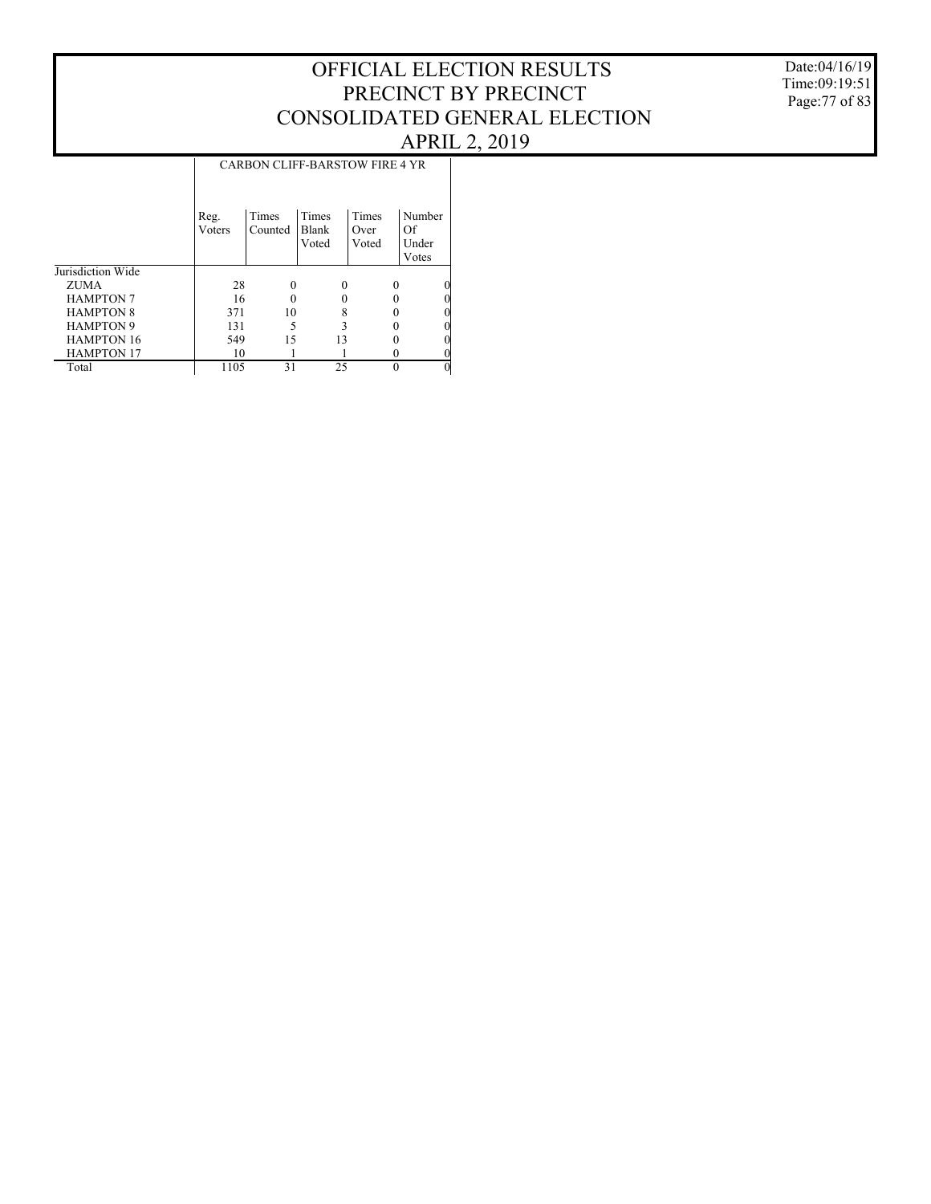Date:04/16/19 Time:09:19:51 Page:77 of 83

|                   |                |                  |                                | <b>CARBON CLIFF-BARSTOW FIRE 4 YR</b> |                                |
|-------------------|----------------|------------------|--------------------------------|---------------------------------------|--------------------------------|
|                   | Reg.<br>Voters | Times<br>Counted | Times<br><b>Blank</b><br>Voted | Times<br>Over<br>Voted                | Number<br>Of<br>Under<br>Votes |
| Jurisdiction Wide |                |                  |                                |                                       |                                |
| ZUMA              | 28             |                  | $\Omega$                       | $\Omega$                              | 0                              |
| <b>HAMPTON 7</b>  | 16             |                  |                                |                                       | 0                              |
| <b>HAMPTON 8</b>  | 371            | 10               |                                |                                       | 0                              |
| <b>HAMPTON 9</b>  | 131            | 5                |                                |                                       | 0                              |
| <b>HAMPTON 16</b> | 549            | 15               | 13                             |                                       | 0                              |
| <b>HAMPTON 17</b> | 10             |                  |                                |                                       | 0                              |
| Total             | 1105           | 31               | 25                             |                                       | $\Omega$                       |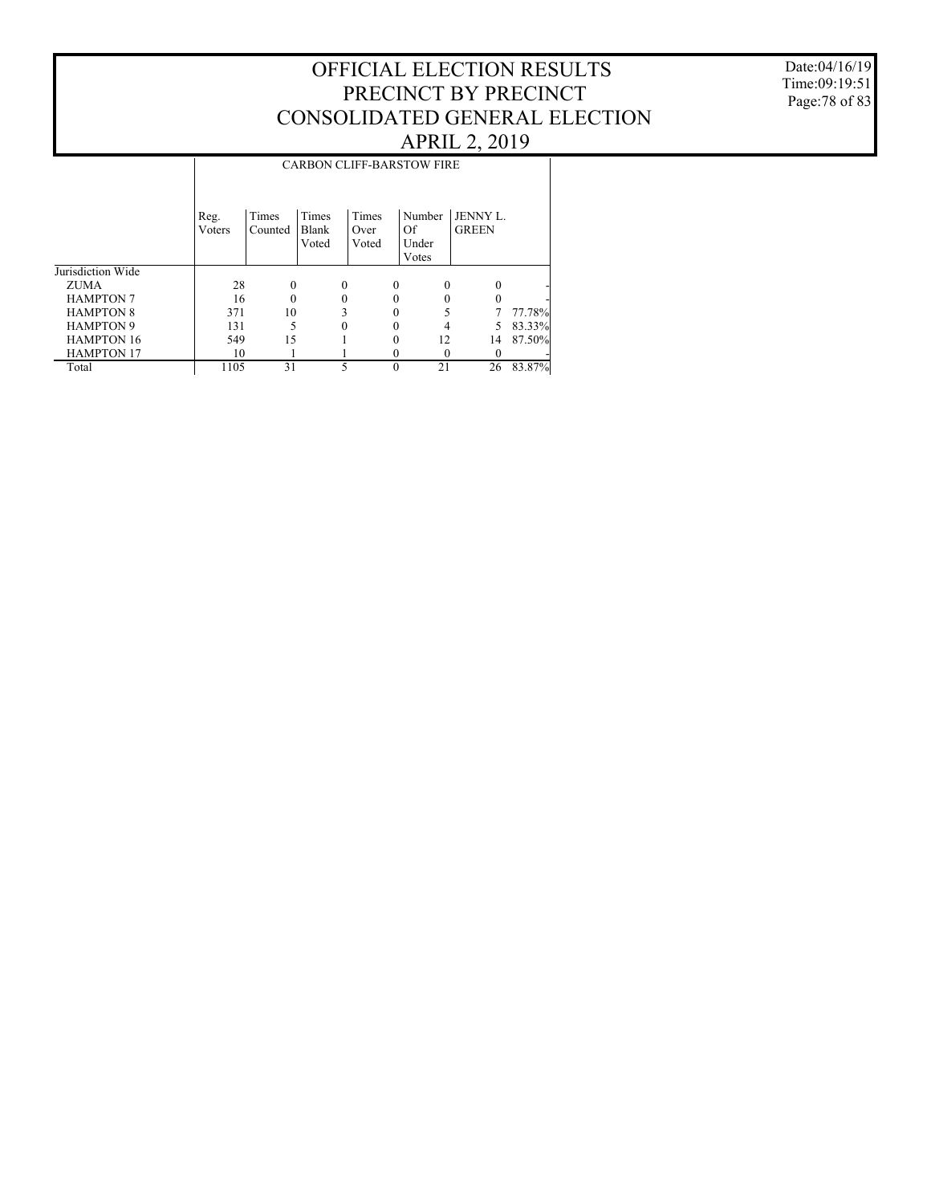### Date:04/16/19 Time:09:19:51 Page:78 of 83

|                   |        | <b>CARBON CLIFF-BARSTOW FIRE</b> |       |          |       |          |        |              |        |  |  |  |
|-------------------|--------|----------------------------------|-------|----------|-------|----------|--------|--------------|--------|--|--|--|
|                   |        |                                  |       |          |       |          |        |              |        |  |  |  |
|                   |        |                                  |       |          |       |          |        |              |        |  |  |  |
|                   | Reg.   | Times                            | Times |          | Times |          | Number | JENNY L.     |        |  |  |  |
|                   | Voters | Counted                          | Blank |          | Over  |          | Of     | <b>GREEN</b> |        |  |  |  |
|                   |        |                                  | Voted |          | Voted |          | Under  |              |        |  |  |  |
|                   |        |                                  |       |          |       |          | Votes  |              |        |  |  |  |
| Jurisdiction Wide |        |                                  |       |          |       |          |        |              |        |  |  |  |
| <b>ZUMA</b>       | 28     | 0                                |       | $\theta$ |       | $\Omega$ | 0      |              |        |  |  |  |
| <b>HAMPTON 7</b>  | 16     | 0                                |       |          |       | 0        |        |              |        |  |  |  |
| <b>HAMPTON 8</b>  | 371    | 10                               |       |          |       |          |        |              | 77.78% |  |  |  |
| <b>HAMPTON 9</b>  | 131    |                                  |       | $\theta$ |       | 0        | 4      | 5            | 83.33% |  |  |  |
| <b>HAMPTON 16</b> | 549    | 15                               |       |          |       | 0        | 12     | 14           | 87.50% |  |  |  |
| <b>HAMPTON 17</b> | 10     |                                  |       |          |       | 0        | 0      |              |        |  |  |  |
| Total             | 1105   | 31                               |       | 5        |       | $\Omega$ | 21     | 26           | 83.87% |  |  |  |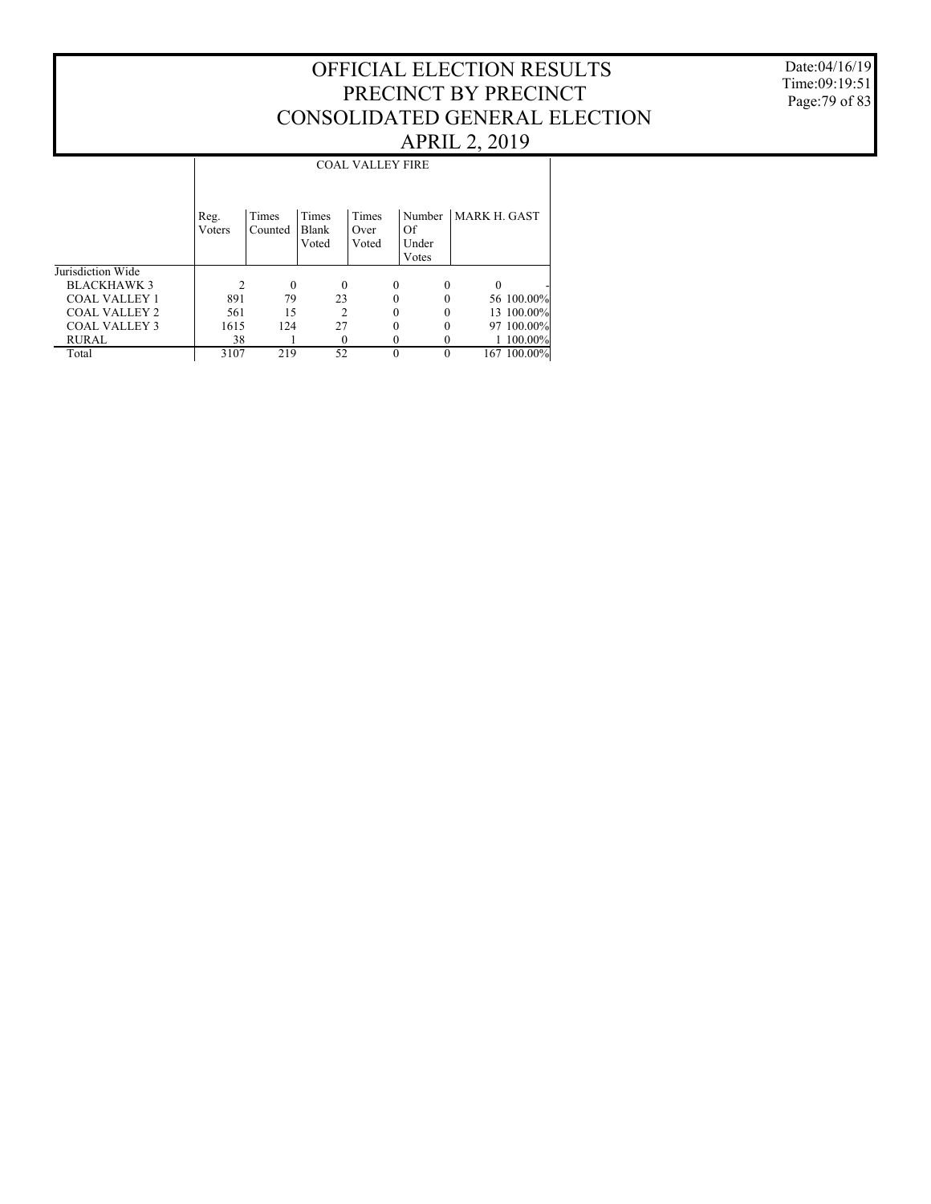Date:04/16/19 Time:09:19:51 Page:79 of 83

### Jurisdiction Wide BLACKHAWK 3 COAL VALLEY 1 COAL VALLEY 2 COAL VALLEY 3 RURAL Total Reg. Voters Times Counted Times Blank Voted Times Over Voted Number MARK H. GAST Of Under Votes COAL VALLEY FIRE 2 0 0 0 0 0 - 891 79 23 0 0 56 100.00%<br>561 15 2 0 0 13 100.00% 561 15 2 0 0 13 100.00% 15 124 27 0 0 97 100.00%<br>38 1 0 0 0 1 100.00%  $\frac{38}{3107}$  1 0 0 0 1  $\frac{100.00\%}{3107}$  219 52 0 0 167  $\frac{100.00\%}{3107}$ 167 100.00%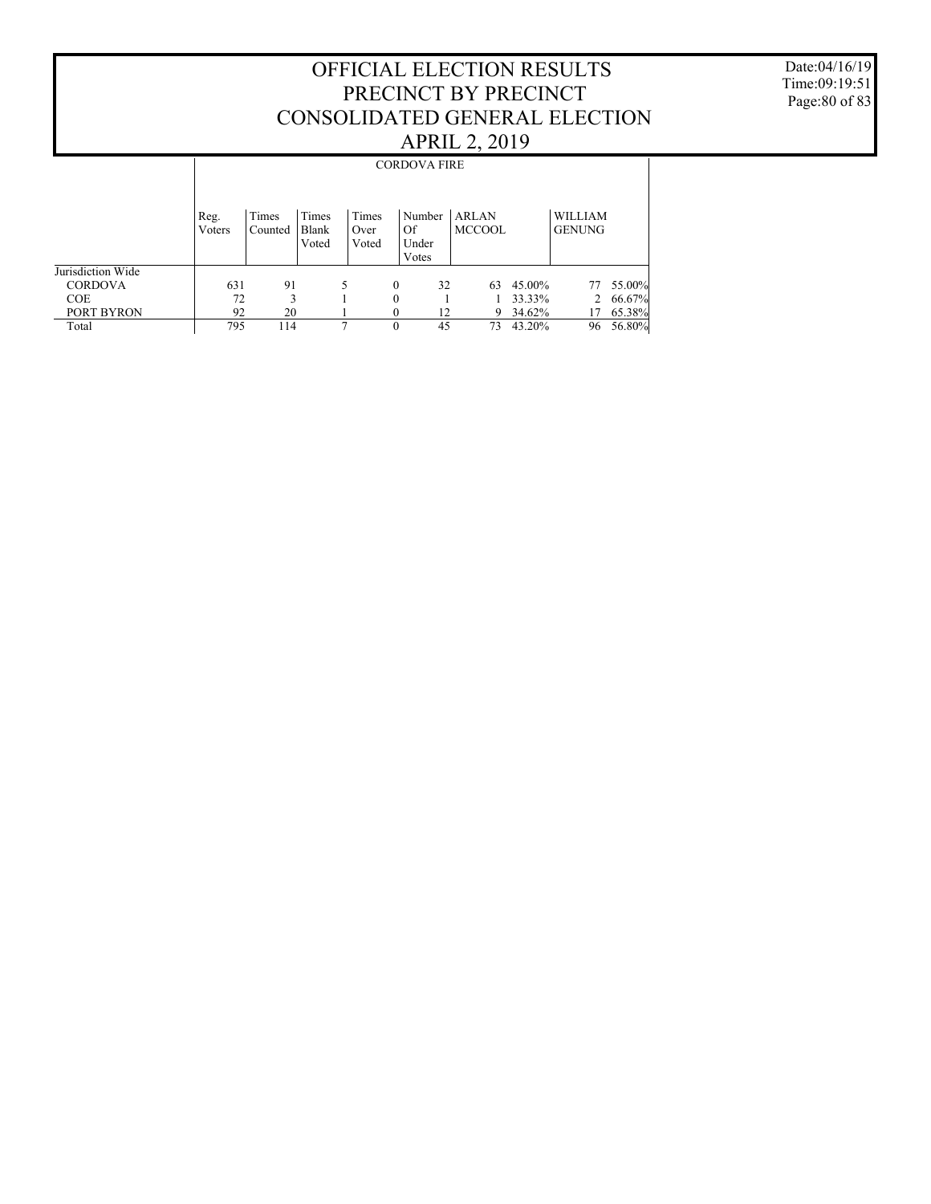Date:04/16/19 Time:09:19:51 Page:80 of 83

|                   |                |                  |                         |                        |          | <b>CORDOVA FIRE</b>            |                               |        |                                 |        |
|-------------------|----------------|------------------|-------------------------|------------------------|----------|--------------------------------|-------------------------------|--------|---------------------------------|--------|
|                   | Reg.<br>Voters | Times<br>Counted | Times<br>Blank<br>Voted | Times<br>Over<br>Voted |          | Number<br>Of<br>Under<br>Votes | <b>ARLAN</b><br><b>MCCOOL</b> |        | <b>WILLIAM</b><br><b>GENUNG</b> |        |
| Jurisdiction Wide |                |                  |                         |                        |          |                                |                               |        |                                 |        |
| <b>CORDOVA</b>    | 631            | 91               |                         | 5                      | $\theta$ | 32                             | 63                            | 45.00% | 77                              | 55.00% |
| <b>COE</b>        | 72             | 3                |                         |                        | 0        |                                |                               | 33.33% | 2                               | 66.67% |
| PORT BYRON        | 92             | 20               |                         |                        | 0        | 12                             | 9                             | 34.62% | 17                              | 65.38% |
| Total             | 795            | 114              |                         | 7                      | 0        | 45                             | 73                            | 43.20% | 96                              | 56.80% |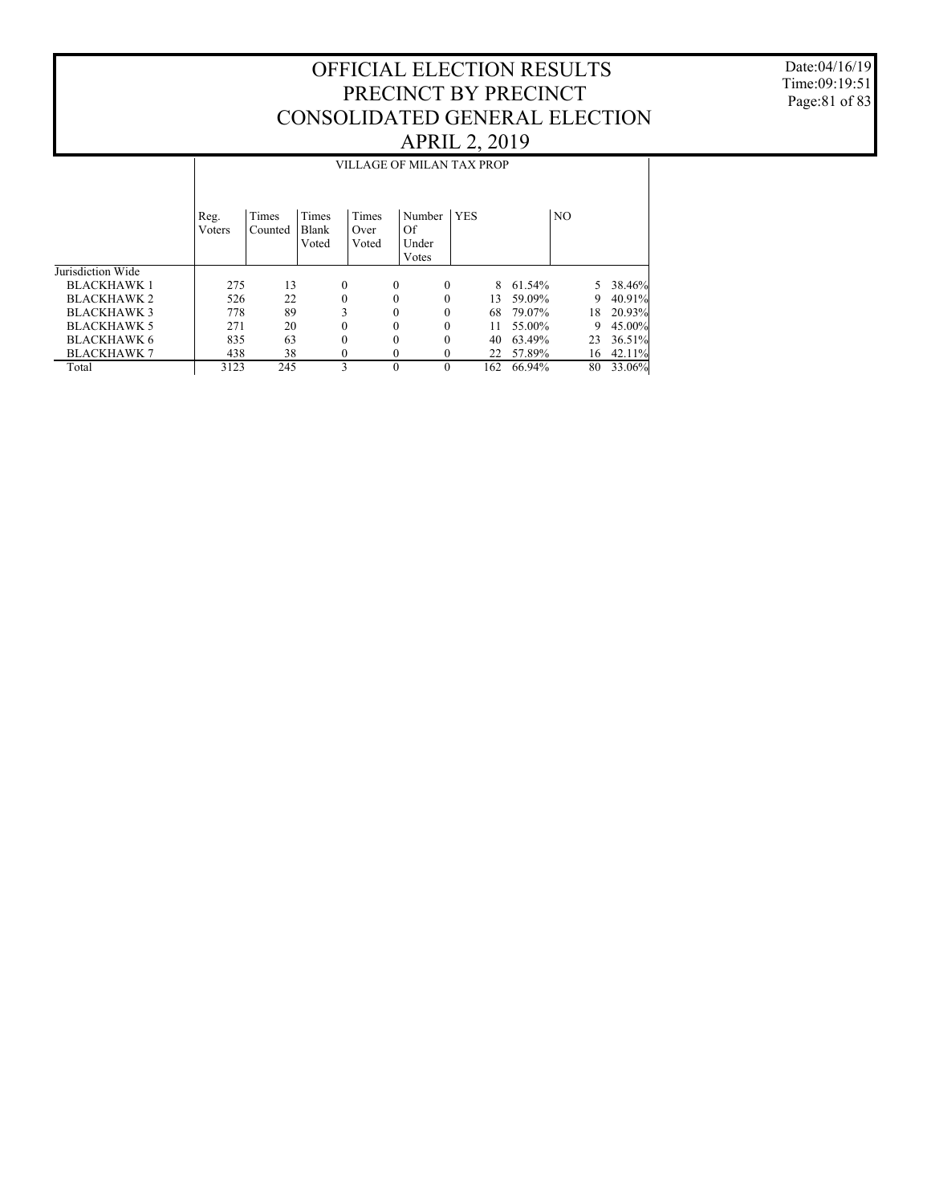Date:04/16/19 Time:09:19:51 Page:81 of 83

|                    |                | VILLAGE OF MILAN TAX PROP |                         |                        |              |                                |            |     |        |    |    |           |  |
|--------------------|----------------|---------------------------|-------------------------|------------------------|--------------|--------------------------------|------------|-----|--------|----|----|-----------|--|
|                    | Reg.<br>Voters | Times<br>Counted          | Times<br>Blank<br>Voted | Times<br>Over<br>Voted |              | Number<br>Of<br>Under<br>Votes | <b>YES</b> |     |        | NO |    |           |  |
| Jurisdiction Wide  |                |                           |                         |                        |              |                                |            |     |        |    |    |           |  |
| <b>BLACKHAWK1</b>  | 275            | 13                        |                         | 0                      | $\Omega$     |                                | 0          | 8   | 61.54% |    | 5. | 38.46%    |  |
| <b>BLACKHAWK 2</b> | 526            | 22                        |                         | $\mathbf{0}$           | $\Omega$     |                                | 0          | 13  | 59.09% |    | 9  | 40.91%    |  |
| <b>BLACKHAWK3</b>  | 778            | 89                        |                         | 3                      | $\theta$     |                                | 0          | 68  | 79.07% |    | 18 | 20.93%    |  |
| <b>BLACKHAWK 5</b> | 271            | 20                        |                         | $\theta$               | $\theta$     |                                | $\Omega$   | 11  | 55.00% |    | 9  | $45.00\%$ |  |
| <b>BLACKHAWK 6</b> | 835            | 63                        |                         | $\mathbf{0}$           | $\theta$     |                                | 0          | 40  | 63.49% |    | 23 | 36.51%    |  |
| <b>BLACKHAWK 7</b> | 438            | 38                        |                         | 0                      | $\mathbf{0}$ |                                | 0          | 22  | 57.89% |    | 16 | 42.11%    |  |
| Total              | 3123           | 245                       |                         | 3                      | $\Omega$     |                                | $\theta$   | 162 | 66.94% |    | 80 | 33.06%    |  |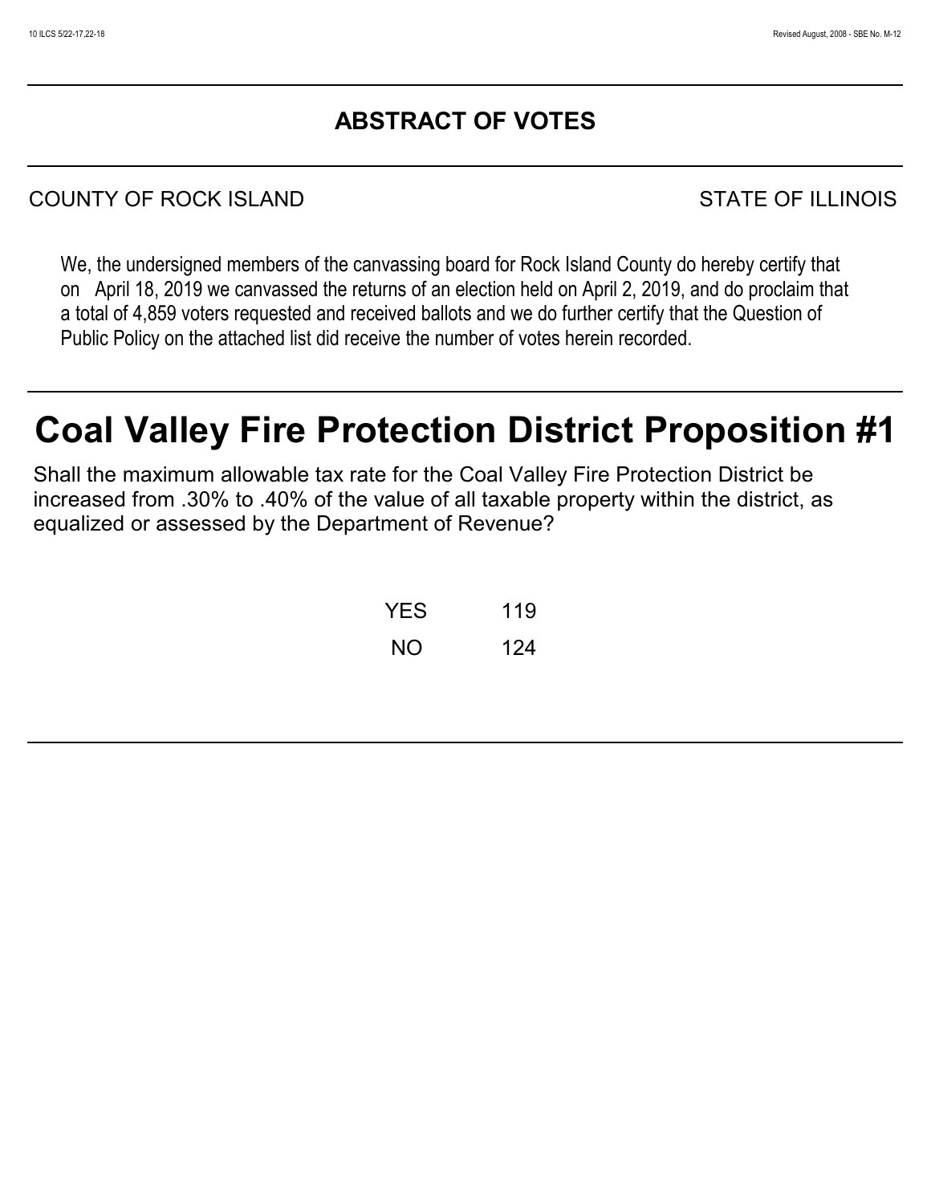# **ABSTRACT OF VOTES**

# COUNTY OF ROCK ISLAND STATE OF ILLINOIS

We, the undersigned members of the canvassing board for Rock Island County do hereby certify that on April 18, 2019 we canvassed the returns of an election held on April 2, 2019, and do proclaim that a total of 4,859 voters requested and received ballots and we do further certify that the Question of Public Policy on the attached list did receive the number of votes herein recorded.

# **Coal Valley Fire Protection District Proposition #1**

Shall the maximum allowable tax rate for the Coal Valley Fire Protection District be increased from .30% to .40% of the value of all taxable property within the district, as equalized or assessed by the Department of Revenue?

| YES | 119 |
|-----|-----|
| NΟ  | 124 |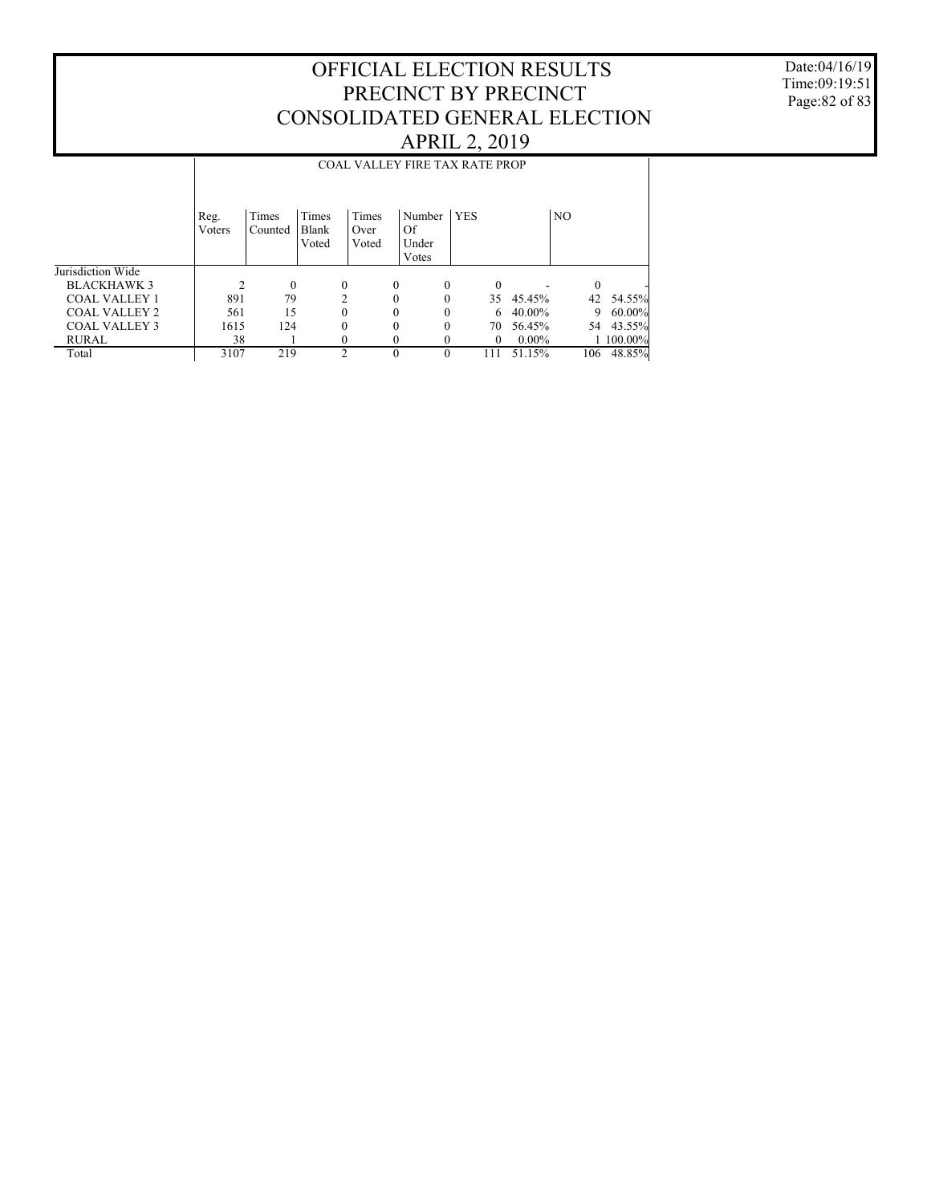Date:04/16/19 Time:09:19:51 Page:82 of 83

|                      |                |                  |                         |                        | <b>COAL VALLEY FIRE TAX RATE PROP</b> |            |          |          |          |            |
|----------------------|----------------|------------------|-------------------------|------------------------|---------------------------------------|------------|----------|----------|----------|------------|
|                      | Reg.<br>Voters | Times<br>Counted | Times<br>Blank<br>Voted | Times<br>Over<br>Voted | Number<br>Of<br>Under                 | <b>YES</b> |          |          | NO.      |            |
|                      |                |                  |                         |                        | Votes                                 |            |          |          |          |            |
| Jurisdiction Wide    |                |                  |                         |                        |                                       |            |          |          |          |            |
| <b>BLACKHAWK 3</b>   |                | $\theta$         | $\theta$                |                        | $\theta$<br>$\Omega$                  |            | $\theta$ |          | $\theta$ |            |
| <b>COAL VALLEY 1</b> | 891            | 79               | $\mathfrak{D}$          |                        | $\theta$                              |            | 35       | 45.45%   | 42       | 54.55%     |
| COAL VALLEY 2        | 561            | 15               | 0                       |                        | $\theta$                              |            | 6        | 40.00%   | 9        | $60.00\%$  |
| <b>COAL VALLEY 3</b> | 1615           | 124              | 0                       |                        | $\Omega$<br>$\Omega$                  |            | 70       | 56.45%   | 54       | 43.55%     |
| <b>RURAL</b>         | 38             |                  | 0                       |                        | $\theta$                              |            | $\theta$ | $0.00\%$ |          | $100.00\%$ |
| Total                | 3107           | 219              | $\mathfrak{D}$          |                        | $\theta$<br>$\Omega$                  |            | 111      | 51.15%   | 106      | 48.85%     |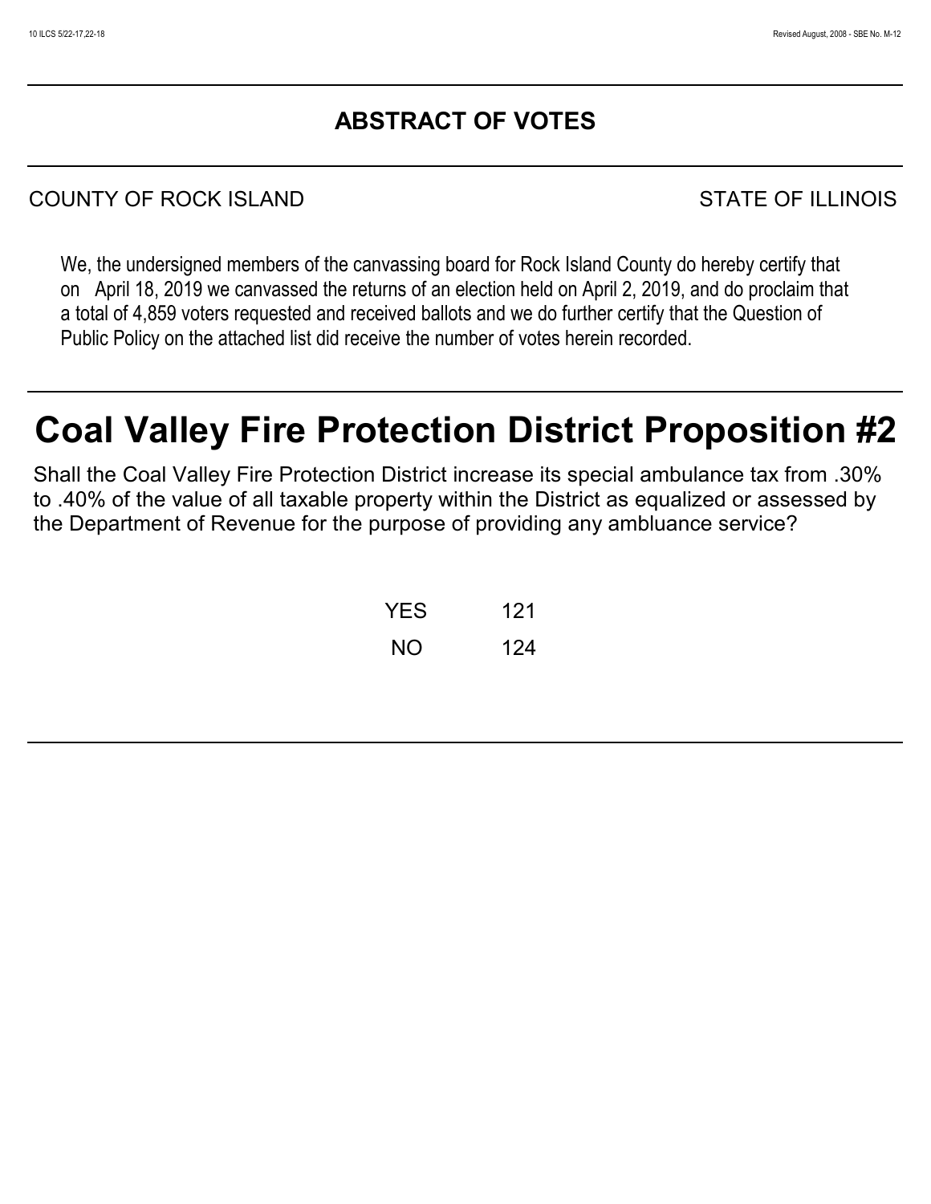# **ABSTRACT OF VOTES**

# COUNTY OF ROCK ISLAND STATE OF ILLINOIS

We, the undersigned members of the canvassing board for Rock Island County do hereby certify that on April 18, 2019 we canvassed the returns of an election held on April 2, 2019, and do proclaim that a total of 4,859 voters requested and received ballots and we do further certify that the Question of Public Policy on the attached list did receive the number of votes herein recorded.

# **Coal Valley Fire Protection District Proposition #2**

Shall the Coal Valley Fire Protection District increase its special ambulance tax from .30% to .40% of the value of all taxable property within the District as equalized or assessed by the Department of Revenue for the purpose of providing any ambluance service?

| <b>YES</b> | 121 |
|------------|-----|
| NΟ         | 124 |